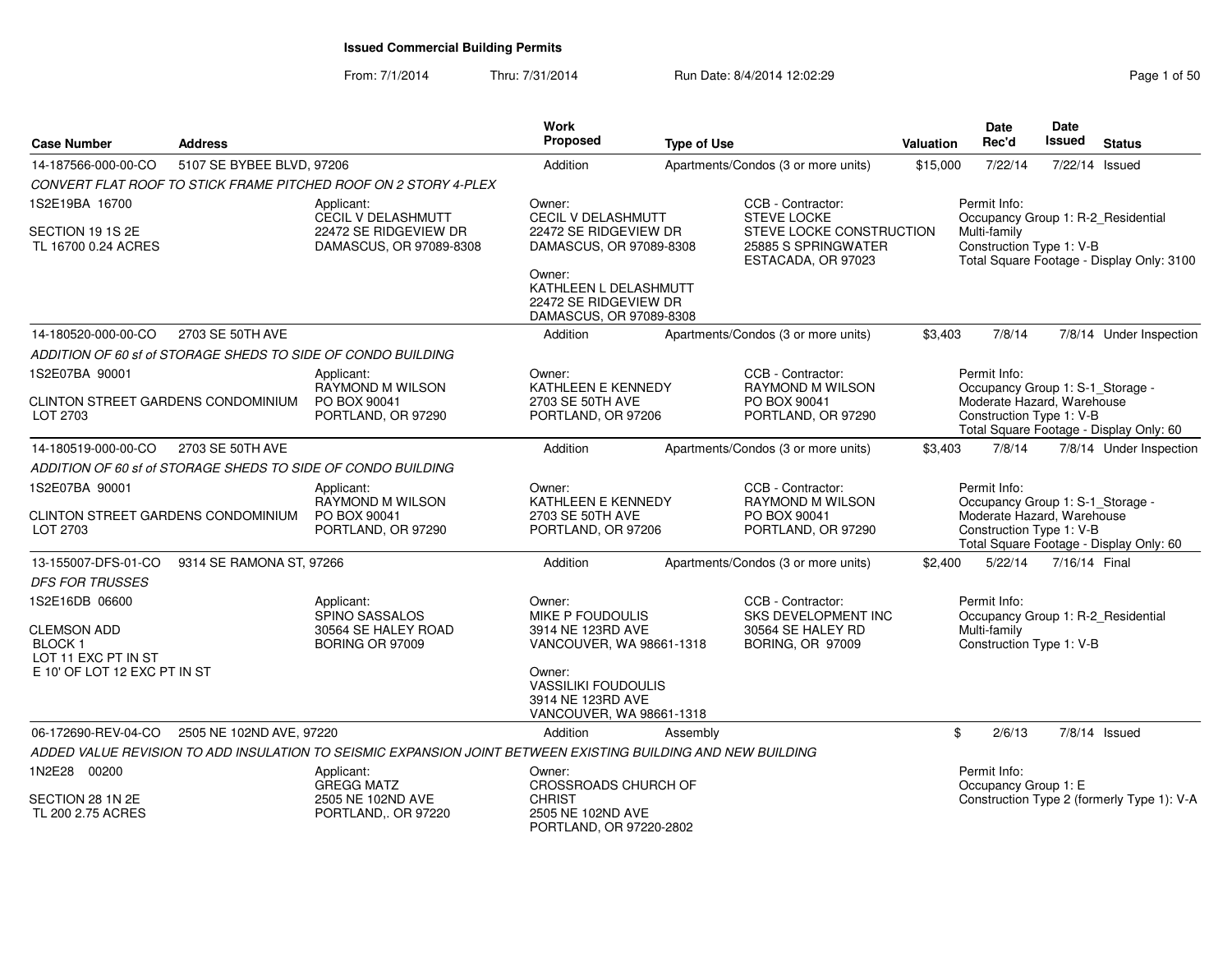| <b>Case Number</b>                                    | <b>Address</b>            |                                                                                                              | Work<br>Proposed                                                                      | <b>Type of Use</b> |                                                                       | Valuation | <b>Date</b><br>Rec'd                                               | <b>Date</b><br><b>Issued</b> | <b>Status</b>                              |
|-------------------------------------------------------|---------------------------|--------------------------------------------------------------------------------------------------------------|---------------------------------------------------------------------------------------|--------------------|-----------------------------------------------------------------------|-----------|--------------------------------------------------------------------|------------------------------|--------------------------------------------|
| 14-187566-000-00-CO                                   | 5107 SE BYBEE BLVD, 97206 |                                                                                                              | Addition                                                                              |                    | Apartments/Condos (3 or more units)                                   | \$15,000  | 7/22/14                                                            |                              | 7/22/14 Issued                             |
|                                                       |                           | CONVERT FLAT ROOF TO STICK FRAME PITCHED ROOF ON 2 STORY 4-PLEX                                              |                                                                                       |                    |                                                                       |           |                                                                    |                              |                                            |
| 1S2E19BA 16700                                        |                           | Applicant:<br>CECIL V DELASHMUTT                                                                             | Owner:<br>CECIL V DELASHMUTT                                                          |                    | CCB - Contractor:<br><b>STEVE LOCKE</b>                               |           | Permit Info:<br>Occupancy Group 1: R-2_Residential                 |                              |                                            |
| SECTION 19 1S 2E<br>TL 16700 0.24 ACRES               |                           | 22472 SE RIDGEVIEW DR<br>DAMASCUS, OR 97089-8308                                                             | 22472 SE RIDGEVIEW DR<br>DAMASCUS, OR 97089-8308                                      |                    | STEVE LOCKE CONSTRUCTION<br>25885 S SPRINGWATER<br>ESTACADA, OR 97023 |           | Multi-family<br>Construction Type 1: V-B                           |                              | Total Square Footage - Display Only: 3100  |
|                                                       |                           |                                                                                                              | Owner:<br>KATHLEEN L DELASHMUTT<br>22472 SE RIDGEVIEW DR<br>DAMASCUS, OR 97089-8308   |                    |                                                                       |           |                                                                    |                              |                                            |
| 14-180520-000-00-CO                                   | 2703 SE 50TH AVE          |                                                                                                              | Addition                                                                              |                    | Apartments/Condos (3 or more units)                                   | \$3,403   | 7/8/14                                                             |                              | 7/8/14 Under Inspection                    |
|                                                       |                           | ADDITION OF 60 sf of STORAGE SHEDS TO SIDE OF CONDO BUILDING                                                 |                                                                                       |                    |                                                                       |           |                                                                    |                              |                                            |
| 1S2E07BA 90001                                        |                           | Applicant:<br><b>RAYMOND M WILSON</b>                                                                        | Owner:<br>KATHLEEN E KENNEDY                                                          |                    | CCB - Contractor:<br><b>RAYMOND M WILSON</b>                          |           | Permit Info:<br>Occupancy Group 1: S-1_Storage -                   |                              |                                            |
| CLINTON STREET GARDENS CONDOMINIUM<br>LOT 2703        |                           | PO BOX 90041<br>PORTLAND, OR 97290                                                                           | 2703 SE 50TH AVE<br>PORTLAND, OR 97206                                                |                    | PO BOX 90041<br>PORTLAND, OR 97290                                    |           | Moderate Hazard, Warehouse<br>Construction Type 1: V-B             |                              | Total Square Footage - Display Only: 60    |
| 14-180519-000-00-CO                                   | 2703 SE 50TH AVE          |                                                                                                              | Addition                                                                              |                    | Apartments/Condos (3 or more units)                                   | \$3,403   | 7/8/14                                                             |                              | 7/8/14 Under Inspection                    |
|                                                       |                           | ADDITION OF 60 sf of STORAGE SHEDS TO SIDE OF CONDO BUILDING                                                 |                                                                                       |                    |                                                                       |           |                                                                    |                              |                                            |
| 1S2E07BA 90001                                        |                           | Applicant:<br>RAYMOND M WILSON                                                                               | Owner:<br>KATHLEEN E KENNEDY                                                          |                    | CCB - Contractor:<br>RAYMOND M WILSON                                 |           | Permit Info:<br>Occupancy Group 1: S-1_Storage -                   |                              |                                            |
| <b>CLINTON STREET GARDENS CONDOMINIUM</b><br>LOT 2703 |                           | PO BOX 90041<br>PORTLAND, OR 97290                                                                           | 2703 SE 50TH AVE<br>PORTLAND, OR 97206                                                |                    | PO BOX 90041<br>PORTLAND, OR 97290                                    |           | Moderate Hazard, Warehouse<br>Construction Type 1: V-B             |                              | Total Square Footage - Display Only: 60    |
| 13-155007-DFS-01-CO                                   | 9314 SE RAMONA ST, 97266  |                                                                                                              | Addition                                                                              |                    | Apartments/Condos (3 or more units)                                   | \$2,400   | 5/22/14                                                            | 7/16/14 Final                |                                            |
| <b>DFS FOR TRUSSES</b>                                |                           |                                                                                                              |                                                                                       |                    |                                                                       |           |                                                                    |                              |                                            |
| 1S2E16DB 06600<br><b>CLEMSON ADD</b>                  |                           | Applicant:<br>SPINO SASSALOS<br>30564 SE HALEY ROAD                                                          | Owner:<br><b>MIKE P FOUDOULIS</b><br>3914 NE 123RD AVE                                |                    | CCB - Contractor:<br><b>SKS DEVELOPMENT INC</b><br>30564 SE HALEY RD  |           | Permit Info:<br>Occupancy Group 1: R-2_Residential<br>Multi-family |                              |                                            |
| <b>BLOCK1</b><br>LOT 11 EXC PT IN ST                  |                           | <b>BORING OR 97009</b>                                                                                       | VANCOUVER, WA 98661-1318                                                              |                    | BORING, OR 97009                                                      |           | Construction Type 1: V-B                                           |                              |                                            |
| E 10' OF LOT 12 EXC PT IN ST                          |                           |                                                                                                              | Owner:<br><b>VASSILIKI FOUDOULIS</b><br>3914 NE 123RD AVE<br>VANCOUVER, WA 98661-1318 |                    |                                                                       |           |                                                                    |                              |                                            |
| 06-172690-REV-04-CO                                   | 2505 NE 102ND AVE, 97220  |                                                                                                              | Addition                                                                              | Assembly           |                                                                       |           | \$<br>2/6/13                                                       |                              | $7/8/14$ Issued                            |
|                                                       |                           | ADDED VALUE REVISION TO ADD INSULATION TO SEISMIC EXPANSION JOINT BETWEEN EXISTING BUILDING AND NEW BUILDING |                                                                                       |                    |                                                                       |           |                                                                    |                              |                                            |
| 1N2E28 00200                                          |                           | Applicant:<br><b>GREGG MATZ</b>                                                                              | Owner:<br>CROSSROADS CHURCH OF                                                        |                    |                                                                       |           | Permit Info:<br>Occupancy Group 1: E                               |                              |                                            |
| SECTION 28 1N 2E<br>TL 200 2.75 ACRES                 |                           | 2505 NE 102ND AVE<br>PORTLAND,. OR 97220                                                                     | <b>CHRIST</b><br>2505 NE 102ND AVE<br>PORTLAND, OR 97220-2802                         |                    |                                                                       |           |                                                                    |                              | Construction Type 2 (formerly Type 1): V-A |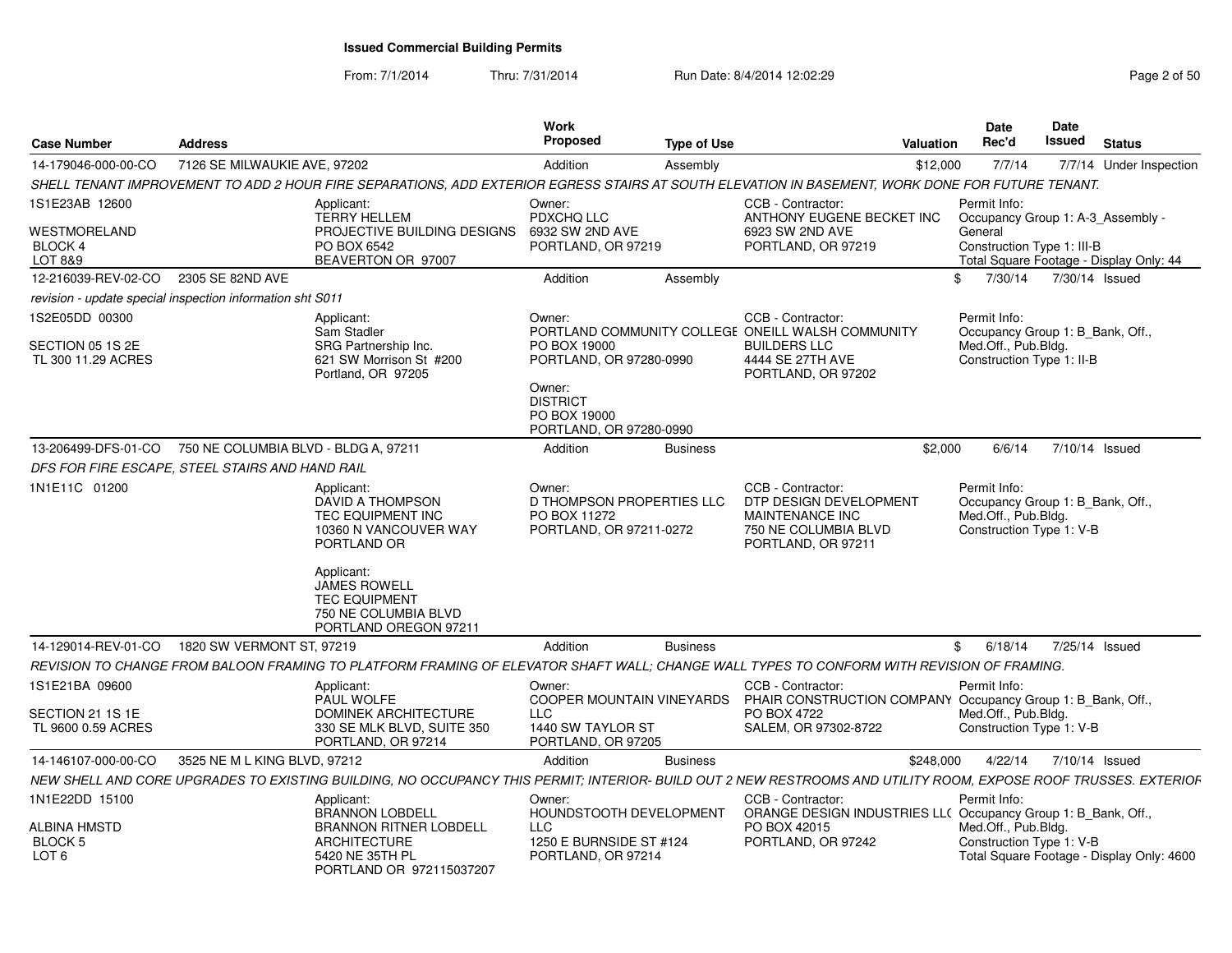From: 7/1/2014

Thru: 7/31/2014 Run Date: 8/4/2014 12:02:29 Rege 2 of 50

| <b>Case Number</b>                                        | <b>Address</b>               |                                                                                                                                                                 | Work<br>Propose                                                                                 | <b>Type of Use</b> |                                                                                                                 | Date<br><b>Rec'd</b><br>Valuation   | Date<br><b>Issued</b><br><b>Status</b>                                |
|-----------------------------------------------------------|------------------------------|-----------------------------------------------------------------------------------------------------------------------------------------------------------------|-------------------------------------------------------------------------------------------------|--------------------|-----------------------------------------------------------------------------------------------------------------|-------------------------------------|-----------------------------------------------------------------------|
| 14-179046-000-00-CO                                       | 7126 SE MILWAUKIE AVE, 97202 |                                                                                                                                                                 | Addition                                                                                        | Assembly           |                                                                                                                 | 7/7/14<br>\$12,000                  | 7/7/14 Under Inspection                                               |
|                                                           |                              | SHELL TENANT IMPROVEMENT TO ADD 2 HOUR FIRE SEPARATIONS, ADD EXTERIOR EGRESS STAIRS AT SOUTH ELEVATION IN BASEMENT, WORK DONE FOR FUTURE TENANT                 |                                                                                                 |                    |                                                                                                                 |                                     |                                                                       |
| 1S1E23AB 12600                                            |                              | Applicant:                                                                                                                                                      | Owner:                                                                                          |                    | CCB - Contractor:                                                                                               | Permit Info:                        |                                                                       |
| WESTMORELAND<br>BLOCK 4<br>LOT 8&9                        |                              | <b>TERRY HELLEM</b><br>PROJECTIVE BUILDING DESIGNS<br>PO BOX 6542<br>BEAVERTON OR 97007                                                                         | PDXCHQ LLC<br>6932 SW 2ND AVE<br>PORTLAND, OR 97219                                             |                    | ANTHONY EUGENE BECKET INC  Occupancy Group 1: A-3_Assembly -<br>6923 SW 2ND AVE<br>PORTLAND, OR 97219           | General                             | Construction Type 1: III-B<br>Total Square Footage - Display Only: 44 |
| 12-216039-REV-02-CO 2305 SE 82ND AVE                      |                              |                                                                                                                                                                 | Addition                                                                                        | Assembly           |                                                                                                                 |                                     | \$ 7/30/14 7/30/14 Issued                                             |
| revision - update special inspection information sht S011 |                              |                                                                                                                                                                 |                                                                                                 |                    |                                                                                                                 |                                     |                                                                       |
| IS2E05DD 00300<br>SECTION 05 1S 2E                        |                              | Applicant:<br>Sam Stadler<br>SRG Partnership Inc.                                                                                                               | Owner:<br>PO BOX 19000                                                                          |                    | CCB - Contractor:<br>PORTLAND COMMUNITY COLLEGE ONEILL WALSH COMMUNITY<br><b>BUILDERS LLC</b>                   | Permit Info:<br>Med.Off., Pub.Bldg. | Occupancy Group 1: B Bank, Off.                                       |
| TL 300 11.29 ACRES                                        |                              | 621 SW Morrison St #200<br>Portland, OR 97205                                                                                                                   | PORTLAND, OR 97280-0990<br>Owner:<br><b>DISTRICT</b><br>PO BOX 19000<br>PORTLAND, OR 97280-0990 |                    | 4444 SE 27TH AVE<br>PORTLAND, OR 97202                                                                          |                                     | Construction Type 1: II-B                                             |
| 13-206499-DFS-01-CO 750 NE COLUMBIA BLVD - BLDG A, 97211  |                              |                                                                                                                                                                 | Addition                                                                                        | <b>Business</b>    |                                                                                                                 | \$2,000<br>6/6/14                   | 7/10/14 Issued                                                        |
| DFS FOR FIRE ESCAPE, STEEL STAIRS AND HAND RAIL           |                              |                                                                                                                                                                 |                                                                                                 |                    |                                                                                                                 |                                     |                                                                       |
| 1N1E11C 01200                                             |                              | Applicant:<br>DAVID A THOMPSON<br>TEC EQUIPMENT INC<br>10360 N VANCOUVER WAY<br>PORTLAND OR                                                                     | Owner:<br>D THOMPSON PROPERTIES LLC<br>PO BOX 11272<br>PORTLAND, OR 97211-0272                  |                    | CCB - Contractor<br>DTP DESIGN DEVELOPMENT<br>MAINTENANCE INC<br>750 NE COLUMBIA BLVD<br>PORTLAND, OR 97211     | Permit Info:<br>Med.Off., Pub.Bldg. | Occupancy Group 1: B Bank, Off.,<br>Construction Type 1: V-B          |
|                                                           |                              | Applicant:<br>JAMES ROWELL<br><b>TEC EQUIPMENT</b><br>750 NE COLUMBIA BLVD<br>PORTLAND OREGON 97211                                                             |                                                                                                 |                    |                                                                                                                 |                                     |                                                                       |
| 14-129014-REV-01-CO  1820 SW VERMONT ST, 97219            |                              |                                                                                                                                                                 | Addition                                                                                        | <b>Business</b>    |                                                                                                                 | \$6/18/14                           | 7/25/14 Issued                                                        |
|                                                           |                              | REVISION TO CHANGE FROM BALOON FRAMING TO PLATFORM FRAMING OF ELEVATOR SHAFT WALL; CHANGE WALL TYPES TO CONFORM WITH REVISION OF FRAMING.                       |                                                                                                 |                    |                                                                                                                 |                                     |                                                                       |
| 1S1E21BA 09600                                            |                              | Applicant:<br>PAUL WOLFE                                                                                                                                        | Owner:                                                                                          |                    | <b>CCB - Contractor</b><br>COOPER MOUNTAIN VINEYARDS PHAIR CONSTRUCTION COMPANY Occupancy Group 1: B_Bank, Off. | Permit Info:                        |                                                                       |
| SECTION 21 1S 1E<br>TL 9600 0.59 ACRES                    |                              | DOMINEK ARCHITECTURE<br>330 SE MLK BLVD, SUITE 350<br>PORTLAND, OR 97214                                                                                        | 1440 SW TAYLOR ST<br>PORTLAND, OR 97205                                                         |                    | PO BOX 4722<br>SALEM, OR 97302-8722                                                                             | Med.Off., Pub.Bldg.                 | Construction Type 1: V-B                                              |
| 14-146107-000-00-CO 3525 NE M L KING BLVD, 97212          |                              |                                                                                                                                                                 | Addition                                                                                        | <b>Business</b>    |                                                                                                                 |                                     | \$248,000 4/22/14 7/10/14 Issued                                      |
|                                                           |                              | NEW SHELL AND CORE UPGRADES TO EXISTING BUILDING, NO OCCUPANCY THIS PERMIT; INTERIOR- BUILD OUT 2 NEW RESTROOMS AND UTILITY ROOM, EXPOSE ROOF TRUSSES. EXTERIOF |                                                                                                 |                    |                                                                                                                 |                                     |                                                                       |
| 1N1E22DD 15100                                            |                              | Applicant:<br>BRANNON LOBDELL                                                                                                                                   | Owner:<br>HOUNDSTOOTH DEVELOPMENT                                                               |                    | <b>CCB - Contractor</b><br>ORANGE DESIGN INDUSTRIES LL( Occupancy Group 1: B_Bank, Off.,                        | Permit Info:                        |                                                                       |
| ALBINA HMSTD                                              |                              | <b>BRANNON RITNER LOBDELL</b>                                                                                                                                   | <b>LLC</b>                                                                                      |                    | PO BOX 42015                                                                                                    | Med.Off., Pub.Bldg.                 |                                                                       |
| <b>BLOCK 5</b><br>LOT <sub>6</sub>                        |                              | <b>ARCHITECTURE</b><br>5420 NE 35TH PL<br>PORTLAND OR 972115037207                                                                                              | 1250 E BURNSIDE ST #124<br>PORTLAND, OR 97214                                                   |                    | PORTLAND, OR 97242                                                                                              |                                     | Construction Type 1: V-B<br>Total Square Footage - Display Only: 4600 |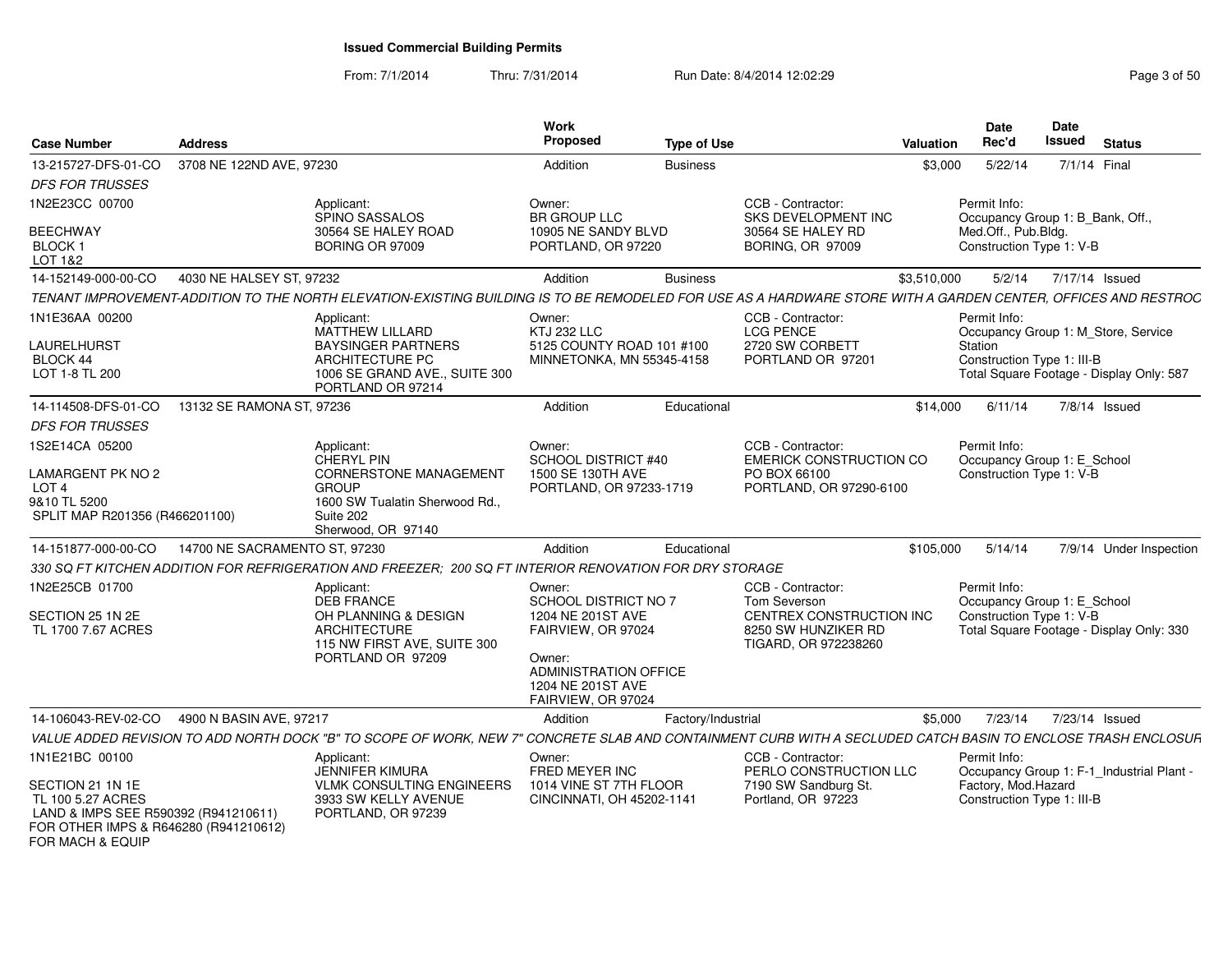From: 7/1/2014Thru: 7/31/2014 Run Date: 8/4/2014 12:02:29 Rege 3 of 50

| <b>Case Number</b>                                                                                                                         | <b>Address</b>                |                                                                                                                                                               | Work<br><b>Proposed</b>                                                                                               | <b>Type of Use</b> |                                                                         | Valuation   | <b>Date</b><br>Rec'd | Date<br><b>Issued</b>                                                  | <b>Status</b>  |                         |
|--------------------------------------------------------------------------------------------------------------------------------------------|-------------------------------|---------------------------------------------------------------------------------------------------------------------------------------------------------------|-----------------------------------------------------------------------------------------------------------------------|--------------------|-------------------------------------------------------------------------|-------------|----------------------|------------------------------------------------------------------------|----------------|-------------------------|
| 13-215727-DFS-01-CO                                                                                                                        | 3708 NE 122ND AVE, 97230      |                                                                                                                                                               | Addition                                                                                                              | <b>Business</b>    |                                                                         | \$3,000     | 5/22/14              | 7/1/14 Final                                                           |                |                         |
| <b>DFS FOR TRUSSES</b>                                                                                                                     |                               |                                                                                                                                                               |                                                                                                                       |                    |                                                                         |             |                      |                                                                        |                |                         |
| 1N2E23CC 00700                                                                                                                             |                               | Applicant:<br><b>SPINO SASSALOS</b>                                                                                                                           | Owner:<br>BR GROUP LLC                                                                                                |                    | CCB - Contractor:<br>SKS DEVELOPMENT INC                                |             | Permit Info:         | Occupancy Group 1: B_Bank, Off.,                                       |                |                         |
| <b>BEECHWAY</b>                                                                                                                            |                               | 30564 SE HALEY ROAD                                                                                                                                           | 10905 NE SANDY BLVD                                                                                                   |                    | 30564 SE HALEY RD                                                       |             | Med.Off., Pub.Bldg.  |                                                                        |                |                         |
| BLOCK 1<br>LOT 1&2                                                                                                                         |                               | BORING OR 97009                                                                                                                                               | PORTLAND, OR 97220                                                                                                    |                    | <b>BORING, OR 97009</b>                                                 |             |                      | Construction Type 1: V-B                                               |                |                         |
| 14-152149-000-00-CO                                                                                                                        | 4030 NE HALSEY ST. 97232      |                                                                                                                                                               | Addition                                                                                                              | <b>Business</b>    |                                                                         | \$3,510,000 | 5/2/14               |                                                                        | 7/17/14 Issued |                         |
|                                                                                                                                            |                               | TENANT IMPROVEMENT-ADDITION TO THE NORTH ELEVATION-EXISTING BUILDING IS TO BE REMODELED FOR USE AS A HARDWARE STORE WITH A GARDEN CENTER, OFFICES AND RESTROC |                                                                                                                       |                    |                                                                         |             |                      |                                                                        |                |                         |
| 1N1E36AA 00200                                                                                                                             |                               | Applicant:<br><b>MATTHEW LILLARD</b>                                                                                                                          | Owner:<br><b>KTJ 232 LLC</b>                                                                                          |                    | CCB - Contractor:<br><b>LCG PENCE</b>                                   |             | Permit Info:         | Occupancy Group 1: M_Store, Service                                    |                |                         |
| <b>LAURELHURST</b>                                                                                                                         |                               | <b>BAYSINGER PARTNERS</b>                                                                                                                                     | 5125 COUNTY ROAD 101 #100                                                                                             |                    | 2720 SW CORBETT                                                         |             | Station              |                                                                        |                |                         |
| BLOCK 44<br>LOT 1-8 TL 200                                                                                                                 |                               | ARCHITECTURE PC<br>1006 SE GRAND AVE., SUITE 300<br>PORTLAND OR 97214                                                                                         | MINNETONKA, MN 55345-4158                                                                                             |                    | PORTLAND OR 97201                                                       |             |                      | Construction Type 1: III-B<br>Total Square Footage - Display Only: 587 |                |                         |
| 14-114508-DFS-01-CO                                                                                                                        | 13132 SE RAMONA ST, 97236     |                                                                                                                                                               | Addition                                                                                                              | Educational        |                                                                         | \$14,000    | 6/11/14              |                                                                        | 7/8/14 Issued  |                         |
| <b>DFS FOR TRUSSES</b>                                                                                                                     |                               |                                                                                                                                                               |                                                                                                                       |                    |                                                                         |             |                      |                                                                        |                |                         |
| 1S2E14CA 05200                                                                                                                             |                               | Applicant:<br><b>CHERYL PIN</b>                                                                                                                               | Owner:<br><b>SCHOOL DISTRICT #40</b>                                                                                  |                    | CCB - Contractor:<br><b>EMERICK CONSTRUCTION CO</b>                     |             | Permit Info:         | Occupancy Group 1: E_School                                            |                |                         |
| <b>LAMARGENT PK NO 2</b><br>LOT <sub>4</sub><br>9&10 TL 5200<br>SPLIT MAP R201356 (R466201100)                                             |                               | <b>CORNERSTONE MANAGEMENT</b><br><b>GROUP</b><br>1600 SW Tualatin Sherwood Rd.,<br>Suite 202<br>Sherwood, OR 97140                                            | 1500 SE 130TH AVE<br>PORTLAND, OR 97233-1719                                                                          |                    | PO BOX 66100<br>PORTLAND, OR 97290-6100                                 |             |                      | Construction Type 1: V-B                                               |                |                         |
| 14-151877-000-00-CO                                                                                                                        | 14700 NE SACRAMENTO ST. 97230 |                                                                                                                                                               | Addition                                                                                                              | Educational        |                                                                         | \$105,000   | 5/14/14              |                                                                        |                | 7/9/14 Under Inspection |
|                                                                                                                                            |                               | 330 SQ FT KITCHEN ADDITION FOR REFRIGERATION AND FREEZER; 200 SQ FT INTERIOR RENOVATION FOR DRY STORAGE                                                       |                                                                                                                       |                    |                                                                         |             |                      |                                                                        |                |                         |
| 1N2E25CB 01700                                                                                                                             |                               | Applicant:<br><b>DEB FRANCE</b>                                                                                                                               | Owner:<br>SCHOOL DISTRICT NO 7                                                                                        |                    | CCB - Contractor:<br><b>Tom Severson</b>                                |             | Permit Info:         | Occupancy Group 1: E_School                                            |                |                         |
| SECTION 25 1N 2E<br>TL 1700 7.67 ACRES                                                                                                     |                               | OH PLANNING & DESIGN<br><b>ARCHITECTURE</b><br>115 NW FIRST AVE, SUITE 300<br>PORTLAND OR 97209                                                               | 1204 NE 201ST AVE<br>FAIRVIEW, OR 97024<br>Owner:<br>ADMINISTRATION OFFICE<br>1204 NE 201ST AVE<br>FAIRVIEW, OR 97024 |                    | CENTREX CONSTRUCTION INC<br>8250 SW HUNZIKER RD<br>TIGARD, OR 972238260 |             |                      | Construction Type 1: V-B<br>Total Square Footage - Display Only: 330   |                |                         |
| 14-106043-REV-02-CO                                                                                                                        | 4900 N BASIN AVE, 97217       |                                                                                                                                                               | Addition                                                                                                              | Factory/Industrial |                                                                         | \$5,000     | 7/23/14              |                                                                        | 7/23/14 Issued |                         |
|                                                                                                                                            |                               | VALUE ADDED REVISION TO ADD NORTH DOCK "B" TO SCOPE OF WORK, NEW 7" CONCRETE SLAB AND CONTAINMENT CURB WITH A SECLUDED CATCH BASIN TO ENCLOSE TRASH ENCLOSUR  |                                                                                                                       |                    |                                                                         |             |                      |                                                                        |                |                         |
| 1N1E21BC 00100                                                                                                                             |                               | Applicant:<br><b>JENNIFER KIMURA</b>                                                                                                                          | Owner:<br>FRED MEYER INC                                                                                              |                    | CCB - Contractor:<br>PERLO CONSTRUCTION LLC                             |             | Permit Info:         | Occupancy Group 1: F-1_Industrial Plant -                              |                |                         |
| SECTION 21 1N 1E<br>TL 100 5.27 ACRES<br>LAND & IMPS SEE R590392 (R941210611)<br>FOR OTHER IMPS & R646280 (R941210612)<br>FOR MACH & EQUIP |                               | <b>VLMK CONSULTING ENGINEERS</b><br>3933 SW KELLY AVENUE<br>PORTLAND, OR 97239                                                                                | 1014 VINE ST 7TH FLOOR<br>CINCINNATI, OH 45202-1141                                                                   |                    | 7190 SW Sandburg St.<br>Portland, OR 97223                              |             | Factory, Mod.Hazard  | Construction Type 1: III-B                                             |                |                         |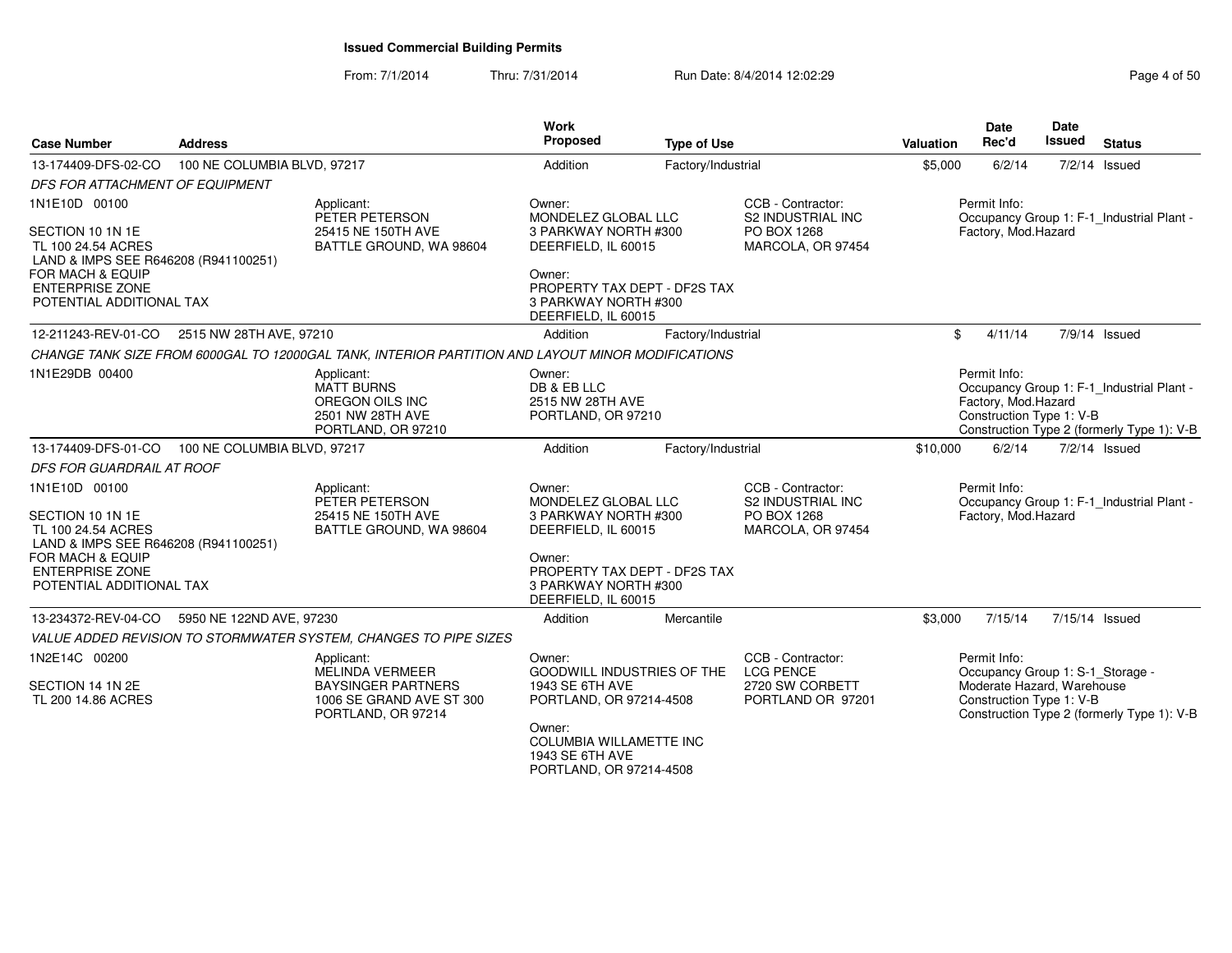From: 7/1/2014Thru: 7/31/2014 Run Date: 8/4/2014 12:02:29 Rege 4 of 50

| <b>Case Number</b>                                                                                                                                                        | <b>Address</b>              |                                                                                                              | Work<br>Proposed                                                                                                                                                                    | <b>Type of Use</b> |                                                                                   | <b>Valuation</b> | <b>Date</b><br>Rec'd                                                                                       | <b>Date</b><br>Issued | <b>Status</b>                                                                           |
|---------------------------------------------------------------------------------------------------------------------------------------------------------------------------|-----------------------------|--------------------------------------------------------------------------------------------------------------|-------------------------------------------------------------------------------------------------------------------------------------------------------------------------------------|--------------------|-----------------------------------------------------------------------------------|------------------|------------------------------------------------------------------------------------------------------------|-----------------------|-----------------------------------------------------------------------------------------|
| 13-174409-DFS-02-CO                                                                                                                                                       | 100 NE COLUMBIA BLVD, 97217 |                                                                                                              | Addition                                                                                                                                                                            | Factory/Industrial |                                                                                   | \$5,000          | 6/2/14                                                                                                     |                       | 7/2/14 Issued                                                                           |
| DFS FOR ATTACHMENT OF EQUIPMENT                                                                                                                                           |                             |                                                                                                              |                                                                                                                                                                                     |                    |                                                                                   |                  |                                                                                                            |                       |                                                                                         |
| 1N1E10D 00100<br>SECTION 10 1N 1E<br>TL 100 24.54 ACRES<br>LAND & IMPS SEE R646208 (R941100251)<br>FOR MACH & EQUIP<br><b>ENTERPRISE ZONE</b><br>POTENTIAL ADDITIONAL TAX |                             | Applicant:<br>PETER PETERSON<br>25415 NE 150TH AVE<br>BATTLE GROUND, WA 98604                                | Owner:<br>MONDELEZ GLOBAL LLC<br>3 PARKWAY NORTH #300<br>DEERFIELD, IL 60015<br>Owner:<br>PROPERTY TAX DEPT - DF2S TAX<br>3 PARKWAY NORTH #300<br>DEERFIELD, IL 60015               |                    | CCB - Contractor:<br>S2 INDUSTRIAL INC<br>PO BOX 1268<br>MARCOLA, OR 97454        |                  | Permit Info:<br>Factory, Mod.Hazard                                                                        |                       | Occupancy Group 1: F-1_Industrial Plant -                                               |
| 12-211243-REV-01-CO                                                                                                                                                       | 2515 NW 28TH AVE, 97210     |                                                                                                              | Addition                                                                                                                                                                            | Factory/Industrial |                                                                                   | \$               | 4/11/14                                                                                                    |                       | 7/9/14 Issued                                                                           |
|                                                                                                                                                                           |                             | CHANGE TANK SIZE FROM 6000GAL TO 12000GAL TANK, INTERIOR PARTITION AND LAYOUT MINOR MODIFICATIONS            |                                                                                                                                                                                     |                    |                                                                                   |                  |                                                                                                            |                       |                                                                                         |
| 1N1E29DB 00400                                                                                                                                                            |                             | Applicant:<br><b>MATT BURNS</b><br>OREGON OILS INC<br>2501 NW 28TH AVE<br>PORTLAND, OR 97210                 | Owner:<br>DB & EB LLC<br>2515 NW 28TH AVE<br>PORTLAND, OR 97210                                                                                                                     |                    |                                                                                   |                  | Permit Info:<br>Factory, Mod.Hazard<br>Construction Type 1: V-B                                            |                       | Occupancy Group 1: F-1 Industrial Plant -<br>Construction Type 2 (formerly Type 1): V-B |
| 13-174409-DFS-01-CO                                                                                                                                                       | 100 NE COLUMBIA BLVD, 97217 |                                                                                                              | Addition                                                                                                                                                                            | Factory/Industrial |                                                                                   | \$10,000         | 6/2/14                                                                                                     |                       | 7/2/14 Issued                                                                           |
| DFS FOR GUARDRAIL AT ROOF                                                                                                                                                 |                             |                                                                                                              |                                                                                                                                                                                     |                    |                                                                                   |                  |                                                                                                            |                       |                                                                                         |
| 1N1E10D 00100<br>SECTION 10 1N 1E<br>TL 100 24.54 ACRES<br>LAND & IMPS SEE R646208 (R941100251)<br>FOR MACH & EQUIP<br><b>ENTERPRISE ZONE</b><br>POTENTIAL ADDITIONAL TAX |                             | Applicant:<br>PETER PETERSON<br>25415 NE 150TH AVE<br>BATTLE GROUND, WA 98604                                | Owner:<br>MONDELEZ GLOBAL LLC<br>3 PARKWAY NORTH #300<br>DEERFIELD, IL 60015<br>Owner:<br>PROPERTY TAX DEPT - DF2S TAX<br>3 PARKWAY NORTH #300<br>DEERFIELD. IL 60015               |                    | CCB - Contractor:<br><b>S2 INDUSTRIAL INC</b><br>PO BOX 1268<br>MARCOLA, OR 97454 |                  | Permit Info:<br>Factory, Mod.Hazard                                                                        |                       | Occupancy Group 1: F-1_Industrial Plant -                                               |
| 13-234372-REV-04-CO                                                                                                                                                       | 5950 NE 122ND AVE, 97230    |                                                                                                              | Addition                                                                                                                                                                            | Mercantile         |                                                                                   | \$3,000          | 7/15/14                                                                                                    | 7/15/14 Issued        |                                                                                         |
|                                                                                                                                                                           |                             | VALUE ADDED REVISION TO STORMWATER SYSTEM, CHANGES TO PIPE SIZES                                             |                                                                                                                                                                                     |                    |                                                                                   |                  |                                                                                                            |                       |                                                                                         |
| 1N2E14C 00200<br>SECTION 14 1N 2E<br>TL 200 14.86 ACRES                                                                                                                   |                             | Applicant:<br>MELINDA VERMEER<br><b>BAYSINGER PARTNERS</b><br>1006 SE GRAND AVE ST 300<br>PORTLAND, OR 97214 | Owner:<br><b>GOODWILL INDUSTRIES OF THE</b><br>1943 SE 6TH AVE<br>PORTLAND, OR 97214-4508<br>Owner:<br><b>COLUMBIA WILLAMETTE INC</b><br>1943 SE 6TH AVE<br>PORTLAND, OR 97214-4508 |                    | CCB - Contractor:<br><b>LCG PENCE</b><br>2720 SW CORBETT<br>PORTLAND OR 97201     |                  | Permit Info:<br>Occupancy Group 1: S-1_Storage -<br>Moderate Hazard, Warehouse<br>Construction Type 1: V-B |                       | Construction Type 2 (formerly Type 1): V-B                                              |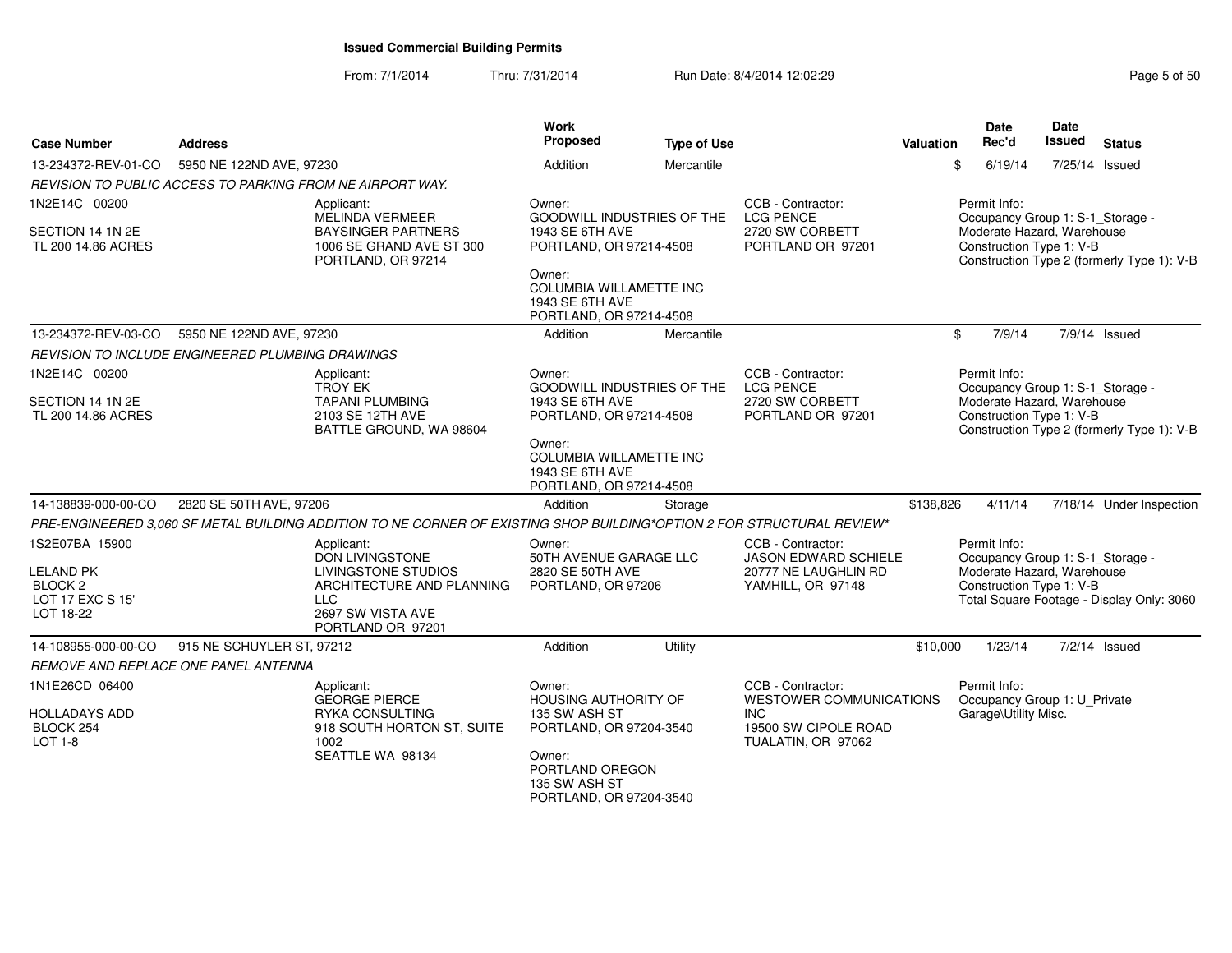| <b>Case Number</b>                                               | <b>Address</b>                                          |                                                                                                                        | Work<br>Proposed                                                                       | <b>Type of Use</b>         |                                                                               | Valuation | <b>Date</b><br>Rec'd                                                                                       | <b>Date</b><br>Issued | <b>Status</b>                              |
|------------------------------------------------------------------|---------------------------------------------------------|------------------------------------------------------------------------------------------------------------------------|----------------------------------------------------------------------------------------|----------------------------|-------------------------------------------------------------------------------|-----------|------------------------------------------------------------------------------------------------------------|-----------------------|--------------------------------------------|
| 13-234372-REV-01-CO                                              | 5950 NE 122ND AVE, 97230                                |                                                                                                                        | Addition                                                                               | Mercantile                 |                                                                               | \$        | 6/19/14                                                                                                    |                       | 7/25/14 Issued                             |
|                                                                  |                                                         | REVISION TO PUBLIC ACCESS TO PARKING FROM NE AIRPORT WAY.                                                              |                                                                                        |                            |                                                                               |           |                                                                                                            |                       |                                            |
| 1N2E14C 00200<br>SECTION 14 1N 2E<br>TL 200 14.86 ACRES          |                                                         | Applicant:<br>MELINDA VERMEER<br><b>BAYSINGER PARTNERS</b><br>1006 SE GRAND AVE ST 300                                 | Owner:<br>1943 SE 6TH AVE<br>PORTLAND, OR 97214-4508                                   | GOODWILL INDUSTRIES OF THE | CCB - Contractor:<br><b>LCG PENCE</b><br>2720 SW CORBETT<br>PORTLAND OR 97201 |           | Permit Info:<br>Occupancy Group 1: S-1_Storage -<br>Moderate Hazard, Warehouse<br>Construction Type 1: V-B |                       |                                            |
|                                                                  |                                                         | PORTLAND, OR 97214                                                                                                     | Owner:<br><b>COLUMBIA WILLAMETTE INC</b><br>1943 SE 6TH AVE<br>PORTLAND, OR 97214-4508 |                            |                                                                               |           |                                                                                                            |                       | Construction Type 2 (formerly Type 1): V-B |
| 13-234372-REV-03-CO                                              | 5950 NE 122ND AVE, 97230                                |                                                                                                                        | Addition                                                                               | Mercantile                 |                                                                               | \$        | 7/9/14                                                                                                     |                       | 7/9/14 Issued                              |
|                                                                  | <b>REVISION TO INCLUDE ENGINEERED PLUMBING DRAWINGS</b> |                                                                                                                        |                                                                                        |                            |                                                                               |           |                                                                                                            |                       |                                            |
| 1N2E14C 00200                                                    |                                                         | Applicant:<br><b>TROY EK</b>                                                                                           | Owner:                                                                                 | GOODWILL INDUSTRIES OF THE | CCB - Contractor:<br><b>LCG PENCE</b>                                         |           | Permit Info:<br>Occupancy Group 1: S-1_Storage -                                                           |                       |                                            |
| SECTION 14 1N 2E<br>TL 200 14.86 ACRES                           |                                                         | <b>TAPANI PLUMBING</b><br>2103 SE 12TH AVE<br>BATTLE GROUND, WA 98604                                                  | 1943 SE 6TH AVE<br>PORTLAND, OR 97214-4508                                             |                            | 2720 SW CORBETT<br>PORTLAND OR 97201                                          |           | Moderate Hazard, Warehouse<br>Construction Type 1: V-B                                                     |                       | Construction Type 2 (formerly Type 1): V-B |
|                                                                  |                                                         |                                                                                                                        | Owner:<br><b>COLUMBIA WILLAMETTE INC</b><br>1943 SE 6TH AVE<br>PORTLAND, OR 97214-4508 |                            |                                                                               |           |                                                                                                            |                       |                                            |
| 14-138839-000-00-CO                                              | 2820 SE 50TH AVE, 97206                                 |                                                                                                                        | Addition                                                                               | Storage                    |                                                                               | \$138,826 | 4/11/14                                                                                                    |                       | 7/18/14 Under Inspection                   |
|                                                                  |                                                         | PRE-ENGINEERED 3,060 SF METAL BUILDING ADDITION TO NE CORNER OF EXISTING SHOP BUILDING*OPTION 2 FOR STRUCTURAL REVIEW* |                                                                                        |                            |                                                                               |           |                                                                                                            |                       |                                            |
| 1S2E07BA 15900                                                   |                                                         | Applicant:<br><b>DON LIVINGSTONE</b>                                                                                   | Owner:<br>50TH AVENUE GARAGE LLC                                                       |                            | CCB - Contractor:<br><b>JASON EDWARD SCHIELE</b>                              |           | Permit Info:<br>Occupancy Group 1: S-1_Storage -                                                           |                       |                                            |
| LELAND PK<br>BLOCK <sub>2</sub><br>LOT 17 EXC S 15'<br>LOT 18-22 |                                                         | <b>LIVINGSTONE STUDIOS</b><br>ARCHITECTURE AND PLANNING<br><b>LLC</b><br>2697 SW VISTA AVE<br>PORTLAND OR 97201        | 2820 SE 50TH AVE<br>PORTLAND, OR 97206                                                 |                            | 20777 NE LAUGHLIN RD<br>YAMHILL, OR 97148                                     |           | Moderate Hazard, Warehouse<br>Construction Type 1: V-B                                                     |                       | Total Square Footage - Display Only: 3060  |
| 14-108955-000-00-CO                                              | 915 NE SCHUYLER ST, 97212                               |                                                                                                                        | Addition                                                                               | Utility                    |                                                                               | \$10,000  | 1/23/14                                                                                                    |                       | 7/2/14 Issued                              |
|                                                                  | REMOVE AND REPLACE ONE PANEL ANTENNA                    |                                                                                                                        |                                                                                        |                            |                                                                               |           |                                                                                                            |                       |                                            |
| 1N1E26CD 06400                                                   |                                                         | Applicant:<br><b>GEORGE PIERCE</b>                                                                                     | Owner:<br><b>HOUSING AUTHORITY OF</b>                                                  |                            | CCB - Contractor:<br><b>WESTOWER COMMUNICATIONS</b>                           |           | Permit Info:<br>Occupancy Group 1: U Private                                                               |                       |                                            |
| <b>HOLLADAYS ADD</b><br>BLOCK 254<br><b>LOT 1-8</b>              |                                                         | RYKA CONSULTING<br>918 SOUTH HORTON ST, SUITE<br>1002                                                                  | 135 SW ASH ST<br>PORTLAND, OR 97204-3540                                               |                            | <b>INC</b><br>19500 SW CIPOLE ROAD<br>TUALATIN, OR 97062                      |           | Garage\Utility Misc.                                                                                       |                       |                                            |
|                                                                  |                                                         | SEATTLE WA 98134                                                                                                       | Owner:<br>PORTLAND OREGON<br>135 SW ASH ST<br>PORTLAND, OR 97204-3540                  |                            |                                                                               |           |                                                                                                            |                       |                                            |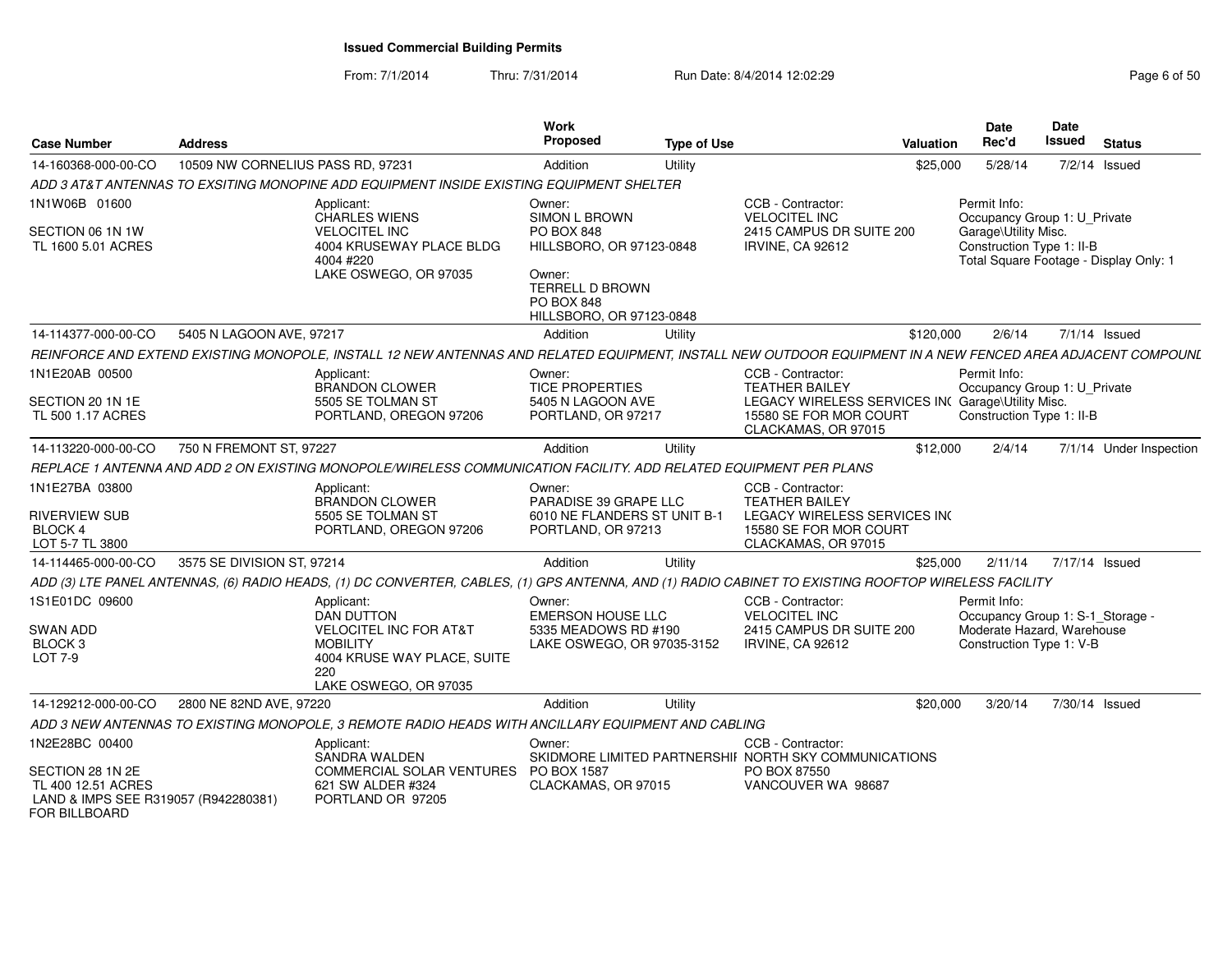From: 7/1/2014Thru: 7/31/2014 Run Date: 8/4/2014 12:02:29 Rege 6 of 50

| <b>Case Number</b>                                                                                     | <b>Address</b>                    |                                                                                                                                                             | <b>Work</b><br><b>Proposed</b>                                                    | <b>Type of Use</b> | <b>Valuation</b>                                                                                   |           | Date<br>Rec'd                                                                                              | <b>Date</b><br><b>Issued</b> | <b>Status</b>                          |
|--------------------------------------------------------------------------------------------------------|-----------------------------------|-------------------------------------------------------------------------------------------------------------------------------------------------------------|-----------------------------------------------------------------------------------|--------------------|----------------------------------------------------------------------------------------------------|-----------|------------------------------------------------------------------------------------------------------------|------------------------------|----------------------------------------|
| 14-160368-000-00-CO                                                                                    | 10509 NW CORNELIUS PASS RD, 97231 |                                                                                                                                                             | Addition                                                                          | Utility            |                                                                                                    | \$25,000  | 5/28/14                                                                                                    |                              | $7/2/14$ Issued                        |
|                                                                                                        |                                   | ADD 3 AT&T ANTENNAS TO EXSITING MONOPINE ADD EQUIPMENT INSIDE EXISTING EQUIPMENT SHELTER                                                                    |                                                                                   |                    |                                                                                                    |           |                                                                                                            |                              |                                        |
| 1N1W06B 01600                                                                                          |                                   | Applicant:<br>CHARLES WIENS                                                                                                                                 | Owner:<br><b>SIMON L BROWN</b>                                                    |                    | CCB - Contractor:<br><b>VELOCITEL INC</b>                                                          |           | Permit Info:<br>Occupancy Group 1: U Private                                                               |                              |                                        |
| SECTION 06 1N 1W<br>TL 1600 5.01 ACRES                                                                 |                                   | <b>VELOCITEL INC</b><br>4004 KRUSEWAY PLACE BLDG<br>4004 #220                                                                                               | <b>PO BOX 848</b><br>HILLSBORO, OR 97123-0848                                     |                    | 2415 CAMPUS DR SUITE 200<br><b>IRVINE, CA 92612</b>                                                |           | Garage\Utility Misc.<br>Construction Type 1: II-B                                                          |                              | Total Square Footage - Display Only: 1 |
|                                                                                                        |                                   | LAKE OSWEGO, OR 97035                                                                                                                                       | Owner:<br><b>TERRELL D BROWN</b><br><b>PO BOX 848</b><br>HILLSBORO, OR 97123-0848 |                    |                                                                                                    |           |                                                                                                            |                              |                                        |
| 14-114377-000-00-CO                                                                                    | 5405 N LAGOON AVE, 97217          |                                                                                                                                                             | Addition                                                                          | Utility            |                                                                                                    | \$120,000 | 2/6/14                                                                                                     |                              | 7/1/14 Issued                          |
|                                                                                                        |                                   | REINFORCE AND EXTEND EXISTING MONOPOLE, INSTALL 12 NEW ANTENNAS AND RELATED EQUIPMENT, INSTALL NEW OUTDOOR EQUIPMENT IN A NEW FENCED AREA ADJACENT COMPOUNL |                                                                                   |                    |                                                                                                    |           |                                                                                                            |                              |                                        |
| 1N1E20AB 00500                                                                                         |                                   | Applicant:<br><b>BRANDON CLOWER</b>                                                                                                                         | Owner:<br><b>TICE PROPERTIES</b>                                                  |                    | CCB - Contractor:<br><b>TEATHER BAILEY</b>                                                         |           | Permit Info:<br>Occupancy Group 1: U_Private                                                               |                              |                                        |
| SECTION 20 1N 1E<br>TL 500 1.17 ACRES                                                                  |                                   | 5505 SE TOLMAN ST<br>PORTLAND, OREGON 97206                                                                                                                 | 5405 N LAGOON AVE<br>PORTLAND, OR 97217                                           |                    | LEGACY WIRELESS SERVICES INC Garage\Utility Misc.<br>15580 SE FOR MOR COURT<br>CLACKAMAS, OR 97015 |           | Construction Type 1: II-B                                                                                  |                              |                                        |
| 14-113220-000-00-CO                                                                                    | 750 N FREMONT ST, 97227           |                                                                                                                                                             | Addition                                                                          | Utility            |                                                                                                    | \$12,000  | 2/4/14                                                                                                     |                              | 7/1/14 Under Inspection                |
|                                                                                                        |                                   | REPLACE 1 ANTENNA AND ADD 2 ON EXISTING MONOPOLE/WIRELESS COMMUNICATION FACILITY. ADD RELATED EQUIPMENT PER PLANS                                           |                                                                                   |                    |                                                                                                    |           |                                                                                                            |                              |                                        |
| 1N1E27BA 03800                                                                                         |                                   | Applicant:<br><b>BRANDON CLOWER</b>                                                                                                                         | Owner:<br>PARADISE 39 GRAPE LLC                                                   |                    | CCB - Contractor:<br><b>TEATHER BAILEY</b>                                                         |           |                                                                                                            |                              |                                        |
| <b>RIVERVIEW SUB</b><br>BLOCK 4<br>LOT 5-7 TL 3800                                                     |                                   | 5505 SE TOLMAN ST<br>PORTLAND, OREGON 97206                                                                                                                 | 6010 NE FLANDERS ST UNIT B-1<br>PORTLAND, OR 97213                                |                    | LEGACY WIRELESS SERVICES INC<br>15580 SE FOR MOR COURT<br>CLACKAMAS, OR 97015                      |           |                                                                                                            |                              |                                        |
| 14-114465-000-00-CO                                                                                    | 3575 SE DIVISION ST, 97214        |                                                                                                                                                             | Addition                                                                          | Utility            |                                                                                                    | \$25,000  | 2/11/14                                                                                                    |                              | 7/17/14 Issued                         |
|                                                                                                        |                                   | ADD (3) LTE PANEL ANTENNAS, (6) RADIO HEADS, (1) DC CONVERTER, CABLES, (1) GPS ANTENNA, AND (1) RADIO CABINET TO EXISTING ROOFTOP WIRELESS FACILITY         |                                                                                   |                    |                                                                                                    |           |                                                                                                            |                              |                                        |
| 1S1E01DC 09600<br>SWAN ADD<br>BLOCK <sub>3</sub><br><b>LOT 7-9</b>                                     |                                   | Applicant:<br><b>DAN DUTTON</b><br><b>VELOCITEL INC FOR AT&amp;T</b><br><b>MOBILITY</b><br>4004 KRUSE WAY PLACE, SUITE<br>220<br>LAKE OSWEGO, OR 97035      | Owner:<br>EMERSON HOUSE LLC<br>5335 MEADOWS RD #190<br>LAKE OSWEGO, OR 97035-3152 |                    | CCB - Contractor:<br><b>VELOCITEL INC</b><br>2415 CAMPUS DR SUITE 200<br><b>IRVINE, CA 92612</b>   |           | Permit Info:<br>Occupancy Group 1: S-1_Storage -<br>Moderate Hazard, Warehouse<br>Construction Type 1: V-B |                              |                                        |
| 14-129212-000-00-CO                                                                                    | 2800 NE 82ND AVE, 97220           |                                                                                                                                                             | Addition                                                                          | Utility            |                                                                                                    | \$20,000  | 3/20/14                                                                                                    |                              | 7/30/14 Issued                         |
|                                                                                                        |                                   | ADD 3 NEW ANTENNAS TO EXISTING MONOPOLE, 3 REMOTE RADIO HEADS WITH ANCILLARY EQUIPMENT AND CABLING                                                          |                                                                                   |                    |                                                                                                    |           |                                                                                                            |                              |                                        |
| 1N2E28BC 00400                                                                                         |                                   | Applicant:<br>SANDRA WALDEN                                                                                                                                 | Owner:                                                                            |                    | CCB - Contractor:<br>SKIDMORE LIMITED PARTNERSHII NORTH SKY COMMUNICATIONS                         |           |                                                                                                            |                              |                                        |
| SECTION 28 1N 2E<br>TL 400 12.51 ACRES<br>LAND & IMPS SEE R319057 (R942280381)<br><b>FOR BILLBOARD</b> |                                   | COMMERCIAL SOLAR VENTURES PO BOX 1587<br>621 SW ALDER #324<br>PORTLAND OR 97205                                                                             | CLACKAMAS, OR 97015                                                               |                    | PO BOX 87550<br>VANCOUVER WA 98687                                                                 |           |                                                                                                            |                              |                                        |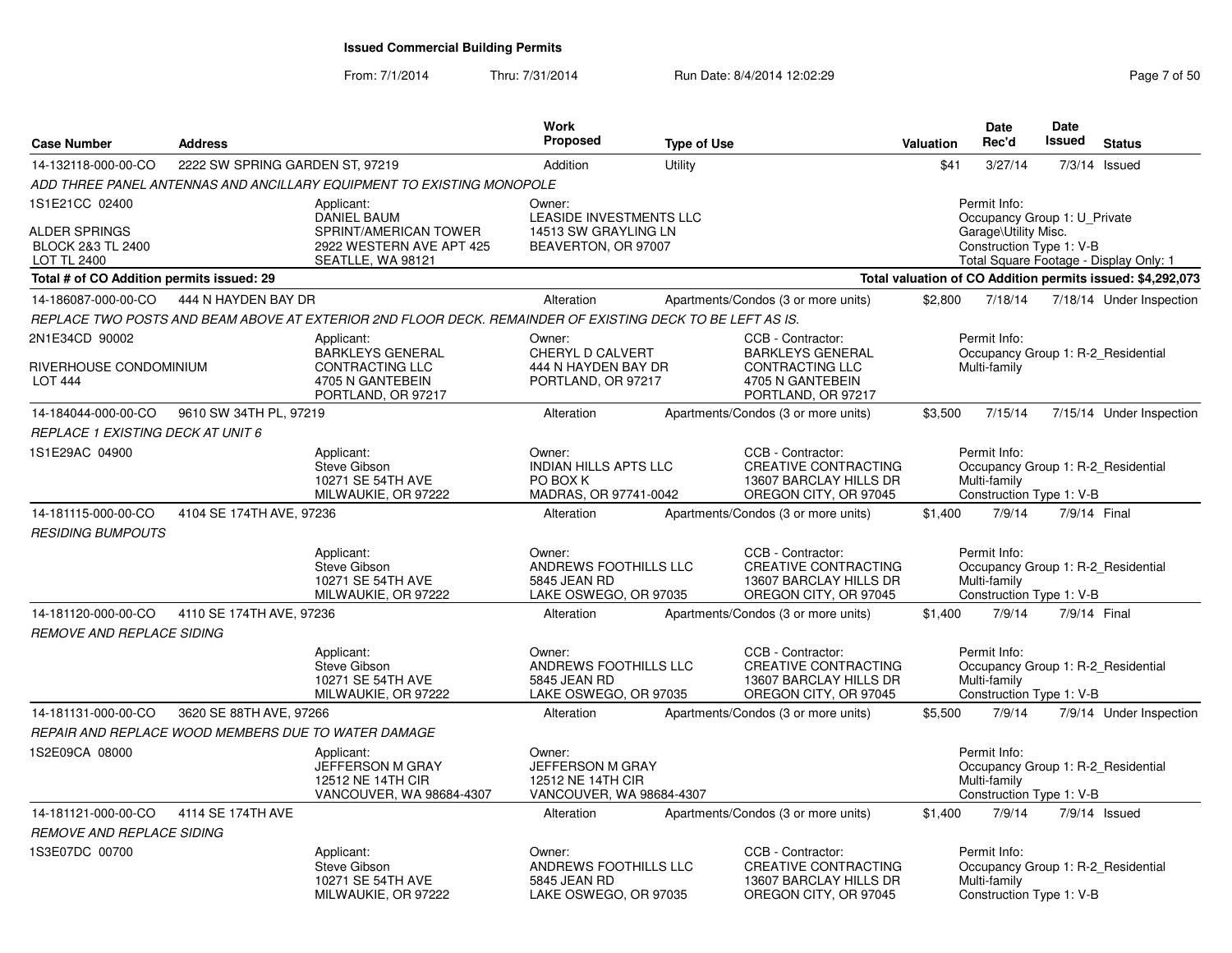From: 7/1/2014Thru: 7/31/2014 Run Date: 8/4/2014 12:02:29 Rege 7 of 50

| <b>Case Number</b>                                                                           | <b>Address</b>                                      |                                                                                                            | <b>Work</b><br><b>Proposed</b>                                                          | <b>Type of Use</b> |                                                                                                                  | Valuation | <b>Date</b><br>Rec'd                                                                             | Date<br><b>Issued</b> | <b>Status</b>                                              |
|----------------------------------------------------------------------------------------------|-----------------------------------------------------|------------------------------------------------------------------------------------------------------------|-----------------------------------------------------------------------------------------|--------------------|------------------------------------------------------------------------------------------------------------------|-----------|--------------------------------------------------------------------------------------------------|-----------------------|------------------------------------------------------------|
| 14-132118-000-00-CO                                                                          | 2222 SW SPRING GARDEN ST, 97219                     |                                                                                                            | Addition                                                                                | Utility            |                                                                                                                  | \$41      | 3/27/14                                                                                          |                       | 7/3/14 Issued                                              |
|                                                                                              |                                                     | ADD THREE PANEL ANTENNAS AND ANCILLARY EQUIPMENT TO EXISTING MONOPOLE                                      |                                                                                         |                    |                                                                                                                  |           |                                                                                                  |                       |                                                            |
| 1S1E21CC 02400<br><b>ALDER SPRINGS</b><br><b>BLOCK 2&amp;3 TL 2400</b><br><b>LOT TL 2400</b> |                                                     | Applicant:<br><b>DANIEL BAUM</b><br>SPRINT/AMERICAN TOWER<br>2922 WESTERN AVE APT 425<br>SEATLLE, WA 98121 | Owner:<br><b>LEASIDE INVESTMENTS LLC</b><br>14513 SW GRAYLING LN<br>BEAVERTON, OR 97007 |                    |                                                                                                                  |           | Permit Info:<br>Occupancy Group 1: U_Private<br>Garage\Utility Misc.<br>Construction Type 1: V-B |                       | Total Square Footage - Display Only: 1                     |
| Total # of CO Addition permits issued: 29                                                    |                                                     |                                                                                                            |                                                                                         |                    |                                                                                                                  |           |                                                                                                  |                       | Total valuation of CO Addition permits issued: \$4,292,073 |
| 14-186087-000-00-CO                                                                          | 444 N HAYDEN BAY DR                                 |                                                                                                            | Alteration                                                                              |                    | Apartments/Condos (3 or more units)                                                                              | \$2,800   | 7/18/14                                                                                          |                       | 7/18/14 Under Inspection                                   |
|                                                                                              |                                                     | REPLACE TWO POSTS AND BEAM ABOVE AT EXTERIOR 2ND FLOOR DECK. REMAINDER OF EXISTING DECK TO BE LEFT AS IS.  |                                                                                         |                    |                                                                                                                  |           |                                                                                                  |                       |                                                            |
| 2N1E34CD 90002<br>RIVERHOUSE CONDOMINIUM<br><b>LOT 444</b>                                   |                                                     | Applicant:<br><b>BARKLEYS GENERAL</b><br><b>CONTRACTING LLC</b><br>4705 N GANTEBEIN<br>PORTLAND, OR 97217  | Owner:<br>CHERYL D CALVERT<br>444 N HAYDEN BAY DR<br>PORTLAND, OR 97217                 |                    | CCB - Contractor:<br><b>BARKLEYS GENERAL</b><br><b>CONTRACTING LLC</b><br>4705 N GANTEBEIN<br>PORTLAND, OR 97217 |           | Permit Info:<br>Multi-family                                                                     |                       | Occupancy Group 1: R-2 Residential                         |
| 14-184044-000-00-CO                                                                          | 9610 SW 34TH PL, 97219                              |                                                                                                            | Alteration                                                                              |                    | Apartments/Condos (3 or more units)                                                                              | \$3,500   | 7/15/14                                                                                          |                       | 7/15/14 Under Inspection                                   |
| REPLACE 1 EXISTING DECK AT UNIT 6                                                            |                                                     |                                                                                                            |                                                                                         |                    |                                                                                                                  |           |                                                                                                  |                       |                                                            |
| 1S1E29AC 04900                                                                               |                                                     | Applicant:<br>Steve Gibson<br>10271 SE 54TH AVE<br>MILWAUKIE, OR 97222                                     | Owner:<br><b>INDIAN HILLS APTS LLC</b><br>PO BOX K<br>MADRAS, OR 97741-0042             |                    | CCB - Contractor:<br>CREATIVE CONTRACTING<br>13607 BARCLAY HILLS DR<br>OREGON CITY, OR 97045                     |           | Permit Info:<br>Multi-family<br>Construction Type 1: V-B                                         |                       | Occupancy Group 1: R-2 Residential                         |
| 14-181115-000-00-CO                                                                          | 4104 SE 174TH AVE, 97236                            |                                                                                                            | Alteration                                                                              |                    | Apartments/Condos (3 or more units)                                                                              | \$1,400   | 7/9/14                                                                                           |                       | 7/9/14 Final                                               |
| <b>RESIDING BUMPOUTS</b>                                                                     |                                                     |                                                                                                            |                                                                                         |                    |                                                                                                                  |           |                                                                                                  |                       |                                                            |
|                                                                                              |                                                     | Applicant:<br>Steve Gibson<br>10271 SE 54TH AVE<br>MILWAUKIE, OR 97222                                     | Owner:<br>ANDREWS FOOTHILLS LLC<br>5845 JEAN RD<br>LAKE OSWEGO, OR 97035                |                    | CCB - Contractor:<br><b>CREATIVE CONTRACTING</b><br>13607 BARCLAY HILLS DR<br>OREGON CITY, OR 97045              |           | Permit Info:<br>Multi-family<br>Construction Type 1: V-B                                         |                       | Occupancy Group 1: R-2_Residential                         |
| 14-181120-000-00-CO                                                                          | 4110 SE 174TH AVE, 97236                            |                                                                                                            | Alteration                                                                              |                    | Apartments/Condos (3 or more units)                                                                              | \$1,400   | 7/9/14                                                                                           |                       | 7/9/14 Final                                               |
| <i><b>REMOVE AND REPLACE SIDING</b></i>                                                      |                                                     |                                                                                                            |                                                                                         |                    |                                                                                                                  |           |                                                                                                  |                       |                                                            |
|                                                                                              |                                                     | Applicant:<br>Steve Gibson<br>10271 SE 54TH AVE<br>MILWAUKIE, OR 97222                                     | Owner:<br>ANDREWS FOOTHILLS LLC<br>5845 JEAN RD<br>LAKE OSWEGO, OR 97035                |                    | CCB - Contractor:<br><b>CREATIVE CONTRACTING</b><br>13607 BARCLAY HILLS DR<br>OREGON CITY, OR 97045              |           | Permit Info:<br>Multi-family<br>Construction Type 1: V-B                                         |                       | Occupancy Group 1: R-2_Residential                         |
| 14-181131-000-00-CO                                                                          | 3620 SE 88TH AVE, 97266                             |                                                                                                            | Alteration                                                                              |                    | Apartments/Condos (3 or more units)                                                                              | \$5,500   | 7/9/14                                                                                           |                       | 7/9/14 Under Inspection                                    |
|                                                                                              | REPAIR AND REPLACE WOOD MEMBERS DUE TO WATER DAMAGE |                                                                                                            |                                                                                         |                    |                                                                                                                  |           |                                                                                                  |                       |                                                            |
| 1S2E09CA 08000                                                                               |                                                     | Applicant:<br>JEFFERSON M GRAY<br>12512 NE 14TH CIR<br>VANCOUVER, WA 98684-4307                            | Owner:<br><b>JEFFERSON M GRAY</b><br>12512 NE 14TH CIR<br>VANCOUVER, WA 98684-4307      |                    |                                                                                                                  |           | Permit Info:<br>Multi-family<br>Construction Type 1: V-B                                         |                       | Occupancy Group 1: R-2_Residential                         |
| 14-181121-000-00-CO                                                                          | 4114 SE 174TH AVE                                   |                                                                                                            | Alteration                                                                              |                    | Apartments/Condos (3 or more units)                                                                              | \$1,400   | 7/9/14                                                                                           |                       | 7/9/14 Issued                                              |
| <b>REMOVE AND REPLACE SIDING</b>                                                             |                                                     |                                                                                                            |                                                                                         |                    |                                                                                                                  |           |                                                                                                  |                       |                                                            |
| 1S3E07DC 00700                                                                               |                                                     | Applicant:<br>Steve Gibson<br>10271 SE 54TH AVE<br>MILWAUKIE, OR 97222                                     | Owner:<br>ANDREWS FOOTHILLS LLC<br>5845 JEAN RD<br>LAKE OSWEGO, OR 97035                |                    | CCB - Contractor:<br><b>CREATIVE CONTRACTING</b><br>13607 BARCLAY HILLS DR<br>OREGON CITY, OR 97045              |           | Permit Info:<br>Multi-family<br>Construction Type 1: V-B                                         |                       | Occupancy Group 1: R-2_Residential                         |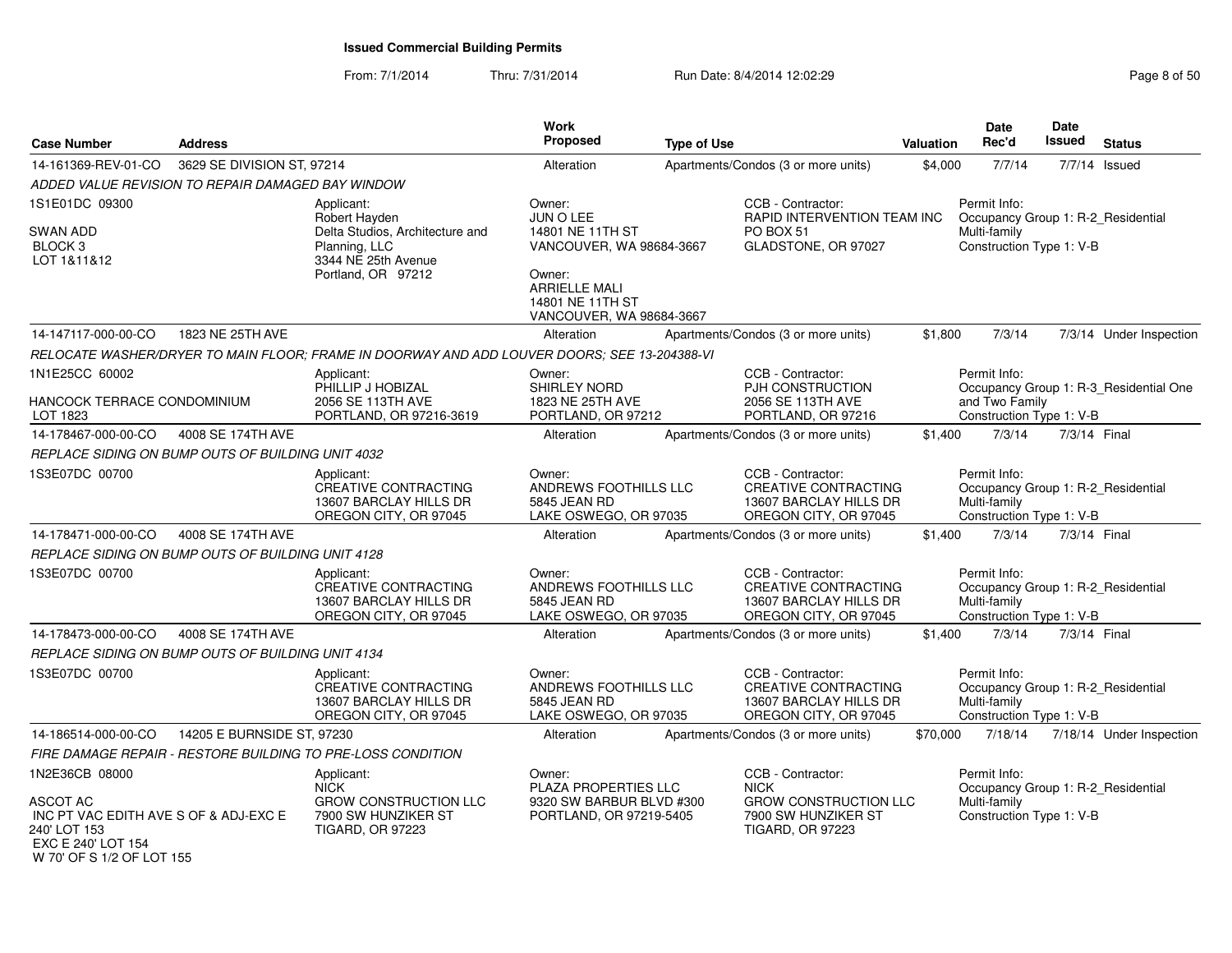From: 7/1/2014Thru: 7/31/2014 Run Date: 8/4/2014 12:02:29 Rege 8 of 50

| <b>Case Number</b>                                                                                                                            | <b>Address</b>             |                                                                                                                              | <b>Work</b><br><b>Proposed</b>                                                                                                                        | <b>Type of Use</b> |                                                                                                                    | <b>Valuation</b> | <b>Date</b><br>Rec'd                                                                           | Date<br><b>Issued</b> | <b>Status</b>                          |
|-----------------------------------------------------------------------------------------------------------------------------------------------|----------------------------|------------------------------------------------------------------------------------------------------------------------------|-------------------------------------------------------------------------------------------------------------------------------------------------------|--------------------|--------------------------------------------------------------------------------------------------------------------|------------------|------------------------------------------------------------------------------------------------|-----------------------|----------------------------------------|
| 14-161369-REV-01-CO                                                                                                                           | 3629 SE DIVISION ST, 97214 |                                                                                                                              | Alteration                                                                                                                                            |                    | Apartments/Condos (3 or more units)                                                                                | \$4,000          | 7/7/14                                                                                         |                       | 7/7/14 Issued                          |
| ADDED VALUE REVISION TO REPAIR DAMAGED BAY WINDOW                                                                                             |                            |                                                                                                                              |                                                                                                                                                       |                    |                                                                                                                    |                  |                                                                                                |                       |                                        |
| 1S1E01DC 09300<br><b>SWAN ADD</b><br>BLOCK <sub>3</sub><br>LOT 1&11&12                                                                        |                            | Applicant:<br>Robert Hayden<br>Delta Studios, Architecture and<br>Planning, LLC<br>3344 NE 25th Avenue<br>Portland, OR 97212 | Owner:<br>JUN O LEE<br>14801 NE 11TH ST<br>VANCOUVER, WA 98684-3667<br>Owner:<br><b>ARRIELLE MALI</b><br>14801 NE 11TH ST<br>VANCOUVER, WA 98684-3667 |                    | CCB - Contractor:<br>RAPID INTERVENTION TEAM INC<br>PO BOX 51<br>GLADSTONE, OR 97027                               |                  | Permit Info:<br>Occupancy Group 1: R-2_Residential<br>Multi-family<br>Construction Type 1: V-B |                       |                                        |
| 14-147117-000-00-CO                                                                                                                           | 1823 NE 25TH AVE           |                                                                                                                              | Alteration                                                                                                                                            |                    | Apartments/Condos (3 or more units)                                                                                | \$1.800          | 7/3/14                                                                                         |                       | 7/3/14 Under Inspection                |
|                                                                                                                                               |                            | RELOCATE WASHER/DRYER TO MAIN FLOOR; FRAME IN DOORWAY AND ADD LOUVER DOORS; SEE 13-204388-VI                                 |                                                                                                                                                       |                    |                                                                                                                    |                  |                                                                                                |                       |                                        |
| 1N1E25CC 60002<br>HANCOCK TERRACE CONDOMINIUM<br>LOT 1823                                                                                     |                            | Applicant:<br>PHILLIP J HOBIZAL<br>2056 SE 113TH AVE<br>PORTLAND, OR 97216-3619                                              | Owner:<br><b>SHIRLEY NORD</b><br>1823 NE 25TH AVE<br>PORTLAND, OR 97212                                                                               |                    | CCB - Contractor:<br>PJH CONSTRUCTION<br>2056 SE 113TH AVE<br>PORTLAND, OR 97216                                   |                  | Permit Info:<br>and Two Family<br>Construction Type 1: V-B                                     |                       | Occupancy Group 1: R-3_Residential One |
| 14-178467-000-00-CO                                                                                                                           | 4008 SE 174TH AVE          |                                                                                                                              | Alteration                                                                                                                                            |                    | Apartments/Condos (3 or more units)                                                                                | \$1,400          | 7/3/14                                                                                         | 7/3/14 Final          |                                        |
| REPLACE SIDING ON BUMP OUTS OF BUILDING UNIT 4032                                                                                             |                            |                                                                                                                              |                                                                                                                                                       |                    |                                                                                                                    |                  |                                                                                                |                       |                                        |
| 1S3E07DC 00700                                                                                                                                |                            | Applicant:<br><b>CREATIVE CONTRACTING</b><br>13607 BARCLAY HILLS DR<br>OREGON CITY, OR 97045                                 | Owner:<br>ANDREWS FOOTHILLS LLC<br>5845 JEAN RD<br>LAKE OSWEGO, OR 97035                                                                              |                    | CCB - Contractor:<br><b>CREATIVE CONTRACTING</b><br>13607 BARCLAY HILLS DR<br>OREGON CITY, OR 97045                |                  | Permit Info:<br>Occupancy Group 1: R-2_Residential<br>Multi-family<br>Construction Type 1: V-B |                       |                                        |
| 14-178471-000-00-CO                                                                                                                           | 4008 SE 174TH AVE          |                                                                                                                              | Alteration                                                                                                                                            |                    | Apartments/Condos (3 or more units)                                                                                | \$1,400          | 7/3/14                                                                                         | 7/3/14 Final          |                                        |
| REPLACE SIDING ON BUMP OUTS OF BUILDING UNIT 4128                                                                                             |                            |                                                                                                                              |                                                                                                                                                       |                    |                                                                                                                    |                  |                                                                                                |                       |                                        |
| 1S3E07DC 00700                                                                                                                                |                            | Applicant:<br><b>CREATIVE CONTRACTING</b><br>13607 BARCLAY HILLS DR<br>OREGON CITY, OR 97045                                 | Owner:<br>ANDREWS FOOTHILLS LLC<br>5845 JEAN RD<br>LAKE OSWEGO, OR 97035                                                                              |                    | CCB - Contractor:<br><b>CREATIVE CONTRACTING</b><br>13607 BARCLAY HILLS DR<br>OREGON CITY, OR 97045                |                  | Permit Info:<br>Occupancy Group 1: R-2_Residential<br>Multi-family<br>Construction Type 1: V-B |                       |                                        |
| 14-178473-000-00-CO                                                                                                                           | 4008 SE 174TH AVE          |                                                                                                                              | Alteration                                                                                                                                            |                    | Apartments/Condos (3 or more units)                                                                                | \$1,400          | 7/3/14                                                                                         | 7/3/14 Final          |                                        |
| REPLACE SIDING ON BUMP OUTS OF BUILDING UNIT 4134                                                                                             |                            |                                                                                                                              |                                                                                                                                                       |                    |                                                                                                                    |                  |                                                                                                |                       |                                        |
| 1S3E07DC 00700                                                                                                                                |                            | Applicant:<br><b>CREATIVE CONTRACTING</b><br>13607 BARCLAY HILLS DR<br>OREGON CITY, OR 97045                                 | Owner:<br>ANDREWS FOOTHILLS LLC<br>5845 JEAN RD<br>LAKE OSWEGO, OR 97035                                                                              |                    | CCB - Contractor:<br><b>CREATIVE CONTRACTING</b><br>13607 BARCLAY HILLS DR<br>OREGON CITY, OR 97045                |                  | Permit Info:<br>Occupancy Group 1: R-2_Residential<br>Multi-family<br>Construction Type 1: V-B |                       |                                        |
| 14-186514-000-00-CO                                                                                                                           | 14205 E BURNSIDE ST, 97230 |                                                                                                                              | Alteration                                                                                                                                            |                    | Apartments/Condos (3 or more units)                                                                                | \$70,000         | 7/18/14                                                                                        |                       | 7/18/14 Under Inspection               |
|                                                                                                                                               |                            | FIRE DAMAGE REPAIR - RESTORE BUILDING TO PRE-LOSS CONDITION                                                                  |                                                                                                                                                       |                    |                                                                                                                    |                  |                                                                                                |                       |                                        |
| 1N2E36CB 08000<br><b>ASCOT AC</b><br>INC PT VAC EDITH AVE S OF & ADJ-EXC E<br>240' LOT 153<br>EXC E 240' LOT 154<br>W 70' OF S 1/2 OF LOT 155 |                            | Applicant:<br><b>NICK</b><br><b>GROW CONSTRUCTION LLC</b><br>7900 SW HUNZIKER ST<br><b>TIGARD, OR 97223</b>                  | Owner:<br>PLAZA PROPERTIES LLC<br>9320 SW BARBUR BLVD #300<br>PORTLAND, OR 97219-5405                                                                 |                    | CCB - Contractor:<br><b>NICK</b><br><b>GROW CONSTRUCTION LLC</b><br>7900 SW HUNZIKER ST<br><b>TIGARD, OR 97223</b> |                  | Permit Info:<br>Occupancy Group 1: R-2_Residential<br>Multi-family<br>Construction Type 1: V-B |                       |                                        |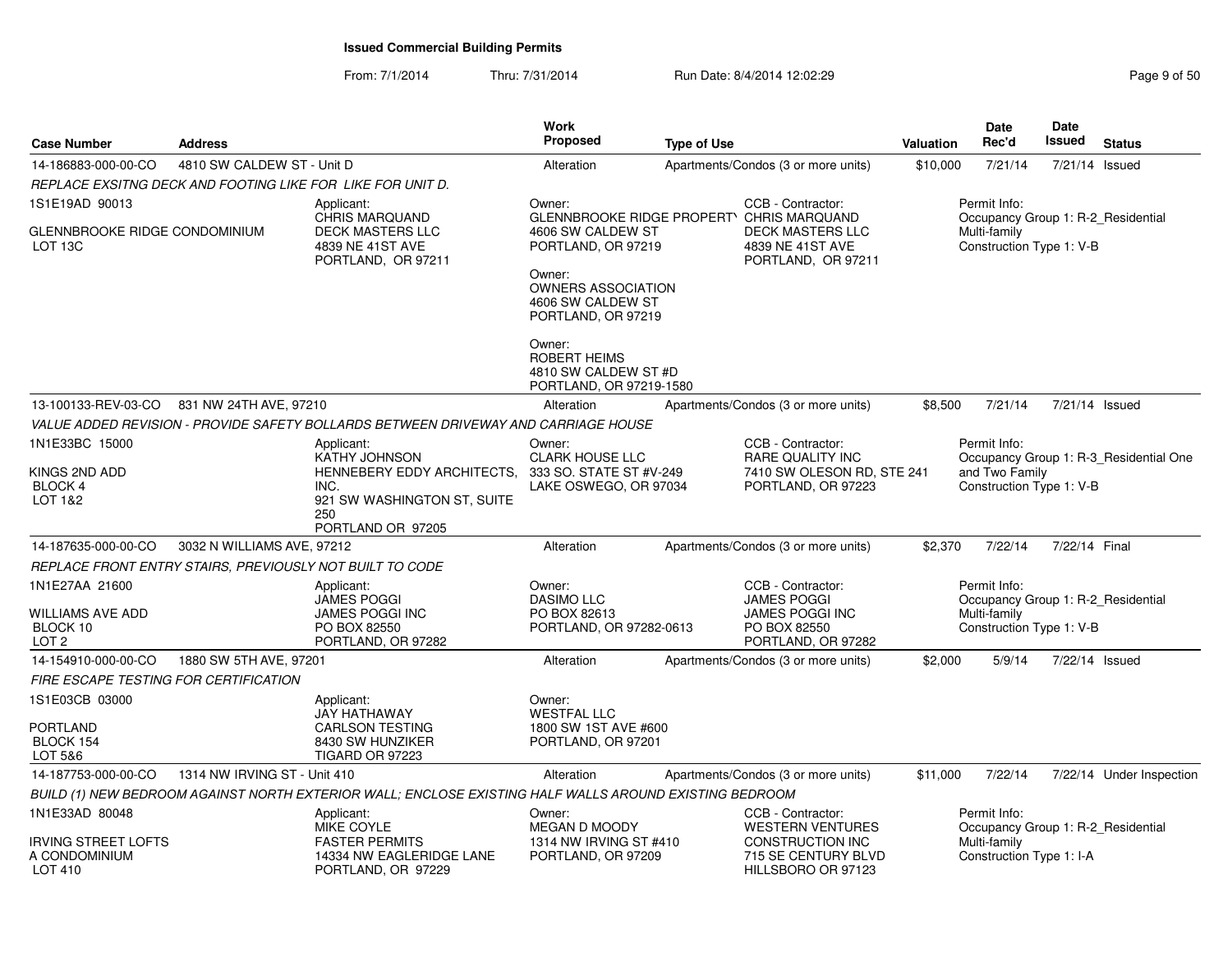From: 7/1/2014Thru: 7/31/2014 Run Date: 8/4/2014 12:02:29 Rege 9 of 50

| <b>Case Number</b>                                                 | <b>Address</b>                                           |                                                                                                        | <b>Work</b><br><b>Proposed</b>                                                   | <b>Type of Use</b> |                                                                                                          | <b>Valuation</b> | <b>Date</b><br>Rec'd                                                                           | <b>Date</b><br><b>Issued</b> | <b>Status</b>                          |
|--------------------------------------------------------------------|----------------------------------------------------------|--------------------------------------------------------------------------------------------------------|----------------------------------------------------------------------------------|--------------------|----------------------------------------------------------------------------------------------------------|------------------|------------------------------------------------------------------------------------------------|------------------------------|----------------------------------------|
| 14-186883-000-00-CO                                                | 4810 SW CALDEW ST - Unit D                               |                                                                                                        | Alteration                                                                       |                    | Apartments/Condos (3 or more units)                                                                      | \$10,000         | 7/21/14                                                                                        | 7/21/14 Issued               |                                        |
|                                                                    |                                                          | REPLACE EXSITNG DECK AND FOOTING LIKE FOR  LIKE FOR UNIT D.                                            |                                                                                  |                    |                                                                                                          |                  |                                                                                                |                              |                                        |
| 1S1E19AD 90013<br><b>GLENNBROOKE RIDGE CONDOMINIUM</b><br>LOT 13C  |                                                          | Applicant:<br>CHRIS MARQUAND<br>DECK MASTERS LLC<br>4839 NE 41ST AVE<br>PORTLAND, OR 97211             | Owner:<br>GLENNBROOKE RIDGE PROPERTY<br>4606 SW CALDEW ST<br>PORTLAND, OR 97219  |                    | CCB - Contractor:<br>CHRIS MARQUAND<br><b>DECK MASTERS LLC</b><br>4839 NE 41ST AVE<br>PORTLAND, OR 97211 |                  | Permit Info:<br>Occupancy Group 1: R-2 Residential<br>Multi-family<br>Construction Type 1: V-B |                              |                                        |
|                                                                    |                                                          |                                                                                                        | Owner:<br><b>OWNERS ASSOCIATION</b><br>4606 SW CALDEW ST<br>PORTLAND, OR 97219   |                    |                                                                                                          |                  |                                                                                                |                              |                                        |
|                                                                    |                                                          |                                                                                                        | Owner:<br><b>ROBERT HEIMS</b><br>4810 SW CALDEW ST #D<br>PORTLAND, OR 97219-1580 |                    |                                                                                                          |                  |                                                                                                |                              |                                        |
| 13-100133-REV-03-CO                                                | 831 NW 24TH AVE, 97210                                   |                                                                                                        | Alteration                                                                       |                    | Apartments/Condos (3 or more units)                                                                      | \$8,500          | 7/21/14                                                                                        | 7/21/14 Issued               |                                        |
|                                                                    |                                                          | VALUE ADDED REVISION - PROVIDE SAFETY BOLLARDS BETWEEN DRIVEWAY AND CARRIAGE HOUSE                     |                                                                                  |                    |                                                                                                          |                  |                                                                                                |                              |                                        |
| 1N1E33BC 15000                                                     |                                                          | Applicant:<br>KATHY JOHNSON                                                                            | Owner:<br>CLARK HOUSE LLC                                                        |                    | CCB - Contractor:<br>RARE QUALITY INC                                                                    |                  | Permit Info:                                                                                   |                              | Occupancy Group 1: R-3 Residential One |
| KINGS 2ND ADD<br><b>BLOCK 4</b><br>LOT 1&2                         |                                                          | HENNEBERY EDDY ARCHITECTS.<br>INC.<br>921 SW WASHINGTON ST, SUITE<br>250<br>PORTLAND OR 97205          | 333 SO. STATE ST #V-249<br>LAKE OSWEGO, OR 97034                                 |                    | 7410 SW OLESON RD, STE 241<br>PORTLAND, OR 97223                                                         |                  | and Two Family<br>Construction Type 1: V-B                                                     |                              |                                        |
| 14-187635-000-00-CO                                                | 3032 N WILLIAMS AVE, 97212                               |                                                                                                        | Alteration                                                                       |                    | Apartments/Condos (3 or more units)                                                                      | \$2,370          | 7/22/14                                                                                        | 7/22/14 Final                |                                        |
|                                                                    | REPLACE FRONT ENTRY STAIRS, PREVIOUSLY NOT BUILT TO CODE |                                                                                                        |                                                                                  |                    |                                                                                                          |                  |                                                                                                |                              |                                        |
| 1N1E27AA 21600<br>WILLIAMS AVE ADD<br>BLOCK 10<br>LOT <sub>2</sub> |                                                          | Applicant:<br>JAMES POGGI<br>JAMES POGGI INC<br>PO BOX 82550<br>PORTLAND, OR 97282                     | Owner:<br><b>DASIMO LLC</b><br>PO BOX 82613<br>PORTLAND, OR 97282-0613           |                    | CCB - Contractor:<br><b>JAMES POGGI</b><br><b>JAMES POGGI INC</b><br>PO BOX 82550<br>PORTLAND, OR 97282  |                  | Permit Info:<br>Occupancy Group 1: R-2 Residential<br>Multi-family<br>Construction Type 1: V-B |                              |                                        |
| 14-154910-000-00-CO                                                | 1880 SW 5TH AVE, 97201                                   |                                                                                                        | Alteration                                                                       |                    | Apartments/Condos (3 or more units)                                                                      | \$2,000          | 5/9/14                                                                                         | 7/22/14 Issued               |                                        |
| FIRE ESCAPE TESTING FOR CERTIFICATION                              |                                                          |                                                                                                        |                                                                                  |                    |                                                                                                          |                  |                                                                                                |                              |                                        |
| 1S1E03CB 03000<br>PORTLAND<br>BLOCK 154<br>LOT 5&6                 |                                                          | Applicant:<br><b>JAY HATHAWAY</b><br>CARLSON TESTING<br>8430 SW HUNZIKER<br>TIGARD OR 97223            | Owner:<br><b>WESTFAL LLC</b><br>1800 SW 1ST AVE #600<br>PORTLAND, OR 97201       |                    |                                                                                                          |                  |                                                                                                |                              |                                        |
| 14-187753-000-00-CO                                                | 1314 NW IRVING ST - Unit 410                             |                                                                                                        | Alteration                                                                       |                    | Apartments/Condos (3 or more units)                                                                      | \$11,000         | 7/22/14                                                                                        |                              | 7/22/14 Under Inspection               |
|                                                                    |                                                          | BUILD (1) NEW BEDROOM AGAINST NORTH EXTERIOR WALL; ENCLOSE EXISTING HALF WALLS AROUND EXISTING BEDROOM |                                                                                  |                    |                                                                                                          |                  |                                                                                                |                              |                                        |
| 1N1E33AD 80048                                                     |                                                          | Applicant:<br>MIKE COYLE                                                                               | Owner:<br>MEGAN D MOODY                                                          |                    | CCB - Contractor:<br><b>WESTERN VENTURES</b>                                                             |                  | Permit Info:<br>Occupancy Group 1: R-2 Residential                                             |                              |                                        |
| <b>IRVING STREET LOFTS</b><br>A CONDOMINIUM<br>LOT 410             |                                                          | <b>FASTER PERMITS</b><br>14334 NW EAGLERIDGE LANE<br>PORTLAND, OR 97229                                | 1314 NW IRVING ST #410<br>PORTLAND, OR 97209                                     |                    | <b>CONSTRUCTION INC</b><br>715 SE CENTURY BLVD<br>HILLSBORO OR 97123                                     |                  | Multi-family<br>Construction Type 1: I-A                                                       |                              |                                        |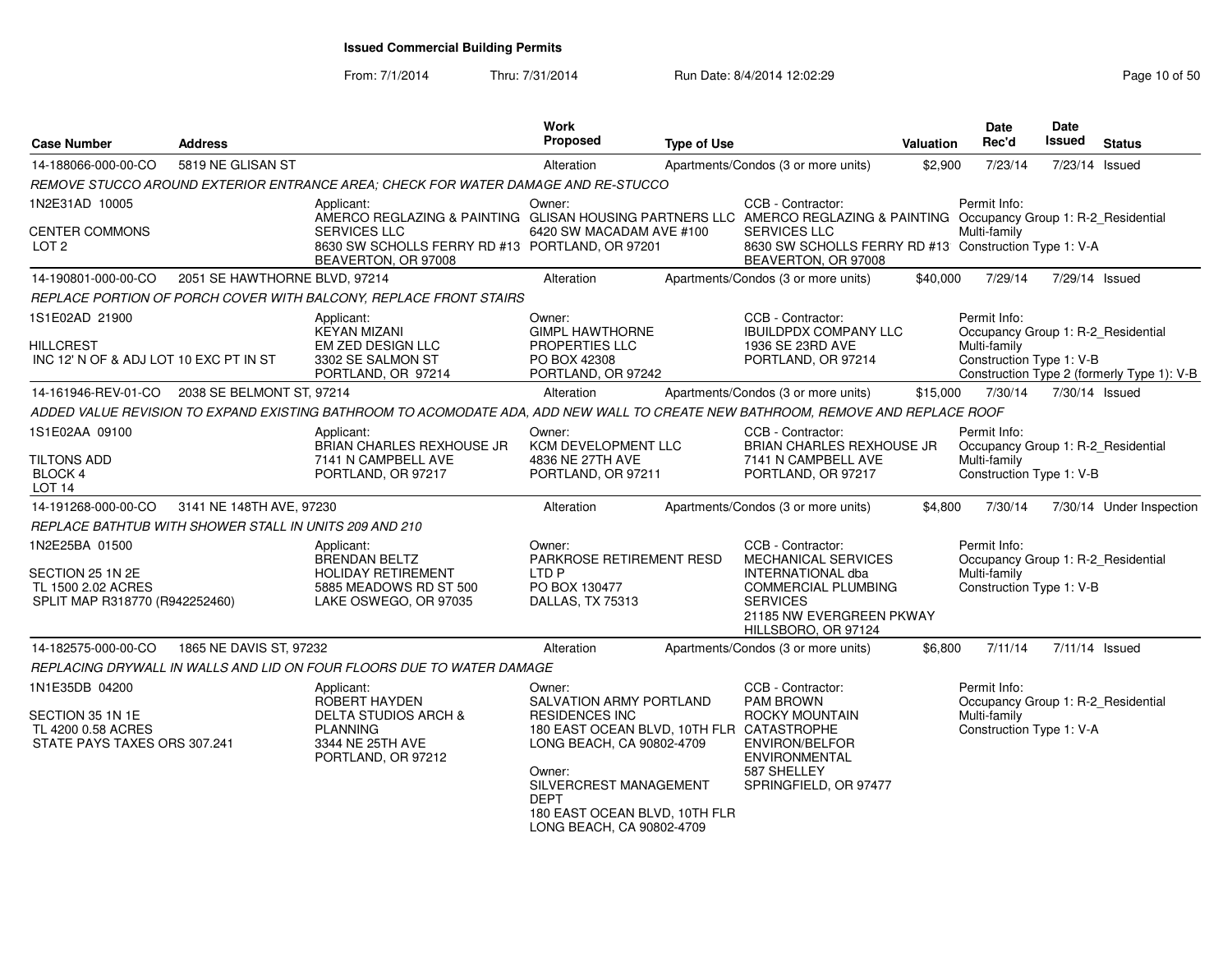| <b>Case Number</b>                                                                         | <b>Address</b>                |                                                                                                                                      | Work<br><b>Proposed</b>                                                                                                                                                                                          | <b>Type of Use</b> |                                                                                                                                                                                 | Valuation | <b>Date</b><br>Rec'd                                                                           | Date<br>Issued | <b>Status</b>                              |
|--------------------------------------------------------------------------------------------|-------------------------------|--------------------------------------------------------------------------------------------------------------------------------------|------------------------------------------------------------------------------------------------------------------------------------------------------------------------------------------------------------------|--------------------|---------------------------------------------------------------------------------------------------------------------------------------------------------------------------------|-----------|------------------------------------------------------------------------------------------------|----------------|--------------------------------------------|
| 14-188066-000-00-CO                                                                        | 5819 NE GLISAN ST             |                                                                                                                                      | Alteration                                                                                                                                                                                                       |                    | Apartments/Condos (3 or more units)                                                                                                                                             | \$2,900   | 7/23/14                                                                                        | 7/23/14 Issued |                                            |
|                                                                                            |                               | REMOVE STUCCO AROUND EXTERIOR ENTRANCE AREA; CHECK FOR WATER DAMAGE AND RE-STUCCO                                                    |                                                                                                                                                                                                                  |                    |                                                                                                                                                                                 |           |                                                                                                |                |                                            |
| 1N2E31AD 10005                                                                             |                               | Applicant:<br>AMERCO REGLAZING & PAINTING GLISAN HOUSING PARTNERS LLC AMERCO REGLAZING & PAINTING Occupancy Group 1: R-2_Residential | Owner:                                                                                                                                                                                                           |                    | CCB - Contractor:                                                                                                                                                               |           | Permit Info:                                                                                   |                |                                            |
| CENTER COMMONS<br>LOT 2                                                                    |                               | <b>SERVICES LLC</b><br>8630 SW SCHOLLS FERRY RD #13 PORTLAND, OR 97201<br>BEAVERTON, OR 97008                                        | 6420 SW MACADAM AVE #100                                                                                                                                                                                         |                    | SERVICES LLC<br>8630 SW SCHOLLS FERRY RD #13 Construction Type 1: V-A<br>BEAVERTON, OR 97008                                                                                    |           | Multi-family                                                                                   |                |                                            |
| 14-190801-000-00-CO                                                                        | 2051 SE HAWTHORNE BLVD, 97214 |                                                                                                                                      | Alteration                                                                                                                                                                                                       |                    | Apartments/Condos (3 or more units)                                                                                                                                             | \$40,000  | 7/29/14                                                                                        | 7/29/14 Issued |                                            |
|                                                                                            |                               | REPLACE PORTION OF PORCH COVER WITH BALCONY, REPLACE FRONT STAIRS                                                                    |                                                                                                                                                                                                                  |                    |                                                                                                                                                                                 |           |                                                                                                |                |                                            |
| 1S1E02AD 21900<br>HILLCREST<br>INC 12' N OF & ADJ LOT 10 EXC PT IN ST                      |                               | Applicant:<br><b>KEYAN MIZANI</b><br>EM ZED DESIGN LLC<br>3302 SE SALMON ST                                                          | Owner:<br><b>GIMPL HAWTHORNE</b><br><b>PROPERTIES LLC</b><br>PO BOX 42308                                                                                                                                        |                    | CCB - Contractor:<br><b>IBUILDPDX COMPANY LLC</b><br>1936 SE 23RD AVE<br>PORTLAND, OR 97214                                                                                     |           | Permit Info:<br>Occupancy Group 1: R-2 Residential<br>Multi-family<br>Construction Type 1: V-B |                |                                            |
|                                                                                            |                               | PORTLAND, OR 97214                                                                                                                   | PORTLAND, OR 97242                                                                                                                                                                                               |                    |                                                                                                                                                                                 |           |                                                                                                |                | Construction Type 2 (formerly Type 1): V-B |
| 14-161946-REV-01-CO                                                                        | 2038 SE BELMONT ST, 97214     |                                                                                                                                      | Alteration                                                                                                                                                                                                       |                    | Apartments/Condos (3 or more units)                                                                                                                                             | \$15,000  | 7/30/14                                                                                        | 7/30/14 Issued |                                            |
|                                                                                            |                               | ADDED VALUE REVISION TO EXPAND EXISTING BATHROOM TO ACOMODATE ADA, ADD NEW WALL TO CREATE NEW BATHROOM, REMOVE AND REPLACE ROOF      |                                                                                                                                                                                                                  |                    |                                                                                                                                                                                 |           |                                                                                                |                |                                            |
| 1S1E02AA 09100<br><b>TILTONS ADD</b><br>BLOCK 4<br>LOT 14                                  |                               | Applicant:<br>BRIAN CHARLES REXHOUSE JR<br>7141 N CAMPBELL AVE<br>PORTLAND, OR 97217                                                 | Owner:<br>KCM DEVELOPMENT LLC<br>4836 NE 27TH AVE<br>PORTLAND, OR 97211                                                                                                                                          |                    | CCB - Contractor:<br>BRIAN CHARLES REXHOUSE JR<br>7141 N CAMPBELL AVE<br>PORTLAND, OR 97217                                                                                     |           | Permit Info:<br>Occupancy Group 1: R-2_Residential<br>Multi-family<br>Construction Type 1: V-B |                |                                            |
| 14-191268-000-00-CO                                                                        | 3141 NE 148TH AVE, 97230      |                                                                                                                                      | Alteration                                                                                                                                                                                                       |                    | Apartments/Condos (3 or more units)                                                                                                                                             | \$4,800   | 7/30/14                                                                                        |                | 7/30/14 Under Inspection                   |
| REPLACE BATHTUB WITH SHOWER STALL IN UNITS 209 AND 210                                     |                               |                                                                                                                                      |                                                                                                                                                                                                                  |                    |                                                                                                                                                                                 |           |                                                                                                |                |                                            |
| 1N2E25BA 01500<br>SECTION 25 1N 2E<br>TL 1500 2.02 ACRES<br>SPLIT MAP R318770 (R942252460) |                               | Applicant:<br><b>BRENDAN BELTZ</b><br><b>HOLIDAY RETIREMENT</b><br>5885 MEADOWS RD ST 500<br>LAKE OSWEGO, OR 97035                   | Owner:<br>PARKROSE RETIREMENT RESD<br>LTD P<br>PO BOX 130477<br>DALLAS, TX 75313                                                                                                                                 |                    | CCB - Contractor:<br><b>MECHANICAL SERVICES</b><br><b>INTERNATIONAL dba</b><br><b>COMMERCIAL PLUMBING</b><br><b>SERVICES</b><br>21185 NW EVERGREEN PKWAY<br>HILLSBORO, OR 97124 |           | Permit Info:<br>Occupancy Group 1: R-2_Residential<br>Multi-family<br>Construction Type 1: V-B |                |                                            |
| 14-182575-000-00-CO                                                                        | 1865 NE DAVIS ST, 97232       |                                                                                                                                      | Alteration                                                                                                                                                                                                       |                    | Apartments/Condos (3 or more units)                                                                                                                                             | \$6,800   | 7/11/14                                                                                        | 7/11/14 Issued |                                            |
|                                                                                            |                               | REPLACING DRYWALL IN WALLS AND LID ON FOUR FLOORS DUE TO WATER DAMAGE                                                                |                                                                                                                                                                                                                  |                    |                                                                                                                                                                                 |           |                                                                                                |                |                                            |
| 1N1E35DB 04200                                                                             |                               | Applicant:<br>ROBERT HAYDEN                                                                                                          | Owner:<br>SALVATION ARMY PORTLAND                                                                                                                                                                                |                    | CCB - Contractor:<br><b>PAM BROWN</b>                                                                                                                                           |           | Permit Info:<br>Occupancy Group 1: R-2 Residential                                             |                |                                            |
| SECTION 35 1N 1E<br>TL 4200 0.58 ACRES<br>STATE PAYS TAXES ORS 307.241                     |                               | <b>DELTA STUDIOS ARCH &amp;</b><br><b>PLANNING</b><br>3344 NE 25TH AVE<br>PORTLAND, OR 97212                                         | <b>RESIDENCES INC</b><br>180 EAST OCEAN BLVD, 10TH FLR CATASTROPHE<br>LONG BEACH, CA 90802-4709<br>Owner:<br>SILVERCREST MANAGEMENT<br><b>DEPT</b><br>180 EAST OCEAN BLVD, 10TH FLR<br>LONG BEACH, CA 90802-4709 |                    | ROCKY MOUNTAIN<br><b>ENVIRON/BELFOR</b><br><b>ENVIRONMENTAL</b><br>587 SHELLEY<br>SPRINGFIELD, OR 97477                                                                         |           | Multi-family<br>Construction Type 1: V-A                                                       |                |                                            |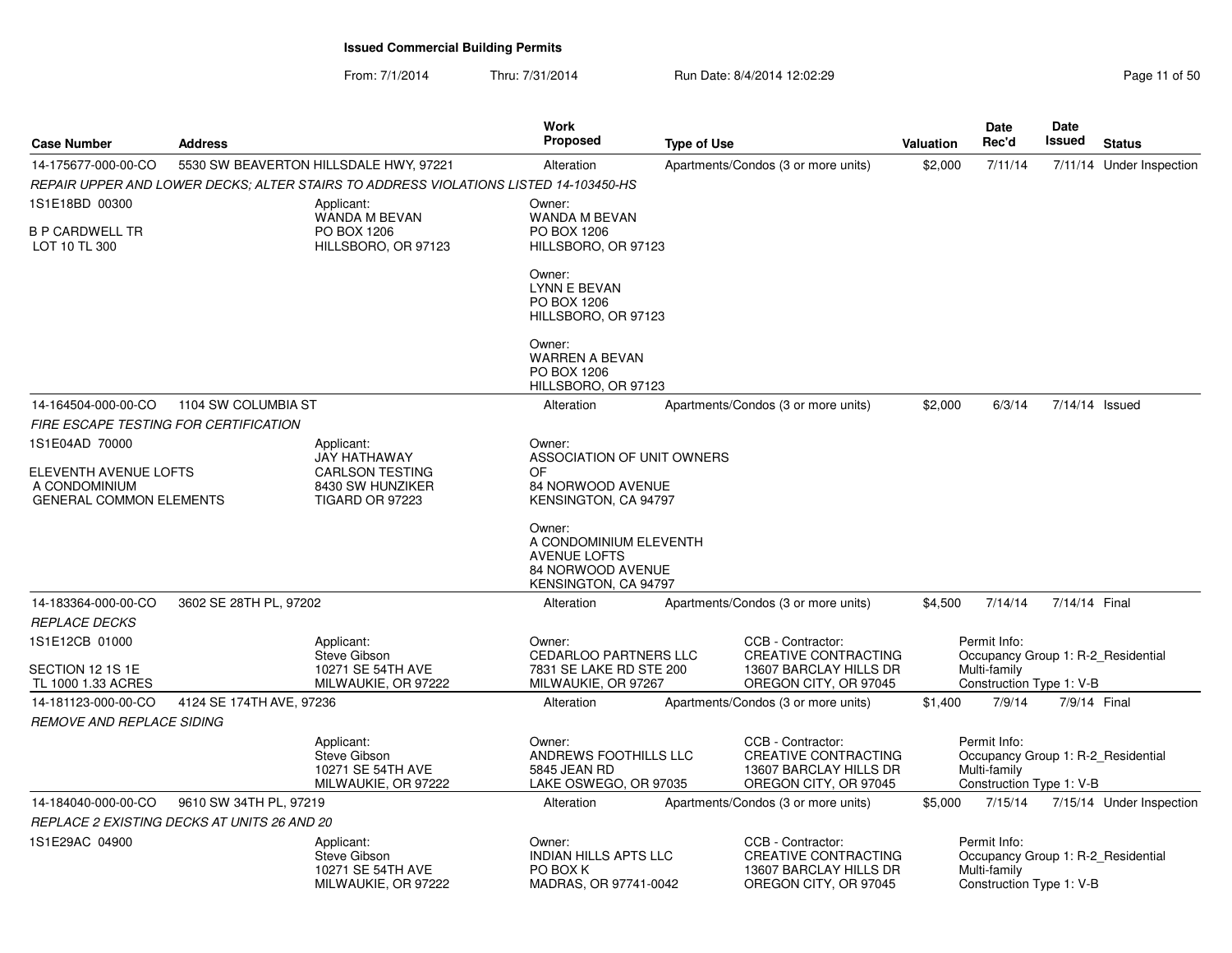From: 7/1/2014Thru: 7/31/2014 Run Date: 8/4/2014 12:02:29 Rege 11 of 50

| <b>Case Number</b>                                                       | <b>Address</b>                              |                                                                                      | Work<br><b>Proposed</b>                                                                              | <b>Type of Use</b> |                                                                                                     | <b>Valuation</b> | <b>Date</b><br>Rec'd                                     | <b>Date</b><br><b>Issued</b> | <b>Status</b>                      |
|--------------------------------------------------------------------------|---------------------------------------------|--------------------------------------------------------------------------------------|------------------------------------------------------------------------------------------------------|--------------------|-----------------------------------------------------------------------------------------------------|------------------|----------------------------------------------------------|------------------------------|------------------------------------|
| 14-175677-000-00-CO                                                      |                                             | 5530 SW BEAVERTON HILLSDALE HWY, 97221                                               | Alteration                                                                                           |                    | Apartments/Condos (3 or more units)                                                                 | \$2,000          | 7/11/14                                                  |                              | 7/11/14 Under Inspection           |
|                                                                          |                                             | REPAIR UPPER AND LOWER DECKS: ALTER STAIRS TO ADDRESS VIOLATIONS LISTED 14-103450-HS |                                                                                                      |                    |                                                                                                     |                  |                                                          |                              |                                    |
| 1S1E18BD 00300                                                           |                                             | Applicant:                                                                           | Owner:                                                                                               |                    |                                                                                                     |                  |                                                          |                              |                                    |
| <b>B P CARDWELL TR</b><br>LOT 10 TL 300                                  |                                             | WANDA M BEVAN<br>PO BOX 1206<br>HILLSBORO, OR 97123                                  | WANDA M BEVAN<br>PO BOX 1206<br>HILLSBORO, OR 97123                                                  |                    |                                                                                                     |                  |                                                          |                              |                                    |
|                                                                          |                                             |                                                                                      | Owner:<br><b>LYNN E BEVAN</b><br>PO BOX 1206<br>HILLSBORO, OR 97123                                  |                    |                                                                                                     |                  |                                                          |                              |                                    |
|                                                                          |                                             |                                                                                      | Owner:<br><b>WARREN A BEVAN</b><br>PO BOX 1206<br>HILLSBORO, OR 97123                                |                    |                                                                                                     |                  |                                                          |                              |                                    |
| 14-164504-000-00-CO                                                      | 1104 SW COLUMBIA ST                         |                                                                                      | Alteration                                                                                           |                    | Apartments/Condos (3 or more units)                                                                 | \$2,000          | 6/3/14                                                   | 7/14/14 Issued               |                                    |
|                                                                          | FIRE ESCAPE TESTING FOR CERTIFICATION       |                                                                                      |                                                                                                      |                    |                                                                                                     |                  |                                                          |                              |                                    |
| 1S1E04AD 70000                                                           |                                             | Applicant:<br>JAY HATHAWAY                                                           | Owner:<br>ASSOCIATION OF UNIT OWNERS                                                                 |                    |                                                                                                     |                  |                                                          |                              |                                    |
| ELEVENTH AVENUE LOFTS<br>A CONDOMINIUM<br><b>GENERAL COMMON ELEMENTS</b> |                                             | <b>CARLSON TESTING</b><br>8430 SW HUNZIKER<br><b>TIGARD OR 97223</b>                 | OF<br>84 NORWOOD AVENUE<br>KENSINGTON, CA 94797                                                      |                    |                                                                                                     |                  |                                                          |                              |                                    |
|                                                                          |                                             |                                                                                      | Owner:<br>A CONDOMINIUM ELEVENTH<br><b>AVENUE LOFTS</b><br>84 NORWOOD AVENUE<br>KENSINGTON, CA 94797 |                    |                                                                                                     |                  |                                                          |                              |                                    |
| 14-183364-000-00-CO<br><b>REPLACE DECKS</b>                              | 3602 SE 28TH PL, 97202                      |                                                                                      | Alteration                                                                                           |                    | Apartments/Condos (3 or more units)                                                                 | \$4,500          | 7/14/14                                                  | 7/14/14 Final                |                                    |
| 1S1E12CB 01000<br>SECTION 12 1S 1E                                       |                                             | Applicant:<br>Steve Gibson<br>10271 SE 54TH AVE                                      | Owner:<br><b>CEDARLOO PARTNERS LLC</b><br>7831 SE LAKE RD STE 200                                    |                    | CCB - Contractor:<br>CREATIVE CONTRACTING<br>13607 BARCLAY HILLS DR                                 |                  | Permit Info:<br>Multi-family                             |                              | Occupancy Group 1: R-2 Residential |
| TL 1000 1.33 ACRES<br>14-181123-000-00-CO                                | 4124 SE 174TH AVE, 97236                    | MILWAUKIE, OR 97222                                                                  | MILWAUKIE, OR 97267<br>Alteration                                                                    |                    | OREGON CITY, OR 97045<br>Apartments/Condos (3 or more units)                                        | \$1,400          | Construction Type 1: V-B<br>7/9/14                       | 7/9/14 Final                 |                                    |
| <b>REMOVE AND REPLACE SIDING</b>                                         |                                             |                                                                                      |                                                                                                      |                    |                                                                                                     |                  |                                                          |                              |                                    |
|                                                                          |                                             | Applicant:<br>Steve Gibson<br>10271 SE 54TH AVE<br>MILWAUKIE, OR 97222               | Owner:<br>ANDREWS FOOTHILLS LLC<br>5845 JEAN RD<br>LAKE OSWEGO, OR 97035                             |                    | CCB - Contractor:<br><b>CREATIVE CONTRACTING</b><br>13607 BARCLAY HILLS DR<br>OREGON CITY, OR 97045 |                  | Permit Info:<br>Multi-family<br>Construction Type 1: V-B |                              | Occupancy Group 1: R-2 Residential |
| 14-184040-000-00-CO                                                      | 9610 SW 34TH PL, 97219                      |                                                                                      | Alteration                                                                                           |                    | Apartments/Condos (3 or more units)                                                                 | \$5,000          | 7/15/14                                                  |                              | 7/15/14 Under Inspection           |
|                                                                          | REPLACE 2 EXISTING DECKS AT UNITS 26 AND 20 |                                                                                      |                                                                                                      |                    |                                                                                                     |                  |                                                          |                              |                                    |
| 1S1E29AC 04900                                                           |                                             | Applicant:<br>Steve Gibson<br>10271 SE 54TH AVE<br>MILWAUKIE, OR 97222               | Owner:<br><b>INDIAN HILLS APTS LLC</b><br>PO BOX K<br>MADRAS, OR 97741-0042                          |                    | CCB - Contractor:<br><b>CREATIVE CONTRACTING</b><br>13607 BARCLAY HILLS DR<br>OREGON CITY, OR 97045 |                  | Permit Info:<br>Multi-family<br>Construction Type 1: V-B |                              | Occupancy Group 1: R-2_Residential |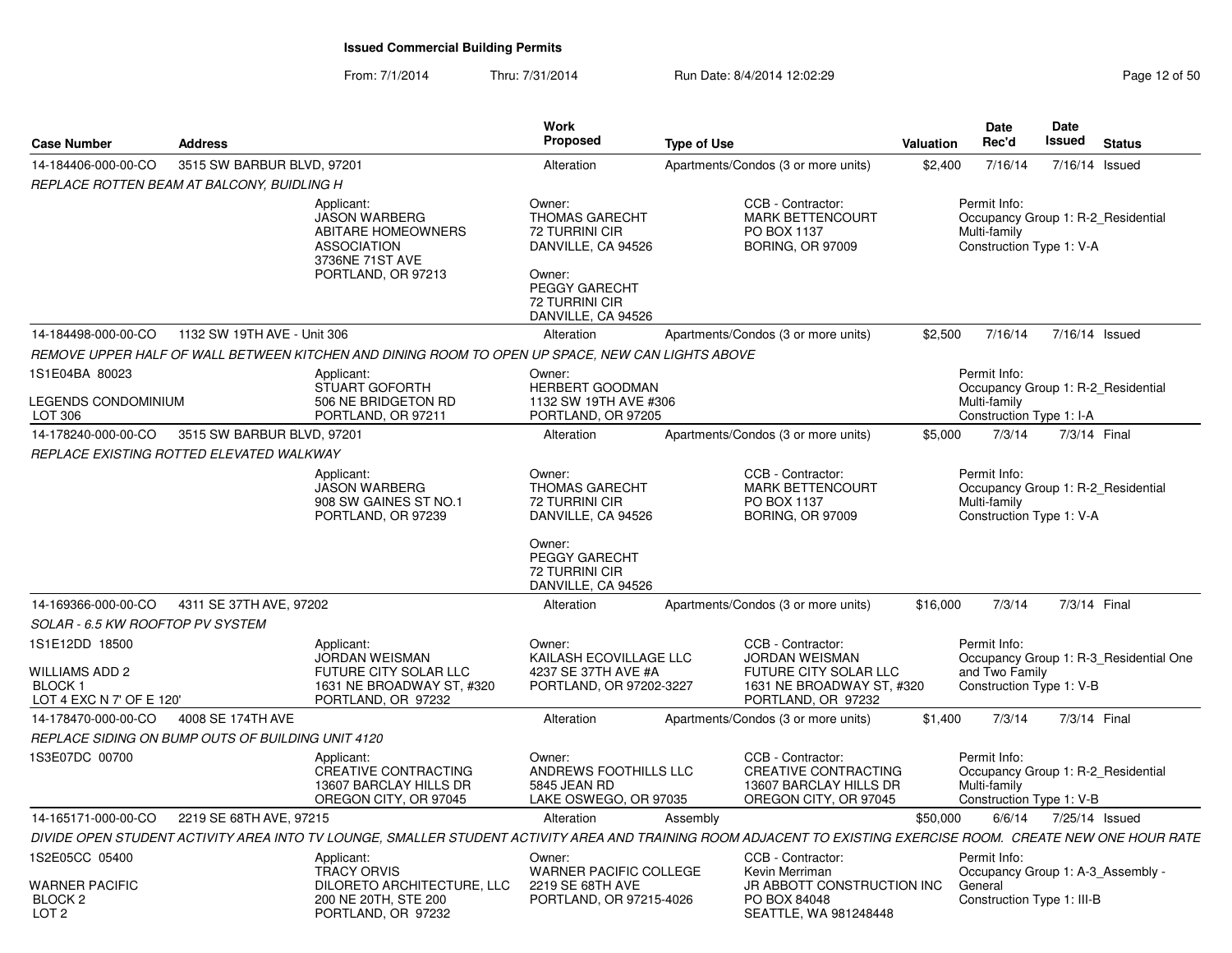| <b>Case Number</b>                                                            | <b>Address</b>                                    |                                                                                                                                                                | <b>Work</b><br><b>Proposed</b>                                                                                                                    | <b>Type of Use</b>                  |                                                                                                                        | <b>Valuation</b> | <b>Date</b><br>Rec'd                                       | Date<br>Issued | <b>Status</b>                          |
|-------------------------------------------------------------------------------|---------------------------------------------------|----------------------------------------------------------------------------------------------------------------------------------------------------------------|---------------------------------------------------------------------------------------------------------------------------------------------------|-------------------------------------|------------------------------------------------------------------------------------------------------------------------|------------------|------------------------------------------------------------|----------------|----------------------------------------|
| 14-184406-000-00-CO                                                           | 3515 SW BARBUR BLVD, 97201                        |                                                                                                                                                                | Alteration                                                                                                                                        | Apartments/Condos (3 or more units) |                                                                                                                        | \$2,400          | 7/16/14                                                    | 7/16/14 Issued |                                        |
|                                                                               | REPLACE ROTTEN BEAM AT BALCONY, BUIDLING H        |                                                                                                                                                                |                                                                                                                                                   |                                     |                                                                                                                        |                  |                                                            |                |                                        |
|                                                                               |                                                   | Applicant:<br>JASON WARBERG<br><b>ABITARE HOMEOWNERS</b><br><b>ASSOCIATION</b><br>3736NE 71ST AVE<br>PORTLAND, OR 97213                                        | Owner:<br><b>THOMAS GARECHT</b><br>72 TURRINI CIR<br>DANVILLE, CA 94526<br>Owner:<br><b>PEGGY GARECHT</b><br>72 TURRINI CIR<br>DANVILLE, CA 94526 |                                     | CCB - Contractor:<br><b>MARK BETTENCOURT</b><br>PO BOX 1137<br><b>BORING, OR 97009</b>                                 |                  | Permit Info:<br>Multi-family<br>Construction Type 1: V-A   |                | Occupancy Group 1: R-2 Residential     |
| 14-184498-000-00-CO                                                           | 1132 SW 19TH AVE - Unit 306                       |                                                                                                                                                                | Alteration                                                                                                                                        | Apartments/Condos (3 or more units) |                                                                                                                        | \$2,500          | 7/16/14                                                    | 7/16/14 Issued |                                        |
|                                                                               |                                                   | REMOVE UPPER HALF OF WALL BETWEEN KITCHEN AND DINING ROOM TO OPEN UP SPACE, NEW CAN LIGHTS ABOVE                                                               |                                                                                                                                                   |                                     |                                                                                                                        |                  |                                                            |                |                                        |
| 1S1E04BA 80023<br><b>LEGENDS CONDOMINIUM</b><br>LOT 306                       |                                                   | Applicant:<br><b>STUART GOFORTH</b><br>506 NE BRIDGETON RD<br>PORTLAND, OR 97211                                                                               | Owner:<br><b>HERBERT GOODMAN</b><br>1132 SW 19TH AVE #306<br>PORTLAND, OR 97205                                                                   |                                     |                                                                                                                        |                  | Permit Info:<br>Multi-family<br>Construction Type 1: I-A   |                | Occupancy Group 1: R-2 Residential     |
| 14-178240-000-00-CO                                                           | 3515 SW BARBUR BLVD, 97201                        |                                                                                                                                                                | Alteration                                                                                                                                        | Apartments/Condos (3 or more units) |                                                                                                                        | \$5,000          | 7/3/14                                                     | 7/3/14 Final   |                                        |
|                                                                               | REPLACE EXISTING ROTTED ELEVATED WALKWAY          |                                                                                                                                                                |                                                                                                                                                   |                                     |                                                                                                                        |                  |                                                            |                |                                        |
|                                                                               |                                                   | Applicant:<br><b>JASON WARBERG</b><br>908 SW GAINES ST NO.1<br>PORTLAND, OR 97239                                                                              | Owner:<br><b>THOMAS GARECHT</b><br>72 TURRINI CIR<br>DANVILLE, CA 94526<br>Owner:<br>PEGGY GARECHT<br><b>72 TURRINI CIR</b>                       |                                     | CCB - Contractor:<br><b>MARK BETTENCOURT</b><br>PO BOX 1137<br><b>BORING, OR 97009</b>                                 |                  | Permit Info:<br>Multi-family<br>Construction Type 1: V-A   |                | Occupancy Group 1: R-2_Residential     |
|                                                                               |                                                   |                                                                                                                                                                | DANVILLE, CA 94526                                                                                                                                |                                     |                                                                                                                        |                  |                                                            |                |                                        |
| 14-169366-000-00-CO                                                           | 4311 SE 37TH AVE, 97202                           |                                                                                                                                                                | Alteration                                                                                                                                        | Apartments/Condos (3 or more units) |                                                                                                                        | \$16,000         | 7/3/14                                                     | 7/3/14 Final   |                                        |
| SOLAR - 6.5 KW ROOFTOP PV SYSTEM                                              |                                                   |                                                                                                                                                                |                                                                                                                                                   |                                     |                                                                                                                        |                  |                                                            |                |                                        |
| 1S1E12DD 18500<br>WILLIAMS ADD 2<br><b>BLOCK1</b><br>LOT 4 EXC N 7' OF E 120' |                                                   | Applicant:<br><b>JORDAN WEISMAN</b><br>FUTURE CITY SOLAR LLC<br>1631 NE BROADWAY ST, #320<br>PORTLAND, OR 97232                                                | Owner:<br>KAILASH ECOVILLAGE LLC<br>4237 SE 37TH AVE #A<br>PORTLAND, OR 97202-3227                                                                |                                     | CCB - Contractor:<br><b>JORDAN WEISMAN</b><br>FUTURE CITY SOLAR LLC<br>1631 NE BROADWAY ST, #320<br>PORTLAND, OR 97232 |                  | Permit Info:<br>and Two Family<br>Construction Type 1: V-B |                | Occupancy Group 1: R-3_Residential One |
| 14-178470-000-00-CO                                                           | 4008 SE 174TH AVE                                 |                                                                                                                                                                | Alteration                                                                                                                                        | Apartments/Condos (3 or more units) |                                                                                                                        | \$1,400          | 7/3/14                                                     | 7/3/14 Final   |                                        |
|                                                                               | REPLACE SIDING ON BUMP OUTS OF BUILDING UNIT 4120 |                                                                                                                                                                |                                                                                                                                                   |                                     |                                                                                                                        |                  |                                                            |                |                                        |
| 1S3E07DC 00700                                                                |                                                   | Applicant:<br><b>CREATIVE CONTRACTING</b><br>13607 BARCLAY HILLS DR<br>OREGON CITY, OR 97045                                                                   | Owner:<br>ANDREWS FOOTHILLS LLC<br>5845 JEAN RD<br>LAKE OSWEGO, OR 97035                                                                          |                                     | CCB - Contractor:<br>CREATIVE CONTRACTING<br>13607 BARCLAY HILLS DR<br>OREGON CITY, OR 97045                           |                  | Permit Info:<br>Multi-family<br>Construction Type 1: V-B   |                | Occupancy Group 1: R-2 Residential     |
| 14-165171-000-00-CO                                                           | 2219 SE 68TH AVE, 97215                           |                                                                                                                                                                | Alteration                                                                                                                                        | Assembly                            |                                                                                                                        | \$50,000         | 6/6/14                                                     | 7/25/14 Issued |                                        |
|                                                                               |                                                   | DIVIDE OPEN STUDENT ACTIVITY AREA INTO TV LOUNGE, SMALLER STUDENT ACTIVITY AREA AND TRAINING ROOM ADJACENT TO EXISTING EXERCISE ROOM. CREATE NEW ONE HOUR RATE |                                                                                                                                                   |                                     |                                                                                                                        |                  |                                                            |                |                                        |
| 1S2E05CC 05400<br><b>WARNER PACIFIC</b><br>BLOCK <sub>2</sub>                 |                                                   | Applicant:<br><b>TRACY ORVIS</b><br>DILORETO ARCHITECTURE, LLC<br>200 NE 20TH, STE 200                                                                         | Owner:<br><b>WARNER PACIFIC COLLEGE</b><br>2219 SE 68TH AVE<br>PORTLAND, OR 97215-4026                                                            |                                     | CCB - Contractor:<br>Kevin Merriman<br>JR ABBOTT CONSTRUCTION INC<br>PO BOX 84048                                      |                  | Permit Info:<br>General<br>Construction Type 1: III-B      |                | Occupancy Group 1: A-3 Assembly -      |
| LOT 2                                                                         |                                                   | PORTLAND, OR 97232                                                                                                                                             |                                                                                                                                                   |                                     | SEATTLE, WA 981248448                                                                                                  |                  |                                                            |                |                                        |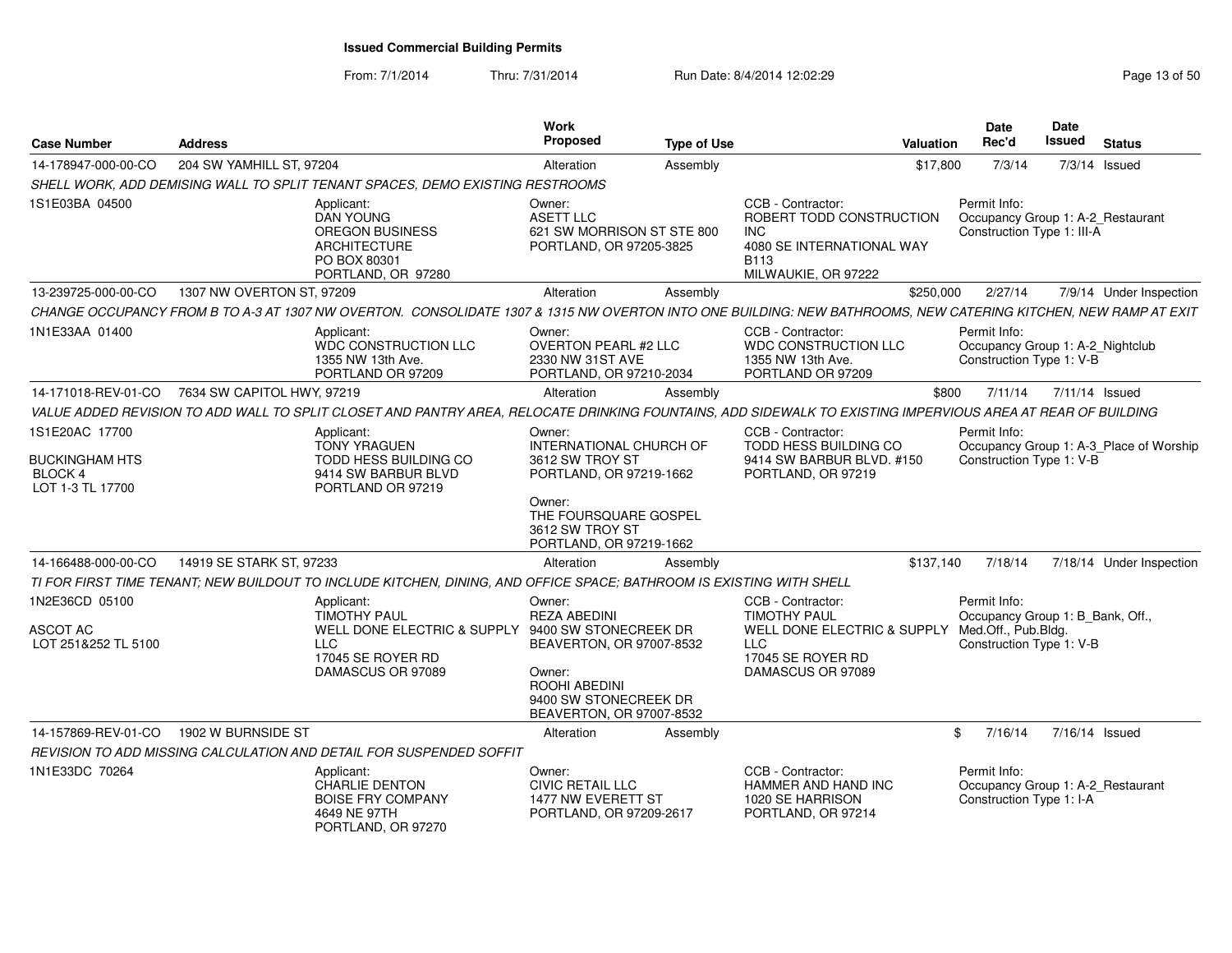| <b>Case Number</b>                                                            | <b>Address</b>                                                                                                                                                 | <b>Work</b><br>Proposed                                                                                                                                          | <b>Type of Use</b> | Valuation                                                                                                                       | Date<br>Rec'd                                                                                       | Date<br><b>Issued</b> | <b>Status</b>                           |
|-------------------------------------------------------------------------------|----------------------------------------------------------------------------------------------------------------------------------------------------------------|------------------------------------------------------------------------------------------------------------------------------------------------------------------|--------------------|---------------------------------------------------------------------------------------------------------------------------------|-----------------------------------------------------------------------------------------------------|-----------------------|-----------------------------------------|
| 14-178947-000-00-CO                                                           | 204 SW YAMHILL ST, 97204                                                                                                                                       | Alteration                                                                                                                                                       | Assembly           | \$17,800                                                                                                                        | 7/3/14                                                                                              |                       | 7/3/14 Issued                           |
|                                                                               | SHELL WORK, ADD DEMISING WALL TO SPLIT TENANT SPACES, DEMO EXISTING RESTROOMS                                                                                  |                                                                                                                                                                  |                    |                                                                                                                                 |                                                                                                     |                       |                                         |
| 1S1E03BA 04500                                                                | Applicant:<br><b>DAN YOUNG</b><br>OREGON BUSINESS<br><b>ARCHITECTURE</b><br>PO BOX 80301<br>PORTLAND, OR 97280                                                 | Owner:<br><b>ASETT LLC</b><br>621 SW MORRISON ST STE 800<br>PORTLAND, OR 97205-3825                                                                              |                    | CCB - Contractor:<br>ROBERT TODD CONSTRUCTION<br><b>INC</b><br>4080 SE INTERNATIONAL WAY<br><b>B113</b><br>MILWAUKIE, OR 97222  | Permit Info:<br>Occupancy Group 1: A-2 Restaurant<br>Construction Type 1: III-A                     |                       |                                         |
| 13-239725-000-00-CO                                                           | 1307 NW OVERTON ST, 97209                                                                                                                                      | Alteration                                                                                                                                                       | Assembly           | \$250,000                                                                                                                       | 2/27/14                                                                                             |                       | 7/9/14 Under Inspection                 |
|                                                                               | CHANGE OCCUPANCY FROM B TO A-3 AT 1307 NW OVERTON. CONSOLIDATE 1307 & 1315 NW OVERTON INTO ONE BUILDING: NEW BATHROOMS, NEW CATERING KITCHEN, NEW RAMP AT EXIT |                                                                                                                                                                  |                    |                                                                                                                                 |                                                                                                     |                       |                                         |
| 1N1E33AA 01400                                                                | Applicant:<br>WDC CONSTRUCTION LLC<br>1355 NW 13th Ave.<br>PORTLAND OR 97209                                                                                   | Owner:<br><b>OVERTON PEARL #2 LLC</b><br>2330 NW 31ST AVE<br>PORTLAND, OR 97210-2034                                                                             |                    | CCB - Contractor:<br>WDC CONSTRUCTION LLC<br>1355 NW 13th Ave.<br>PORTLAND OR 97209                                             | Permit Info:<br>Occupancy Group 1: A-2_Nightclub<br>Construction Type 1: V-B                        |                       |                                         |
| 14-171018-REV-01-CO                                                           | 7634 SW CAPITOL HWY, 97219                                                                                                                                     | Alteration                                                                                                                                                       | Assembly           | \$800                                                                                                                           | 7/11/14                                                                                             | 7/11/14 Issued        |                                         |
|                                                                               | VALUE ADDED REVISION TO ADD WALL TO SPLIT CLOSET AND PANTRY AREA, RELOCATE DRINKING FOUNTAINS, ADD SIDEWALK TO EXISTING IMPERVIOUS AREA AT REAR OF BUILDING    |                                                                                                                                                                  |                    |                                                                                                                                 |                                                                                                     |                       |                                         |
| 1S1E20AC 17700<br><b>BUCKINGHAM HTS</b><br><b>BLOCK 4</b><br>LOT 1-3 TL 17700 | Applicant:<br><b>TONY YRAGUEN</b><br>TODD HESS BUILDING CO<br>9414 SW BARBUR BLVD<br>PORTLAND OR 97219                                                         | Owner:<br>INTERNATIONAL CHURCH OF<br>3612 SW TROY ST<br>PORTLAND, OR 97219-1662<br>Owner:<br>THE FOURSQUARE GOSPEL<br>3612 SW TROY ST<br>PORTLAND, OR 97219-1662 |                    | CCB - Contractor:<br>TODD HESS BUILDING CO<br>9414 SW BARBUR BLVD, #150<br>PORTLAND, OR 97219                                   | Permit Info:<br>Construction Type 1: V-B                                                            |                       | Occupancy Group 1: A-3_Place of Worship |
| 14-166488-000-00-CO                                                           | 14919 SE STARK ST, 97233                                                                                                                                       | Alteration                                                                                                                                                       | Assembly           | \$137.140                                                                                                                       | 7/18/14                                                                                             |                       | 7/18/14 Under Inspection                |
|                                                                               | TI FOR FIRST TIME TENANT: NEW BUILDOUT TO INCLUDE KITCHEN, DINING, AND OFFICE SPACE; BATHROOM IS EXISTING WITH SHELL                                           |                                                                                                                                                                  |                    |                                                                                                                                 |                                                                                                     |                       |                                         |
| 1N2E36CD 05100<br>ASCOT AC<br>LOT 251&252 TL 5100                             | Applicant:<br><b>TIMOTHY PAUL</b><br>WELL DONE ELECTRIC & SUPPLY 9400 SW STONECREEK DR<br><b>LLC</b><br>17045 SE ROYER RD<br>DAMASCUS OR 97089                 | Owner:<br><b>REZA ABEDINI</b><br>BEAVERTON, OR 97007-8532<br>Owner:<br>ROOHI ABEDINI<br>9400 SW STONECREEK DR<br>BEAVERTON, OR 97007-8532                        |                    | CCB - Contractor:<br><b>TIMOTHY PAUL</b><br>WELL DONE ELECTRIC & SUPPLY<br><b>LLC</b><br>17045 SE ROYER RD<br>DAMASCUS OR 97089 | Permit Info:<br>Occupancy Group 1: B_Bank, Off.,<br>Med.Off., Pub.Bldg.<br>Construction Type 1: V-B |                       |                                         |
| 14-157869-REV-01-CO                                                           | 1902 W BURNSIDE ST                                                                                                                                             | Alteration                                                                                                                                                       | Assembly           |                                                                                                                                 | 7/16/14<br>\$                                                                                       | 7/16/14 Issued        |                                         |
|                                                                               | REVISION TO ADD MISSING CALCULATION AND DETAIL FOR SUSPENDED SOFFIT                                                                                            |                                                                                                                                                                  |                    |                                                                                                                                 |                                                                                                     |                       |                                         |
| 1N1E33DC 70264                                                                | Applicant:<br>CHARLIE DENTON<br><b>BOISE FRY COMPANY</b><br>4649 NE 97TH<br>PORTLAND, OR 97270                                                                 | Owner:<br><b>CIVIC RETAIL LLC</b><br>1477 NW EVERETT ST<br>PORTLAND, OR 97209-2617                                                                               |                    | CCB - Contractor:<br>HAMMER AND HAND INC<br>1020 SE HARRISON<br>PORTLAND, OR 97214                                              | Permit Info:<br>Occupancy Group 1: A-2_Restaurant<br>Construction Type 1: I-A                       |                       |                                         |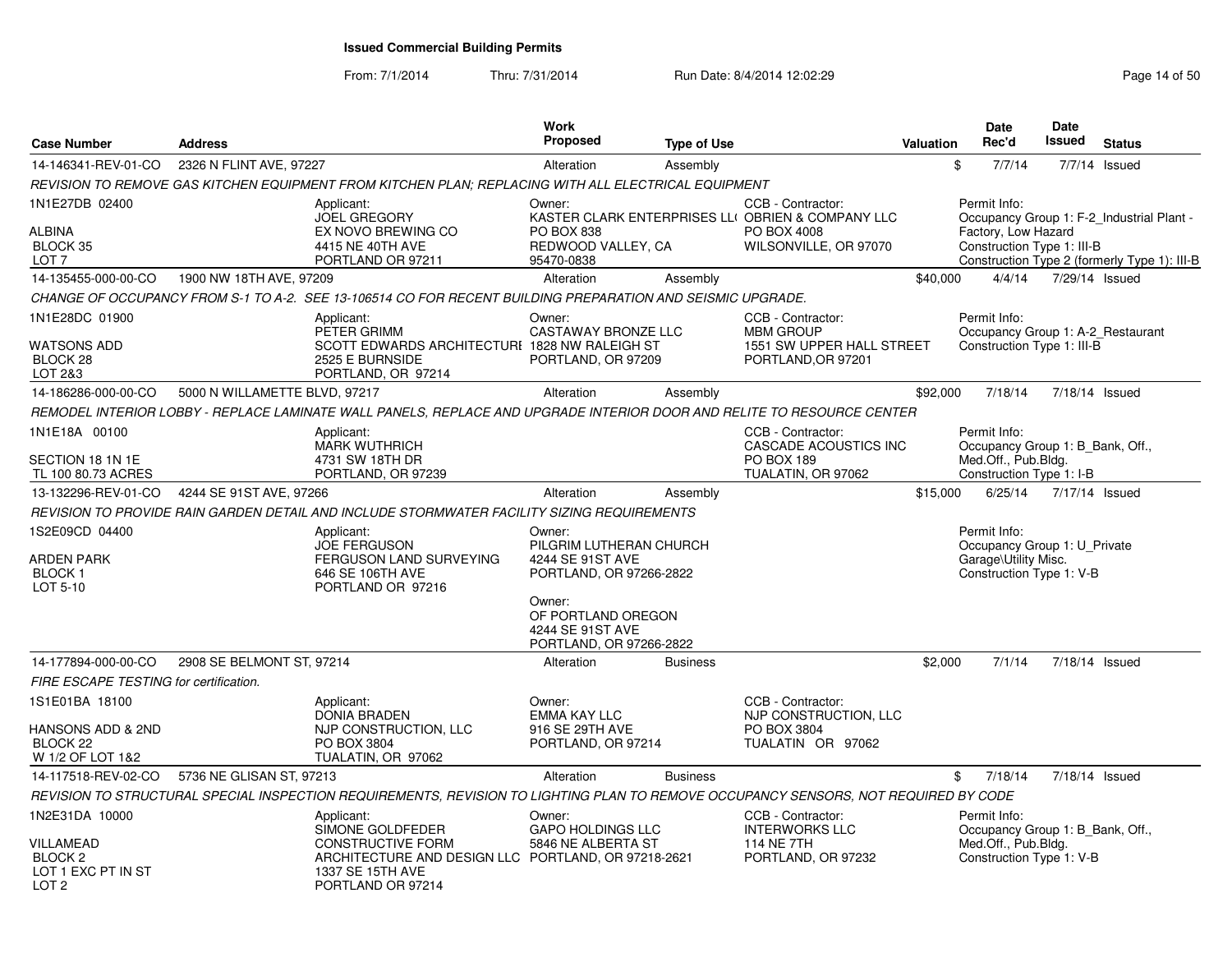| <b>Case Number</b>                                                                          | <b>Address</b>                |                                                                                                                                                            | <b>Work</b><br><b>Proposed</b>                                                             | <b>Type of Use</b> |                                                                                                                | <b>Valuation</b> | <b>Date</b><br>Rec'd                                                                                | <b>Date</b><br><b>Issued</b> | <b>Status</b>                                                                             |
|---------------------------------------------------------------------------------------------|-------------------------------|------------------------------------------------------------------------------------------------------------------------------------------------------------|--------------------------------------------------------------------------------------------|--------------------|----------------------------------------------------------------------------------------------------------------|------------------|-----------------------------------------------------------------------------------------------------|------------------------------|-------------------------------------------------------------------------------------------|
| 14-146341-REV-01-CO                                                                         | 2326 N FLINT AVE, 97227       |                                                                                                                                                            | Alteration                                                                                 | Assembly           |                                                                                                                |                  | \$<br>7/7/14                                                                                        |                              | 7/7/14 Issued                                                                             |
|                                                                                             |                               | REVISION TO REMOVE GAS KITCHEN EQUIPMENT FROM KITCHEN PLAN; REPLACING WITH ALL ELECTRICAL EQUIPMENT                                                        |                                                                                            |                    |                                                                                                                |                  |                                                                                                     |                              |                                                                                           |
| 1N1E27DB 02400<br><b>ALBINA</b><br>BLOCK 35<br>LOT <sub>7</sub>                             |                               | Applicant:<br><b>JOEL GREGORY</b><br>EX NOVO BREWING CO<br>4415 NE 40TH AVE<br>PORTLAND OR 97211                                                           | Owner:<br><b>PO BOX 838</b><br>REDWOOD VALLEY, CA<br>95470-0838                            |                    | CCB - Contractor:<br>KASTER CLARK ENTERPRISES LLI OBRIEN & COMPANY LLC<br>PO BOX 4008<br>WILSONVILLE, OR 97070 |                  | Permit Info:<br>Factory, Low Hazard<br>Construction Type 1: III-B                                   |                              | Occupancy Group 1: F-2 Industrial Plant -<br>Construction Type 2 (formerly Type 1): III-B |
| 14-135455-000-00-CO                                                                         | 1900 NW 18TH AVE, 97209       |                                                                                                                                                            | Alteration                                                                                 | Assembly           |                                                                                                                | \$40,000         | 4/4/14                                                                                              |                              | 7/29/14 Issued                                                                            |
|                                                                                             |                               | CHANGE OF OCCUPANCY FROM S-1 TO A-2. SEE 13-106514 CO FOR RECENT BUILDING PREPARATION AND SEISMIC UPGRADE.                                                 |                                                                                            |                    |                                                                                                                |                  |                                                                                                     |                              |                                                                                           |
| 1N1E28DC 01900<br>WATSONS ADD<br>BLOCK 28<br>LOT 2&3                                        |                               | Applicant:<br>PETER GRIMM<br>SCOTT EDWARDS ARCHITECTURI 1828 NW RALEIGH ST<br>2525 E BURNSIDE<br>PORTLAND, OR 97214                                        | Owner:<br><b>CASTAWAY BRONZE LLC</b><br>PORTLAND, OR 97209                                 |                    | CCB - Contractor:<br><b>MBM GROUP</b><br>1551 SW UPPER HALL STREET<br>PORTLAND, OR 97201                       |                  | Permit Info:<br>Occupancy Group 1: A-2_Restaurant<br>Construction Type 1: III-B                     |                              |                                                                                           |
| 14-186286-000-00-CO                                                                         | 5000 N WILLAMETTE BLVD, 97217 |                                                                                                                                                            | Alteration                                                                                 | Assembly           |                                                                                                                | \$92,000         | 7/18/14                                                                                             |                              | 7/18/14 Issued                                                                            |
|                                                                                             |                               | REMODEL INTERIOR LOBBY - REPLACE LAMINATE WALL PANELS, REPLACE AND UPGRADE INTERIOR DOOR AND RELITE TO RESOURCE CENTER                                     |                                                                                            |                    |                                                                                                                |                  |                                                                                                     |                              |                                                                                           |
| 1N1E18A 00100<br>SECTION 18 1N 1E<br>TL 100 80.73 ACRES                                     |                               | Applicant:<br><b>MARK WUTHRICH</b><br>4731 SW 18TH DR<br>PORTLAND, OR 97239                                                                                |                                                                                            |                    | CCB - Contractor:<br><b>CASCADE ACOUSTICS INC</b><br>PO BOX 189<br>TUALATIN, OR 97062                          |                  | Permit Info:<br>Occupancy Group 1: B Bank, Off.,<br>Med.Off., Pub.Bldg.<br>Construction Type 1: I-B |                              |                                                                                           |
| 13-132296-REV-01-CO                                                                         | 4244 SE 91ST AVE, 97266       |                                                                                                                                                            | Alteration                                                                                 | Assembly           |                                                                                                                | \$15,000         | 6/25/14                                                                                             |                              | 7/17/14 Issued                                                                            |
|                                                                                             |                               | REVISION TO PROVIDE RAIN GARDEN DETAIL AND INCLUDE STORMWATER FACILITY SIZING REQUIREMENTS                                                                 |                                                                                            |                    |                                                                                                                |                  |                                                                                                     |                              |                                                                                           |
| 1S2E09CD 04400<br><b>ARDEN PARK</b><br><b>BLOCK1</b><br>LOT 5-10                            |                               | Applicant:<br><b>JOE FERGUSON</b><br>FERGUSON LAND SURVEYING<br>646 SE 106TH AVE<br>PORTLAND OR 97216                                                      | Owner:<br>PILGRIM LUTHERAN CHURCH<br>4244 SE 91ST AVE<br>PORTLAND, OR 97266-2822<br>Owner: |                    |                                                                                                                |                  | Permit Info:<br>Occupancy Group 1: U_Private<br>Garage\Utility Misc.<br>Construction Type 1: V-B    |                              |                                                                                           |
|                                                                                             |                               |                                                                                                                                                            | OF PORTLAND OREGON<br>4244 SE 91ST AVE<br>PORTLAND, OR 97266-2822                          |                    |                                                                                                                |                  |                                                                                                     |                              |                                                                                           |
| 14-177894-000-00-CO                                                                         | 2908 SE BELMONT ST, 97214     |                                                                                                                                                            | Alteration                                                                                 | <b>Business</b>    |                                                                                                                | \$2,000          | 7/1/14                                                                                              |                              | 7/18/14 Issued                                                                            |
| FIRE ESCAPE TESTING for certification.                                                      |                               |                                                                                                                                                            |                                                                                            |                    |                                                                                                                |                  |                                                                                                     |                              |                                                                                           |
| 1S1E01BA 18100<br><b>HANSONS ADD &amp; 2ND</b><br>BLOCK <sub>22</sub>                       |                               | Applicant:<br><b>DONIA BRADEN</b><br>NJP CONSTRUCTION, LLC<br>PO BOX 3804                                                                                  | Owner:<br>EMMA KAY LLC<br>916 SE 29TH AVE<br>PORTLAND, OR 97214                            |                    | CCB - Contractor:<br>NJP CONSTRUCTION, LLC<br>PO BOX 3804<br>TUALATIN OR 97062                                 |                  |                                                                                                     |                              |                                                                                           |
| W 1/2 OF LOT 1&2                                                                            |                               | TUALATIN, OR 97062                                                                                                                                         |                                                                                            |                    |                                                                                                                |                  |                                                                                                     |                              |                                                                                           |
| 14-117518-REV-02-CO                                                                         | 5736 NE GLISAN ST. 97213      |                                                                                                                                                            | Alteration                                                                                 | <b>Business</b>    |                                                                                                                |                  | \$<br>7/18/14                                                                                       |                              | 7/18/14 Issued                                                                            |
|                                                                                             |                               | REVISION TO STRUCTURAL SPECIAL INSPECTION REQUIREMENTS. REVISION TO LIGHTING PLAN TO REMOVE OCCUPANCY SENSORS. NOT REQUIRED BY CODE                        |                                                                                            |                    |                                                                                                                |                  |                                                                                                     |                              |                                                                                           |
| 1N2E31DA 10000<br>VILLAMEAD<br>BLOCK <sub>2</sub><br>LOT 1 EXC PT IN ST<br>LOT <sub>2</sub> |                               | Applicant:<br>SIMONE GOLDFEDER<br><b>CONSTRUCTIVE FORM</b><br>ARCHITECTURE AND DESIGN LLC PORTLAND, OR 97218-2621<br>1337 SE 15TH AVE<br>PORTLAND OR 97214 | Owner:<br><b>GAPO HOLDINGS LLC</b><br>5846 NE ALBERTA ST                                   |                    | CCB - Contractor:<br><b>INTERWORKS LLC</b><br><b>114 NE 7TH</b><br>PORTLAND, OR 97232                          |                  | Permit Info:<br>Occupancy Group 1: B Bank, Off.,<br>Med.Off., Pub.Bldg.<br>Construction Type 1: V-B |                              |                                                                                           |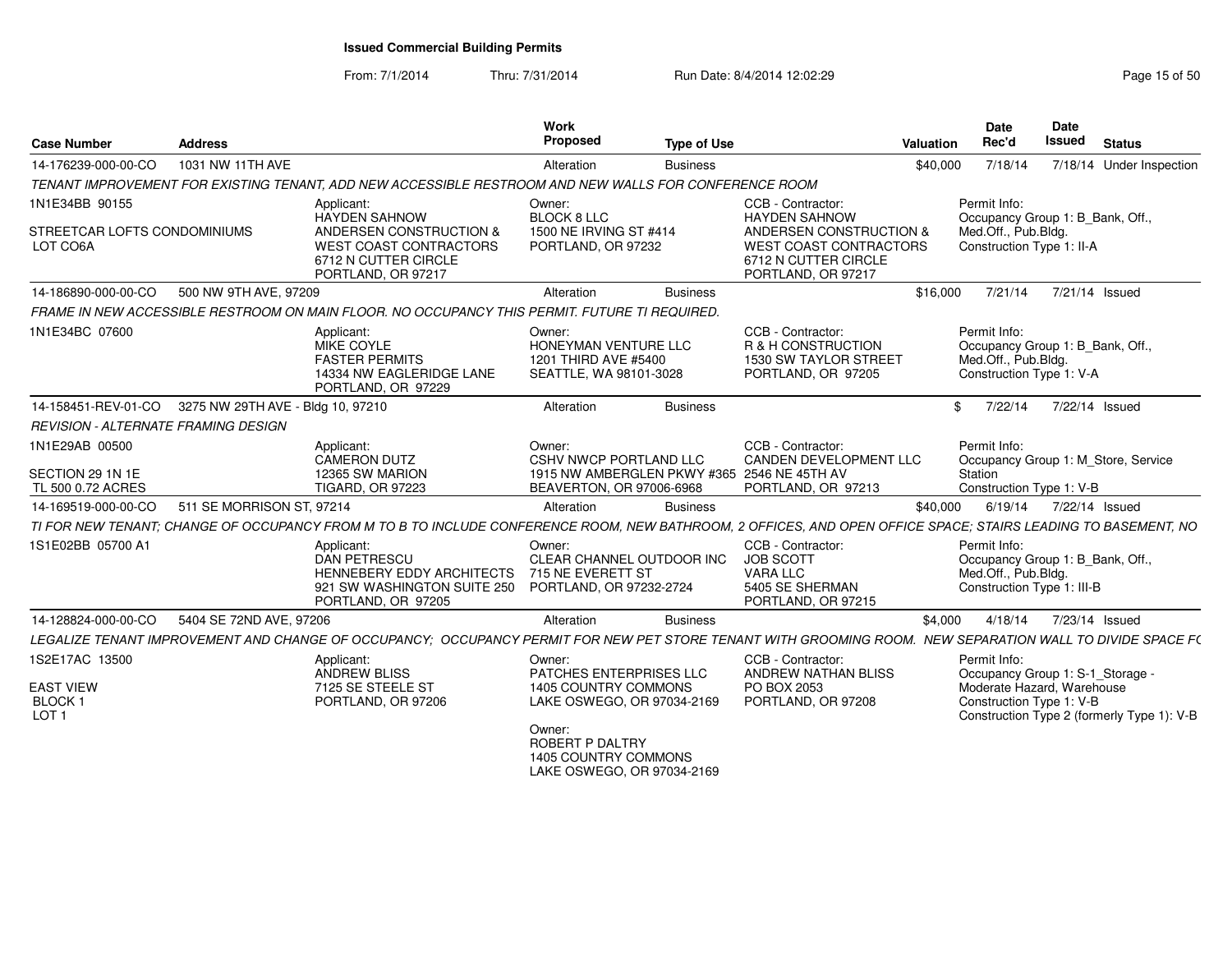From: 7/1/2014

Thru: 7/31/2014 Run Date: 8/4/2014 12:02:29 Research 2010 15:00:29

| <b>Case Number</b>                                                      | Address                   |                                                                                                                                                               | Work<br>Proposed                                                                                                                                                           | <b>Type of Use</b> | Valuation                                                                                                               | <b>Date</b><br>Rec'd                                              | <b>Date</b><br>Issued<br><b>Status</b>                                                                     |
|-------------------------------------------------------------------------|---------------------------|---------------------------------------------------------------------------------------------------------------------------------------------------------------|----------------------------------------------------------------------------------------------------------------------------------------------------------------------------|--------------------|-------------------------------------------------------------------------------------------------------------------------|-------------------------------------------------------------------|------------------------------------------------------------------------------------------------------------|
| 14-176239-000-00-CO                                                     | 1031 NW 11TH AVE          |                                                                                                                                                               | Alteration                                                                                                                                                                 | <b>Business</b>    | \$40,000                                                                                                                | 7/18/14                                                           | 7/18/14 Under Inspection                                                                                   |
|                                                                         |                           | TENANT IMPROVEMENT FOR EXISTING TENANT, ADD NEW ACCESSIBLE RESTROOM AND NEW WALLS FOR CONFERENCE ROOM                                                         |                                                                                                                                                                            |                    |                                                                                                                         |                                                                   |                                                                                                            |
| 1N1E34BB 90155<br>STREETCAR LOFTS CONDOMINIUMS                          |                           | Applicant:<br><b>HAYDEN SAHNOW</b><br>ANDERSEN CONSTRUCTION &                                                                                                 | Owner:<br><b>BLOCK 8 LLC</b><br>1500 NE IRVING ST #414                                                                                                                     |                    | CCB - Contractor:<br><b>HAYDEN SAHNOW</b><br>ANDERSEN CONSTRUCTION                                                      | Permit Info:<br>Med.Off., Pub.Bldg.                               | Occupancy Group 1: B_Bank, Off.,                                                                           |
| LOT CO6A                                                                |                           | WEST COAST CONTRACTORS<br>6712 N CUTTER CIRCLE<br>PORTLAND, OR 97217                                                                                          | PORTLAND, OR 97232                                                                                                                                                         |                    | WEST COAST CONTRACTORS<br>6712 N CUTTER CIRCLE<br>PORTLAND, OR 97217                                                    | Construction Type 1: II-A                                         |                                                                                                            |
| 14-186890-000-00-CO                                                     | 500 NW 9TH AVE, 97209     |                                                                                                                                                               | Alteration                                                                                                                                                                 | <b>Business</b>    | \$16.000                                                                                                                |                                                                   | 7/21/14 7/21/14 Issued                                                                                     |
|                                                                         |                           | FRAME IN NEW ACCESSIBLE RESTROOM ON MAIN FLOOR. NO OCCUPANCY THIS PERMIT. FUTURE TI REQUIRED.                                                                 |                                                                                                                                                                            |                    |                                                                                                                         |                                                                   |                                                                                                            |
| 1N1E34BC 07600                                                          |                           | Applicant:<br>MIKE COYLE<br><b>FASTER PERMITS</b><br>14334 NW EAGLERIDGE LANE<br>PORTLAND, OR 97229                                                           | Owner:<br>HONEYMAN VENTURE LLC<br>1201 THIRD AVE #5400<br>SEATTLE, WA 98101-3028                                                                                           |                    | CCB - Contractor:<br>R & H CONSTRUCTION<br>1530 SW TAYLOR STREET<br>PORTLAND, OR 97205                                  | Permit Info:<br>Med.Off., Pub.Bldg.<br>Construction Type 1: V-A   | Occupancy Group 1: B_Bank, Off.,                                                                           |
| 14-158451-REV-01-CO 3275 NW 29TH AVE - Bldg 10, 97210                   |                           |                                                                                                                                                               | Alteration                                                                                                                                                                 | <b>Business</b>    |                                                                                                                         | 7/22/14                                                           | 7/22/14 Issued                                                                                             |
| <b>REVISION - ALTERNATE FRAMING DESIGN</b>                              |                           |                                                                                                                                                               |                                                                                                                                                                            |                    |                                                                                                                         |                                                                   |                                                                                                            |
| 1N1E29AB 00500<br>SECTION 29 1N 1E<br>TL 500 0.72 ACRES                 |                           | Applicant:<br>CAMERON DUTZ<br>12365 SW MARION<br><b>TIGARD, OR 97223</b>                                                                                      | Owner:<br>CSHV NWCP PORTLAND LLC<br>BEAVERTON, OR 97006-6968                                                                                                               |                    | CCB - Contractor:<br><b>CANDEN DEVELOPMENT LLC</b><br>1915 NW AMBERGLEN PKWY #365 2546 NE 45TH AV<br>PORTLAND, OR 97213 | Permit Info:<br>Station<br>Construction Type 1: V-B               | Occupancy Group 1: M_Store, Service                                                                        |
| 14-169519-000-00-CO                                                     | 511 SE MORRISON ST, 97214 |                                                                                                                                                               | Alteration                                                                                                                                                                 | <b>Business</b>    | \$40,000                                                                                                                | 6/19/14                                                           | 7/22/14 Issued                                                                                             |
|                                                                         |                           | TI FOR NEW TENANT: CHANGE OF OCCUPANCY FROM M TO B TO INCLUDE CONFERENCE ROOM, NEW BATHROOM, 2 OFFICES, AND OPEN OFFICE SPACE: STAIRS LEADING TO BASEMENT, NO |                                                                                                                                                                            |                    |                                                                                                                         |                                                                   |                                                                                                            |
| 1S1E02BB 05700 A1                                                       |                           | Applicant:<br>DAN PETRESCU<br>HENNEBERY EDDY ARCHITECTS<br>921 SW WASHINGTON SUITE 250<br>PORTLAND, OR 97205                                                  | Owner:<br>CLEAR CHANNEL OUTDOOR INC<br>715 NE EVERETT ST<br>PORTLAND, OR 97232-2724                                                                                        |                    | CCB - Contractor:<br><b>JOB SCOTT</b><br>VARA LLC<br>5405 SE SHERMAN<br>PORTLAND, OR 97215                              | Permit Info:<br>Med.Off., Pub.Bldg.<br>Construction Type 1: III-B | Occupancy Group 1: B_Bank, Off.,                                                                           |
| 14-128824-000-00-CO                                                     | 5404 SE 72ND AVE, 97206   |                                                                                                                                                               | Alteration                                                                                                                                                                 | <b>Business</b>    |                                                                                                                         |                                                                   | \$4,000 4/18/14 7/23/14 Issued                                                                             |
|                                                                         |                           | LEGALIZE TENANT IMPROVEMENT AND CHANGE OF OCCUPANCY; OCCUPANCY PERMIT FOR NEW PET STORE TENANT WITH GROOMING ROOM. NEW SEPARATION WALL TO DIVIDE SPACE F(     |                                                                                                                                                                            |                    |                                                                                                                         |                                                                   |                                                                                                            |
| 1S2E17AC 13500<br><b>EAST VIEW</b><br><b>BLOCK1</b><br>LOT <sub>1</sub> |                           | Applicant:<br>ANDREW BLISS<br>7125 SE STEELE ST<br>PORTLAND, OR 97206                                                                                         | Owner:<br>PATCHES ENTERPRISES LLC<br>1405 COUNTRY COMMONS<br>LAKE OSWEGO, OR 97034-2169<br>Owner:<br>ROBERT P DALTRY<br>1405 COUNTRY COMMONS<br>LAKE OSWEGO, OR 97034-2169 |                    | CCB - Contractor:<br>ANDREW NATHAN BLISS<br>PO BOX 2053<br>PORTLAND, OR 97208                                           | Permit Info:<br>Construction Type 1: V-B                          | Occupancy Group 1: S-1_Storage<br>Moderate Hazard, Warehouse<br>Construction Type 2 (formerly Type 1): V-B |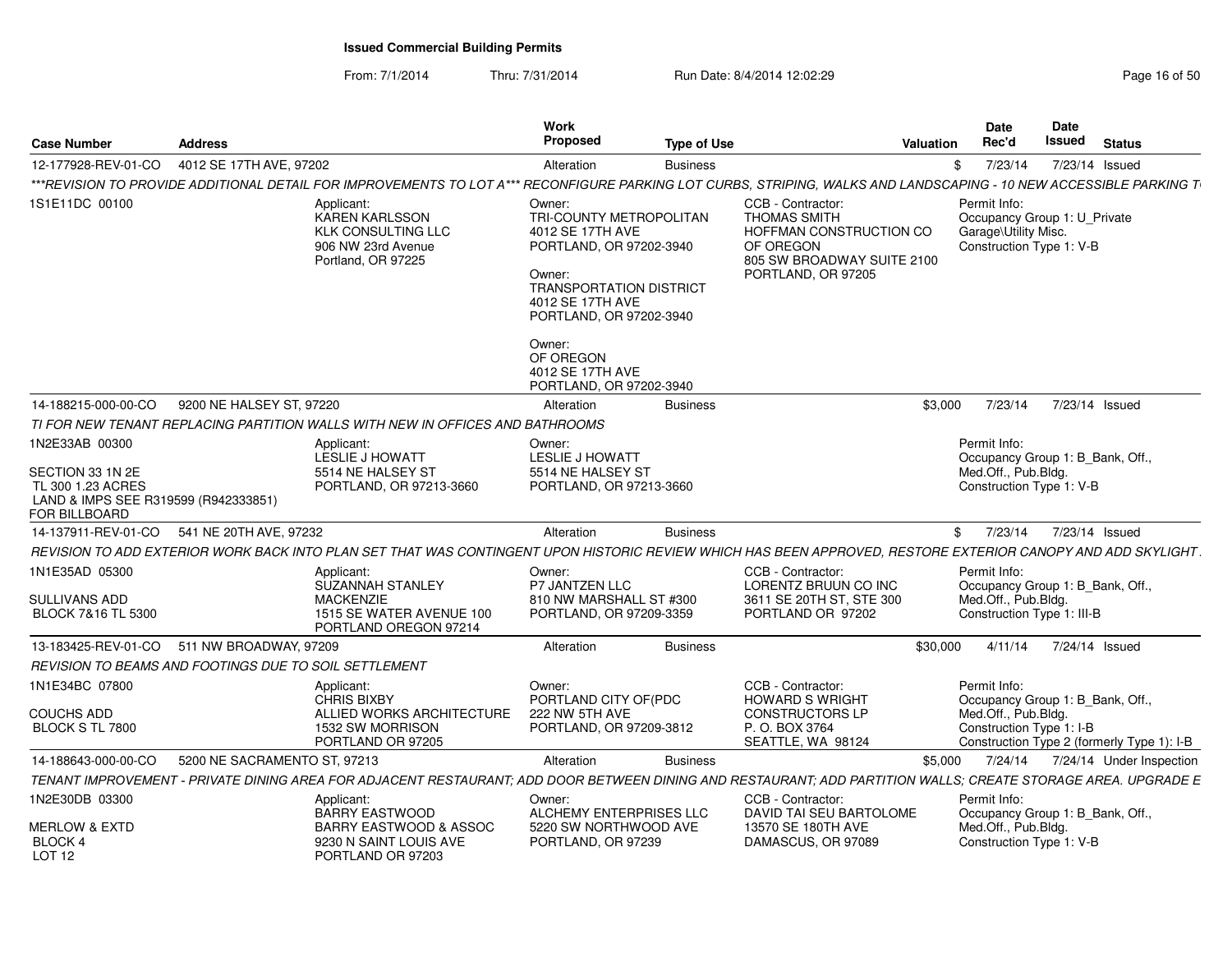| Case Number                                                                                    | <b>Address</b>               |                                                                                                                                                                    | Work<br><b>Proposed</b>                                                                                                                                                                            | <b>Type of Use</b> |                                                                                                                                      | Valuation | <b>Date</b><br>Rec'd                 | <b>Date</b><br>Issued                                                  | <b>Status</b> |  |
|------------------------------------------------------------------------------------------------|------------------------------|--------------------------------------------------------------------------------------------------------------------------------------------------------------------|----------------------------------------------------------------------------------------------------------------------------------------------------------------------------------------------------|--------------------|--------------------------------------------------------------------------------------------------------------------------------------|-----------|--------------------------------------|------------------------------------------------------------------------|---------------|--|
| 12-177928-REV-01-CO                                                                            | 4012 SE 17TH AVE, 97202      |                                                                                                                                                                    |                                                                                                                                                                                                    |                    |                                                                                                                                      |           |                                      | 7/23/14 Issued                                                         |               |  |
|                                                                                                |                              |                                                                                                                                                                    | Alteration                                                                                                                                                                                         | <b>Business</b>    |                                                                                                                                      |           | 7/23/14                              |                                                                        |               |  |
|                                                                                                |                              | ***REVISION TO PROVIDE ADDITIONAL DETAIL FOR IMPROVEMENTS TO LOT A*** RECONFIGURE PARKING LOT CURBS, STRIPING, WALKS AND LANDSCAPING - 10 NEW ACCESSIBLE PARKING T |                                                                                                                                                                                                    |                    |                                                                                                                                      |           |                                      |                                                                        |               |  |
| 1S1E11DC 00100                                                                                 |                              | Applicant:<br><b>KAREN KARLSSON</b><br><b>KLK CONSULTING LLC</b><br>906 NW 23rd Avenue<br>Portland, OR 97225                                                       | Owner:<br>TRI-COUNTY METROPOLITAN<br>4012 SE 17TH AVE<br>PORTLAND, OR 97202-3940<br>Owner:<br><b>TRANSPORTATION DISTRICT</b><br>4012 SE 17TH AVE<br>PORTLAND, OR 97202-3940<br>Owner:<br>OF OREGON |                    | CCB - Contractor:<br><b>THOMAS SMITH</b><br>HOFFMAN CONSTRUCTION CO<br>OF OREGON<br>805 SW BROADWAY SUITE 2100<br>PORTLAND, OR 97205 |           | Permit Info:<br>Garage\Utility Misc. | Occupancy Group 1: U_Private<br>Construction Type 1: V-B               |               |  |
|                                                                                                |                              |                                                                                                                                                                    | 4012 SE 17TH AVE<br>PORTLAND, OR 97202-3940                                                                                                                                                        |                    |                                                                                                                                      |           |                                      |                                                                        |               |  |
| 14-188215-000-00-CO                                                                            | 9200 NE HALSEY ST, 97220     |                                                                                                                                                                    | Alteration                                                                                                                                                                                         | <b>Business</b>    |                                                                                                                                      | \$3.000   | 7/23/14                              | 7/23/14 Issued                                                         |               |  |
|                                                                                                |                              | TI FOR NEW TENANT REPLACING PARTITION WALLS WITH NEW IN OFFICES AND BATHROOMS                                                                                      |                                                                                                                                                                                                    |                    |                                                                                                                                      |           |                                      |                                                                        |               |  |
| 1N2E33AB 00300                                                                                 |                              | Applicant:<br>LESLIE J HOWATT                                                                                                                                      | Owner:<br>LESLIE J HOWATT                                                                                                                                                                          |                    |                                                                                                                                      |           | Permit Info:                         | Occupancy Group 1: B_Bank, Off.,                                       |               |  |
| SECTION 33 1N 2E<br>TL 300 1.23 ACRES<br>LAND & IMPS SEE R319599 (R942333851)<br>FOR BILLBOARD |                              | 5514 NE HALSEY ST<br>PORTLAND, OR 97213-3660                                                                                                                       | 5514 NE HALSEY ST<br>PORTLAND, OR 97213-3660                                                                                                                                                       |                    |                                                                                                                                      |           | Med.Off., Pub.Bldg.                  | Construction Type 1: V-B                                               |               |  |
| 14-137911-REV-01-CO 541 NE 20TH AVE, 97232                                                     |                              |                                                                                                                                                                    | Alteration                                                                                                                                                                                         | <b>Business</b>    |                                                                                                                                      |           |                                      | \$ 7/23/14 7/23/14 Issued                                              |               |  |
|                                                                                                |                              | REVISION TO ADD EXTERIOR WORK BACK INTO PLAN SET THAT WAS CONTINGENT UPON HISTORIC REVIEW WHICH HAS BEEN APPROVED, RESTORE EXTERIOR CANOPY AND ADD SKYLIGHT        |                                                                                                                                                                                                    |                    |                                                                                                                                      |           |                                      |                                                                        |               |  |
| 1N1E35AD 05300                                                                                 |                              | Applicant:                                                                                                                                                         | Owner:                                                                                                                                                                                             |                    | CCB - Contractor:                                                                                                                    |           | Permit Info:                         |                                                                        |               |  |
| <b>SULLIVANS ADD</b><br>BLOCK 7&16 TL 5300                                                     |                              | SUZANNAH STANLEY<br><b>MACKENZIE</b><br>1515 SE WATER AVENUE 100<br>PORTLAND OREGON 97214                                                                          | P7 JANTZEN LLC<br>810 NW MARSHALL ST #300<br>PORTLAND, OR 97209-3359                                                                                                                               |                    | LORENTZ BRUUN CO INC<br>3611 SE 20TH ST, STE 300<br>PORTLAND OR 97202                                                                |           | Med.Off., Pub.Bldg.                  | Occupancy Group 1: B_Bank, Off.,<br>Construction Type 1: III-B         |               |  |
| 13-183425-REV-01-CO 511 NW BROADWAY, 97209                                                     |                              |                                                                                                                                                                    | Alteration                                                                                                                                                                                         | <b>Business</b>    |                                                                                                                                      | \$30.000  | 4/11/14                              | 7/24/14 Issued                                                         |               |  |
| REVISION TO BEAMS AND FOOTINGS DUE TO SOIL SETTLEMENT                                          |                              |                                                                                                                                                                    |                                                                                                                                                                                                    |                    |                                                                                                                                      |           |                                      |                                                                        |               |  |
| 1N1E34BC 07800                                                                                 |                              | Applicant:<br><b>CHRIS BIXBY</b>                                                                                                                                   | Owner:<br>PORTLAND CITY OF(PDC                                                                                                                                                                     |                    | CCB - Contractor:<br><b>HOWARD S WRIGHT</b>                                                                                          |           | Permit Info:                         | Occupancy Group 1: B_Bank, Off.,                                       |               |  |
| <b>COUCHS ADD</b><br>BLOCK S TL 7800                                                           |                              | ALLIED WORKS ARCHITECTURE<br>1532 SW MORRISON<br>PORTLAND OR 97205                                                                                                 | 222 NW 5TH AVE<br>PORTLAND, OR 97209-3812                                                                                                                                                          |                    | <b>CONSTRUCTORS LP</b><br>P. O. BOX 3764<br>SEATTLE, WA 98124                                                                        |           | Med.Off., Pub.Bldg.                  | Construction Type 1: I-B<br>Construction Type 2 (formerly Type 1): I-B |               |  |
| 14-188643-000-00-CO                                                                            | 5200 NE SACRAMENTO ST, 97213 |                                                                                                                                                                    | Alteration                                                                                                                                                                                         | <b>Business</b>    |                                                                                                                                      | \$5,000   |                                      | 7/24/14 7/24/14 Under Inspection                                       |               |  |
|                                                                                                |                              | TENANT IMPROVEMENT - PRIVATE DINING AREA FOR ADJACENT RESTAURANT; ADD DOOR BETWEEN DINING AND RESTAURANT; ADD PARTITION WALLS; CREATE STORAGE AREA. UPGRADE E      |                                                                                                                                                                                                    |                    |                                                                                                                                      |           |                                      |                                                                        |               |  |
| 1N2E30DB 03300                                                                                 |                              | Applicant:                                                                                                                                                         | Owner:                                                                                                                                                                                             |                    | CCB - Contractor:                                                                                                                    |           | Permit Info:                         |                                                                        |               |  |
| <b>MERLOW &amp; EXTD</b><br>BLOCK 4<br><b>LOT 12</b>                                           |                              | <b>BARRY EASTWOOD</b><br>BARRY EASTWOOD & ASSOC<br>9230 N SAINT LOUIS AVE<br>PORTLAND OR 97203                                                                     | ALCHEMY ENTERPRISES LLC<br>5220 SW NORTHWOOD AVE<br>PORTLAND, OR 97239                                                                                                                             |                    | DAVID TAI SEU BARTOLOME<br>13570 SE 180TH AVE<br>DAMASCUS, OR 97089                                                                  |           | Med.Off., Pub.Bldg.                  | Occupancy Group 1: B_Bank, Off.,<br>Construction Type 1: V-B           |               |  |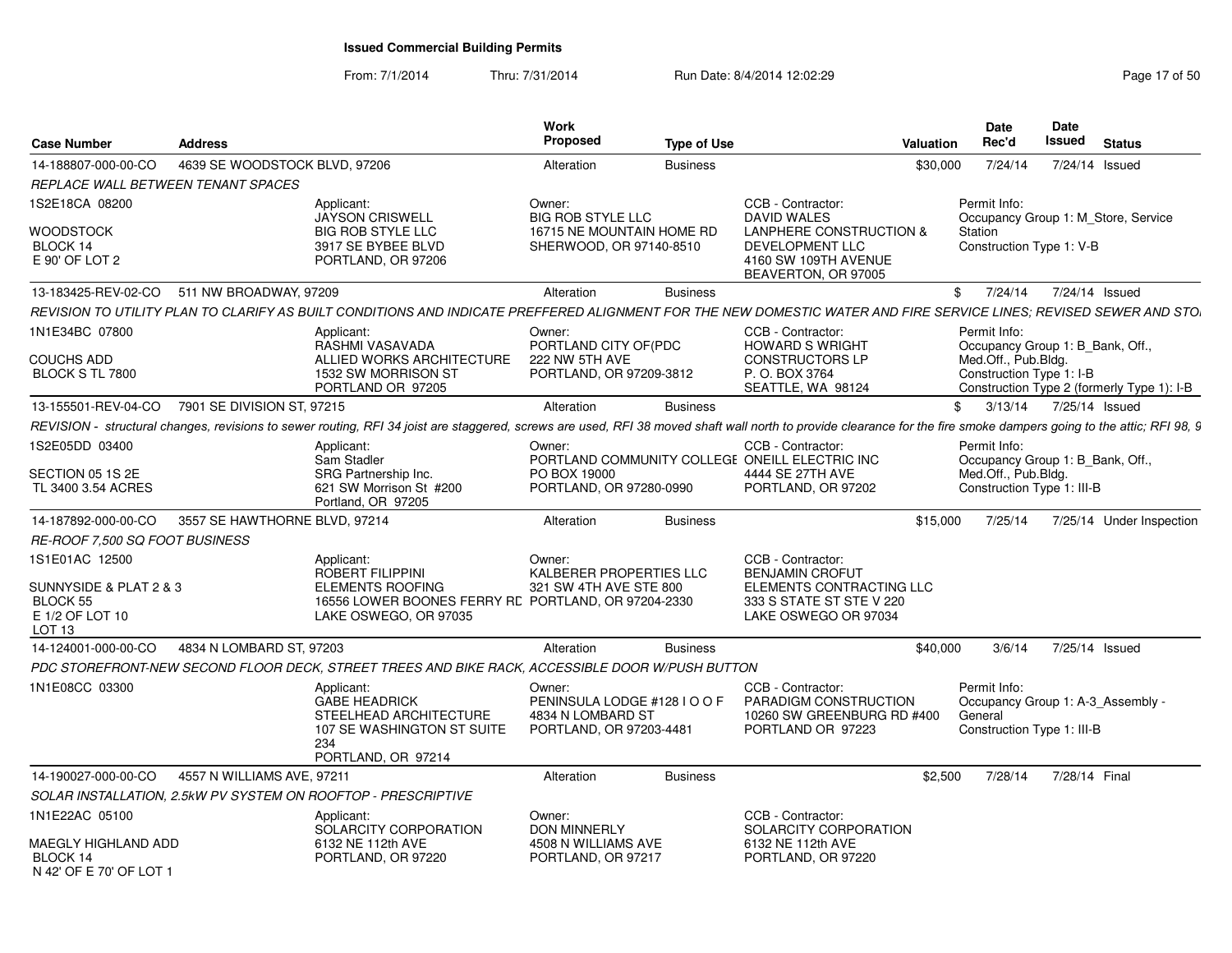| <b>Case Number</b>                                                         | <b>Address</b>                                                                                                                                                                                                      | Work<br><b>Proposed</b>                                                                                                                        | <b>Type of Use</b> |                                                                                                  | <b>Valuation</b>        | Date<br>Rec'd       | Date<br>Issued             | <b>Status</b>                              |  |
|----------------------------------------------------------------------------|---------------------------------------------------------------------------------------------------------------------------------------------------------------------------------------------------------------------|------------------------------------------------------------------------------------------------------------------------------------------------|--------------------|--------------------------------------------------------------------------------------------------|-------------------------|---------------------|----------------------------|--------------------------------------------|--|
| 14-188807-000-00-CO                                                        | 4639 SE WOODSTOCK BLVD, 97206                                                                                                                                                                                       | Alteration                                                                                                                                     | <b>Business</b>    |                                                                                                  | \$30,000                | 7/24/14             |                            | 7/24/14 Issued                             |  |
| REPLACE WALL BETWEEN TENANT SPACES                                         |                                                                                                                                                                                                                     |                                                                                                                                                |                    |                                                                                                  |                         |                     |                            |                                            |  |
| 1S2E18CA 08200                                                             | Applicant:<br><b>JAYSON CRISWELL</b>                                                                                                                                                                                | Owner:<br><b>BIG ROB STYLE LLC</b>                                                                                                             |                    | CCB - Contractor:<br><b>DAVID WALES</b>                                                          | Permit Info:            |                     |                            | Occupancy Group 1: M Store, Service        |  |
| WOODSTOCK<br>BLOCK 14<br>E 90' OF LOT 2                                    | <b>BIG ROB STYLE LLC</b><br>3917 SE BYBEE BLVD<br>PORTLAND, OR 97206                                                                                                                                                | 16715 NE MOUNTAIN HOME RD<br>SHERWOOD, OR 97140-8510                                                                                           |                    | LANPHERE CONSTRUCTION &<br><b>DEVELOPMENT LLC</b><br>4160 SW 109TH AVENUE<br>BEAVERTON, OR 97005 | Station                 |                     | Construction Type 1: V-B   |                                            |  |
| 13-183425-REV-02-CO                                                        | 511 NW BROADWAY, 97209                                                                                                                                                                                              | Alteration                                                                                                                                     | <b>Business</b>    |                                                                                                  | $^{\circ}$              | 7/24/14             |                            | 7/24/14 Issued                             |  |
|                                                                            | REVISION TO UTILITY PLAN TO CLARIFY AS BUILT CONDITIONS AND INDICATE PREFFERED ALIGNMENT FOR THE NEW DOMESTIC WATER AND FIRE SERVICE LINES: REVISED SEWER AND STO                                                   |                                                                                                                                                |                    |                                                                                                  |                         |                     |                            |                                            |  |
| 1N1E34BC 07800                                                             | Applicant:<br>RASHMI VASAVADA                                                                                                                                                                                       | Owner:<br>PORTLAND CITY OF(PDC                                                                                                                 |                    | CCB - Contractor:<br><b>HOWARD S WRIGHT</b>                                                      | Permit Info:            |                     |                            | Occupancy Group 1: B Bank, Off.,           |  |
| COUCHS ADD<br>BLOCK S TL 7800                                              | 1532 SW MORRISON ST<br>PORTLAND OR 97205                                                                                                                                                                            | ALLIED WORKS ARCHITECTURE<br>222 NW 5TH AVE<br>PORTLAND, OR 97209-3812                                                                         |                    | <b>CONSTRUCTORS LP</b><br>P. O. BOX 3764<br>SEATTLE, WA 98124                                    |                         | Med.Off., Pub.Bldg. | Construction Type 1: I-B   | Construction Type 2 (formerly Type 1): I-B |  |
| 13-155501-REV-04-CO                                                        | 7901 SE DIVISION ST, 97215                                                                                                                                                                                          | Alteration                                                                                                                                     | <b>Business</b>    |                                                                                                  |                         |                     |                            | \$ 3/13/14 7/25/14 Issued                  |  |
|                                                                            | REVISION - structural changes, revisions to sewer routing, RFI 34 joist are staggered, screws are used, RFI 38 moved shaft wall north to provide clearance for the fire smoke dampers going to the attic; RFI 98, 9 |                                                                                                                                                |                    |                                                                                                  |                         |                     |                            |                                            |  |
| 1S2E05DD 03400                                                             | Applicant:<br>Sam Stadler                                                                                                                                                                                           | Owner:                                                                                                                                         |                    | CCB - Contractor:<br>PORTLAND COMMUNITY COLLEGE ONEILL ELECTRIC INC                              | Permit Info:            |                     |                            | Occupancy Group 1: B_Bank, Off.,           |  |
| SECTION 05 1S 2E<br>TL 3400 3.54 ACRES                                     | SRG Partnership Inc.<br>621 SW Morrison St #200<br>Portland, OR 97205                                                                                                                                               | PO BOX 19000<br>PORTLAND, OR 97280-0990                                                                                                        |                    | 4444 SE 27TH AVE<br>PORTLAND, OR 97202                                                           |                         | Med.Off., Pub.Blda. | Construction Type 1: III-B |                                            |  |
| 14-187892-000-00-CO                                                        | 3557 SE HAWTHORNE BLVD, 97214                                                                                                                                                                                       | Alteration                                                                                                                                     | <b>Business</b>    |                                                                                                  | \$15,000                | 7/25/14             |                            | 7/25/14 Under Inspection                   |  |
| <i>RE-ROOF 7.500 SQ FOOT BUSINESS</i>                                      |                                                                                                                                                                                                                     |                                                                                                                                                |                    |                                                                                                  |                         |                     |                            |                                            |  |
| 1S1E01AC 12500                                                             | Applicant:<br><b>ROBERT FILIPPINI</b>                                                                                                                                                                               | Owner:<br>KALBERER PROPERTIES LLC                                                                                                              |                    | CCB - Contractor:<br><b>BENJAMIN CROFUT</b>                                                      |                         |                     |                            |                                            |  |
| SUNNYSIDE & PLAT 2 & 3<br>BLOCK 55<br>E 1/2 OF LOT 10<br>LOT <sub>13</sub> | <b>ELEMENTS ROOFING</b><br>LAKE OSWEGO, OR 97035                                                                                                                                                                    | 321 SW 4TH AVE STE 800<br>16556 LOWER BOONES FERRY RE PORTLAND, OR 97204-2330                                                                  |                    | ELEMENTS CONTRACTING LLC<br>333 S STATE ST STE V 220<br>LAKE OSWEGO OR 97034                     |                         |                     |                            |                                            |  |
| 14-124001-000-00-CO                                                        | 4834 N LOMBARD ST, 97203                                                                                                                                                                                            | Alteration                                                                                                                                     | <b>Business</b>    |                                                                                                  | \$40,000                | 3/6/14              |                            | 7/25/14 Issued                             |  |
|                                                                            | PDC STOREFRONT-NEW SECOND FLOOR DECK, STREET TREES AND BIKE RACK, ACCESSIBLE DOOR W/PUSH BUTTON                                                                                                                     |                                                                                                                                                |                    |                                                                                                  |                         |                     |                            |                                            |  |
| 1N1E08CC 03300                                                             | Applicant:<br><b>GABE HEADRICK</b><br>234<br>PORTLAND, OR 97214                                                                                                                                                     | Owner:<br>PENINSULA LODGE #128 I O O F<br>STEELHEAD ARCHITECTURE<br>4834 N LOMBARD ST<br>107 SE WASHINGTON ST SUITE<br>PORTLAND, OR 97203-4481 |                    | CCB - Contractor:<br>PARADIGM CONSTRUCTION<br>10260 SW GREENBURG RD #400<br>PORTLAND OR 97223    | Permit Info:<br>General |                     | Construction Type 1: III-B | Occupancy Group 1: A-3 Assembly -          |  |
| 14-190027-000-00-CO                                                        | 4557 N WILLIAMS AVE, 97211                                                                                                                                                                                          | Alteration                                                                                                                                     | <b>Business</b>    |                                                                                                  | \$2,500                 | 7/28/14             | 7/28/14 Final              |                                            |  |
|                                                                            | SOLAR INSTALLATION, 2.5kW PV SYSTEM ON ROOFTOP - PRESCRIPTIVE                                                                                                                                                       |                                                                                                                                                |                    |                                                                                                  |                         |                     |                            |                                            |  |
| 1N1E22AC 05100                                                             | Applicant:<br>SOLARCITY CORPORATION                                                                                                                                                                                 | Owner:<br><b>DON MINNERLY</b>                                                                                                                  |                    | CCB - Contractor:<br>SOLARCITY CORPORATION                                                       |                         |                     |                            |                                            |  |
| MAEGLY HIGHLAND ADD<br>BLOCK 14<br>N 42' OF E 70' OF LOT 1                 | 6132 NE 112th AVE<br>PORTLAND, OR 97220                                                                                                                                                                             | 4508 N WILLIAMS AVE<br>PORTLAND, OR 97217                                                                                                      |                    | 6132 NE 112th AVE<br>PORTLAND, OR 97220                                                          |                         |                     |                            |                                            |  |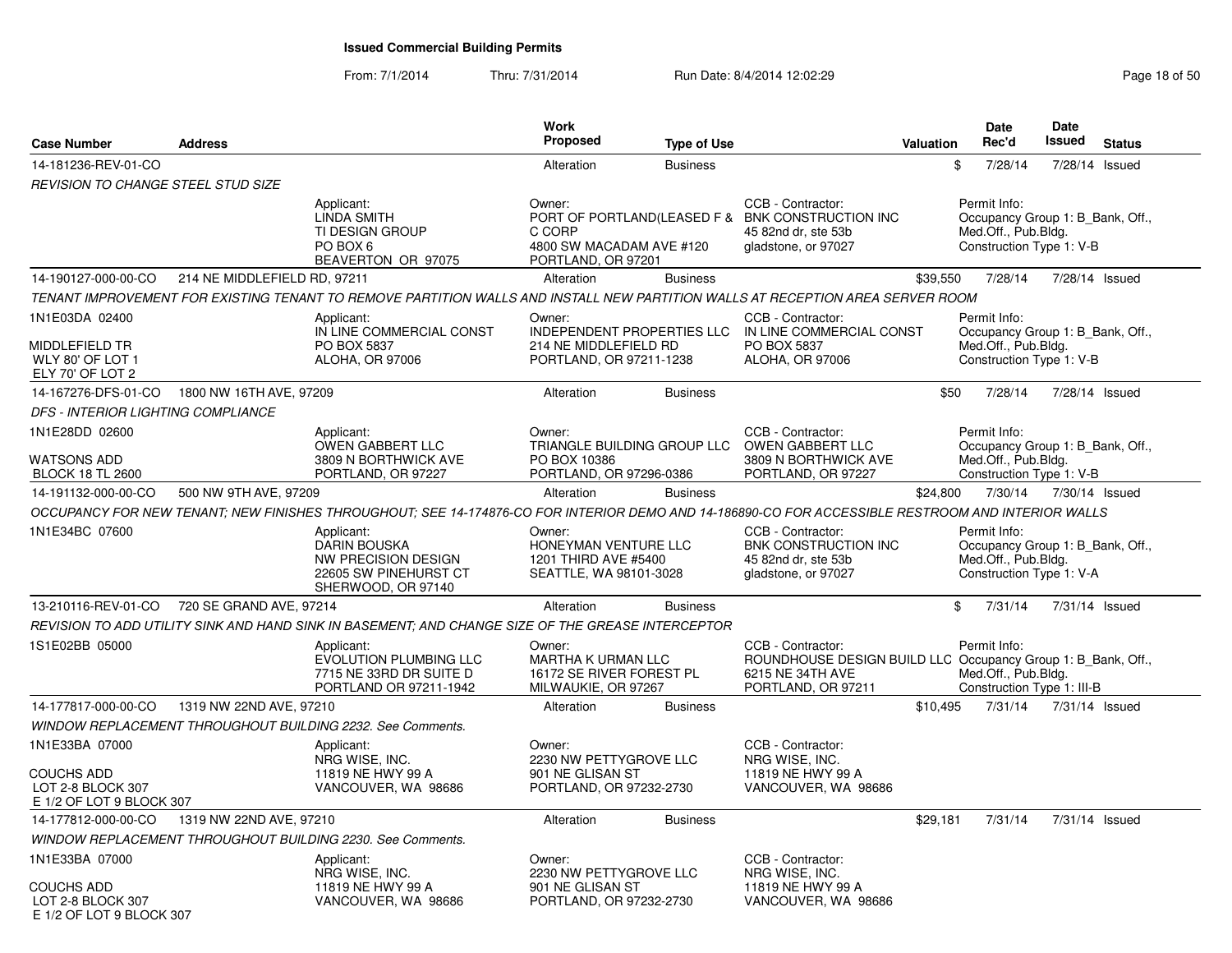| <b>Case Number</b>                                                 | <b>Address</b>               |                                                                                                                                                   | Work<br><b>Proposed</b>                                                                | <b>Type of Use</b> |                                                                                                                             | <b>Valuation</b> | <b>Date</b><br>Rec'd                                                                                | <b>Date</b><br><b>Issued</b> | <b>Status</b>  |
|--------------------------------------------------------------------|------------------------------|---------------------------------------------------------------------------------------------------------------------------------------------------|----------------------------------------------------------------------------------------|--------------------|-----------------------------------------------------------------------------------------------------------------------------|------------------|-----------------------------------------------------------------------------------------------------|------------------------------|----------------|
| 14-181236-REV-01-CO                                                |                              |                                                                                                                                                   | Alteration                                                                             | <b>Business</b>    |                                                                                                                             | \$               | 7/28/14                                                                                             |                              | 7/28/14 Issued |
| <b>REVISION TO CHANGE STEEL STUD SIZE</b>                          |                              |                                                                                                                                                   |                                                                                        |                    |                                                                                                                             |                  |                                                                                                     |                              |                |
|                                                                    |                              | Applicant:<br><b>LINDA SMITH</b><br>TI DESIGN GROUP<br>PO BOX 6<br>BEAVERTON OR 97075                                                             | Owner:<br>C CORP<br>4800 SW MACADAM AVE #120<br>PORTLAND, OR 97201                     |                    | CCB - Contractor:<br>PORT OF PORTLAND(LEASED F & BNK CONSTRUCTION INC<br>45 82nd dr. ste 53b<br>gladstone, or 97027         |                  | Permit Info:<br>Occupancy Group 1: B_Bank, Off.,<br>Med.Off., Pub.Bldg.<br>Construction Type 1: V-B |                              |                |
| 14-190127-000-00-CO                                                | 214 NE MIDDLEFIELD RD, 97211 |                                                                                                                                                   | Alteration                                                                             | <b>Business</b>    |                                                                                                                             | \$39,550         | 7/28/14                                                                                             |                              | 7/28/14 Issued |
|                                                                    |                              | TENANT IMPROVEMENT FOR EXISTING TENANT TO REMOVE PARTITION WALLS AND INSTALL NEW PARTITION WALLS AT RECEPTION AREA SERVER ROOM                    |                                                                                        |                    |                                                                                                                             |                  |                                                                                                     |                              |                |
| 1N1E03DA 02400                                                     |                              | Applicant:<br>IN LINE COMMERCIAL CONST                                                                                                            | Owner:<br>INDEPENDENT PROPERTIES LLC                                                   |                    | CCB - Contractor:<br>IN LINE COMMERCIAL CONST                                                                               |                  | Permit Info:<br>Occupancy Group 1: B_Bank, Off.,                                                    |                              |                |
| MIDDLEFIELD TR<br>WLY 80' OF LOT 1<br>ELY 70' OF LOT 2             |                              | PO BOX 5837<br>ALOHA, OR 97006                                                                                                                    | 214 NE MIDDLEFIELD RD<br>PORTLAND, OR 97211-1238                                       |                    | PO BOX 5837<br>ALOHA, OR 97006                                                                                              |                  | Med.Off., Pub.Bldg.<br>Construction Type 1: V-B                                                     |                              |                |
| 14-167276-DFS-01-CO                                                | 1800 NW 16TH AVE, 97209      |                                                                                                                                                   | Alteration                                                                             | <b>Business</b>    |                                                                                                                             | \$50             | 7/28/14                                                                                             |                              | 7/28/14 Issued |
| <b>DFS - INTERIOR LIGHTING COMPLIANCE</b>                          |                              |                                                                                                                                                   |                                                                                        |                    |                                                                                                                             |                  |                                                                                                     |                              |                |
| 1N1E28DD 02600                                                     |                              | Applicant:<br>OWEN GABBERT LLC                                                                                                                    | Owner:<br>TRIANGLE BUILDING GROUP LLC                                                  |                    | CCB - Contractor:<br><b>OWEN GABBERT LLC</b>                                                                                |                  | Permit Info:<br>Occupancy Group 1: B_Bank, Off.,                                                    |                              |                |
| <b>WATSONS ADD</b><br><b>BLOCK 18 TL 2600</b>                      |                              | 3809 N BORTHWICK AVE<br>PORTLAND, OR 97227                                                                                                        | PO BOX 10386<br>PORTLAND, OR 97296-0386                                                |                    | 3809 N BORTHWICK AVE<br>PORTLAND, OR 97227                                                                                  |                  | Med.Off., Pub.Bldg.<br>Construction Type 1: V-B                                                     |                              |                |
| 14-191132-000-00-CO                                                | 500 NW 9TH AVE, 97209        |                                                                                                                                                   | Alteration                                                                             | <b>Business</b>    |                                                                                                                             | \$24,800         | 7/30/14                                                                                             |                              | 7/30/14 Issued |
|                                                                    |                              | OCCUPANCY FOR NEW TENANT: NEW FINISHES THROUGHOUT: SEE 14-174876-CO FOR INTERIOR DEMO AND 14-186890-CO FOR ACCESSIBLE RESTROOM AND INTERIOR WALLS |                                                                                        |                    |                                                                                                                             |                  |                                                                                                     |                              |                |
| 1N1E34BC 07600                                                     |                              | Applicant:<br>DARIN BOUSKA<br><b>NW PRECISION DESIGN</b><br>22605 SW PINEHURST CT<br>SHERWOOD, OR 97140                                           | Owner:<br>HONEYMAN VENTURE LLC<br>1201 THIRD AVE #5400<br>SEATTLE, WA 98101-3028       |                    | CCB - Contractor:<br>BNK CONSTRUCTION INC<br>45 82nd dr, ste 53b<br>gladstone, or 97027                                     |                  | Permit Info:<br>Occupancy Group 1: B_Bank, Off.,<br>Med.Off., Pub.Bldg.<br>Construction Type 1: V-A |                              |                |
| 13-210116-REV-01-CO                                                | 720 SE GRAND AVE, 97214      |                                                                                                                                                   | Alteration                                                                             | <b>Business</b>    |                                                                                                                             | \$               | 7/31/14                                                                                             |                              | 7/31/14 Issued |
|                                                                    |                              | REVISION TO ADD UTILITY SINK AND HAND SINK IN BASEMENT; AND CHANGE SIZE OF THE GREASE INTERCEPTOR                                                 |                                                                                        |                    |                                                                                                                             |                  |                                                                                                     |                              |                |
| 1S1E02BB 05000                                                     |                              | Applicant:<br><b>EVOLUTION PLUMBING LLC</b><br>7715 NE 33RD DR SUITE D<br>PORTLAND OR 97211-1942                                                  | Owner:<br><b>MARTHA K URMAN LLC</b><br>16172 SE RIVER FOREST PL<br>MILWAUKIE, OR 97267 |                    | CCB - Contractor:<br>ROUNDHOUSE DESIGN BUILD LLC Occupancy Group 1: B_Bank, Off.,<br>6215 NE 34TH AVE<br>PORTLAND, OR 97211 |                  | Permit Info:<br>Med.Off., Pub.Bldg.<br>Construction Type 1: III-B                                   |                              |                |
| 14-177817-000-00-CO                                                | 1319 NW 22ND AVE, 97210      |                                                                                                                                                   | Alteration                                                                             | <b>Business</b>    |                                                                                                                             | \$10,495         | 7/31/14                                                                                             |                              | 7/31/14 Issued |
|                                                                    |                              | <b>WINDOW REPLACEMENT THROUGHOUT BUILDING 2232. See Comments.</b>                                                                                 |                                                                                        |                    |                                                                                                                             |                  |                                                                                                     |                              |                |
| 1N1E33BA 07000                                                     |                              | Applicant:                                                                                                                                        | Owner:                                                                                 |                    | CCB - Contractor:                                                                                                           |                  |                                                                                                     |                              |                |
| <b>COUCHS ADD</b><br>LOT 2-8 BLOCK 307<br>E 1/2 OF LOT 9 BLOCK 307 |                              | NRG WISE, INC.<br>11819 NE HWY 99 A<br>VANCOUVER, WA 98686                                                                                        | 2230 NW PETTYGROVE LLC<br>901 NE GLISAN ST<br>PORTLAND, OR 97232-2730                  |                    | NRG WISE, INC.<br>11819 NE HWY 99 A<br>VANCOUVER, WA 98686                                                                  |                  |                                                                                                     |                              |                |
| 14-177812-000-00-CO                                                | 1319 NW 22ND AVE, 97210      |                                                                                                                                                   | Alteration                                                                             | <b>Business</b>    |                                                                                                                             | \$29,181         | 7/31/14                                                                                             |                              | 7/31/14 Issued |
|                                                                    |                              | WINDOW REPLACEMENT THROUGHOUT BUILDING 2230. See Comments.                                                                                        |                                                                                        |                    |                                                                                                                             |                  |                                                                                                     |                              |                |
| 1N1E33BA 07000                                                     |                              | Applicant:<br>NRG WISE, INC.                                                                                                                      | Owner:<br>2230 NW PETTYGROVE LLC                                                       |                    | CCB - Contractor:<br>NRG WISE, INC.                                                                                         |                  |                                                                                                     |                              |                |
| <b>COUCHS ADD</b><br>LOT 2-8 BLOCK 307<br>F 1/2 OF LOT 9 BLOCK 307 |                              | 11819 NE HWY 99 A<br>VANCOUVER, WA 98686                                                                                                          | 901 NE GLISAN ST<br>PORTLAND, OR 97232-2730                                            |                    | 11819 NE HWY 99 A<br>VANCOUVER, WA 98686                                                                                    |                  |                                                                                                     |                              |                |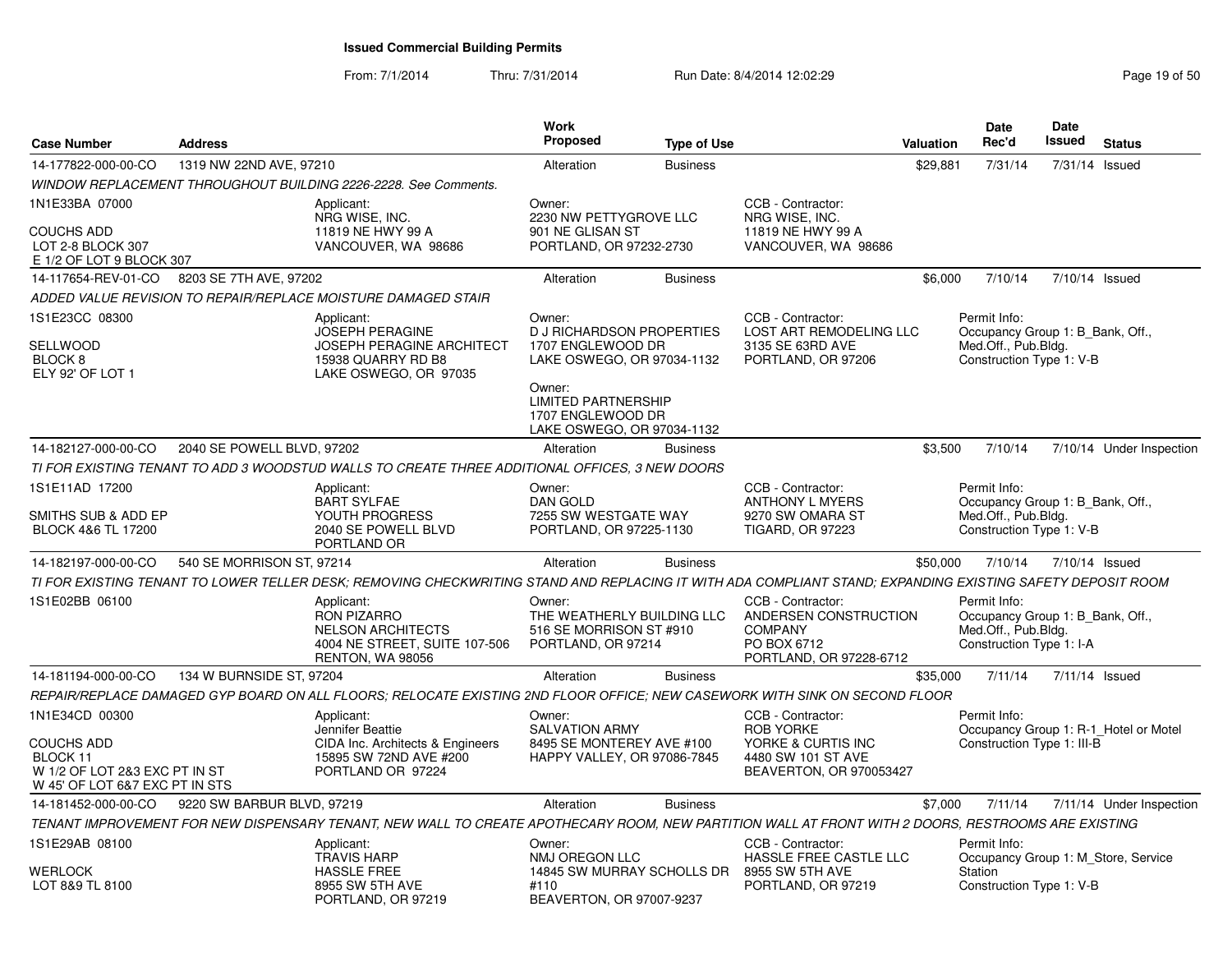| <b>Case Number</b>                                                                               | <b>Address</b>             |                                                                                                                                                            | <b>Work</b><br>Proposed                                                                       | <b>Type of Use</b> |                                                                                                        | <b>Valuation</b> | Date<br>Rec'd                                                                                       | Date<br><b>Issued</b> | <b>Status</b>                         |
|--------------------------------------------------------------------------------------------------|----------------------------|------------------------------------------------------------------------------------------------------------------------------------------------------------|-----------------------------------------------------------------------------------------------|--------------------|--------------------------------------------------------------------------------------------------------|------------------|-----------------------------------------------------------------------------------------------------|-----------------------|---------------------------------------|
| 14-177822-000-00-CO                                                                              | 1319 NW 22ND AVE, 97210    |                                                                                                                                                            | Alteration                                                                                    | <b>Business</b>    |                                                                                                        | \$29,881         | 7/31/14                                                                                             | 7/31/14 Issued        |                                       |
|                                                                                                  |                            | WINDOW REPLACEMENT THROUGHOUT BUILDING 2226-2228. See Comments.                                                                                            |                                                                                               |                    |                                                                                                        |                  |                                                                                                     |                       |                                       |
| 1N1E33BA 07000                                                                                   |                            | Applicant:                                                                                                                                                 | Owner:                                                                                        |                    | CCB - Contractor:                                                                                      |                  |                                                                                                     |                       |                                       |
| <b>COUCHS ADD</b><br>LOT 2-8 BLOCK 307<br>E 1/2 OF LOT 9 BLOCK 307                               |                            | NRG WISE, INC.<br>11819 NE HWY 99 A<br>VANCOUVER, WA 98686                                                                                                 | 2230 NW PETTYGROVE LLC<br>901 NE GLISAN ST<br>PORTLAND, OR 97232-2730                         |                    | NRG WISE, INC.<br>11819 NE HWY 99 A<br>VANCOUVER, WA 98686                                             |                  |                                                                                                     |                       |                                       |
| 14-117654-REV-01-CO                                                                              | 8203 SE 7TH AVE, 97202     |                                                                                                                                                            | Alteration                                                                                    | <b>Business</b>    |                                                                                                        | \$6,000          | 7/10/14                                                                                             | 7/10/14 Issued        |                                       |
|                                                                                                  |                            | ADDED VALUE REVISION TO REPAIR/REPLACE MOISTURE DAMAGED STAIR                                                                                              |                                                                                               |                    |                                                                                                        |                  |                                                                                                     |                       |                                       |
| 1S1E23CC 08300<br>SELLWOOD<br>BLOCK 8<br>ELY 92' OF LOT 1                                        |                            | Applicant:<br><b>JOSEPH PERAGINE</b><br>JOSEPH PERAGINE ARCHITECT<br>15938 QUARRY RD B8<br>LAKE OSWEGO, OR 97035                                           | Owner:<br><b>D J RICHARDSON PROPERTIES</b><br>1707 ENGLEWOOD DR<br>LAKE OSWEGO, OR 97034-1132 |                    | CCB - Contractor:<br>LOST ART REMODELING LLC<br>3135 SE 63RD AVE<br>PORTLAND, OR 97206                 |                  | Permit Info:<br>Occupancy Group 1: B_Bank, Off.,<br>Med.Off., Pub.Bldg.<br>Construction Type 1: V-B |                       |                                       |
|                                                                                                  |                            |                                                                                                                                                            | Owner:<br><b>LIMITED PARTNERSHIP</b><br>1707 ENGLEWOOD DR<br>LAKE OSWEGO, OR 97034-1132       |                    |                                                                                                        |                  |                                                                                                     |                       |                                       |
| 14-182127-000-00-CO                                                                              | 2040 SE POWELL BLVD, 97202 |                                                                                                                                                            | Alteration                                                                                    | <b>Business</b>    |                                                                                                        | \$3,500          | 7/10/14                                                                                             |                       | 7/10/14 Under Inspection              |
|                                                                                                  |                            | TI FOR EXISTING TENANT TO ADD 3 WOODSTUD WALLS TO CREATE THREE ADDITIONAL OFFICES, 3 NEW DOORS                                                             |                                                                                               |                    |                                                                                                        |                  |                                                                                                     |                       |                                       |
| 1S1E11AD 17200                                                                                   |                            | Applicant:<br><b>BART SYLFAE</b>                                                                                                                           | Owner:<br><b>DAN GOLD</b>                                                                     |                    | CCB - Contractor:<br><b>ANTHONY L MYERS</b>                                                            |                  | Permit Info:<br>Occupancy Group 1: B Bank, Off.,                                                    |                       |                                       |
| SMITHS SUB & ADD EP<br>BLOCK 4&6 TL 17200                                                        |                            | YOUTH PROGRESS<br>2040 SE POWELL BLVD<br>PORTLAND OR                                                                                                       | 7255 SW WESTGATE WAY<br>PORTLAND, OR 97225-1130                                               |                    | 9270 SW OMARA ST<br><b>TIGARD, OR 97223</b>                                                            |                  | Med.Off., Pub.Bldg.<br>Construction Type 1: V-B                                                     |                       |                                       |
| 14-182197-000-00-CO                                                                              | 540 SE MORRISON ST, 97214  |                                                                                                                                                            | Alteration                                                                                    | <b>Business</b>    |                                                                                                        | \$50,000         | 7/10/14                                                                                             | 7/10/14 Issued        |                                       |
|                                                                                                  |                            | TI FOR EXISTING TENANT TO LOWER TELLER DESK; REMOVING CHECKWRITING STAND AND REPLACING IT WITH ADA COMPLIANT STAND; EXPANDING EXISTING SAFETY DEPOSIT ROOM |                                                                                               |                    |                                                                                                        |                  |                                                                                                     |                       |                                       |
| 1S1E02BB 06100                                                                                   |                            | Applicant:<br><b>RON PIZARRO</b><br><b>NELSON ARCHITECTS</b><br>4004 NE STREET, SUITE 107-506<br>RENTON, WA 98056                                          | Owner:<br>THE WEATHERLY BUILDING LLC<br>516 SE MORRISON ST #910<br>PORTLAND, OR 97214         |                    | CCB - Contractor:<br>ANDERSEN CONSTRUCTION<br><b>COMPANY</b><br>PO BOX 6712<br>PORTLAND, OR 97228-6712 |                  | Permit Info:<br>Occupancy Group 1: B Bank, Off.,<br>Med.Off., Pub.Bldg.<br>Construction Type 1: I-A |                       |                                       |
| 14-181194-000-00-CO                                                                              | 134 W BURNSIDE ST, 97204   |                                                                                                                                                            | Alteration                                                                                    | <b>Business</b>    |                                                                                                        | \$35,000         | 7/11/14                                                                                             | 7/11/14 Issued        |                                       |
|                                                                                                  |                            | REPAIR/REPLACE DAMAGED GYP BOARD ON ALL FLOORS; RELOCATE EXISTING 2ND FLOOR OFFICE; NEW CASEWORK WITH SINK ON SECOND FLOOR                                 |                                                                                               |                    |                                                                                                        |                  |                                                                                                     |                       |                                       |
| 1N1E34CD 00300                                                                                   |                            | Applicant:<br>Jennifer Beattie                                                                                                                             | Owner:<br><b>SALVATION ARMY</b>                                                               |                    | CCB - Contractor:<br><b>ROB YORKE</b>                                                                  |                  | Permit Info:                                                                                        |                       | Occupancy Group 1: R-1_Hotel or Motel |
| <b>COUCHS ADD</b><br>BLOCK 11<br>W 1/2 OF LOT 2&3 EXC PT IN ST<br>W 45' OF LOT 6&7 EXC PT IN STS |                            | CIDA Inc. Architects & Engineers<br>15895 SW 72ND AVE #200<br>PORTLAND OR 97224                                                                            | 8495 SE MONTEREY AVE #100<br>HAPPY VALLEY, OR 97086-7845                                      |                    | YORKE & CURTIS INC<br>4480 SW 101 ST AVE<br>BEAVERTON, OR 970053427                                    |                  | Construction Type 1: III-B                                                                          |                       |                                       |
| 14-181452-000-00-CO                                                                              | 9220 SW BARBUR BLVD, 97219 |                                                                                                                                                            | Alteration                                                                                    | <b>Business</b>    |                                                                                                        | \$7,000          | 7/11/14                                                                                             |                       | 7/11/14 Under Inspection              |
|                                                                                                  |                            | TENANT IMPROVEMENT FOR NEW DISPENSARY TENANT, NEW WALL TO CREATE APOTHECARY ROOM, NEW PARTITION WALL AT FRONT WITH 2 DOORS, RESTROOMS ARE EXISTING         |                                                                                               |                    |                                                                                                        |                  |                                                                                                     |                       |                                       |
| 1S1E29AB 08100                                                                                   |                            | Applicant:<br><b>TRAVIS HARP</b>                                                                                                                           | Owner:<br>NMJ OREGON LLC                                                                      |                    | CCB - Contractor:<br>HASSLE FREE CASTLE LLC                                                            |                  | Permit Info:<br>Occupancy Group 1: M_Store, Service                                                 |                       |                                       |
| WERLOCK<br>LOT 8&9 TL 8100                                                                       |                            | <b>HASSLE FREE</b><br>8955 SW 5TH AVE<br>PORTLAND, OR 97219                                                                                                | 14845 SW MURRAY SCHOLLS DR<br>#110<br>BEAVERTON, OR 97007-9237                                |                    | 8955 SW 5TH AVE<br>PORTLAND, OR 97219                                                                  |                  | Station<br>Construction Type 1: V-B                                                                 |                       |                                       |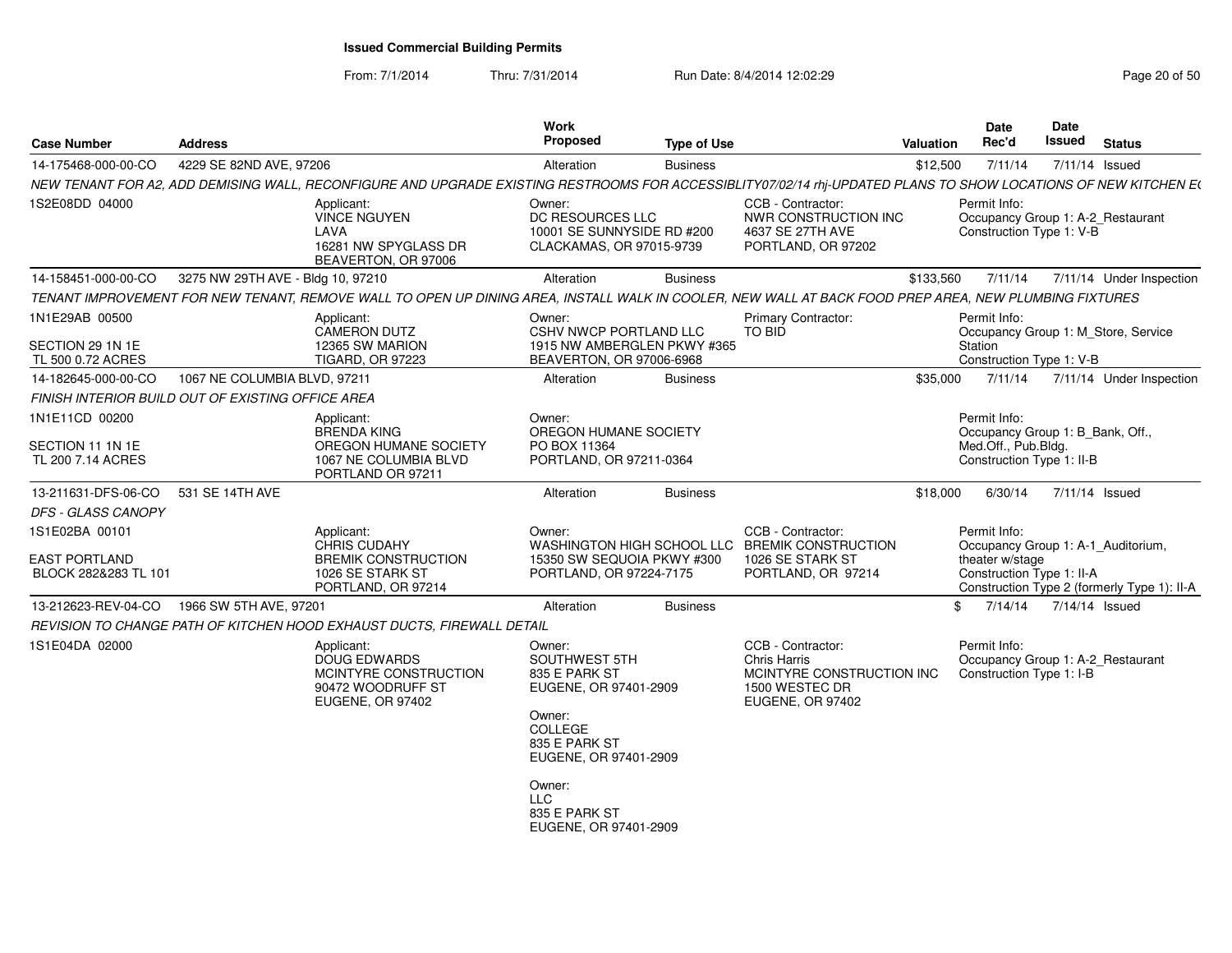From: 7/1/2014

Thru: 7/31/2014 Run Date: 8/4/2014 12:02:29 Research 20 of 50

| <b>Case Number</b>                                | Address                           |                                                                                                                                                                 | <b>Work</b><br>Proposed                                                              | <b>Type of Use</b> |                                                                                                             | <b>Valuation</b> | <b>Date</b><br>Rec'd                                                          | Date<br>Issued | <b>Status</b>                               |
|---------------------------------------------------|-----------------------------------|-----------------------------------------------------------------------------------------------------------------------------------------------------------------|--------------------------------------------------------------------------------------|--------------------|-------------------------------------------------------------------------------------------------------------|------------------|-------------------------------------------------------------------------------|----------------|---------------------------------------------|
| 14-175468-000-00-CO                               | 4229 SE 82ND AVE, 97206           |                                                                                                                                                                 | Alteration                                                                           | <b>Business</b>    |                                                                                                             | \$12,500         | 7/11/14                                                                       | 7/11/14 Issued |                                             |
|                                                   |                                   | NEW TENANT FOR A2, ADD DEMISING WALL, RECONFIGURE AND UPGRADE EXISTING RESTROOMS FOR ACCESSIBLITY07/02/14 rhj-UPDATED PLANS TO SHOW LOCATIONS OF NEW KITCHEN E( |                                                                                      |                    |                                                                                                             |                  |                                                                               |                |                                             |
| 1S2E08DD 04000                                    |                                   | Applicant:<br><b>VINCE NGUYEN</b><br>LAVA<br>16281 NW SPYGLASS DR<br>BEAVERTON, OR 97006                                                                        | Owner:<br>DC RESOURCES LLC<br>10001 SE SUNNYSIDE RD #200<br>CLACKAMAS, OR 97015-9739 |                    | CCB - Contractor:<br>NWR CONSTRUCTION INC<br>4637 SE 27TH AVE<br>PORTLAND, OR 97202                         |                  | Permit Info:<br>Occupancy Group 1: A-2_Restaurant<br>Construction Type 1: V-B |                |                                             |
| 14-158451-000-00-CO                               | 3275 NW 29TH AVE - Bldg 10, 97210 |                                                                                                                                                                 | Alteration                                                                           | <b>Business</b>    |                                                                                                             | \$133,560        | 7/11/14                                                                       |                | 7/11/14 Under Inspection                    |
|                                                   |                                   | TENANT IMPROVEMENT FOR NEW TENANT, REMOVE WALL TO OPEN UP DINING AREA, INSTALL WALK IN COOLER, NEW WALL AT BACK FOOD PREP AREA, NEW PLUMBING FIXTURES           |                                                                                      |                    |                                                                                                             |                  |                                                                               |                |                                             |
| 1N1E29AB 00500                                    |                                   | Applicant:<br><b>CAMERON DUTZ</b>                                                                                                                               | Owner:<br>CSHV NWCP PORTLAND LLC                                                     |                    | <b>Primary Contractor:</b><br>TO BID                                                                        |                  | Permit Info:<br>Occupancy Group 1: M_Store, Service                           |                |                                             |
| SECTION 29 1N 1E<br>TL 500 0.72 ACRES             |                                   | 12365 SW MARION<br><b>TIGARD, OR 97223</b>                                                                                                                      | 1915 NW AMBERGLEN PKWY #365<br>BEAVERTON, OR 97006-6968                              |                    |                                                                                                             |                  | Station<br>Construction Type 1: V-B                                           |                |                                             |
| 14-182645-000-00-CO                               | 1067 NE COLUMBIA BLVD, 97211      |                                                                                                                                                                 | Alteration                                                                           | <b>Business</b>    |                                                                                                             | \$35,000         | 7/11/14                                                                       |                | 7/11/14 Under Inspection                    |
| FINISH INTERIOR BUILD OUT OF EXISTING OFFICE AREA |                                   |                                                                                                                                                                 |                                                                                      |                    |                                                                                                             |                  |                                                                               |                |                                             |
| 1N1E11CD 00200                                    |                                   | Applicant:<br><b>BRENDA KING</b>                                                                                                                                | Owner:<br>OREGON HUMANE SOCIETY                                                      |                    |                                                                                                             |                  | Permit Info:<br>Occupancy Group 1: B_Bank, Off.,                              |                |                                             |
| SECTION 11 1N 1E<br>TL 200 7.14 ACRES             |                                   | OREGON HUMANE SOCIETY<br>1067 NE COLUMBIA BLVD<br>PORTLAND OR 97211                                                                                             | PO BOX 11364<br>PORTLAND, OR 97211-0364                                              |                    |                                                                                                             |                  | Med.Off., Pub.Bldg.<br>Construction Type 1: II-B                              |                |                                             |
| 13-211631-DFS-06-CO                               | 531 SE 14TH AVE                   |                                                                                                                                                                 | Alteration                                                                           | <b>Business</b>    |                                                                                                             | \$18,000         | 6/30/14                                                                       | 7/11/14 Issued |                                             |
| DFS - GLASS CANOPY                                |                                   |                                                                                                                                                                 |                                                                                      |                    |                                                                                                             |                  |                                                                               |                |                                             |
| 1S1E02BA 00101                                    |                                   | Applicant:<br><b>CHRIS CUDAHY</b>                                                                                                                               | Owner:                                                                               |                    | CCB - Contractor:<br>WASHINGTON HIGH SCHOOL LLC BREMIK CONSTRUCTION                                         |                  | Permit Info:<br>Occupancy Group 1: A-1_Auditorium,                            |                |                                             |
| <b>EAST PORTLAND</b><br>BLOCK 282&283 TL 101      |                                   | <b>BREMIK CONSTRUCTION</b><br>1026 SE STARK ST<br>PORTLAND, OR 97214                                                                                            | 15350 SW SEQUOIA PKWY #300<br>PORTLAND, OR 97224-7175                                |                    | 1026 SE STARK ST<br>PORTLAND, OR 97214                                                                      |                  | theater w/stage<br>Construction Type 1: II-A                                  |                | Construction Type 2 (formerly Type 1): II-A |
| 13-212623-REV-04-CO                               | 1966 SW 5TH AVE, 97201            |                                                                                                                                                                 | Alteration                                                                           | <b>Business</b>    |                                                                                                             |                  | 7/14/14<br>\$                                                                 | 7/14/14 Issued |                                             |
|                                                   |                                   | REVISION TO CHANGE PATH OF KITCHEN HOOD EXHAUST DUCTS, FIREWALL DETAIL                                                                                          |                                                                                      |                    |                                                                                                             |                  |                                                                               |                |                                             |
| 1S1E04DA 02000                                    |                                   | Applicant:<br><b>DOUG EDWARDS</b><br>MCINTYRE CONSTRUCTION<br>90472 WOODRUFF ST<br>EUGENE, OR 97402                                                             | Owner:<br>SOUTHWEST 5TH<br>835 E PARK ST<br>EUGENE, OR 97401-2909                    |                    | CCB - Contractor:<br><b>Chris Harris</b><br>MCINTYRE CONSTRUCTION INC<br>1500 WESTEC DR<br>EUGENE, OR 97402 |                  | Permit Info:<br>Occupancy Group 1: A-2_Restaurant<br>Construction Type 1: I-B |                |                                             |
|                                                   |                                   |                                                                                                                                                                 | Owner:<br>COLLEGE<br>835 E PARK ST<br>EUGENE, OR 97401-2909                          |                    |                                                                                                             |                  |                                                                               |                |                                             |
|                                                   |                                   |                                                                                                                                                                 | Owner:<br><b>LLC</b><br>835 E PARK ST<br>EUGENE, OR 97401-2909                       |                    |                                                                                                             |                  |                                                                               |                |                                             |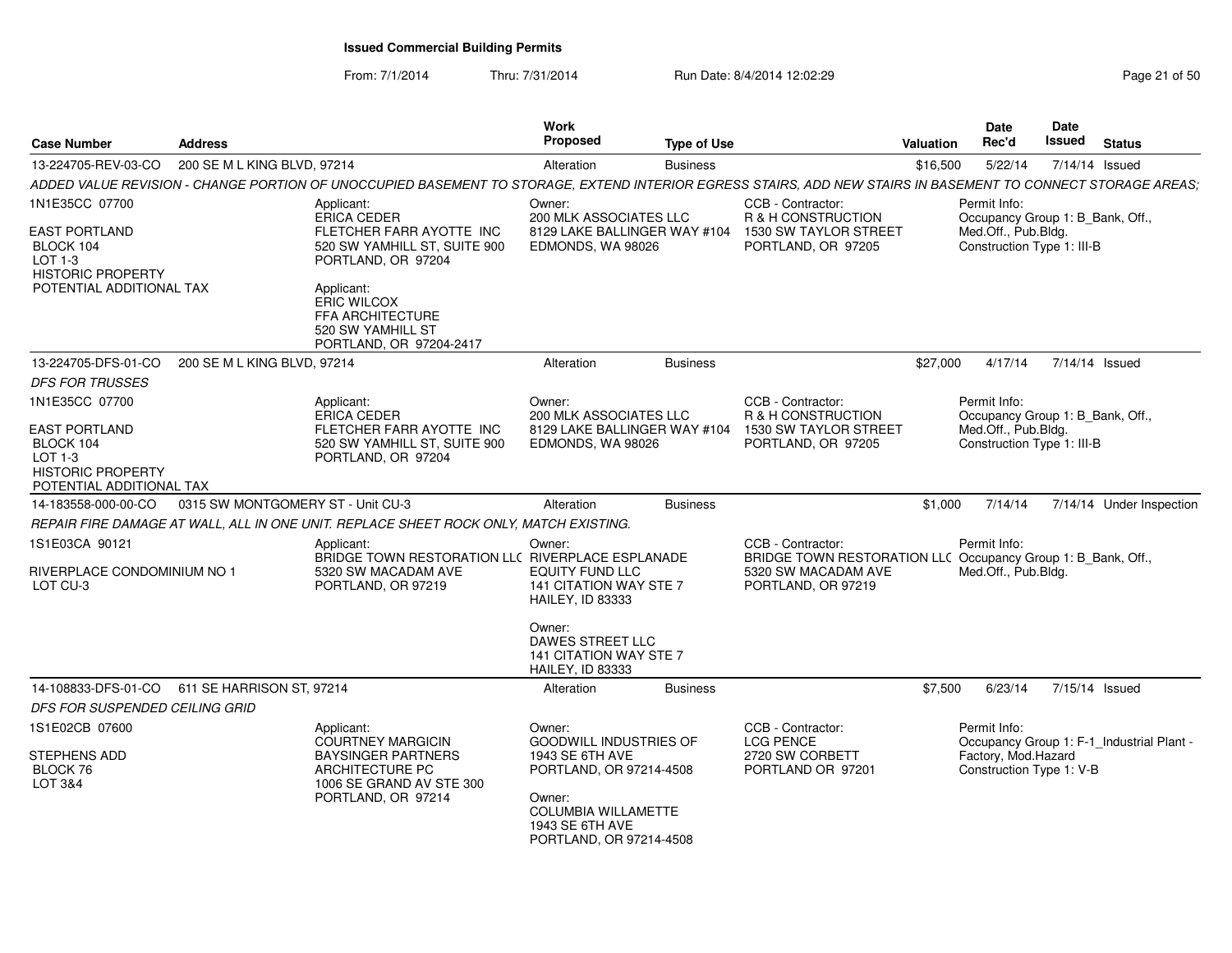From: 7/1/2014Thru: 7/31/2014 Run Date: 8/4/2014 12:02:29 Rage 21 of 50 Page

| Page 21 of 50 |  |  |  |  |
|---------------|--|--|--|--|
|---------------|--|--|--|--|

| <b>Case Number</b>                                                                                                     | Address                           |                                                                                                                                                              | Work<br><b>Proposed</b>                                                                         | <b>Type of Use</b> |                                                                                                                                | Valuation | <b>Date</b><br>Rec'd                                                                                  | Date<br><b>Issued</b> | <b>Status</b>                             |
|------------------------------------------------------------------------------------------------------------------------|-----------------------------------|--------------------------------------------------------------------------------------------------------------------------------------------------------------|-------------------------------------------------------------------------------------------------|--------------------|--------------------------------------------------------------------------------------------------------------------------------|-----------|-------------------------------------------------------------------------------------------------------|-----------------------|-------------------------------------------|
| 13-224705-REV-03-CO                                                                                                    | 200 SE M L KING BLVD, 97214       |                                                                                                                                                              | Alteration                                                                                      | <b>Business</b>    |                                                                                                                                | \$16,500  | 5/22/14                                                                                               | 7/14/14 Issued        |                                           |
|                                                                                                                        |                                   | ADDED VALUE REVISION - CHANGE PORTION OF UNOCCUPIED BASEMENT TO STORAGE, EXTEND INTERIOR EGRESS STAIRS, ADD NEW STAIRS IN BASEMENT TO CONNECT STORAGE AREAS; |                                                                                                 |                    |                                                                                                                                |           |                                                                                                       |                       |                                           |
| 1N1E35CC 07700<br><b>EAST PORTLAND</b><br>BLOCK 104<br>LOT 1-3<br><b>HISTORIC PROPERTY</b><br>POTENTIAL ADDITIONAL TAX |                                   | Applicant:<br><b>ERICA CEDER</b><br>FLETCHER FARR AYOTTE INC<br>520 SW YAMHILL ST, SUITE 900<br>PORTLAND, OR 97204<br>Applicant:<br><b>ERIC WILCOX</b>       | Owner:<br>200 MLK ASSOCIATES LLC<br>8129 LAKE BALLINGER WAY #104<br>EDMONDS, WA 98026           |                    | CCB - Contractor:<br><b>R &amp; H CONSTRUCTION</b><br>1530 SW TAYLOR STREET<br>PORTLAND, OR 97205                              |           | Permit Info:<br>Occupancy Group 1: B_Bank, Off.,<br>Med.Off., Pub.Bldg.<br>Construction Type 1: III-B |                       |                                           |
|                                                                                                                        |                                   | FFA ARCHITECTURE<br>520 SW YAMHILL ST<br>PORTLAND, OR 97204-2417                                                                                             |                                                                                                 |                    |                                                                                                                                |           |                                                                                                       |                       |                                           |
| 13-224705-DFS-01-CO                                                                                                    | 200 SE M L KING BLVD, 97214       |                                                                                                                                                              | Alteration                                                                                      | <b>Business</b>    |                                                                                                                                | \$27,000  | 4/17/14                                                                                               | 7/14/14 Issued        |                                           |
| <b>DFS FOR TRUSSES</b>                                                                                                 |                                   |                                                                                                                                                              |                                                                                                 |                    |                                                                                                                                |           |                                                                                                       |                       |                                           |
| 1N1E35CC 07700                                                                                                         |                                   | Applicant:<br><b>ERICA CEDER</b>                                                                                                                             | Owner:<br>200 MLK ASSOCIATES LLC                                                                |                    | CCB - Contractor:<br>R & H CONSTRUCTION                                                                                        |           | Permit Info:<br>Occupancy Group 1: B_Bank, Off.,                                                      |                       |                                           |
| EAST PORTLAND<br>BLOCK 104<br>LOT 1-3<br><b>HISTORIC PROPERTY</b><br>POTENTIAL ADDITIONAL TAX                          |                                   | FLETCHER FARR AYOTTE INC<br>520 SW YAMHILL ST, SUITE 900<br>PORTLAND, OR 97204                                                                               | 8129 LAKE BALLINGER WAY #104<br>EDMONDS, WA 98026                                               |                    | 1530 SW TAYLOR STREET<br>PORTLAND, OR 97205                                                                                    |           | Med.Off., Pub.Bldg.<br>Construction Type 1: III-B                                                     |                       |                                           |
| 14-183558-000-00-CO                                                                                                    | 0315 SW MONTGOMERY ST - Unit CU-3 |                                                                                                                                                              | Alteration                                                                                      | <b>Business</b>    |                                                                                                                                | \$1,000   | 7/14/14                                                                                               |                       | 7/14/14 Under Inspection                  |
|                                                                                                                        |                                   | REPAIR FIRE DAMAGE AT WALL. ALL IN ONE UNIT. REPLACE SHEET ROCK ONLY. MATCH EXISTING.                                                                        |                                                                                                 |                    |                                                                                                                                |           |                                                                                                       |                       |                                           |
| 1S1E03CA 90121<br>RIVERPLACE CONDOMINIUM NO 1<br>LOT CU-3                                                              |                                   | Applicant:<br>BRIDGE TOWN RESTORATION LLC RIVERPLACE ESPLANADE<br>5320 SW MACADAM AVE<br>PORTLAND, OR 97219                                                  | Owner:<br><b>EQUITY FUND LLC</b><br>141 CITATION WAY STE 7<br><b>HAILEY, ID 83333</b>           |                    | CCB - Contractor:<br>BRIDGE TOWN RESTORATION LLC Occupancy Group 1: B_Bank, Off.,<br>5320 SW MACADAM AVE<br>PORTLAND, OR 97219 |           | Permit Info:<br>Med.Off., Pub.Bldg.                                                                   |                       |                                           |
|                                                                                                                        |                                   |                                                                                                                                                              | Owner:<br>DAWES STREET LLC<br>141 CITATION WAY STE 7<br><b>HAILEY, ID 83333</b>                 |                    |                                                                                                                                |           |                                                                                                       |                       |                                           |
| 14-108833-DFS-01-CO 611 SE HARRISON ST, 97214                                                                          |                                   |                                                                                                                                                              | Alteration                                                                                      | <b>Business</b>    |                                                                                                                                | \$7,500   | 6/23/14                                                                                               | 7/15/14 Issued        |                                           |
| DFS FOR SUSPENDED CEILING GRID                                                                                         |                                   |                                                                                                                                                              |                                                                                                 |                    |                                                                                                                                |           |                                                                                                       |                       |                                           |
| 1S1E02CB 07600<br>STEPHENS ADD<br>BLOCK 76<br>LOT 3&4                                                                  |                                   | Applicant:<br><b>COURTNEY MARGICIN</b><br><b>BAYSINGER PARTNERS</b><br>ARCHITECTURE PC<br>1006 SE GRAND AV STE 300<br>PORTLAND, OR 97214                     | Owner:<br><b>GOODWILL INDUSTRIES OF</b><br>1943 SE 6TH AVE<br>PORTLAND, OR 97214-4508<br>Owner: |                    | CCB - Contractor:<br><b>LCG PENCE</b><br>2720 SW CORBETT<br>PORTLAND OR 97201                                                  |           | Permit Info:<br>Factory, Mod.Hazard<br>Construction Type 1: V-B                                       |                       | Occupancy Group 1: F-1_Industrial Plant - |
|                                                                                                                        |                                   |                                                                                                                                                              | COLUMBIA WILLAMETTE<br>1943 SE 6TH AVE<br>PORTLAND, OR 97214-4508                               |                    |                                                                                                                                |           |                                                                                                       |                       |                                           |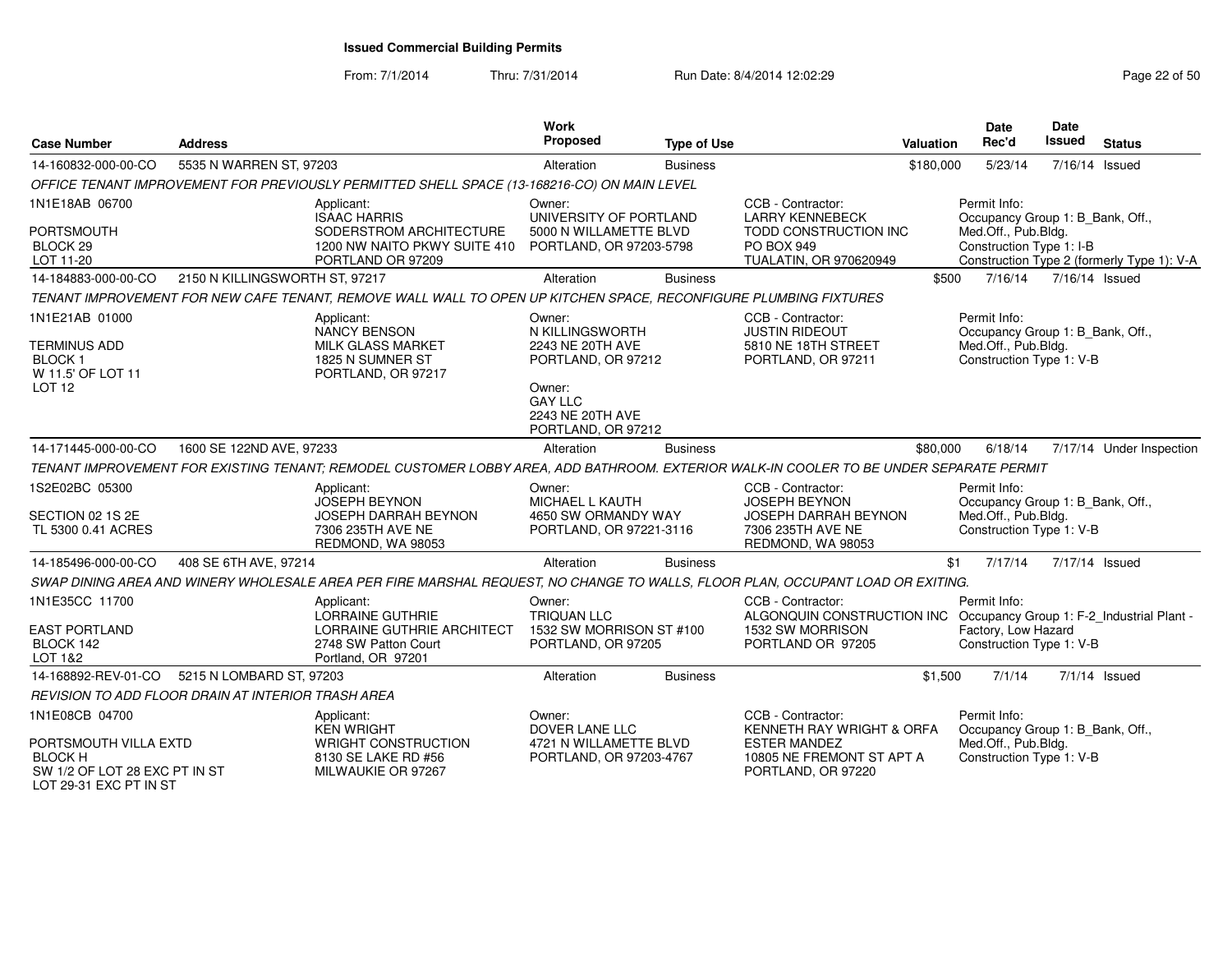From: 7/1/2014

| <b>Case Number</b>                                                                               | <b>Address</b>                                                                                                                               | Work<br>Proposed                                                                                                                          | <b>Type of Use</b> | <b>Valuation</b>                                                                                                         | <b>Date</b><br>Rec'd                                            | Date<br><b>Issued</b><br><b>Status</b>                                         |
|--------------------------------------------------------------------------------------------------|----------------------------------------------------------------------------------------------------------------------------------------------|-------------------------------------------------------------------------------------------------------------------------------------------|--------------------|--------------------------------------------------------------------------------------------------------------------------|-----------------------------------------------------------------|--------------------------------------------------------------------------------|
| 14-160832-000-00-CO                                                                              | 5535 N WARREN ST, 97203                                                                                                                      | Alteration                                                                                                                                | <b>Business</b>    | \$180,000                                                                                                                | 5/23/14                                                         | 7/16/14 Issued                                                                 |
|                                                                                                  | OFFICE TENANT IMPROVEMENT FOR PREVIOUSLY PERMITTED SHELL SPACE (13-168216-CO) ON MAIN LEVEL                                                  |                                                                                                                                           |                    |                                                                                                                          |                                                                 |                                                                                |
| 1N1E18AB 06700<br><b>PORTSMOUTH</b><br>BLOCK <sub>29</sub><br>LOT 11-20                          | Applicant:<br><b>ISAAC HARRIS</b><br>SODERSTROM ARCHITECTURE<br>1200 NW NAITO PKWY SUITE 410<br>PORTLAND OR 97209                            | Owner:<br>UNIVERSITY OF PORTLAND<br>5000 N WILLAMETTE BLVD<br>PORTLAND, OR 97203-5798                                                     |                    | CCB - Contractor:<br><b>LARRY KENNEBECK</b><br>TODD CONSTRUCTION INC<br>PO BOX 949<br>TUALATIN, OR 970620949             | Permit Info:<br>Med.Off., Pub.Bldg.<br>Construction Type 1: I-B | Occupancy Group 1: B_Bank, Off.,<br>Construction Type 2 (formerly Type 1): V-A |
| 14-184883-000-00-CO                                                                              | 2150 N KILLINGSWORTH ST, 97217                                                                                                               | Alteration                                                                                                                                | <b>Business</b>    | \$500                                                                                                                    | 7/16/14                                                         | 7/16/14 Issued                                                                 |
|                                                                                                  | TENANT IMPROVEMENT FOR NEW CAFE TENANT, REMOVE WALL WALL TO OPEN UP KITCHEN SPACE, RECONFIGURE PLUMBING FIXTURES                             |                                                                                                                                           |                    |                                                                                                                          |                                                                 |                                                                                |
| 1N1E21AB 01000<br><b>TERMINUS ADD</b><br><b>BLOCK1</b><br>W 11.5' OF LOT 11<br>LOT <sub>12</sub> | Applicant:<br><b>NANCY BENSON</b><br><b>MILK GLASS MARKET</b><br>1825 N SUMNER ST<br>PORTLAND, OR 97217                                      | Owner:<br>N KILLINGSWORTH<br>2243 NE 20TH AVE<br>PORTLAND, OR 97212<br>Owner:<br><b>GAY LLC</b><br>2243 NE 20TH AVE<br>PORTLAND, OR 97212 |                    | CCB - Contractor:<br><b>JUSTIN RIDEOUT</b><br>5810 NE 18TH STREET<br>PORTLAND, OR 97211                                  | Permit Info:<br>Med.Off., Pub.Bldg.<br>Construction Type 1: V-B | Occupancy Group 1: B_Bank, Off.,                                               |
| 14-171445-000-00-CO                                                                              | 1600 SE 122ND AVE, 97233                                                                                                                     | Alteration                                                                                                                                | <b>Business</b>    | \$80,000                                                                                                                 | 6/18/14                                                         | 7/17/14 Under Inspection                                                       |
|                                                                                                  | TENANT IMPROVEMENT FOR EXISTING TENANT; REMODEL CUSTOMER LOBBY AREA, ADD BATHROOM. EXTERIOR WALK-IN COOLER TO BE UNDER SEPARATE PERMIT       |                                                                                                                                           |                    |                                                                                                                          |                                                                 |                                                                                |
| 1S2E02BC 05300<br>SECTION 02 1S 2E<br>TL 5300 0.41 ACRES                                         | Applicant:<br><b>JOSEPH BEYNON</b><br><b>JOSEPH DARRAH BEYNON</b><br>7306 235TH AVE NE                                                       | Owner:<br>MICHAEL L KAUTH<br>4650 SW ORMANDY WAY<br>PORTLAND, OR 97221-3116                                                               |                    | CCB - Contractor:<br><b>JOSEPH BEYNON</b><br>JOSEPH DARRAH BEYNON<br>7306 235TH AVE NE                                   | Permit Info:<br>Med.Off., Pub.Bldg.<br>Construction Type 1: V-B | Occupancy Group 1: B_Bank, Off.,                                               |
|                                                                                                  | REDMOND, WA 98053                                                                                                                            |                                                                                                                                           |                    | REDMOND, WA 98053                                                                                                        |                                                                 |                                                                                |
| 14-185496-000-00-CO                                                                              | 408 SE 6TH AVE, 97214                                                                                                                        | Alteration                                                                                                                                | <b>Business</b>    |                                                                                                                          | \$1<br>7/17/14                                                  | 7/17/14 Issued                                                                 |
| 1N1E35CC 11700                                                                                   | SWAP DINING AREA AND WINERY WHOLESALE AREA PER FIRE MARSHAL REQUEST, NO CHANGE TO WALLS, FLOOR PLAN, OCCUPANT LOAD OR EXITING.<br>Applicant: | Owner:                                                                                                                                    |                    | CCB - Contractor:                                                                                                        | Permit Info:                                                    |                                                                                |
| <b>EAST PORTLAND</b><br>BLOCK 142<br>LOT 1&2                                                     | LORRAINE GUTHRIE<br>LORRAINE GUTHRIE ARCHITECT<br>2748 SW Patton Court<br>Portland, OR 97201                                                 | <b>TRIQUAN LLC</b><br>1532 SW MORRISON ST #100<br>PORTLAND, OR 97205                                                                      |                    | ALGONQUIN CONSTRUCTION INC Occupancy Group 1: F-2_Industrial Plant -<br>1532 SW MORRISON<br>PORTLAND OR 97205            | Factory, Low Hazard<br>Construction Type 1: V-B                 |                                                                                |
| 14-168892-REV-01-CO                                                                              | 5215 N LOMBARD ST, 97203                                                                                                                     | Alteration                                                                                                                                | <b>Business</b>    | \$1,500                                                                                                                  | 7/1/14                                                          | $7/1/14$ Issued                                                                |
|                                                                                                  | REVISION TO ADD FLOOR DRAIN AT INTERIOR TRASH AREA                                                                                           |                                                                                                                                           |                    |                                                                                                                          |                                                                 |                                                                                |
| 1N1E08CB 04700<br>PORTSMOUTH VILLA EXTD<br><b>BLOCK H</b><br>SW 1/2 OF LOT 28 EXC PT IN ST       | Applicant:<br><b>KEN WRIGHT</b><br><b>WRIGHT CONSTRUCTION</b><br>8130 SE LAKE RD #56<br>MILWAUKIE OR 97267                                   | Owner:<br><b>DOVER LANE LLC</b><br>4721 N WILLAMETTE BLVD<br>PORTLAND, OR 97203-4767                                                      |                    | CCB - Contractor:<br>KENNETH RAY WRIGHT & ORFA<br><b>ESTER MANDEZ</b><br>10805 NE FREMONT ST APT A<br>PORTLAND, OR 97220 | Permit Info:<br>Med.Off., Pub.Bldg.<br>Construction Type 1: V-B | Occupancy Group 1: B_Bank, Off.,                                               |
| LOT 29-31 EXC PT IN ST                                                                           |                                                                                                                                              |                                                                                                                                           |                    |                                                                                                                          |                                                                 |                                                                                |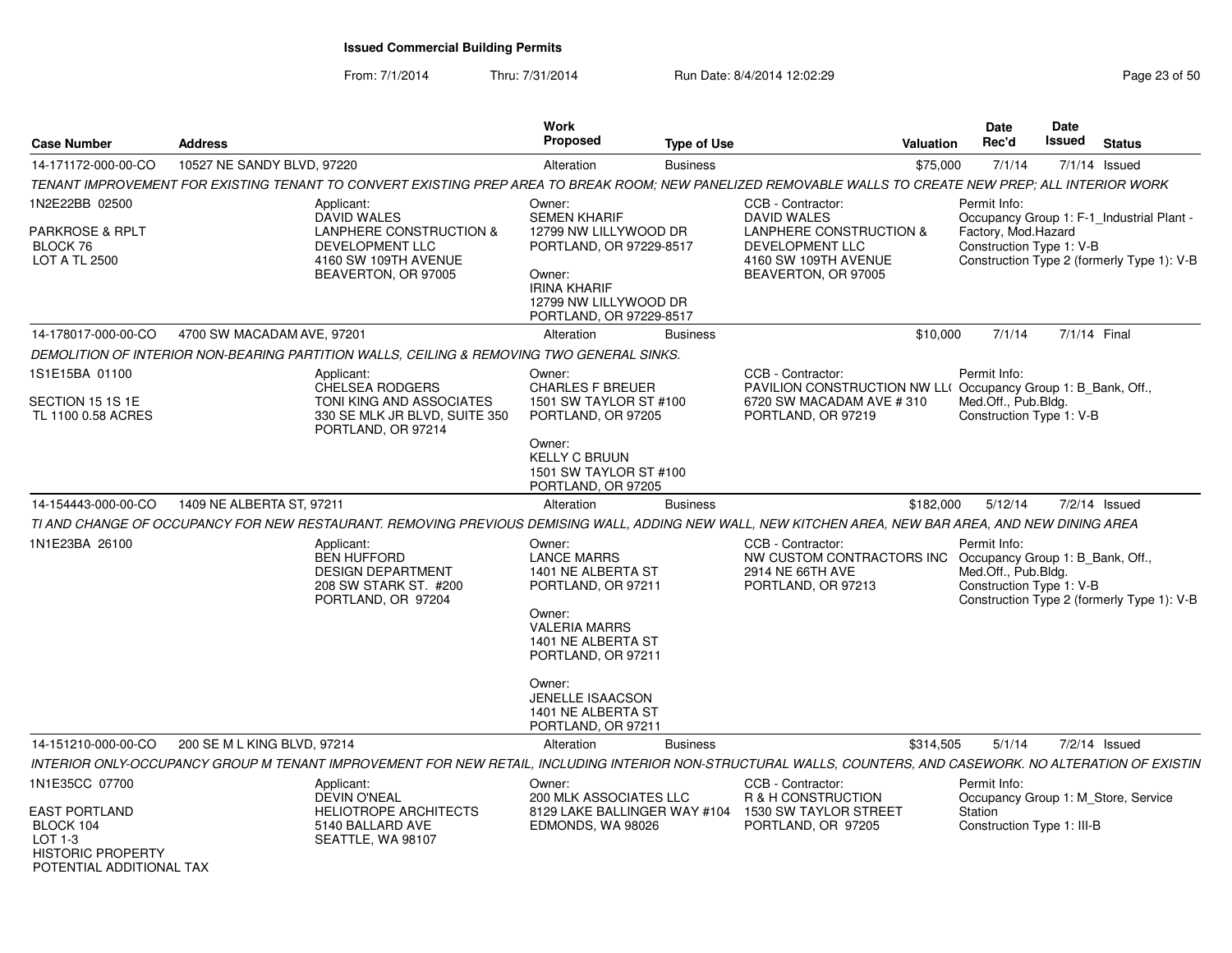| <b>Case Number</b>                                                           | <b>Address</b>                                                                                                                                          | <b>Work</b><br><b>Proposed</b>                                                                                                                                                                                                   | <b>Type of Use</b> |                                                                                                                                      | <b>Valuation</b> | <b>Date</b><br>Rec'd                                                                                                                                       | Date<br>Issued | <b>Status</b>   |  |
|------------------------------------------------------------------------------|---------------------------------------------------------------------------------------------------------------------------------------------------------|----------------------------------------------------------------------------------------------------------------------------------------------------------------------------------------------------------------------------------|--------------------|--------------------------------------------------------------------------------------------------------------------------------------|------------------|------------------------------------------------------------------------------------------------------------------------------------------------------------|----------------|-----------------|--|
| 14-171172-000-00-CO                                                          | 10527 NE SANDY BLVD, 97220                                                                                                                              | Alteration                                                                                                                                                                                                                       | <b>Business</b>    |                                                                                                                                      | \$75,000         | 7/1/14                                                                                                                                                     |                | $7/1/14$ Issued |  |
|                                                                              | TENANT IMPROVEMENT FOR EXISTING TENANT TO CONVERT EXISTING PREP AREA TO BREAK ROOM; NEW PANELIZED REMOVABLE WALLS TO CREATE NEW PREP; ALL INTERIOR WORK |                                                                                                                                                                                                                                  |                    |                                                                                                                                      |                  |                                                                                                                                                            |                |                 |  |
| 1N2E22BB 02500<br>PARKROSE & RPLT<br>BLOCK 76<br><b>LOT A TL 2500</b>        | Applicant:<br><b>DAVID WALES</b><br><b>LANPHERE CONSTRUCTION &amp;</b><br><b>DEVELOPMENT LLC</b><br>4160 SW 109TH AVENUE<br>BEAVERTON, OR 97005         | Owner:<br><b>SEMEN KHARIF</b><br>12799 NW LILLYWOOD DR<br>PORTLAND, OR 97229-8517<br>Owner:<br><b>IRINA KHARIF</b><br>12799 NW LILLYWOOD DR<br>PORTLAND, OR 97229-8517                                                           |                    | CCB - Contractor:<br><b>DAVID WALES</b><br>LANPHERE CONSTRUCTION &<br>DEVELOPMENT LLC<br>4160 SW 109TH AVENUE<br>BEAVERTON, OR 97005 |                  | Permit Info:<br>Occupancy Group 1: F-1_Industrial Plant -<br>Factory, Mod.Hazard<br>Construction Type 1: V-B<br>Construction Type 2 (formerly Type 1): V-B |                |                 |  |
| 14-178017-000-00-CO                                                          | 4700 SW MACADAM AVE, 97201                                                                                                                              | Alteration                                                                                                                                                                                                                       | <b>Business</b>    |                                                                                                                                      | \$10,000         | 7/1/14                                                                                                                                                     |                | 7/1/14 Final    |  |
|                                                                              | DEMOLITION OF INTERIOR NON-BEARING PARTITION WALLS, CEILING & REMOVING TWO GENERAL SINKS.                                                               |                                                                                                                                                                                                                                  |                    |                                                                                                                                      |                  |                                                                                                                                                            |                |                 |  |
| 1S1E15BA 01100<br>SECTION 15 1S 1E<br>TL 1100 0.58 ACRES                     | Applicant:<br><b>CHELSEA RODGERS</b><br>TONI KING AND ASSOCIATES<br>330 SE MLK JR BLVD, SUITE 350<br>PORTLAND, OR 97214                                 | Owner:<br><b>CHARLES F BREUER</b><br>1501 SW TAYLOR ST #100<br>PORTLAND, OR 97205                                                                                                                                                |                    | CCB - Contractor:<br>PAVILION CONSTRUCTION NW LL(Occupancy Group 1: B_Bank, Off.,<br>6720 SW MACADAM AVE # 310<br>PORTLAND, OR 97219 |                  | Permit Info:<br>Med.Off., Pub.Bldg.<br>Construction Type 1: V-B                                                                                            |                |                 |  |
|                                                                              |                                                                                                                                                         | Owner:<br><b>KELLY C BRUUN</b><br>1501 SW TAYLOR ST #100<br>PORTLAND, OR 97205                                                                                                                                                   |                    |                                                                                                                                      |                  |                                                                                                                                                            |                |                 |  |
| 14-154443-000-00-CO                                                          | 1409 NE ALBERTA ST, 97211                                                                                                                               | Alteration                                                                                                                                                                                                                       | <b>Business</b>    |                                                                                                                                      | \$182,000        | 5/12/14                                                                                                                                                    |                | $7/2/14$ Issued |  |
|                                                                              | TI AND CHANGE OF OCCUPANCY FOR NEW RESTAURANT. REMOVING PREVIOUS DEMISING WALL, ADDING NEW WALL, NEW KITCHEN AREA, NEW BAR AREA, AND NEW DINING AREA    |                                                                                                                                                                                                                                  |                    |                                                                                                                                      |                  |                                                                                                                                                            |                |                 |  |
| 1N1E23BA 26100                                                               | Applicant:<br><b>BEN HUFFORD</b><br><b>DESIGN DEPARTMENT</b><br>208 SW STARK ST. #200<br>PORTLAND, OR 97204                                             | Owner:<br><b>LANCE MARRS</b><br>1401 NE ALBERTA ST<br>PORTLAND, OR 97211<br>Owner:<br><b>VALERIA MARRS</b><br>1401 NE ALBERTA ST<br>PORTLAND, OR 97211<br>Owner:<br>JENELLE ISAACSON<br>1401 NE ALBERTA ST<br>PORTLAND, OR 97211 |                    | CCB - Contractor:<br>NW CUSTOM CONTRACTORS INC Occupancy Group 1: B_Bank, Off.,<br>2914 NE 66TH AVE<br>PORTLAND, OR 97213            |                  | Permit Info:<br>Med.Off., Pub.Bldg.<br>Construction Type 1: V-B<br>Construction Type 2 (formerly Type 1): V-B                                              |                |                 |  |
| 14-151210-000-00-CO                                                          | 200 SE M L KING BLVD, 97214                                                                                                                             | Alteration                                                                                                                                                                                                                       | <b>Business</b>    |                                                                                                                                      | \$314,505        | 5/1/14                                                                                                                                                     |                | $7/2/14$ Issued |  |
|                                                                              | INTERIOR ONLY-OCCUPANCY GROUP M TENANT IMPROVEMENT FOR NEW RETAIL.                                                                                      |                                                                                                                                                                                                                                  |                    | INCLUDING INTERIOR NON-STRUCTURAL WALLS, COUNTERS, AND CASEWORK. NO ALTERATION OF EXISTIN                                            |                  |                                                                                                                                                            |                |                 |  |
| 1N1E35CC 07700<br>EAST PORTLAND                                              | Applicant:<br>DEVIN O'NEAL<br><b>HELIOTROPE ARCHITECTS</b>                                                                                              | Owner:<br><b>200 MLK ASSOCIATES LLC</b><br>8129 LAKE BALLINGER WAY #104                                                                                                                                                          |                    | CCB - Contractor:<br>R & H CONSTRUCTION<br>1530 SW TAYLOR STREET                                                                     |                  | Permit Info:<br>Occupancy Group 1: M_Store, Service<br>Station                                                                                             |                |                 |  |
| BLOCK 104<br>LOT 1-3<br><b>HISTORIC PROPERTY</b><br>POTENTIAL ADDITIONAL TAX | 5140 BALLARD AVE<br>SEATTLE, WA 98107                                                                                                                   | EDMONDS, WA 98026                                                                                                                                                                                                                |                    | PORTLAND, OR 97205                                                                                                                   |                  | Construction Type 1: III-B                                                                                                                                 |                |                 |  |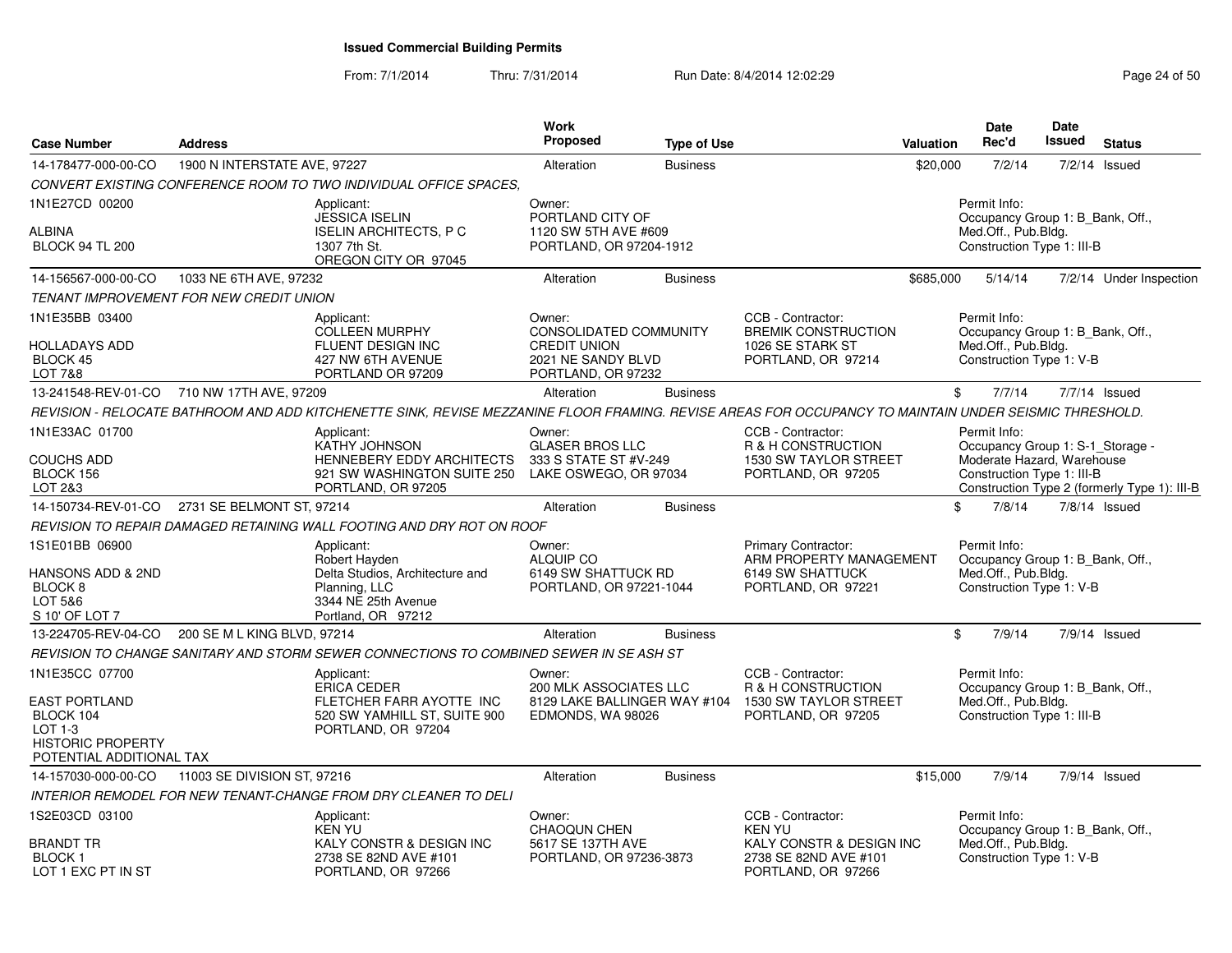| <b>Case Number</b>                                                                                                     | <b>Address</b>               |                                                                                                                                                        | <b>Work</b><br><b>Proposed</b>                                                                      | <b>Type of Use</b> |                                                                                                               | <b>Valuation</b> | <b>Date</b><br>Rec'd                                                                                         | <b>Date</b><br><b>Issued</b> | <b>Status</b>                                |
|------------------------------------------------------------------------------------------------------------------------|------------------------------|--------------------------------------------------------------------------------------------------------------------------------------------------------|-----------------------------------------------------------------------------------------------------|--------------------|---------------------------------------------------------------------------------------------------------------|------------------|--------------------------------------------------------------------------------------------------------------|------------------------------|----------------------------------------------|
| 14-178477-000-00-CO                                                                                                    | 1900 N INTERSTATE AVE, 97227 |                                                                                                                                                        | Alteration                                                                                          | <b>Business</b>    |                                                                                                               | \$20,000         | 7/2/14                                                                                                       | 7/2/14                       | Issued                                       |
|                                                                                                                        |                              | CONVERT EXISTING CONFERENCE ROOM TO TWO INDIVIDUAL OFFICE SPACES.                                                                                      |                                                                                                     |                    |                                                                                                               |                  |                                                                                                              |                              |                                              |
| 1N1E27CD 00200<br>ALBINA<br><b>BLOCK 94 TL 200</b>                                                                     |                              | Applicant:<br><b>JESSICA ISELIN</b><br><b>ISELIN ARCHITECTS, P C</b><br>1307 7th St.<br>OREGON CITY OR 97045                                           | Owner:<br>PORTLAND CITY OF<br>1120 SW 5TH AVE #609<br>PORTLAND, OR 97204-1912                       |                    |                                                                                                               |                  | Permit Info:<br>Occupancy Group 1: B_Bank, Off.,<br>Med.Off., Pub.Bldg.<br>Construction Type 1: III-B        |                              |                                              |
| 14-156567-000-00-CO                                                                                                    | 1033 NE 6TH AVE, 97232       |                                                                                                                                                        | Alteration                                                                                          | <b>Business</b>    |                                                                                                               | \$685,000        | 5/14/14                                                                                                      |                              | 7/2/14 Under Inspection                      |
| <b>TENANT IMPROVEMENT FOR NEW CREDIT UNION</b>                                                                         |                              |                                                                                                                                                        |                                                                                                     |                    |                                                                                                               |                  |                                                                                                              |                              |                                              |
| 1N1E35BB 03400<br>HOLLADAYS ADD<br><b>BLOCK 45</b><br>LOT 7&8                                                          |                              | Applicant:<br>COLLEEN MURPHY<br>FLUENT DESIGN INC<br>427 NW 6TH AVENUE<br>PORTLAND OR 97209                                                            | Owner:<br>CONSOLIDATED COMMUNITY<br><b>CREDIT UNION</b><br>2021 NE SANDY BLVD<br>PORTLAND, OR 97232 |                    | CCB - Contractor:<br><b>BREMIK CONSTRUCTION</b><br>1026 SE STARK ST<br>PORTLAND, OR 97214                     |                  | Permit Info:<br>Occupancy Group 1: B_Bank, Off.,<br>Med.Off., Pub.Bldg.<br>Construction Type 1: V-B          |                              |                                              |
| 13-241548-REV-01-CO 710 NW 17TH AVE, 97209                                                                             |                              |                                                                                                                                                        | Alteration                                                                                          | <b>Business</b>    |                                                                                                               | \$               | 7/7/14                                                                                                       |                              | 7/7/14 Issued                                |
|                                                                                                                        |                              | REVISION - RELOCATE BATHROOM AND ADD KITCHENETTE SINK, REVISE MEZZANINE FLOOR FRAMING. REVISE AREAS FOR OCCUPANCY TO MAINTAIN UNDER SEISMIC THRESHOLD. |                                                                                                     |                    |                                                                                                               |                  |                                                                                                              |                              |                                              |
| 1N1E33AC 01700<br>COUCHS ADD<br>BLOCK 156<br>LOT 2&3                                                                   |                              | Applicant:<br>KATHY JOHNSON<br>HENNEBERY EDDY ARCHITECTS<br>921 SW WASHINGTON SUITE 250<br>PORTLAND, OR 97205                                          | Owner:<br><b>GLASER BROS LLC</b><br>333 S STATE ST #V-249<br>LAKE OSWEGO, OR 97034                  |                    | CCB - Contractor:<br>R & H CONSTRUCTION<br>1530 SW TAYLOR STREET<br>PORTLAND, OR 97205                        |                  | Permit Info:<br>Occupancy Group 1: S-1_Storage -<br>Moderate Hazard, Warehouse<br>Construction Type 1: III-B |                              | Construction Type 2 (formerly Type 1): III-B |
| 14-150734-REV-01-CO                                                                                                    | 2731 SE BELMONT ST, 97214    |                                                                                                                                                        | Alteration                                                                                          | <b>Business</b>    |                                                                                                               | \$               | 7/8/14                                                                                                       |                              | $7/8/14$ Issued                              |
|                                                                                                                        |                              | REVISION TO REPAIR DAMAGED RETAINING WALL FOOTING AND DRY ROT ON ROOF                                                                                  |                                                                                                     |                    |                                                                                                               |                  |                                                                                                              |                              |                                              |
| 1S1E01BB 06900<br>HANSONS ADD & 2ND<br>BLOCK <sub>8</sub><br>LOT 5&6<br>S 10' OF LOT 7                                 |                              | Applicant:<br>Robert Hayden<br>Delta Studios, Architecture and<br>Planning, LLC<br>3344 NE 25th Avenue<br>Portland, OR 97212                           | Owner:<br><b>ALQUIP CO</b><br>6149 SW SHATTUCK RD<br>PORTLAND, OR 97221-1044                        |                    | Primary Contractor:<br>ARM PROPERTY MANAGEMENT<br>6149 SW SHATTUCK<br>PORTLAND, OR 97221                      |                  | Permit Info:<br>Occupancy Group 1: B_Bank, Off.,<br>Med.Off., Pub.Bldg.<br>Construction Type 1: V-B          |                              |                                              |
| 13-224705-REV-04-CO                                                                                                    | 200 SE M L KING BLVD, 97214  |                                                                                                                                                        | Alteration                                                                                          | <b>Business</b>    |                                                                                                               | \$               | 7/9/14                                                                                                       |                              | $7/9/14$ Issued                              |
|                                                                                                                        |                              | REVISION TO CHANGE SANITARY AND STORM SEWER CONNECTIONS TO COMBINED SEWER IN SE ASH ST                                                                 |                                                                                                     |                    |                                                                                                               |                  |                                                                                                              |                              |                                              |
| 1N1E35CC 07700<br><b>EAST PORTLAND</b><br>BLOCK 104<br>LOT 1-3<br><b>HISTORIC PROPERTY</b><br>POTENTIAL ADDITIONAL TAX |                              | Applicant:<br><b>ERICA CEDER</b><br>FLETCHER FARR AYOTTE INC<br>520 SW YAMHILL ST, SUITE 900<br>PORTLAND, OR 97204                                     | Owner:<br>200 MLK ASSOCIATES LLC<br>8129 LAKE BALLINGER WAY #104<br>EDMONDS, WA 98026               |                    | CCB - Contractor:<br>R & H CONSTRUCTION<br>1530 SW TAYLOR STREET<br>PORTLAND, OR 97205                        |                  | Permit Info:<br>Occupancy Group 1: B Bank, Off.,<br>Med.Off., Pub.Bldg.<br>Construction Type 1: III-B        |                              |                                              |
| 14-157030-000-00-CO                                                                                                    | 11003 SE DIVISION ST, 97216  |                                                                                                                                                        | Alteration                                                                                          | <b>Business</b>    |                                                                                                               | \$15,000         | 7/9/14                                                                                                       |                              | $7/9/14$ Issued                              |
|                                                                                                                        |                              | INTERIOR REMODEL FOR NEW TENANT-CHANGE FROM DRY CLEANER TO DELI                                                                                        |                                                                                                     |                    |                                                                                                               |                  |                                                                                                              |                              |                                              |
| 1S2E03CD 03100<br>BRANDT TR<br>BLOCK 1<br>LOT 1 EXC PT IN ST                                                           |                              | Applicant:<br><b>KEN YU</b><br>KALY CONSTR & DESIGN INC<br>2738 SE 82ND AVE #101<br>PORTLAND, OR 97266                                                 | Owner:<br><b>CHAOQUN CHEN</b><br>5617 SE 137TH AVE<br>PORTLAND, OR 97236-3873                       |                    | CCB - Contractor:<br><b>KEN YU</b><br>KALY CONSTR & DESIGN INC<br>2738 SE 82ND AVE #101<br>PORTLAND, OR 97266 |                  | Permit Info:<br>Occupancy Group 1: B_Bank, Off.,<br>Med.Off., Pub.Bldg.<br>Construction Type 1: V-B          |                              |                                              |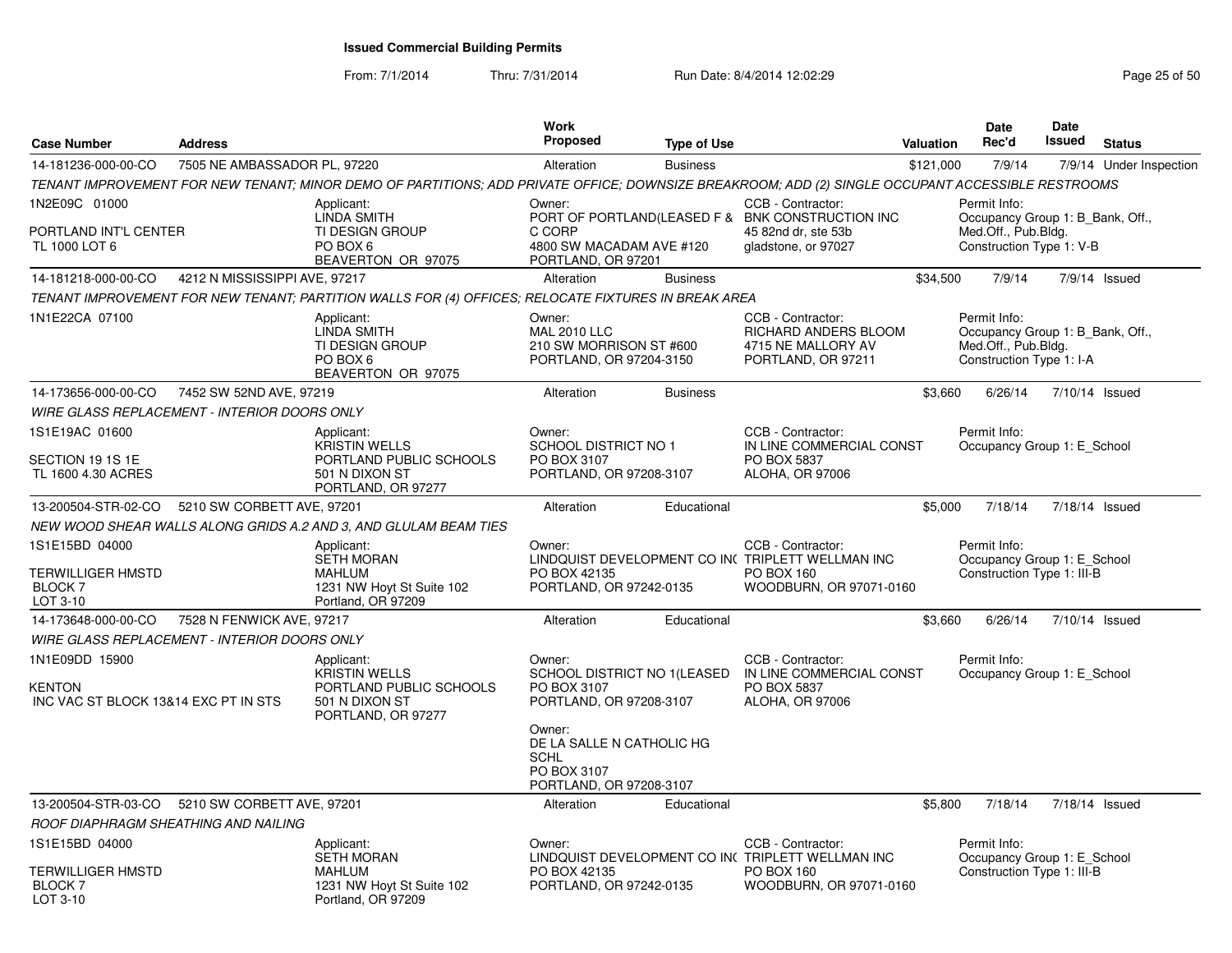From: 7/1/2014

| <b>Case Number</b>                                                      | <b>Address</b>                |                                                                                                                                                   | Work<br>Proposed                                                                          | <b>Type of Use</b> |                                                                                                                     | <b>Valuation</b> | Date<br>Rec'd                                                                                       | <b>Date</b><br><b>Issued</b> | <b>Status</b>           |
|-------------------------------------------------------------------------|-------------------------------|---------------------------------------------------------------------------------------------------------------------------------------------------|-------------------------------------------------------------------------------------------|--------------------|---------------------------------------------------------------------------------------------------------------------|------------------|-----------------------------------------------------------------------------------------------------|------------------------------|-------------------------|
| 14-181236-000-00-CO                                                     | 7505 NE AMBASSADOR PL, 97220  |                                                                                                                                                   | Alteration                                                                                | <b>Business</b>    |                                                                                                                     | \$121,000        | 7/9/14                                                                                              |                              | 7/9/14 Under Inspection |
|                                                                         |                               | TENANT IMPROVEMENT FOR NEW TENANT; MINOR DEMO OF PARTITIONS; ADD PRIVATE OFFICE; DOWNSIZE BREAKROOM; ADD (2) SINGLE OCCUPANT ACCESSIBLE RESTROOMS |                                                                                           |                    |                                                                                                                     |                  |                                                                                                     |                              |                         |
| 1N2E09C 01000<br>PORTLAND INT'L CENTER<br>TL 1000 LOT 6                 |                               | Applicant:<br><b>LINDA SMITH</b><br>TI DESIGN GROUP<br>PO BOX 6<br>BEAVERTON OR 97075                                                             | Owner:<br>C CORP<br>4800 SW MACADAM AVE #120<br>PORTLAND, OR 97201                        |                    | CCB - Contractor:<br>PORT OF PORTLAND(LEASED F & BNK CONSTRUCTION INC<br>45 82nd dr. ste 53b<br>gladstone, or 97027 |                  | Permit Info:<br>Occupancy Group 1: B_Bank, Off.,<br>Med.Off., Pub.Bldg.<br>Construction Type 1: V-B |                              |                         |
| 14-181218-000-00-CO                                                     | 4212 N MISSISSIPPI AVE, 97217 |                                                                                                                                                   | Alteration                                                                                | <b>Business</b>    |                                                                                                                     | \$34,500         | 7/9/14                                                                                              |                              | 7/9/14 Issued           |
|                                                                         |                               | TENANT IMPROVEMENT FOR NEW TENANT; PARTITION WALLS FOR (4) OFFICES; RELOCATE FIXTURES IN BREAK AREA                                               |                                                                                           |                    |                                                                                                                     |                  |                                                                                                     |                              |                         |
| 1N1E22CA 07100                                                          |                               | Applicant:<br>LINDA SMITH<br>TI DESIGN GROUP<br>PO BOX 6<br>BEAVERTON OR 97075                                                                    | Owner:<br><b>MAL 2010 LLC</b><br>210 SW MORRISON ST #600<br>PORTLAND, OR 97204-3150       |                    | CCB - Contractor:<br>RICHARD ANDERS BLOOM<br>4715 NE MALLORY AV<br>PORTLAND, OR 97211                               |                  | Permit Info:<br>Occupancy Group 1: B Bank, Off.,<br>Med.Off., Pub.Bldg.<br>Construction Type 1: I-A |                              |                         |
| 14-173656-000-00-CO                                                     | 7452 SW 52ND AVE, 97219       |                                                                                                                                                   | Alteration                                                                                | <b>Business</b>    |                                                                                                                     | \$3,660          | 6/26/14                                                                                             |                              | 7/10/14 Issued          |
| <b>WIRE GLASS REPLACEMENT - INTERIOR DOORS ONLY</b>                     |                               |                                                                                                                                                   |                                                                                           |                    |                                                                                                                     |                  |                                                                                                     |                              |                         |
| 1S1E19AC 01600<br>SECTION 19 1S 1E<br>TL 1600 4.30 ACRES                |                               | Applicant:<br>KRISTIN WELLS<br>PORTLAND PUBLIC SCHOOLS<br>501 N DIXON ST<br>PORTLAND, OR 97277                                                    | Owner:<br><b>SCHOOL DISTRICT NO 1</b><br>PO BOX 3107<br>PORTLAND, OR 97208-3107           |                    | CCB - Contractor:<br>IN LINE COMMERCIAL CONST<br>PO BOX 5837<br>ALOHA, OR 97006                                     |                  | Permit Info:<br>Occupancy Group 1: E School                                                         |                              |                         |
| 13-200504-STR-02-CO                                                     | 5210 SW CORBETT AVE, 97201    |                                                                                                                                                   | Alteration                                                                                | Educational        |                                                                                                                     | \$5,000          | 7/18/14                                                                                             |                              | 7/18/14 Issued          |
|                                                                         |                               | NEW WOOD SHEAR WALLS ALONG GRIDS A.2 AND 3, AND GLULAM BEAM TIES                                                                                  |                                                                                           |                    |                                                                                                                     |                  |                                                                                                     |                              |                         |
| 1S1E15BD 04000<br><b>TERWILLIGER HMSTD</b><br>BLOCK 7<br>LOT 3-10       |                               | Applicant:<br><b>SETH MORAN</b><br><b>MAHLUM</b><br>1231 NW Hoyt St Suite 102<br>Portland, OR 97209                                               | Owner:<br>PO BOX 42135<br>PORTLAND, OR 97242-0135                                         |                    | CCB - Contractor:<br>LINDQUIST DEVELOPMENT CO INCTRIPLETT WELLMAN INC<br>PO BOX 160<br>WOODBURN, OR 97071-0160      |                  | Permit Info:<br>Occupancy Group 1: E School<br>Construction Type 1: III-B                           |                              |                         |
| 14-173648-000-00-CO                                                     | 7528 N FENWICK AVE, 97217     |                                                                                                                                                   | Alteration                                                                                | Educational        |                                                                                                                     | \$3,660          | 6/26/14                                                                                             |                              | 7/10/14 Issued          |
| <b>WIRE GLASS REPLACEMENT - INTERIOR DOORS ONLY</b>                     |                               |                                                                                                                                                   |                                                                                           |                    |                                                                                                                     |                  |                                                                                                     |                              |                         |
| 1N1E09DD 15900<br><b>KENTON</b><br>INC VAC ST BLOCK 13&14 EXC PT IN STS |                               | Applicant:<br>KRISTIN WELLS<br>PORTLAND PUBLIC SCHOOLS<br>501 N DIXON ST<br>PORTLAND, OR 97277                                                    | Owner:<br>SCHOOL DISTRICT NO 1(LEASED<br>PO BOX 3107<br>PORTLAND, OR 97208-3107<br>Owner: |                    | CCB - Contractor:<br>IN LINE COMMERCIAL CONST<br>PO BOX 5837<br>ALOHA, OR 97006                                     |                  | Permit Info:<br>Occupancy Group 1: E School                                                         |                              |                         |
|                                                                         |                               |                                                                                                                                                   | DE LA SALLE N CATHOLIC HG<br><b>SCHL</b><br>PO BOX 3107<br>PORTLAND, OR 97208-3107        |                    |                                                                                                                     |                  |                                                                                                     |                              |                         |
| 13-200504-STR-03-CO                                                     | 5210 SW CORBETT AVE, 97201    |                                                                                                                                                   | Alteration                                                                                | Educational        |                                                                                                                     | \$5,800          | 7/18/14                                                                                             |                              | 7/18/14 Issued          |
| ROOF DIAPHRAGM SHEATHING AND NAILING                                    |                               |                                                                                                                                                   |                                                                                           |                    |                                                                                                                     |                  |                                                                                                     |                              |                         |
| 1S1E15BD 04000<br><b>TERWILLIGER HMSTD</b><br><b>BLOCK7</b><br>LOT 3-10 |                               | Applicant:<br><b>SETH MORAN</b><br><b>MAHLUM</b><br>1231 NW Hoyt St Suite 102<br>Portland, OR 97209                                               | Owner:<br>PO BOX 42135<br>PORTLAND, OR 97242-0135                                         |                    | CCB - Contractor:<br>LINDQUIST DEVELOPMENT CO IN( TRIPLETT WELLMAN INC<br>PO BOX 160<br>WOODBURN, OR 97071-0160     |                  | Permit Info:<br>Occupancy Group 1: E_School<br>Construction Type 1: III-B                           |                              |                         |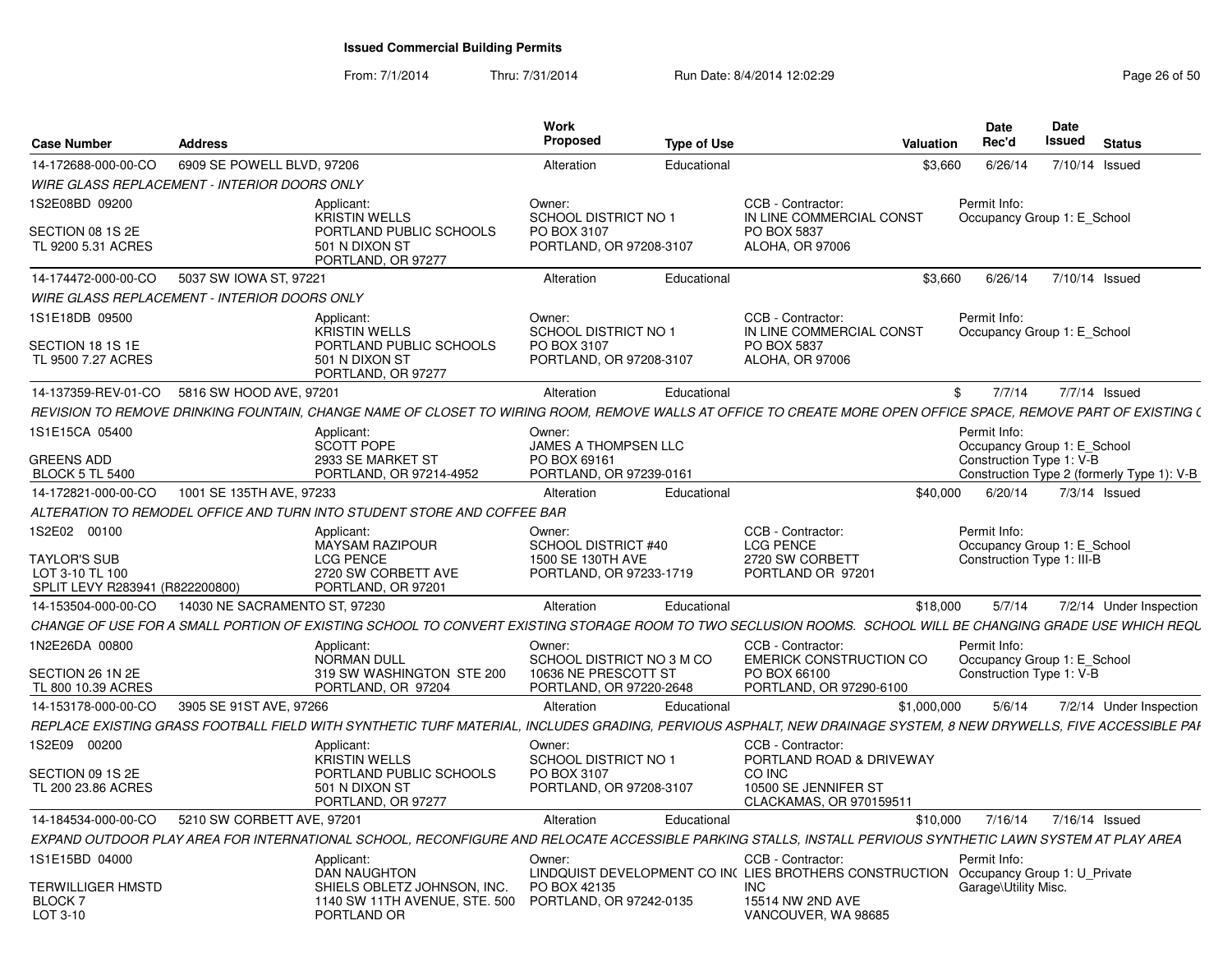| Case Number                                           | <b>Address</b>                |                                                                                                                                                                  | Work<br><b>Proposed</b>                                        | <b>Type of Use</b> | <b>Valuation</b>                                                                                          | Date<br>Rec'd                                             | Date<br>Issued |                | <b>Status</b>           |
|-------------------------------------------------------|-------------------------------|------------------------------------------------------------------------------------------------------------------------------------------------------------------|----------------------------------------------------------------|--------------------|-----------------------------------------------------------------------------------------------------------|-----------------------------------------------------------|----------------|----------------|-------------------------|
| 14-172688-000-00-CO                                   | 6909 SE POWELL BLVD, 97206    |                                                                                                                                                                  | Alteration                                                     | Educational        | \$3,660                                                                                                   | 6/26/14                                                   |                | 7/10/14 Issued |                         |
| <b>WIRE GLASS REPLACEMENT - INTERIOR DOORS ONLY</b>   |                               |                                                                                                                                                                  |                                                                |                    |                                                                                                           |                                                           |                |                |                         |
| 1S2E08BD 09200                                        |                               | Applicant:                                                                                                                                                       | Owner:                                                         |                    | CCB - Contractor:                                                                                         | Permit Info:                                              |                |                |                         |
| SECTION 08 1S 2E<br>TL 9200 5.31 ACRES                |                               | <b>KRISTIN WELLS</b><br>PORTLAND PUBLIC SCHOOLS<br>501 N DIXON ST<br>PORTLAND, OR 97277                                                                          | SCHOOL DISTRICT NO 1<br>PO BOX 3107<br>PORTLAND, OR 97208-3107 |                    | IN LINE COMMERCIAL CONST<br>PO BOX 5837<br>ALOHA, OR 97006                                                | Occupancy Group 1: E School                               |                |                |                         |
| 14-174472-000-00-CO                                   | 5037 SW IOWA ST, 97221        |                                                                                                                                                                  | Alteration                                                     | Educational        | \$3,660                                                                                                   | 6/26/14                                                   |                | 7/10/14 Issued |                         |
| <b>WIRE GLASS REPLACEMENT - INTERIOR DOORS ONLY</b>   |                               |                                                                                                                                                                  |                                                                |                    |                                                                                                           |                                                           |                |                |                         |
| 1S1E18DB 09500                                        |                               | Applicant:<br><b>KRISTIN WELLS</b>                                                                                                                               | Owner:<br>SCHOOL DISTRICT NO 1                                 |                    | CCB - Contractor:<br>IN LINE COMMERCIAL CONST                                                             | Permit Info:<br>Occupancy Group 1: E School               |                |                |                         |
| SECTION 18 1S 1E<br>TL 9500 7.27 ACRES                |                               | PORTLAND PUBLIC SCHOOLS<br>501 N DIXON ST<br>PORTLAND, OR 97277                                                                                                  | PO BOX 3107<br>PORTLAND, OR 97208-3107                         |                    | PO BOX 5837<br>ALOHA, OR 97006                                                                            |                                                           |                |                |                         |
| 14-137359-REV-01-CO                                   | 5816 SW HOOD AVE, 97201       |                                                                                                                                                                  | Alteration                                                     | Educational        |                                                                                                           | 7/7/14<br>\$                                              |                | 7/7/14 Issued  |                         |
|                                                       |                               | REVISION TO REMOVE DRINKING FOUNTAIN, CHANGE NAME OF CLOSET TO WIRING ROOM, REMOVE WALLS AT OFFICE TO CREATE MORE OPEN OFFICE SPACE, REMOVE PART OF EXISTING (   |                                                                |                    |                                                                                                           |                                                           |                |                |                         |
| 1S1E15CA 05400                                        |                               | Applicant:<br><b>SCOTT POPE</b>                                                                                                                                  | Owner:<br>JAMES A THOMPSEN LLC                                 |                    |                                                                                                           | Permit Info:<br>Occupancy Group 1: E_School               |                |                |                         |
| <b>GREENS ADD</b><br><b>BLOCK 5 TL 5400</b>           |                               | 2933 SE MARKET ST<br>PORTLAND, OR 97214-4952                                                                                                                     | PO BOX 69161<br>PORTLAND, OR 97239-0161                        |                    |                                                                                                           | Construction Type 1: V-B                                  |                |                |                         |
| 14-172821-000-00-CO                                   | 1001 SE 135TH AVE, 97233      |                                                                                                                                                                  | Alteration                                                     | Educational        | \$40,000                                                                                                  | Construction Type 2 (formerly Type 1): V-B<br>6/20/14     |                | 7/3/14 Issued  |                         |
|                                                       |                               | ALTERATION TO REMODEL OFFICE AND TURN INTO STUDENT STORE AND COFFEE BAR                                                                                          |                                                                |                    |                                                                                                           |                                                           |                |                |                         |
| 1S2E02 00100                                          |                               | Applicant:                                                                                                                                                       | Owner:                                                         |                    | CCB - Contractor:                                                                                         | Permit Info:                                              |                |                |                         |
| <b>TAYLOR'S SUB</b>                                   |                               | <b>MAYSAM RAZIPOUR</b><br><b>LCG PENCE</b>                                                                                                                       | <b>SCHOOL DISTRICT #40</b><br>1500 SE 130TH AVE                |                    | <b>LCG PENCE</b><br>2720 SW CORBETT                                                                       | Occupancy Group 1: E School<br>Construction Type 1: III-B |                |                |                         |
| LOT 3-10 TL 100<br>SPLIT LEVY R283941 (R822200800)    |                               | 2720 SW CORBETT AVE<br>PORTLAND, OR 97201                                                                                                                        | PORTLAND, OR 97233-1719                                        |                    | PORTLAND OR 97201                                                                                         |                                                           |                |                |                         |
| 14-153504-000-00-CO                                   | 14030 NE SACRAMENTO ST, 97230 |                                                                                                                                                                  | Alteration                                                     | Educational        | \$18,000                                                                                                  | 5/7/14                                                    |                |                | 7/2/14 Under Inspection |
|                                                       |                               | CHANGE OF USE FOR A SMALL PORTION OF EXISTING SCHOOL TO CONVERT EXISTING STORAGE ROOM TO TWO SECLUSION ROOMS. SCHOOL WILL BE CHANGING GRADE USE WHICH REQU       |                                                                |                    |                                                                                                           |                                                           |                |                |                         |
| 1N2E26DA 00800<br>SECTION 26 1N 2E                    |                               | Applicant:<br><b>NORMAN DULL</b><br>319 SW WASHINGTON STE 200                                                                                                    | Owner:<br>SCHOOL DISTRICT NO 3 M CO<br>10636 NE PRESCOTT ST    |                    | CCB - Contractor:<br><b>EMERICK CONSTRUCTION CO</b><br>PO BOX 66100                                       | Permit Info:<br>Occupancy Group 1: E_School               |                |                |                         |
| TL 800 10.39 ACRES                                    |                               | PORTLAND, OR 97204                                                                                                                                               | PORTLAND, OR 97220-2648                                        |                    | PORTLAND, OR 97290-6100                                                                                   | Construction Type 1: V-B                                  |                |                |                         |
| 14-153178-000-00-CO                                   | 3905 SE 91ST AVE, 97266       |                                                                                                                                                                  | Alteration                                                     | Educational        | \$1,000,000                                                                                               | 5/6/14                                                    |                |                | 7/2/14 Under Inspection |
|                                                       |                               | REPLACE EXISTING GRASS FOOTBALL FIELD WITH SYNTHETIC TURF MATERIAL, INCLUDES GRADING, PERVIOUS ASPHALT, NEW DRAINAGE SYSTEM, 8 NEW DRYWELLS, FIVE ACCESSIBLE PAI |                                                                |                    |                                                                                                           |                                                           |                |                |                         |
| IS2E09 00200                                          |                               | Applicant:<br><b>KRISTIN WELLS</b>                                                                                                                               | Owner:<br>SCHOOL DISTRICT NO 1                                 |                    | CCB - Contractor:<br>PORTLAND ROAD & DRIVEWAY                                                             |                                                           |                |                |                         |
| SECTION 09 1S 2E                                      |                               | PORTLAND PUBLIC SCHOOLS                                                                                                                                          | PO BOX 3107                                                    |                    | CO INC                                                                                                    |                                                           |                |                |                         |
| TL 200 23.86 ACRES                                    |                               | 501 N DIXON ST<br>PORTLAND, OR 97277                                                                                                                             | PORTLAND, OR 97208-3107                                        |                    | 10500 SE JENNIFER ST<br>CLACKAMAS, OR 970159511                                                           |                                                           |                |                |                         |
| 14-184534-000-00-CO                                   | 5210 SW CORBETT AVE, 97201    |                                                                                                                                                                  | Alteration                                                     | Educational        | \$10,000                                                                                                  | 7/16/14                                                   | 7/16/14 Issued |                |                         |
|                                                       |                               | EXPAND OUTDOOR PLAY AREA FOR INTERNATIONAL SCHOOL. RECONFIGURE AND RELOCATE ACCESSIBLE PARKING STALLS. INSTALL PERVIOUS SYNTHETIC LAWN SYSTEM AT PLAY AREA       |                                                                |                    |                                                                                                           |                                                           |                |                |                         |
| 1S1E15BD 04000                                        |                               | Applicant:<br><b>DAN NAUGHTON</b>                                                                                                                                | Owner:                                                         |                    | CCB - Contractor:<br>LINDQUIST DEVELOPMENT CO IN( LIES BROTHERS CONSTRUCTION Occupancy Group 1: U_Private | Permit Info:                                              |                |                |                         |
| <b>TERWILLIGER HMSTD</b><br><b>BLOCK7</b><br>LOT 3-10 |                               | SHIELS OBLETZ JOHNSON, INC.<br>1140 SW 11TH AVENUE, STE. 500<br>PORTLAND OR                                                                                      | PO BOX 42135<br>PORTLAND, OR 97242-0135                        |                    | <b>INC</b><br>15514 NW 2ND AVE<br>VANCOUVER, WA 98685                                                     | Garage\Utility Misc.                                      |                |                |                         |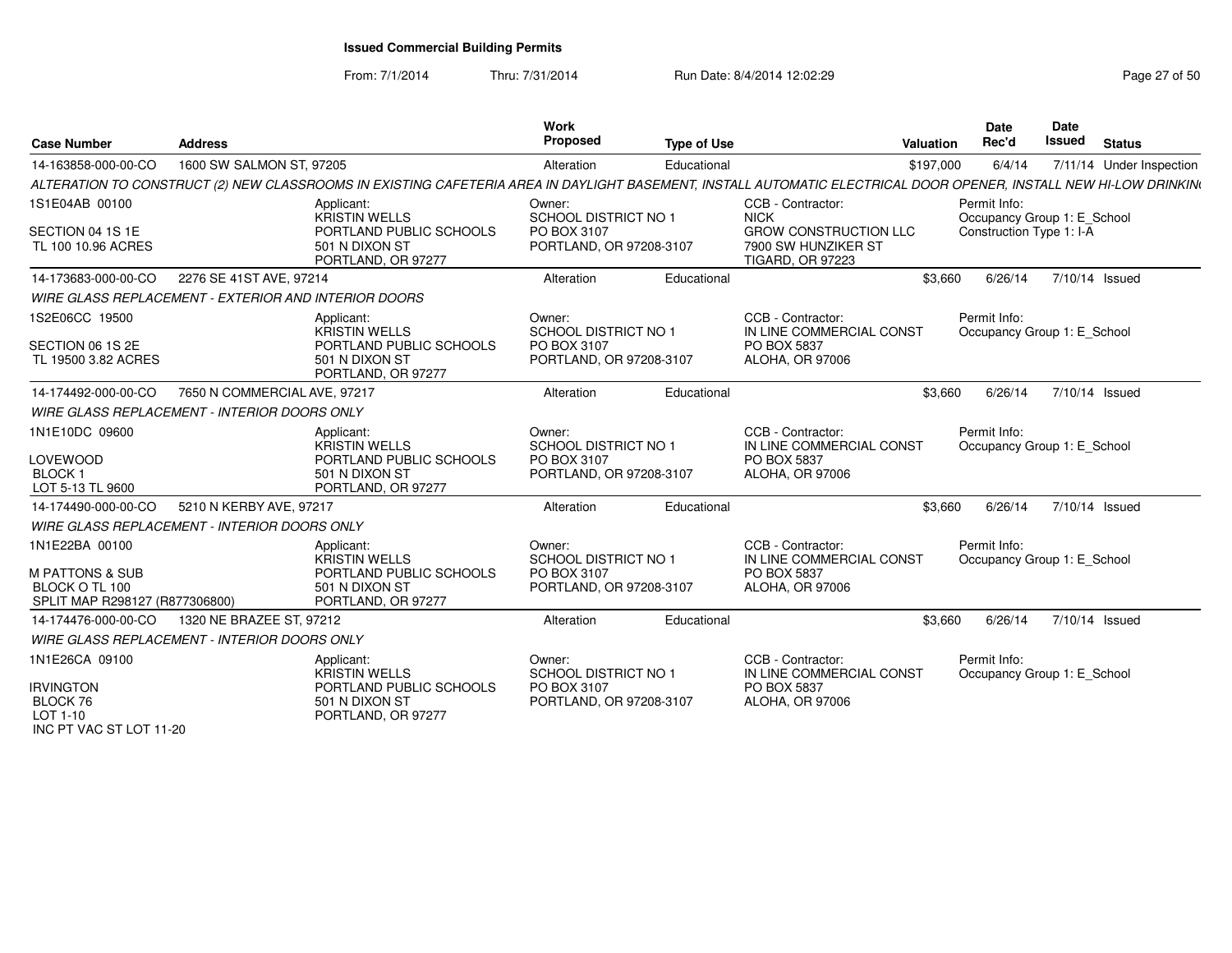| <b>Case Number</b>                                                                               | <b>Address</b>                                       |                                                                                                                                                                  | <b>Work</b><br>Proposed                                                         | <b>Type of Use</b> |                                                                                 | Valuation | <b>Date</b><br>Rec'd                        | Date<br>Issued | <b>Status</b>            |
|--------------------------------------------------------------------------------------------------|------------------------------------------------------|------------------------------------------------------------------------------------------------------------------------------------------------------------------|---------------------------------------------------------------------------------|--------------------|---------------------------------------------------------------------------------|-----------|---------------------------------------------|----------------|--------------------------|
| 14-163858-000-00-CO                                                                              | 1600 SW SALMON ST, 97205                             |                                                                                                                                                                  | Alteration                                                                      | Educational        |                                                                                 | \$197,000 | 6/4/14                                      |                | 7/11/14 Under Inspection |
|                                                                                                  |                                                      | ALTERATION TO CONSTRUCT (2) NEW CLASSROOMS IN EXISTING CAFETERIA AREA IN DAYLIGHT BASEMENT, INSTALL AUTOMATIC ELECTRICAL DOOR OPENER, INSTALL NEW HI-LOW DRINKIN |                                                                                 |                    |                                                                                 |           |                                             |                |                          |
| 1S1E04AB 00100                                                                                   |                                                      | Applicant:<br><b>KRISTIN WELLS</b>                                                                                                                               | Owner:<br><b>SCHOOL DISTRICT NO 1</b>                                           |                    | CCB - Contractor:<br><b>NICK</b>                                                |           | Permit Info:<br>Occupancy Group 1: E_School |                |                          |
| SECTION 04 1S 1E<br>TL 100 10.96 ACRES                                                           |                                                      | PORTLAND PUBLIC SCHOOLS<br>501 N DIXON ST<br>PORTLAND, OR 97277                                                                                                  | PO BOX 3107<br>PORTLAND, OR 97208-3107                                          |                    | <b>GROW CONSTRUCTION LLC</b><br>7900 SW HUNZIKER ST<br><b>TIGARD, OR 97223</b>  |           | Construction Type 1: I-A                    |                |                          |
| 14-173683-000-00-CO                                                                              | 2276 SE 41ST AVE, 97214                              |                                                                                                                                                                  | Alteration                                                                      | Educational        |                                                                                 | \$3,660   | 6/26/14                                     | 7/10/14 Issued |                          |
|                                                                                                  | WIRE GLASS REPLACEMENT - EXTERIOR AND INTERIOR DOORS |                                                                                                                                                                  |                                                                                 |                    |                                                                                 |           |                                             |                |                          |
| 1S2E06CC 19500                                                                                   |                                                      | Applicant:<br><b>KRISTIN WELLS</b>                                                                                                                               | Owner:<br>SCHOOL DISTRICT NO 1                                                  |                    | CCB - Contractor:<br>IN LINE COMMERCIAL CONST                                   |           | Permit Info:<br>Occupancy Group 1: E School |                |                          |
| SECTION 06 1S 2E<br>TL 19500 3.82 ACRES                                                          |                                                      | PORTLAND PUBLIC SCHOOLS<br>501 N DIXON ST<br>PORTLAND, OR 97277                                                                                                  | PO BOX 3107<br>PORTLAND, OR 97208-3107                                          |                    | PO BOX 5837<br><b>ALOHA, OR 97006</b>                                           |           |                                             |                |                          |
| 14-174492-000-00-CO                                                                              | 7650 N COMMERCIAL AVE, 97217                         |                                                                                                                                                                  | Alteration                                                                      | Educational        |                                                                                 | \$3,660   | 6/26/14                                     | 7/10/14 Issued |                          |
|                                                                                                  | <b>WIRE GLASS REPLACEMENT - INTERIOR DOORS ONLY</b>  |                                                                                                                                                                  |                                                                                 |                    |                                                                                 |           |                                             |                |                          |
| 1N1E10DC 09600<br><b>LOVEWOOD</b><br><b>BLOCK1</b><br>LOT 5-13 TL 9600                           |                                                      | Applicant:<br><b>KRISTIN WELLS</b><br>PORTLAND PUBLIC SCHOOLS<br>501 N DIXON ST<br>PORTLAND, OR 97277                                                            | Owner:<br><b>SCHOOL DISTRICT NO 1</b><br>PO BOX 3107<br>PORTLAND, OR 97208-3107 |                    | CCB - Contractor:<br>IN LINE COMMERCIAL CONST<br>PO BOX 5837<br>ALOHA, OR 97006 |           | Permit Info:<br>Occupancy Group 1: E School |                |                          |
| 14-174490-000-00-CO                                                                              | 5210 N KERBY AVE, 97217                              |                                                                                                                                                                  | Alteration                                                                      | Educational        |                                                                                 | \$3,660   | 6/26/14                                     | 7/10/14 Issued |                          |
|                                                                                                  | <b>WIRE GLASS REPLACEMENT - INTERIOR DOORS ONLY</b>  |                                                                                                                                                                  |                                                                                 |                    |                                                                                 |           |                                             |                |                          |
| 1N1E22BA 00100<br><b>M PATTONS &amp; SUB</b><br>BLOCK O TL 100<br>SPLIT MAP R298127 (R877306800) |                                                      | Applicant:<br><b>KRISTIN WELLS</b><br>PORTLAND PUBLIC SCHOOLS<br>501 N DIXON ST<br>PORTLAND, OR 97277                                                            | Owner:<br><b>SCHOOL DISTRICT NO 1</b><br>PO BOX 3107<br>PORTLAND, OR 97208-3107 |                    | CCB - Contractor:<br>IN LINE COMMERCIAL CONST<br>PO BOX 5837<br>ALOHA, OR 97006 |           | Permit Info:<br>Occupancy Group 1: E School |                |                          |
| 14-174476-000-00-CO                                                                              | 1320 NE BRAZEE ST, 97212                             |                                                                                                                                                                  | Alteration                                                                      | Educational        |                                                                                 | \$3,660   | 6/26/14                                     | 7/10/14 Issued |                          |
|                                                                                                  | <b>WIRE GLASS REPLACEMENT - INTERIOR DOORS ONLY</b>  |                                                                                                                                                                  |                                                                                 |                    |                                                                                 |           |                                             |                |                          |
| 1N1E26CA 09100                                                                                   |                                                      | Applicant:<br><b>KRISTIN WELLS</b>                                                                                                                               | Owner:<br><b>SCHOOL DISTRICT NO 1</b>                                           |                    | CCB - Contractor:<br>IN LINE COMMERCIAL CONST                                   |           | Permit Info:<br>Occupancy Group 1: E_School |                |                          |
| <b>IRVINGTON</b><br>BLOCK 76<br>LOT 1-10<br>INC PT VAC ST LOT 11-20                              |                                                      | PORTLAND PUBLIC SCHOOLS<br>501 N DIXON ST<br>PORTLAND, OR 97277                                                                                                  | PO BOX 3107<br>PORTLAND, OR 97208-3107                                          |                    | PO BOX 5837<br>ALOHA, OR 97006                                                  |           |                                             |                |                          |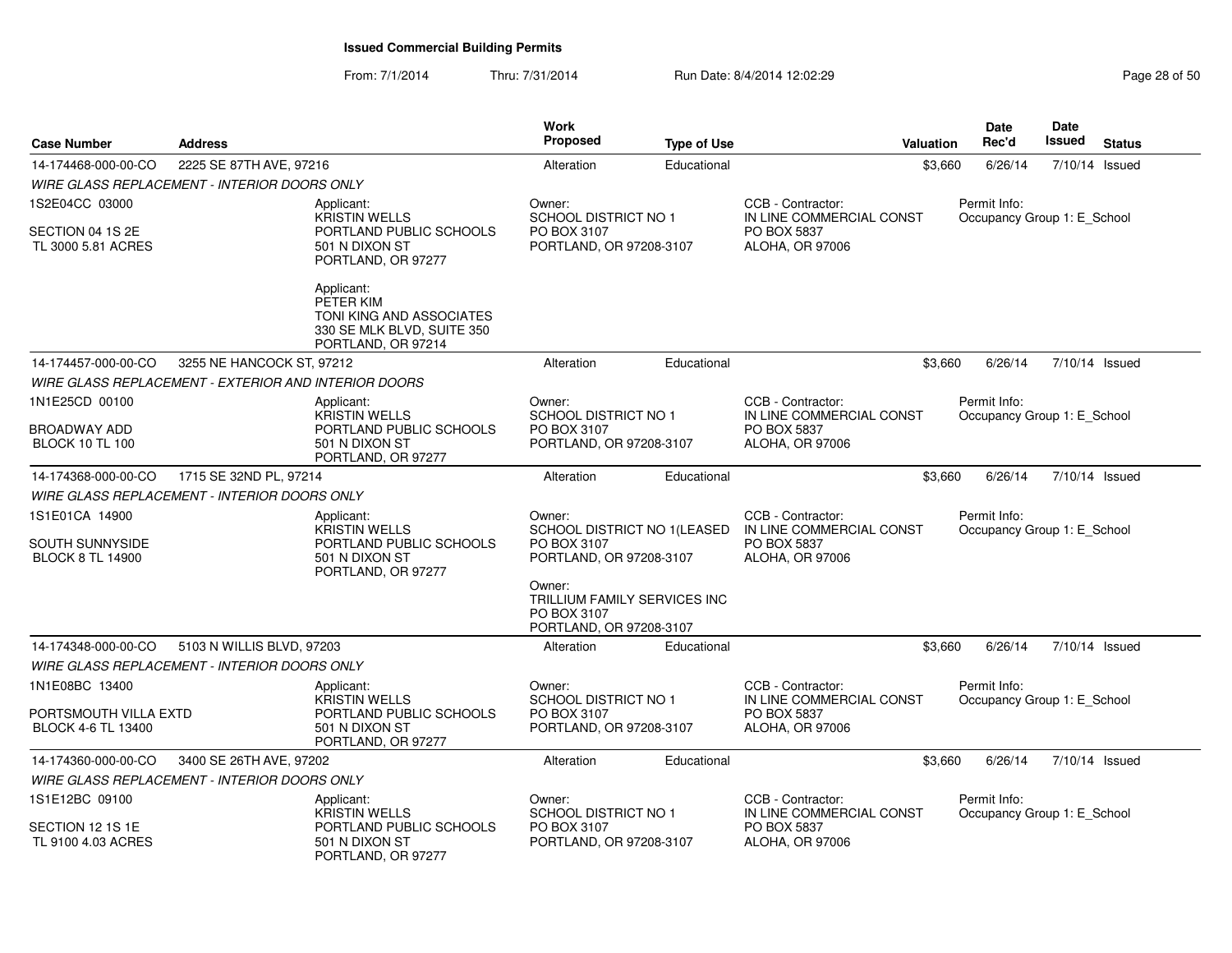| <b>Case Number</b>                                           | <b>Address</b>                                              |                                                                                                         | <b>Work</b><br>Proposed                                                          | <b>Type of Use</b> | <b>Valuation</b>                                                                | Date<br>Rec'd      | Date<br>Issued<br><b>Status</b> |  |
|--------------------------------------------------------------|-------------------------------------------------------------|---------------------------------------------------------------------------------------------------------|----------------------------------------------------------------------------------|--------------------|---------------------------------------------------------------------------------|--------------------|---------------------------------|--|
| 14-174468-000-00-CO                                          | 2225 SE 87TH AVE, 97216                                     |                                                                                                         | Alteration                                                                       | Educational        |                                                                                 | \$3,660<br>6/26/14 | 7/10/14 Issued                  |  |
|                                                              | <b>WIRE GLASS REPLACEMENT - INTERIOR DOORS ONLY</b>         |                                                                                                         |                                                                                  |                    |                                                                                 |                    |                                 |  |
| 1S2E04CC 03000                                               |                                                             | Applicant:                                                                                              | Owner:                                                                           |                    | CCB - Contractor:                                                               | Permit Info:       |                                 |  |
| SECTION 04 1S 2E<br>TL 3000 5.81 ACRES                       |                                                             | <b>KRISTIN WELLS</b><br>PORTLAND PUBLIC SCHOOLS<br>501 N DIXON ST<br>PORTLAND, OR 97277                 | <b>SCHOOL DISTRICT NO 1</b><br>PO BOX 3107<br>PORTLAND, OR 97208-3107            |                    | IN LINE COMMERCIAL CONST<br>PO BOX 5837<br>ALOHA, OR 97006                      |                    | Occupancy Group 1: E School     |  |
|                                                              |                                                             | Applicant:<br>PETER KIM<br>TONI KING AND ASSOCIATES<br>330 SE MLK BLVD, SUITE 350<br>PORTLAND, OR 97214 |                                                                                  |                    |                                                                                 |                    |                                 |  |
| 14-174457-000-00-CO                                          | 3255 NE HANCOCK ST. 97212                                   |                                                                                                         | Alteration                                                                       | Educational        |                                                                                 | \$3,660<br>6/26/14 | 7/10/14 Issued                  |  |
|                                                              | <b>WIRE GLASS REPLACEMENT - EXTERIOR AND INTERIOR DOORS</b> |                                                                                                         |                                                                                  |                    |                                                                                 |                    |                                 |  |
| 1N1E25CD 00100                                               |                                                             | Applicant:                                                                                              | Owner:                                                                           |                    | CCB - Contractor:                                                               | Permit Info:       |                                 |  |
| BROADWAY ADD<br><b>BLOCK 10 TL 100</b>                       |                                                             | <b>KRISTIN WELLS</b><br>PORTLAND PUBLIC SCHOOLS<br>501 N DIXON ST<br>PORTLAND, OR 97277                 | SCHOOL DISTRICT NO 1<br>PO BOX 3107<br>PORTLAND, OR 97208-3107                   |                    | IN LINE COMMERCIAL CONST<br>PO BOX 5837<br>ALOHA, OR 97006                      |                    | Occupancy Group 1: E_School     |  |
| 14-174368-000-00-CO                                          | 1715 SE 32ND PL, 97214                                      |                                                                                                         | Alteration                                                                       | Educational        |                                                                                 | \$3,660<br>6/26/14 | 7/10/14 Issued                  |  |
|                                                              | <b>WIRE GLASS REPLACEMENT - INTERIOR DOORS ONLY</b>         |                                                                                                         |                                                                                  |                    |                                                                                 |                    |                                 |  |
| 1S1E01CA 14900<br>SOUTH SUNNYSIDE<br><b>BLOCK 8 TL 14900</b> |                                                             | Applicant:<br>KRISTIN WELLS<br>PORTLAND PUBLIC SCHOOLS<br>501 N DIXON ST<br>PORTLAND, OR 97277          | Owner:<br>SCHOOL DISTRICT NO 1(LEASED<br>PO BOX 3107<br>PORTLAND, OR 97208-3107  |                    | CCB - Contractor:<br>IN LINE COMMERCIAL CONST<br>PO BOX 5837<br>ALOHA, OR 97006 | Permit Info:       | Occupancy Group 1: E School     |  |
|                                                              |                                                             |                                                                                                         | Owner:<br>TRILLIUM FAMILY SERVICES INC<br>PO BOX 3107<br>PORTLAND, OR 97208-3107 |                    |                                                                                 |                    |                                 |  |
| 14-174348-000-00-CO                                          | 5103 N WILLIS BLVD, 97203                                   |                                                                                                         | Alteration                                                                       | Educational        |                                                                                 | 6/26/14<br>\$3,660 | 7/10/14 Issued                  |  |
|                                                              | <b>WIRE GLASS REPLACEMENT - INTERIOR DOORS ONLY</b>         |                                                                                                         |                                                                                  |                    |                                                                                 |                    |                                 |  |
| 1N1E08BC 13400                                               |                                                             | Applicant:<br>KRISTIN WELLS                                                                             | Owner:<br><b>SCHOOL DISTRICT NO 1</b>                                            |                    | CCB - Contractor:<br>IN LINE COMMERCIAL CONST                                   | Permit Info:       | Occupancy Group 1: E School     |  |
| PORTSMOUTH VILLA EXTD<br>BLOCK 4-6 TL 13400                  |                                                             | PORTLAND PUBLIC SCHOOLS<br>501 N DIXON ST<br>PORTLAND, OR 97277                                         | PO BOX 3107<br>PORTLAND, OR 97208-3107                                           |                    | PO BOX 5837<br>ALOHA, OR 97006                                                  |                    |                                 |  |
| 14-174360-000-00-CO                                          | 3400 SE 26TH AVE, 97202                                     |                                                                                                         | Alteration                                                                       | Educational        |                                                                                 | \$3.660<br>6/26/14 | 7/10/14 Issued                  |  |
|                                                              | <b>WIRE GLASS REPLACEMENT - INTERIOR DOORS ONLY</b>         |                                                                                                         |                                                                                  |                    |                                                                                 |                    |                                 |  |
| 1S1E12BC 09100                                               |                                                             | Applicant:                                                                                              | Owner:                                                                           |                    | CCB - Contractor:                                                               | Permit Info:       |                                 |  |
| SECTION 12 1S 1E<br>TL 9100 4.03 ACRES                       |                                                             | <b>KRISTIN WELLS</b><br>PORTLAND PUBLIC SCHOOLS<br>501 N DIXON ST<br>PORTLAND, OR 97277                 | SCHOOL DISTRICT NO 1<br>PO BOX 3107<br>PORTLAND, OR 97208-3107                   |                    | IN LINE COMMERCIAL CONST<br>PO BOX 5837<br><b>ALOHA, OR 97006</b>               |                    | Occupancy Group 1: E_School     |  |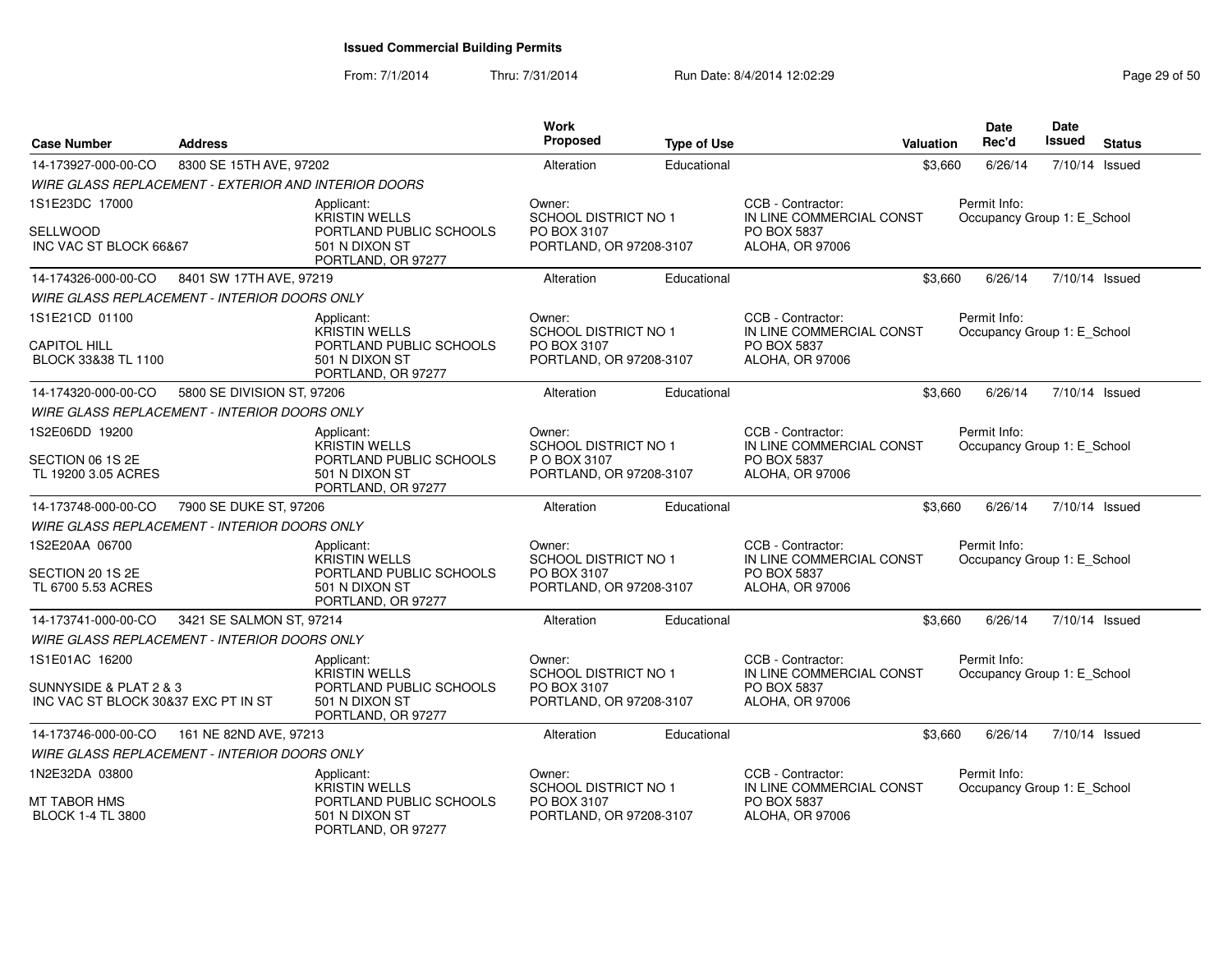| <b>Case Number</b>                                            | <b>Address</b>                                       |                                                                 | Work<br>Proposed                        | <b>Type of Use</b> | Valuation                                     | <b>Date</b><br>Rec'd                        | <b>Date</b><br>Issued | <b>Status</b>  |
|---------------------------------------------------------------|------------------------------------------------------|-----------------------------------------------------------------|-----------------------------------------|--------------------|-----------------------------------------------|---------------------------------------------|-----------------------|----------------|
| 14-173927-000-00-CO                                           | 8300 SE 15TH AVE, 97202                              |                                                                 | Alteration                              | Educational        | \$3,660                                       | 6/26/14                                     |                       | 7/10/14 Issued |
|                                                               | WIRE GLASS REPLACEMENT - EXTERIOR AND INTERIOR DOORS |                                                                 |                                         |                    |                                               |                                             |                       |                |
| 1S1E23DC 17000                                                |                                                      | Applicant:<br><b>KRISTIN WELLS</b>                              | Owner:<br><b>SCHOOL DISTRICT NO 1</b>   |                    | CCB - Contractor:<br>IN LINE COMMERCIAL CONST | Permit Info:<br>Occupancy Group 1: E School |                       |                |
| SELLWOOD                                                      |                                                      | PORTLAND PUBLIC SCHOOLS                                         | PO BOX 3107                             |                    | PO BOX 5837                                   |                                             |                       |                |
| INC VAC ST BLOCK 66&67                                        |                                                      | 501 N DIXON ST<br>PORTLAND, OR 97277                            | PORTLAND, OR 97208-3107                 |                    | ALOHA, OR 97006                               |                                             |                       |                |
| 14-174326-000-00-CO                                           | 8401 SW 17TH AVE, 97219                              |                                                                 | Alteration                              | Educational        | \$3,660                                       | 6/26/14                                     |                       | 7/10/14 Issued |
|                                                               | <b>WIRE GLASS REPLACEMENT - INTERIOR DOORS ONLY</b>  |                                                                 |                                         |                    |                                               |                                             |                       |                |
| 1S1E21CD 01100                                                |                                                      | Applicant:<br><b>KRISTIN WELLS</b>                              | Owner:<br>SCHOOL DISTRICT NO 1          |                    | CCB - Contractor:<br>IN LINE COMMERCIAL CONST | Permit Info:<br>Occupancy Group 1: E_School |                       |                |
| <b>CAPITOL HILL</b><br>BLOCK 33&38 TL 1100                    |                                                      | PORTLAND PUBLIC SCHOOLS<br>501 N DIXON ST<br>PORTLAND, OR 97277 | PO BOX 3107<br>PORTLAND, OR 97208-3107  |                    | PO BOX 5837<br><b>ALOHA, OR 97006</b>         |                                             |                       |                |
| 14-174320-000-00-CO                                           | 5800 SE DIVISION ST, 97206                           |                                                                 | Alteration                              | Educational        | \$3,660                                       | 6/26/14                                     |                       | 7/10/14 Issued |
|                                                               | <b>WIRE GLASS REPLACEMENT - INTERIOR DOORS ONLY</b>  |                                                                 |                                         |                    |                                               |                                             |                       |                |
| 1S2E06DD 19200                                                |                                                      | Applicant:<br>KRISTIN WELLS                                     | Owner:<br>SCHOOL DISTRICT NO 1          |                    | CCB - Contractor:<br>IN LINE COMMERCIAL CONST | Permit Info:<br>Occupancy Group 1: E_School |                       |                |
| SECTION 06 1S 2E<br>TL 19200 3.05 ACRES                       |                                                      | PORTLAND PUBLIC SCHOOLS<br>501 N DIXON ST<br>PORTLAND, OR 97277 | P O BOX 3107<br>PORTLAND, OR 97208-3107 |                    | PO BOX 5837<br><b>ALOHA, OR 97006</b>         |                                             |                       |                |
| 14-173748-000-00-CO                                           | 7900 SE DUKE ST, 97206                               |                                                                 | Alteration                              | Educational        | \$3,660                                       | 6/26/14                                     |                       | 7/10/14 Issued |
|                                                               | WIRE GLASS REPLACEMENT - INTERIOR DOORS ONLY         |                                                                 |                                         |                    |                                               |                                             |                       |                |
| 1S2E20AA 06700                                                |                                                      | Applicant:<br><b>KRISTIN WELLS</b>                              | Owner:<br><b>SCHOOL DISTRICT NO 1</b>   |                    | CCB - Contractor:<br>IN LINE COMMERCIAL CONST | Permit Info:<br>Occupancy Group 1: E School |                       |                |
| SECTION 20 1S 2E<br>TL 6700 5.53 ACRES                        |                                                      | PORTLAND PUBLIC SCHOOLS<br>501 N DIXON ST<br>PORTLAND, OR 97277 | PO BOX 3107<br>PORTLAND, OR 97208-3107  |                    | PO BOX 5837<br><b>ALOHA, OR 97006</b>         |                                             |                       |                |
| 14-173741-000-00-CO                                           | 3421 SE SALMON ST, 97214                             |                                                                 | Alteration                              | Educational        | \$3,660                                       | 6/26/14                                     |                       | 7/10/14 Issued |
|                                                               | WIRE GLASS REPLACEMENT - INTERIOR DOORS ONLY         |                                                                 |                                         |                    |                                               |                                             |                       |                |
| 1S1E01AC 16200                                                |                                                      | Applicant:<br><b>KRISTIN WELLS</b>                              | Owner:<br><b>SCHOOL DISTRICT NO 1</b>   |                    | CCB - Contractor:<br>IN LINE COMMERCIAL CONST | Permit Info:<br>Occupancy Group 1: E School |                       |                |
| SUNNYSIDE & PLAT 2 & 3<br>INC VAC ST BLOCK 30&37 EXC PT IN ST |                                                      | PORTLAND PUBLIC SCHOOLS<br>501 N DIXON ST<br>PORTLAND, OR 97277 | PO BOX 3107<br>PORTLAND, OR 97208-3107  |                    | PO BOX 5837<br><b>ALOHA, OR 97006</b>         |                                             |                       |                |
| 14-173746-000-00-CO                                           | 161 NE 82ND AVE, 97213                               |                                                                 | Alteration                              | Educational        | \$3,660                                       | 6/26/14                                     |                       | 7/10/14 Issued |
|                                                               | WIRE GLASS REPLACEMENT - INTERIOR DOORS ONLY         |                                                                 |                                         |                    |                                               |                                             |                       |                |
| 1N2E32DA 03800                                                |                                                      | Applicant:<br><b>KRISTIN WELLS</b>                              | Owner:<br><b>SCHOOL DISTRICT NO 1</b>   |                    | CCB - Contractor:<br>IN LINE COMMERCIAL CONST | Permit Info:<br>Occupancy Group 1: E_School |                       |                |
| MT TABOR HMS<br><b>BLOCK 1-4 TL 3800</b>                      |                                                      | PORTLAND PUBLIC SCHOOLS<br>501 N DIXON ST<br>PORTLAND, OR 97277 | PO BOX 3107<br>PORTLAND, OR 97208-3107  |                    | PO BOX 5837<br>ALOHA, OR 97006                |                                             |                       |                |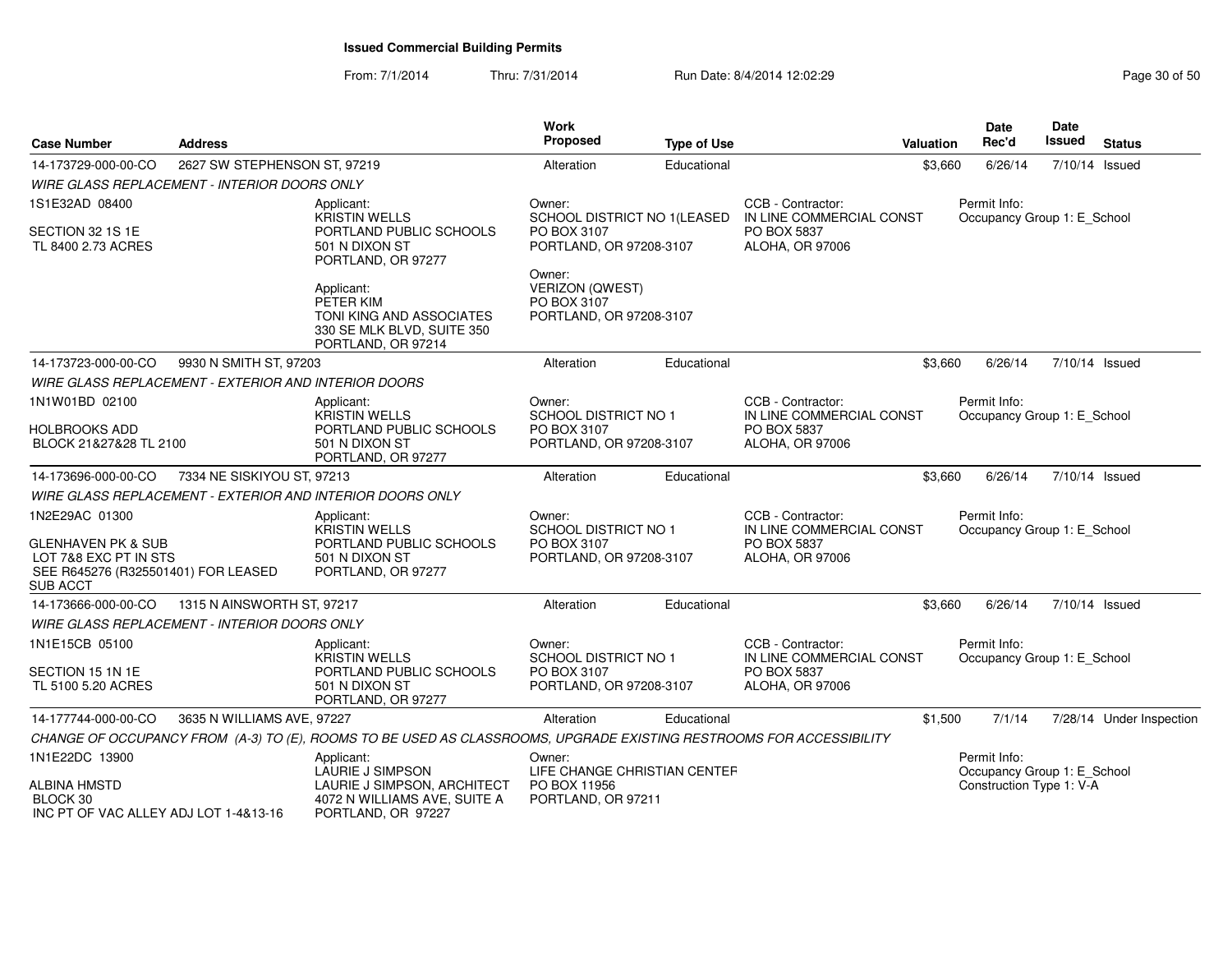| <b>Case Number</b>                                                                                               | <b>Address</b>                                              |                                                                                                                     | Work<br>Proposed                                                           | <b>Type of Use</b>           |                                                            | Valuation | Date<br>Rec'd                               | Date<br><b>Issued</b> | <b>Status</b>            |
|------------------------------------------------------------------------------------------------------------------|-------------------------------------------------------------|---------------------------------------------------------------------------------------------------------------------|----------------------------------------------------------------------------|------------------------------|------------------------------------------------------------|-----------|---------------------------------------------|-----------------------|--------------------------|
| 14-173729-000-00-CO                                                                                              | 2627 SW STEPHENSON ST, 97219                                |                                                                                                                     | Alteration                                                                 | Educational                  |                                                            | \$3,660   | 6/26/14                                     | 7/10/14 Issued        |                          |
|                                                                                                                  | WIRE GLASS REPLACEMENT - INTERIOR DOORS ONLY                |                                                                                                                     |                                                                            |                              |                                                            |           |                                             |                       |                          |
| 1S1E32AD 08400                                                                                                   |                                                             | Applicant:<br><b>KRISTIN WELLS</b>                                                                                  | Owner:                                                                     | SCHOOL DISTRICT NO 1(LEASED  | CCB - Contractor:<br>IN LINE COMMERCIAL CONST              |           | Permit Info:<br>Occupancy Group 1: E_School |                       |                          |
| SECTION 32 1S 1E<br>TL 8400 2.73 ACRES                                                                           |                                                             | PORTLAND PUBLIC SCHOOLS<br>501 N DIXON ST<br>PORTLAND, OR 97277                                                     | PO BOX 3107<br>PORTLAND, OR 97208-3107                                     |                              | PO BOX 5837<br>ALOHA, OR 97006                             |           |                                             |                       |                          |
|                                                                                                                  |                                                             | Applicant:<br>PETER KIM<br>TONI KING AND ASSOCIATES<br>330 SE MLK BLVD, SUITE 350<br>PORTLAND, OR 97214             | Owner:<br><b>VERIZON (QWEST)</b><br>PO BOX 3107<br>PORTLAND, OR 97208-3107 |                              |                                                            |           |                                             |                       |                          |
| 14-173723-000-00-CO                                                                                              | 9930 N SMITH ST, 97203                                      |                                                                                                                     | Alteration                                                                 | Educational                  |                                                            | \$3,660   | 6/26/14                                     | 7/10/14 Issued        |                          |
|                                                                                                                  | <b>WIRE GLASS REPLACEMENT - EXTERIOR AND INTERIOR DOORS</b> |                                                                                                                     |                                                                            |                              |                                                            |           |                                             |                       |                          |
| 1N1W01BD 02100                                                                                                   |                                                             | Applicant:<br><b>KRISTIN WELLS</b>                                                                                  | Owner:<br><b>SCHOOL DISTRICT NO 1</b>                                      |                              | CCB - Contractor:<br>IN LINE COMMERCIAL CONST              |           | Permit Info:<br>Occupancy Group 1: E_School |                       |                          |
| HOLBROOKS ADD                                                                                                    |                                                             | PORTLAND PUBLIC SCHOOLS                                                                                             | PO BOX 3107                                                                |                              | PO BOX 5837                                                |           |                                             |                       |                          |
| BLOCK 21&27&28 TL 2100                                                                                           |                                                             | 501 N DIXON ST<br>PORTLAND, OR 97277                                                                                | PORTLAND, OR 97208-3107                                                    |                              | ALOHA, OR 97006                                            |           |                                             |                       |                          |
| 14-173696-000-00-CO                                                                                              | 7334 NE SISKIYOU ST, 97213                                  |                                                                                                                     | Alteration                                                                 | Educational                  |                                                            | \$3,660   | 6/26/14                                     | 7/10/14 Issued        |                          |
|                                                                                                                  |                                                             | <b>WIRE GLASS REPLACEMENT - EXTERIOR AND INTERIOR DOORS ONLY</b>                                                    |                                                                            |                              |                                                            |           |                                             |                       |                          |
| 1N2E29AC 01300                                                                                                   |                                                             | Applicant:                                                                                                          | Owner:                                                                     |                              | CCB - Contractor:                                          |           | Permit Info:                                |                       |                          |
| <b>GLENHAVEN PK &amp; SUB</b><br>LOT 7&8 EXC PT IN STS<br>SEE R645276 (R325501401) FOR LEASED<br><b>SUB ACCT</b> |                                                             | <b>KRISTIN WELLS</b><br>PORTLAND PUBLIC SCHOOLS<br>501 N DIXON ST<br>PORTLAND, OR 97277                             | SCHOOL DISTRICT NO 1<br>PO BOX 3107<br>PORTLAND, OR 97208-3107             |                              | IN LINE COMMERCIAL CONST<br>PO BOX 5837<br>ALOHA, OR 97006 |           | Occupancy Group 1: E School                 |                       |                          |
| 14-173666-000-00-CO                                                                                              | 1315 N AINSWORTH ST, 97217                                  |                                                                                                                     | Alteration                                                                 | Educational                  |                                                            | \$3,660   | 6/26/14                                     | 7/10/14 Issued        |                          |
|                                                                                                                  | <b>WIRE GLASS REPLACEMENT - INTERIOR DOORS ONLY</b>         |                                                                                                                     |                                                                            |                              |                                                            |           |                                             |                       |                          |
| 1N1E15CB 05100                                                                                                   |                                                             | Applicant:<br><b>KRISTIN WELLS</b>                                                                                  | Owner:<br><b>SCHOOL DISTRICT NO 1</b>                                      |                              | CCB - Contractor:<br>IN LINE COMMERCIAL CONST              |           | Permit Info:<br>Occupancy Group 1: E_School |                       |                          |
| SECTION 15 1N 1E<br>TL 5100 5.20 ACRES                                                                           |                                                             | PORTLAND PUBLIC SCHOOLS<br>501 N DIXON ST<br>PORTLAND, OR 97277                                                     | PO BOX 3107<br>PORTLAND, OR 97208-3107                                     |                              | PO BOX 5837<br>ALOHA, OR 97006                             |           |                                             |                       |                          |
| 14-177744-000-00-CO                                                                                              | 3635 N WILLIAMS AVE, 97227                                  |                                                                                                                     | Alteration                                                                 | Educational                  |                                                            | \$1,500   | 7/1/14                                      |                       | 7/28/14 Under Inspection |
|                                                                                                                  |                                                             | CHANGE OF OCCUPANCY FROM (A-3) TO (E), ROOMS TO BE USED AS CLASSROOMS, UPGRADE EXISTING RESTROOMS FOR ACCESSIBILITY |                                                                            |                              |                                                            |           |                                             |                       |                          |
| 1N1E22DC 13900                                                                                                   |                                                             | Applicant:<br><b>LAURIE J SIMPSON</b>                                                                               | Owner:                                                                     | LIFE CHANGE CHRISTIAN CENTEF |                                                            |           | Permit Info:<br>Occupancy Group 1: E_School |                       |                          |
| ALBINA HMSTD<br>BLOCK 30<br>INC PT OF VAC ALLEY ADJ LOT 1-4&13-16                                                |                                                             | LAURIE J SIMPSON, ARCHITECT<br>4072 N WILLIAMS AVE, SUITE A<br>PORTLAND, OR 97227                                   | PO BOX 11956<br>PORTLAND, OR 97211                                         |                              |                                                            |           | Construction Type 1: V-A                    |                       |                          |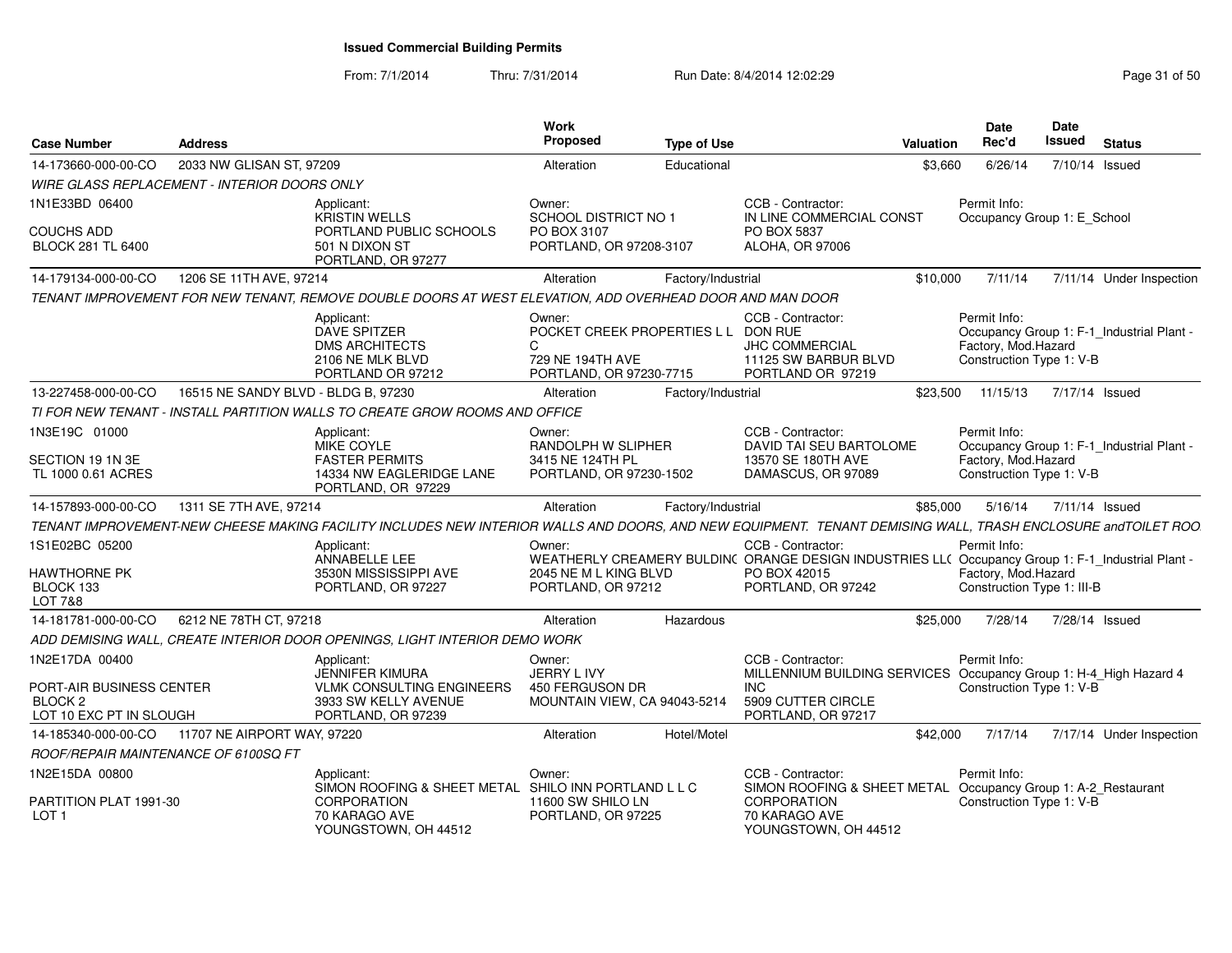| <b>Case Number</b>                                                        | <b>Address</b>                      |                                                                                                                                                              | <b>Work</b><br><b>Proposed</b>                                                                     | <b>Type of Use</b> |                                                                                                                                        | Valuation | Date<br>Rec'd                                                   | <b>Date</b><br>Issued | <b>Status</b>                             |
|---------------------------------------------------------------------------|-------------------------------------|--------------------------------------------------------------------------------------------------------------------------------------------------------------|----------------------------------------------------------------------------------------------------|--------------------|----------------------------------------------------------------------------------------------------------------------------------------|-----------|-----------------------------------------------------------------|-----------------------|-------------------------------------------|
| 14-173660-000-00-CO                                                       | 2033 NW GLISAN ST, 97209            |                                                                                                                                                              | Alteration                                                                                         | Educational        |                                                                                                                                        | \$3.660   | 6/26/14                                                         |                       | 7/10/14 Issued                            |
| WIRE GLASS REPLACEMENT - INTERIOR DOORS ONLY                              |                                     |                                                                                                                                                              |                                                                                                    |                    |                                                                                                                                        |           |                                                                 |                       |                                           |
| 1N1E33BD 06400                                                            |                                     | Applicant:<br><b>KRISTIN WELLS</b>                                                                                                                           | Owner:<br><b>SCHOOL DISTRICT NO 1</b>                                                              |                    | CCB - Contractor:<br>IN LINE COMMERCIAL CONST                                                                                          |           | Permit Info:<br>Occupancy Group 1: E School                     |                       |                                           |
| <b>COUCHS ADD</b>                                                         |                                     | PORTLAND PUBLIC SCHOOLS                                                                                                                                      | PO BOX 3107                                                                                        |                    | PO BOX 5837                                                                                                                            |           |                                                                 |                       |                                           |
| BLOCK 281 TL 6400                                                         |                                     | 501 N DIXON ST<br>PORTLAND, OR 97277                                                                                                                         | PORTLAND, OR 97208-3107                                                                            |                    | ALOHA, OR 97006                                                                                                                        |           |                                                                 |                       |                                           |
| 14-179134-000-00-CO                                                       | 1206 SE 11TH AVE, 97214             |                                                                                                                                                              | Alteration                                                                                         | Factory/Industrial |                                                                                                                                        | \$10,000  | 7/11/14                                                         |                       | 7/11/14 Under Inspection                  |
|                                                                           |                                     | TENANT IMPROVEMENT FOR NEW TENANT, REMOVE DOUBLE DOORS AT WEST ELEVATION, ADD OVERHEAD DOOR AND MAN DOOR                                                     |                                                                                                    |                    |                                                                                                                                        |           |                                                                 |                       |                                           |
|                                                                           |                                     | Applicant:<br><b>DAVE SPITZER</b><br><b>DMS ARCHITECTS</b><br>2106 NE MLK BLVD<br>PORTLAND OR 97212                                                          | Owner:<br>POCKET CREEK PROPERTIES L L DON RUE<br>C.<br>729 NE 194TH AVE<br>PORTLAND, OR 97230-7715 |                    | CCB - Contractor:<br><b>JHC COMMERCIAL</b><br>11125 SW BARBUR BLVD<br>PORTLAND OR 97219                                                |           | Permit Info:<br>Factory, Mod.Hazard<br>Construction Type 1: V-B |                       | Occupancy Group 1: F-1_Industrial Plant - |
| 13-227458-000-00-CO                                                       | 16515 NE SANDY BLVD - BLDG B, 97230 |                                                                                                                                                              | Alteration                                                                                         | Factory/Industrial |                                                                                                                                        | \$23.500  | 11/15/13                                                        |                       | 7/17/14 Issued                            |
|                                                                           |                                     | TI FOR NEW TENANT - INSTALL PARTITION WALLS TO CREATE GROW ROOMS AND OFFICE                                                                                  |                                                                                                    |                    |                                                                                                                                        |           |                                                                 |                       |                                           |
| 1N3E19C 01000                                                             |                                     | Applicant:<br><b>MIKE COYLE</b>                                                                                                                              | Owner:<br>RANDOLPH W SLIPHER                                                                       |                    | CCB - Contractor:<br><b>DAVID TAI SEU BARTOLOME</b>                                                                                    |           | Permit Info:                                                    |                       | Occupancy Group 1: F-1_Industrial Plant - |
| SECTION 19 1N 3E<br>TL 1000 0.61 ACRES                                    |                                     | <b>FASTER PERMITS</b><br>14334 NW EAGLERIDGE LANE<br>PORTLAND, OR 97229                                                                                      | 3415 NE 124TH PL<br>PORTLAND, OR 97230-1502                                                        |                    | 13570 SE 180TH AVE<br>DAMASCUS, OR 97089                                                                                               |           | Factory, Mod.Hazard<br>Construction Type 1: V-B                 |                       |                                           |
| 14-157893-000-00-CO                                                       | 1311 SE 7TH AVE, 97214              |                                                                                                                                                              | Alteration                                                                                         | Factory/Industrial |                                                                                                                                        | \$85,000  | 5/16/14                                                         |                       | 7/11/14 Issued                            |
|                                                                           |                                     | TENANT IMPROVEMENT-NEW CHEESE MAKING FACILITY INCLUDES NEW INTERIOR WALLS AND DOORS. AND NEW EQUIPMENT. TENANT DEMISING WALL. TRASH ENCLOSURE and TOILET ROO |                                                                                                    |                    |                                                                                                                                        |           |                                                                 |                       |                                           |
| 1S1E02BC 05200<br><b>HAWTHORNE PK</b>                                     |                                     | Applicant:<br>ANNABELLE LEE<br>3530N MISSISSIPPI AVE                                                                                                         | Owner:<br>2045 NE M L KING BLVD                                                                    |                    | CCB - Contractor:<br>WEATHERLY CREAMERY BULDIN( ORANGE DESIGN INDUSTRIES LL( Occupancy Group 1: F-1_Industrial Plant -<br>PO BOX 42015 |           | Permit Info:<br>Factory, Mod.Hazard                             |                       |                                           |
| BLOCK 133<br>LOT 7&8                                                      |                                     | PORTLAND, OR 97227                                                                                                                                           | PORTLAND, OR 97212                                                                                 |                    | PORTLAND, OR 97242                                                                                                                     |           | Construction Type 1: III-B                                      |                       |                                           |
| 14-181781-000-00-CO                                                       | 6212 NE 78TH CT, 97218              |                                                                                                                                                              | Alteration                                                                                         | Hazardous          |                                                                                                                                        | \$25,000  | 7/28/14                                                         |                       | 7/28/14 Issued                            |
|                                                                           |                                     | ADD DEMISING WALL, CREATE INTERIOR DOOR OPENINGS, LIGHT INTERIOR DEMO WORK                                                                                   |                                                                                                    |                    |                                                                                                                                        |           |                                                                 |                       |                                           |
| 1N2E17DA 00400                                                            |                                     | Applicant:<br><b>JENNIFER KIMURA</b>                                                                                                                         | Owner:<br>JERRY L IVY                                                                              |                    | CCB - Contractor:<br>MILLENNIUM BUILDING SERVICES Occupancy Group 1: H-4_High Hazard 4                                                 |           | Permit Info:                                                    |                       |                                           |
| PORT-AIR BUSINESS CENTER<br>BLOCK <sub>2</sub><br>LOT 10 EXC PT IN SLOUGH |                                     | VLMK CONSULTING ENGINEERS<br>3933 SW KELLY AVENUE<br>PORTLAND, OR 97239                                                                                      | 450 FERGUSON DR<br>MOUNTAIN VIEW, CA 94043-5214                                                    |                    | INC.<br>5909 CUTTER CIRCLE<br>PORTLAND, OR 97217                                                                                       |           | Construction Type 1: V-B                                        |                       |                                           |
| 14-185340-000-00-CO                                                       | 11707 NE AIRPORT WAY, 97220         |                                                                                                                                                              | Alteration                                                                                         | Hotel/Motel        |                                                                                                                                        | \$42,000  | 7/17/14                                                         |                       | 7/17/14 Under Inspection                  |
| ROOF/REPAIR MAINTENANCE OF 6100SQ FT                                      |                                     |                                                                                                                                                              |                                                                                                    |                    |                                                                                                                                        |           |                                                                 |                       |                                           |
| 1N2E15DA 00800                                                            |                                     | Applicant:<br>SIMON ROOFING & SHEET METAL                                                                                                                    | Owner:<br>SHILO INN PORTLAND L L C                                                                 |                    | CCB - Contractor:<br>SIMON ROOFING & SHEET METAL                                                                                       |           | Permit Info:                                                    |                       | Occupancy Group 1: A-2_Restaurant         |
| PARTITION PLAT 1991-30<br>LOT <sub>1</sub>                                |                                     | <b>CORPORATION</b><br>70 KARAGO AVE<br>YOUNGSTOWN, OH 44512                                                                                                  | 11600 SW SHILO LN<br>PORTLAND, OR 97225                                                            |                    | CORPORATION<br>70 KARAGO AVE<br>YOUNGSTOWN, OH 44512                                                                                   |           | Construction Type 1: V-B                                        |                       |                                           |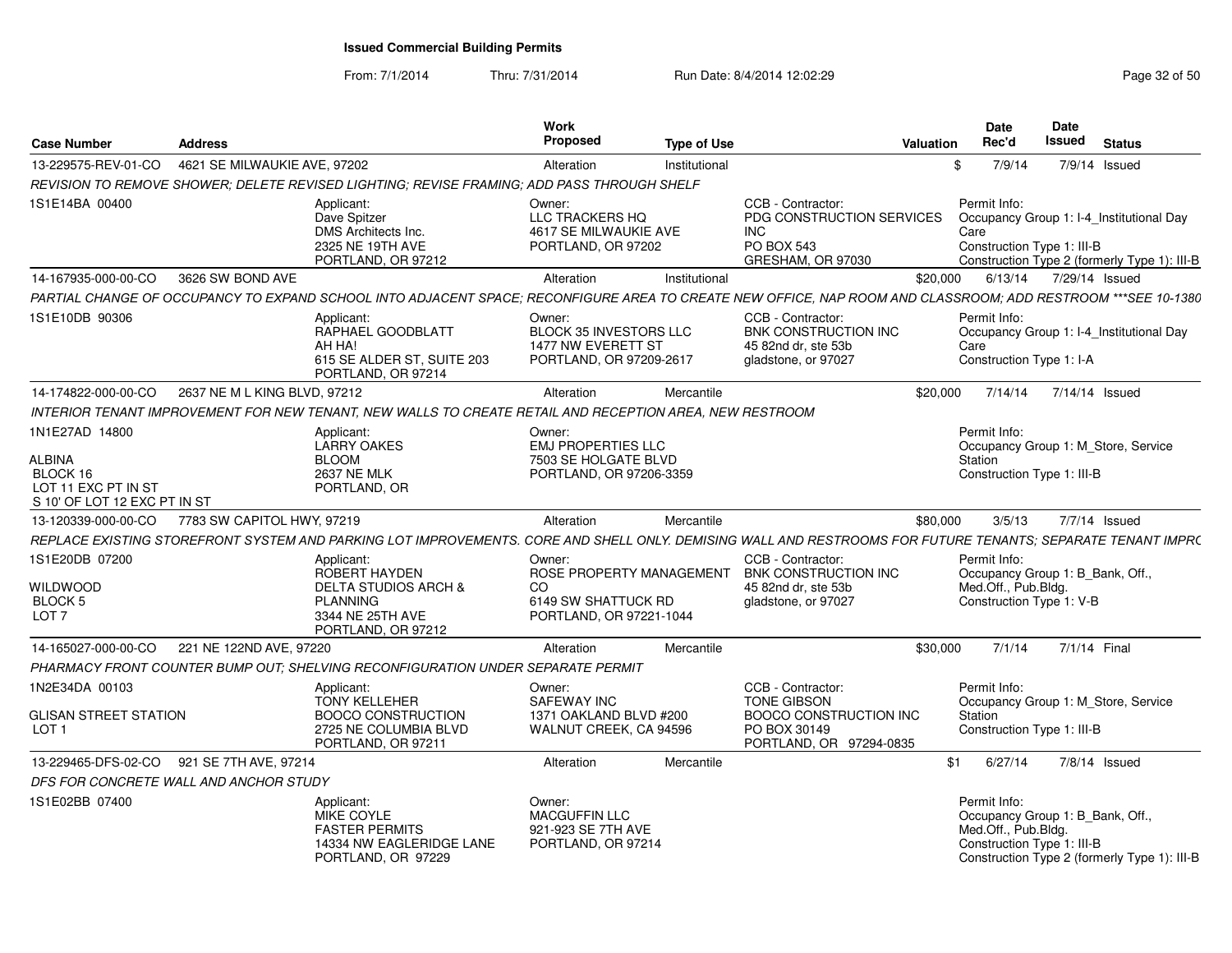From: 7/1/2014

| <b>Case Number</b>                                                               | <b>Address</b>               |                                                                                                                                                              | Work<br><b>Proposed</b>                                                           | <b>Type of Use</b> |                                                                                                 | Valuation | Date<br>Rec'd                                                     | Date<br>Issued | <b>Status</b>                                                                            |
|----------------------------------------------------------------------------------|------------------------------|--------------------------------------------------------------------------------------------------------------------------------------------------------------|-----------------------------------------------------------------------------------|--------------------|-------------------------------------------------------------------------------------------------|-----------|-------------------------------------------------------------------|----------------|------------------------------------------------------------------------------------------|
| 13-229575-REV-01-CO                                                              | 4621 SE MILWAUKIE AVE, 97202 |                                                                                                                                                              | Alteration                                                                        | Institutional      |                                                                                                 | -\$       | 7/9/14                                                            |                | 7/9/14 Issued                                                                            |
|                                                                                  |                              | REVISION TO REMOVE SHOWER; DELETE REVISED LIGHTING; REVISE FRAMING; ADD PASS THROUGH SHELF                                                                   |                                                                                   |                    |                                                                                                 |           |                                                                   |                |                                                                                          |
| 1S1E14BA 00400                                                                   |                              | Applicant:<br>Dave Spitzer<br>DMS Architects Inc.<br>2325 NE 19TH AVE<br>PORTLAND, OR 97212                                                                  | Owner:<br>LLC TRACKERS HQ<br>4617 SE MILWAUKIE AVE<br>PORTLAND, OR 97202          |                    | CCB - Contractor:<br>PDG CONSTRUCTION SERVICES<br><b>INC</b><br>PO BOX 543<br>GRESHAM, OR 97030 |           | Permit Info:<br>Care<br>Construction Type 1: III-B                |                | Occupancy Group 1: I-4 Institutional Day<br>Construction Type 2 (formerly Type 1): III-B |
| 14-167935-000-00-CO                                                              | 3626 SW BOND AVE             |                                                                                                                                                              | Alteration                                                                        | Institutional      |                                                                                                 | \$20,000  |                                                                   |                | 6/13/14 7/29/14 Issued                                                                   |
|                                                                                  |                              | PARTIAL CHANGE OF OCCUPANCY TO EXPAND SCHOOL INTO ADJACENT SPACE: RECONFIGURE AREA TO CREATE NEW OFFICE. NAP ROOM AND CLASSROOM: ADD RESTROOM ***SEE 10-1380 |                                                                                   |                    |                                                                                                 |           |                                                                   |                |                                                                                          |
| 1S1E10DB 90306                                                                   |                              | Applicant:<br>RAPHAEL GOODBLATT<br>AH HA!<br>615 SE ALDER ST. SUITE 203<br>PORTLAND, OR 97214                                                                | Owner:<br>BLOCK 35 INVESTORS LLC<br>1477 NW EVERETT ST<br>PORTLAND, OR 97209-2617 |                    | CCB - Contractor:<br><b>BNK CONSTRUCTION INC</b><br>45 82nd dr. ste 53b<br>gladstone, or 97027  |           | Permit Info:<br>Care<br>Construction Type 1: I-A                  |                | Occupancy Group 1: I-4 Institutional Day                                                 |
| 14-174822-000-00-CO                                                              | 2637 NE M L KING BLVD, 97212 |                                                                                                                                                              | Alteration                                                                        | Mercantile         |                                                                                                 | \$20,000  |                                                                   |                | 7/14/14 7/14/14 Issued                                                                   |
|                                                                                  |                              | INTERIOR TENANT IMPROVEMENT FOR NEW TENANT. NEW WALLS TO CREATE RETAIL AND RECEPTION AREA. NEW RESTROOM                                                      |                                                                                   |                    |                                                                                                 |           |                                                                   |                |                                                                                          |
| 1N1E27AD 14800                                                                   |                              | Applicant:<br><b>LARRY OAKES</b>                                                                                                                             | Owner:<br><b>EMJ PROPERTIES LLC</b>                                               |                    |                                                                                                 |           | Permit Info:                                                      |                | Occupancy Group 1: M_Store, Service                                                      |
| <b>ALBINA</b><br>BLOCK 16<br>LOT 11 EXC PT IN ST<br>S 10' OF LOT 12 EXC PT IN ST |                              | <b>BLOOM</b><br><b>2637 NE MLK</b><br>PORTLAND, OR                                                                                                           | 7503 SE HOLGATE BLVD<br>PORTLAND, OR 97206-3359                                   |                    |                                                                                                 |           | Station<br>Construction Type 1: III-B                             |                |                                                                                          |
| 13-120339-000-00-CO                                                              | 7783 SW CAPITOL HWY, 97219   |                                                                                                                                                              | Alteration                                                                        | Mercantile         |                                                                                                 | \$80,000  | 3/5/13                                                            |                | 7/7/14 Issued                                                                            |
|                                                                                  |                              | REPLACE EXISTING STOREFRONT SYSTEM AND PARKING LOT IMPROVEMENTS. CORE AND SHELL ONLY. DEMISING WALL AND RESTROOMS FOR FUTURE TENANTS: SEPARATE TENANT IMPRO  |                                                                                   |                    |                                                                                                 |           |                                                                   |                |                                                                                          |
| 1S1E20DB 07200                                                                   |                              | Applicant:<br>ROBERT HAYDEN                                                                                                                                  | Owner:<br>ROSE PROPERTY MANAGEMENT                                                |                    | CCB - Contractor:<br><b>BNK CONSTRUCTION INC</b>                                                |           | Permit Info:                                                      |                | Occupancy Group 1: B_Bank, Off.                                                          |
| WILDWOOD                                                                         |                              | <b>DELTA STUDIOS ARCH &amp;</b>                                                                                                                              | CO.                                                                               |                    | 45 82nd dr. ste 53b                                                                             |           | Med.Off., Pub.Bldg.                                               |                |                                                                                          |
| BLOCK <sub>5</sub><br>LOT <sub>7</sub>                                           |                              | <b>PLANNING</b><br>3344 NE 25TH AVE<br>PORTLAND, OR 97212                                                                                                    | 6149 SW SHATTUCK RD<br>PORTLAND, OR 97221-1044                                    |                    | gladstone, or 97027                                                                             |           | Construction Type 1: V-B                                          |                |                                                                                          |
| 14-165027-000-00-CO                                                              | 221 NE 122ND AVE, 97220      |                                                                                                                                                              | Alteration                                                                        | Mercantile         |                                                                                                 | \$30,000  | 7/1/14                                                            |                | 7/1/14 Final                                                                             |
|                                                                                  |                              | PHARMACY FRONT COUNTER BUMP OUT; SHELVING RECONFIGURATION UNDER SEPARATE PERMIT                                                                              |                                                                                   |                    |                                                                                                 |           |                                                                   |                |                                                                                          |
| 1N2E34DA 00103                                                                   |                              | Applicant:<br><b>TONY KELLEHER</b>                                                                                                                           | Owner:<br><b>SAFEWAY INC</b>                                                      |                    | CCB - Contractor:<br><b>TONE GIBSON</b>                                                         |           | Permit Info:                                                      |                | Occupancy Group 1: M_Store, Service                                                      |
| <b>GLISAN STREET STATION</b><br>LOT <sub>1</sub>                                 |                              | <b>BOOCO CONSTRUCTION</b><br>2725 NE COLUMBIA BLVD<br>PORTLAND, OR 97211                                                                                     | 1371 OAKLAND BLVD #200<br>WALNUT CREEK, CA 94596                                  |                    | <b>BOOCO CONSTRUCTION INC</b><br>PO BOX 30149<br>PORTLAND, OR 97294-0835                        |           | Station<br>Construction Type 1: III-B                             |                |                                                                                          |
| 13-229465-DFS-02-CO 921 SE 7TH AVE, 97214                                        |                              |                                                                                                                                                              | Alteration                                                                        | Mercantile         |                                                                                                 | \$1       | 6/27/14                                                           |                | 7/8/14 Issued                                                                            |
| DFS FOR CONCRETE WALL AND ANCHOR STUDY                                           |                              |                                                                                                                                                              |                                                                                   |                    |                                                                                                 |           |                                                                   |                |                                                                                          |
| 1S1E02BB 07400                                                                   |                              | Applicant:<br>MIKE COYLE<br><b>FASTER PERMITS</b><br>14334 NW EAGLERIDGE LANE<br>PORTLAND, OR 97229                                                          | Owner:<br>MACGUFFIN LLC<br>921-923 SE 7TH AVE<br>PORTLAND, OR 97214               |                    |                                                                                                 |           | Permit Info:<br>Med.Off., Pub.Bldg.<br>Construction Type 1: III-B |                | Occupancy Group 1: B_Bank, Off.<br>Construction Type 2 (formerly Type 1): III-B          |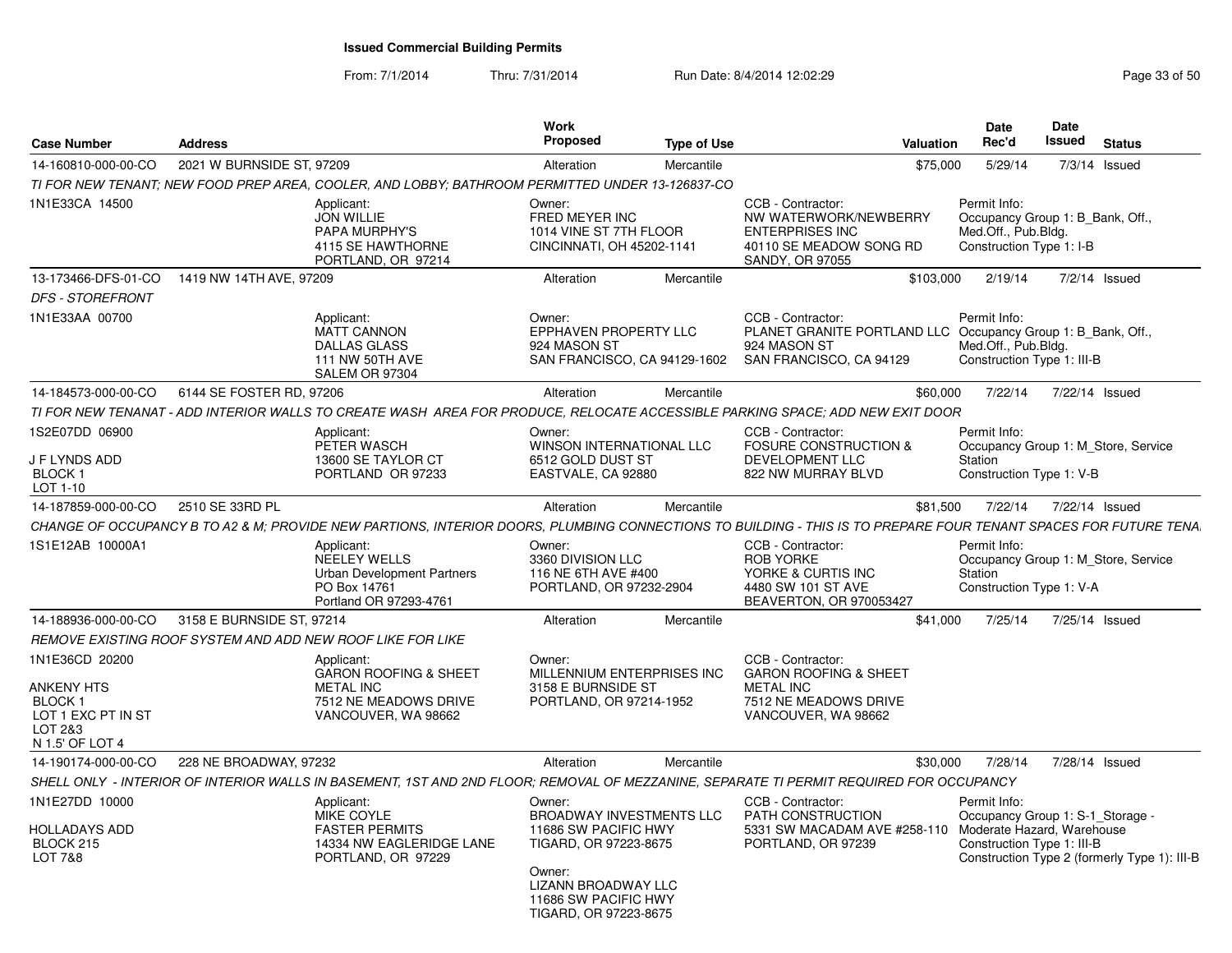| <b>Case Number</b>                                                                                | <b>Address</b>            |                                                                                                                                                                 | <b>Work</b><br><b>Proposed</b>                                                                                                                                                      | <b>Type of Use</b> | Valuation                                                                                                                    |           | <b>Date</b><br>Rec'd                                                                                | Date<br>Issued | <b>Status</b>                                |
|---------------------------------------------------------------------------------------------------|---------------------------|-----------------------------------------------------------------------------------------------------------------------------------------------------------------|-------------------------------------------------------------------------------------------------------------------------------------------------------------------------------------|--------------------|------------------------------------------------------------------------------------------------------------------------------|-----------|-----------------------------------------------------------------------------------------------------|----------------|----------------------------------------------|
| 14-160810-000-00-CO                                                                               | 2021 W BURNSIDE ST, 97209 |                                                                                                                                                                 | Alteration                                                                                                                                                                          | Mercantile         |                                                                                                                              | \$75,000  | 5/29/14                                                                                             |                | $7/3/14$ Issued                              |
|                                                                                                   |                           | TI FOR NEW TENANT; NEW FOOD PREP AREA, COOLER, AND LOBBY; BATHROOM PERMITTED UNDER 13-126837-CO                                                                 |                                                                                                                                                                                     |                    |                                                                                                                              |           |                                                                                                     |                |                                              |
| 1N1E33CA 14500                                                                                    |                           | Applicant:<br><b>JON WILLIE</b><br>PAPA MURPHY'S<br>4115 SE HAWTHORNE<br>PORTLAND, OR 97214                                                                     | Owner:<br>FRED MEYER INC<br>1014 VINE ST 7TH FLOOR<br>CINCINNATI, OH 45202-1141                                                                                                     |                    | CCB - Contractor:<br>NW WATERWORK/NEWBERRY<br><b>ENTERPRISES INC</b><br>40110 SE MEADOW SONG RD<br>SANDY, OR 97055           |           | Permit Info:<br>Occupancy Group 1: B_Bank, Off.,<br>Med.Off., Pub.Bldg.<br>Construction Type 1: I-B |                |                                              |
| 13-173466-DFS-01-CO<br><b>DFS - STOREFRONT</b>                                                    | 1419 NW 14TH AVE, 97209   |                                                                                                                                                                 | Alteration                                                                                                                                                                          | Mercantile         |                                                                                                                              | \$103,000 | 2/19/14                                                                                             |                | 7/2/14 Issued                                |
| 1N1E33AA 00700                                                                                    |                           | Applicant:<br><b>MATT CANNON</b><br><b>DALLAS GLASS</b><br><b>111 NW 50TH AVE</b><br>SALEM OR 97304                                                             | Owner:<br>EPPHAVEN PROPERTY LLC<br>924 MASON ST<br>SAN FRANCISCO, CA 94129-1602                                                                                                     |                    | CCB - Contractor:<br>PLANET GRANITE PORTLAND LLC Occupancy Group 1: B_Bank, Off.,<br>924 MASON ST<br>SAN FRANCISCO, CA 94129 |           | Permit Info:<br>Med.Off., Pub.Bldg.<br>Construction Type 1: III-B                                   |                |                                              |
| 14-184573-000-00-CO                                                                               | 6144 SE FOSTER RD, 97206  |                                                                                                                                                                 | Alteration                                                                                                                                                                          | Mercantile         |                                                                                                                              | \$60,000  | 7/22/14                                                                                             | 7/22/14 Issued |                                              |
|                                                                                                   |                           | TI FOR NEW TENANAT - ADD INTERIOR WALLS TO CREATE WASH AREA FOR PRODUCE, RELOCATE ACCESSIBLE PARKING SPACE; ADD NEW EXIT DOOR                                   |                                                                                                                                                                                     |                    |                                                                                                                              |           |                                                                                                     |                |                                              |
| 1S2E07DD 06900<br>J F LYNDS ADD<br><b>BLOCK1</b><br>LOT 1-10                                      |                           | Applicant:<br>PETER WASCH<br>13600 SE TAYLOR CT<br>PORTLAND OR 97233                                                                                            | Owner:<br>WINSON INTERNATIONAL LLC<br>6512 GOLD DUST ST<br>EASTVALE, CA 92880                                                                                                       |                    | CCB - Contractor:<br><b>FOSURE CONSTRUCTION &amp;</b><br><b>DEVELOPMENT LLC</b><br>822 NW MURRAY BLVD                        |           | Permit Info:<br>Station<br>Construction Type 1: V-B                                                 |                | Occupancy Group 1: M_Store, Service          |
| 14-187859-000-00-CO                                                                               | 2510 SE 33RD PL           |                                                                                                                                                                 | Alteration                                                                                                                                                                          | Mercantile         |                                                                                                                              | \$81,500  | 7/22/14                                                                                             | 7/22/14 Issued |                                              |
|                                                                                                   |                           | CHANGE OF OCCUPANCY B TO A2 & M; PROVIDE NEW PARTIONS, INTERIOR DOORS, PLUMBING CONNECTIONS TO BUILDING - THIS IS TO PREPARE FOUR TENANT SPACES FOR FUTURE TENA |                                                                                                                                                                                     |                    |                                                                                                                              |           |                                                                                                     |                |                                              |
| 1S1E12AB 10000A1                                                                                  |                           | Applicant:<br>NEELEY WELLS<br><b>Urban Development Partners</b><br>PO Box 14761<br>Portland OR 97293-4761                                                       | Owner:<br>3360 DIVISION LLC<br>116 NE 6TH AVE #400<br>PORTLAND, OR 97232-2904                                                                                                       |                    | CCB - Contractor:<br><b>ROB YORKE</b><br>YORKE & CURTIS INC<br>4480 SW 101 ST AVE<br>BEAVERTON, OR 970053427                 |           | Permit Info:<br>Station<br>Construction Type 1: V-A                                                 |                | Occupancy Group 1: M_Store, Service          |
| 14-188936-000-00-CO                                                                               | 3158 E BURNSIDE ST, 97214 |                                                                                                                                                                 | Alteration                                                                                                                                                                          | Mercantile         |                                                                                                                              | \$41,000  | 7/25/14                                                                                             | 7/25/14 Issued |                                              |
|                                                                                                   |                           | REMOVE EXISTING ROOF SYSTEM AND ADD NEW ROOF LIKE FOR LIKE                                                                                                      |                                                                                                                                                                                     |                    |                                                                                                                              |           |                                                                                                     |                |                                              |
| 1N1E36CD 20200<br>ANKENY HTS<br><b>BLOCK1</b><br>LOT 1 EXC PT IN ST<br>LOT 2&3<br>N 1.5' OF LOT 4 |                           | Applicant:<br><b>GARON ROOFING &amp; SHEET</b><br><b>METAL INC</b><br>7512 NE MEADOWS DRIVE<br>VANCOUVER, WA 98662                                              | Owner:<br>MILLENNIUM ENTERPRISES INC<br>3158 E BURNSIDE ST<br>PORTLAND, OR 97214-1952                                                                                               |                    | CCB - Contractor:<br><b>GARON ROOFING &amp; SHEET</b><br><b>METAL INC</b><br>7512 NE MEADOWS DRIVE<br>VANCOUVER, WA 98662    |           |                                                                                                     |                |                                              |
| 14-190174-000-00-CO                                                                               | 228 NE BROADWAY, 97232    |                                                                                                                                                                 | Alteration                                                                                                                                                                          | Mercantile         |                                                                                                                              | \$30,000  | 7/28/14                                                                                             | 7/28/14 Issued |                                              |
|                                                                                                   |                           | SHELL ONLY - INTERIOR OF INTERIOR WALLS IN BASEMENT, 1ST AND 2ND FLOOR; REMOVAL OF MEZZANINE, SEPARATE TI PERMIT REQUIRED FOR OCCUPANCY                         |                                                                                                                                                                                     |                    |                                                                                                                              |           |                                                                                                     |                |                                              |
| 1N1E27DD 10000<br><b>HOLLADAYS ADD</b><br>BLOCK 215<br>LOT 7&8                                    |                           | Applicant:<br><b>MIKE COYLE</b><br><b>FASTER PERMITS</b><br>14334 NW EAGLERIDGE LANE<br>PORTLAND, OR 97229                                                      | Owner:<br><b>BROADWAY INVESTMENTS LLC</b><br>11686 SW PACIFIC HWY<br>TIGARD, OR 97223-8675<br>Owner:<br><b>LIZANN BROADWAY LLC</b><br>11686 SW PACIFIC HWY<br>TIGARD, OR 97223-8675 |                    | CCB - Contractor:<br>PATH CONSTRUCTION<br>5331 SW MACADAM AVE #258-110 Moderate Hazard, Warehouse<br>PORTLAND, OR 97239      |           | Permit Info:<br>Occupancy Group 1: S-1_Storage -<br>Construction Type 1: III-B                      |                | Construction Type 2 (formerly Type 1): III-B |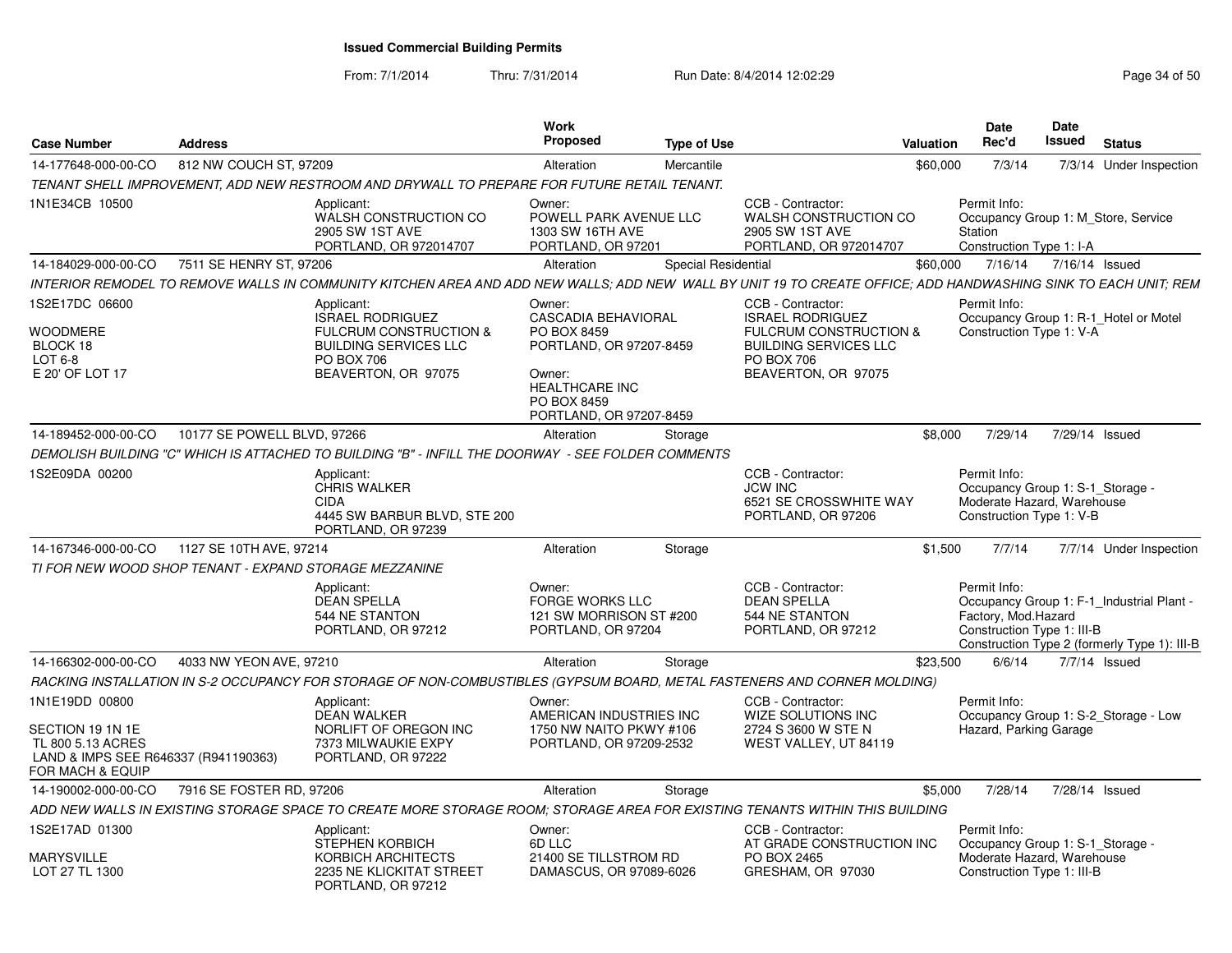| <b>Case Number</b>                                                                                                  | <b>Address</b>                                                                                                                                                 | Work<br><b>Proposed</b>                                                                                                                                     | <b>Type of Use</b>  |                                                                                                                                                        | Valuation | Date<br>Rec'd                                                                                                | Date<br><b>Issued</b> | <b>Status</b>                                                                             |
|---------------------------------------------------------------------------------------------------------------------|----------------------------------------------------------------------------------------------------------------------------------------------------------------|-------------------------------------------------------------------------------------------------------------------------------------------------------------|---------------------|--------------------------------------------------------------------------------------------------------------------------------------------------------|-----------|--------------------------------------------------------------------------------------------------------------|-----------------------|-------------------------------------------------------------------------------------------|
| 14-177648-000-00-CO                                                                                                 | 812 NW COUCH ST, 97209                                                                                                                                         | Alteration                                                                                                                                                  | Mercantile          |                                                                                                                                                        | \$60,000  | 7/3/14                                                                                                       |                       | 7/3/14 Under Inspection                                                                   |
|                                                                                                                     | TENANT SHELL IMPROVEMENT, ADD NEW RESTROOM AND DRYWALL TO PREPARE FOR FUTURE RETAIL TENANT.                                                                    |                                                                                                                                                             |                     |                                                                                                                                                        |           |                                                                                                              |                       |                                                                                           |
| 1N1E34CB 10500                                                                                                      | Applicant:<br>WALSH CONSTRUCTION CO<br>2905 SW 1ST AVE<br>PORTLAND, OR 972014707                                                                               | Owner:<br>POWELL PARK AVENUE LLC<br>1303 SW 16TH AVE<br>PORTLAND, OR 97201                                                                                  |                     | CCB - Contractor:<br>WALSH CONSTRUCTION CO<br>2905 SW 1ST AVE<br>PORTLAND, OR 972014707                                                                |           | Permit Info:<br>Station<br>Construction Type 1: I-A                                                          |                       | Occupancy Group 1: M_Store, Service                                                       |
| 14-184029-000-00-CO                                                                                                 | 7511 SE HENRY ST, 97206                                                                                                                                        | Alteration                                                                                                                                                  | Special Residential |                                                                                                                                                        | \$60,000  | 7/16/14                                                                                                      | 7/16/14 Issued        |                                                                                           |
|                                                                                                                     | INTERIOR REMODEL TO REMOVE WALLS IN COMMUNITY KITCHEN AREA AND ADD NEW WALLS: ADD NEW WALL BY UNIT 19 TO CREATE OFFICE: ADD HANDWASHING SINK TO EACH UNIT: REM |                                                                                                                                                             |                     |                                                                                                                                                        |           |                                                                                                              |                       |                                                                                           |
| 1S2E17DC 06600<br>WOODMERE<br>BLOCK 18<br>LOT 6-8<br>E 20' OF LOT 17                                                | Applicant:<br><b>ISRAEL RODRIGUEZ</b><br>FULCRUM CONSTRUCTION &<br><b>BUILDING SERVICES LLC</b><br><b>PO BOX 706</b><br>BEAVERTON, OR 97075                    | Owner:<br><b>CASCADIA BEHAVIORAL</b><br>PO BOX 8459<br>PORTLAND, OR 97207-8459<br>Owner:<br><b>HEALTHCARE INC</b><br>PO BOX 8459<br>PORTLAND, OR 97207-8459 |                     | CCB - Contractor:<br><b>ISRAEL RODRIGUEZ</b><br><b>FULCRUM CONSTRUCTION &amp;</b><br><b>BUILDING SERVICES LLC</b><br>PO BOX 706<br>BEAVERTON, OR 97075 |           | Permit Info:<br>Construction Type 1: V-A                                                                     |                       | Occupancy Group 1: R-1 Hotel or Motel                                                     |
| 14-189452-000-00-CO                                                                                                 | 10177 SE POWELL BLVD, 97266                                                                                                                                    | Alteration                                                                                                                                                  | Storage             |                                                                                                                                                        | \$8,000   | 7/29/14                                                                                                      | 7/29/14 Issued        |                                                                                           |
|                                                                                                                     | DEMOLISH BUILDING "C" WHICH IS ATTACHED TO BUILDING "B" - INFILL THE DOORWAY - SEE FOLDER COMMENTS                                                             |                                                                                                                                                             |                     |                                                                                                                                                        |           |                                                                                                              |                       |                                                                                           |
| 1S2E09DA 00200                                                                                                      | Applicant:<br><b>CHRIS WALKER</b><br><b>CIDA</b><br>4445 SW BARBUR BLVD, STE 200<br>PORTLAND, OR 97239                                                         |                                                                                                                                                             |                     | CCB - Contractor:<br><b>JCW INC</b><br>6521 SE CROSSWHITE WAY<br>PORTLAND, OR 97206                                                                    |           | Permit Info:<br>Occupancy Group 1: S-1_Storage -<br>Moderate Hazard, Warehouse<br>Construction Type 1: V-B   |                       |                                                                                           |
| 14-167346-000-00-CO                                                                                                 | 1127 SE 10TH AVE, 97214                                                                                                                                        | Alteration                                                                                                                                                  | Storage             |                                                                                                                                                        | \$1,500   | 7/7/14                                                                                                       |                       | 7/7/14 Under Inspection                                                                   |
|                                                                                                                     | TI FOR NEW WOOD SHOP TENANT - EXPAND STORAGE MEZZANINE                                                                                                         |                                                                                                                                                             |                     |                                                                                                                                                        |           |                                                                                                              |                       |                                                                                           |
|                                                                                                                     | Applicant:<br><b>DEAN SPELLA</b><br>544 NE STANTON<br>PORTLAND, OR 97212                                                                                       | Owner:<br><b>FORGE WORKS LLC</b><br>121 SW MORRISON ST #200<br>PORTLAND, OR 97204                                                                           |                     | CCB - Contractor:<br><b>DEAN SPELLA</b><br>544 NE STANTON<br>PORTLAND, OR 97212                                                                        |           | Permit Info:<br>Factory, Mod.Hazard<br>Construction Type 1: III-B                                            |                       | Occupancy Group 1: F-1 Industrial Plant -<br>Construction Type 2 (formerly Type 1): III-B |
| 14-166302-000-00-CO                                                                                                 | 4033 NW YEON AVE, 97210                                                                                                                                        | Alteration                                                                                                                                                  | Storage             |                                                                                                                                                        | \$23,500  | 6/6/14                                                                                                       |                       | 7/7/14 Issued                                                                             |
|                                                                                                                     | RACKING INSTALLATION IN S-2 OCCUPANCY FOR STORAGE OF NON-COMBUSTIBLES (GYPSUM BOARD, METAL FASTENERS AND CORNER MOLDING)                                       |                                                                                                                                                             |                     |                                                                                                                                                        |           |                                                                                                              |                       |                                                                                           |
| 1N1E19DD 00800<br>SECTION 19 1N 1E<br>TL 800 5.13 ACRES<br>LAND & IMPS SEE R646337 (R941190363)<br>FOR MACH & EQUIP | Applicant:<br><b>DEAN WALKER</b><br>NORLIFT OF OREGON INC<br>7373 MILWAUKIE EXPY<br>PORTLAND, OR 97222                                                         | Owner:<br>AMERICAN INDUSTRIES INC<br>1750 NW NAITO PKWY #106<br>PORTLAND, OR 97209-2532                                                                     |                     | CCB - Contractor:<br>WIZE SOLUTIONS INC<br>2724 S 3600 W STE N<br>WEST VALLEY, UT 84119                                                                |           | Permit Info:<br>Hazard, Parking Garage                                                                       |                       | Occupancy Group 1: S-2 Storage - Low                                                      |
| 14-190002-000-00-CO                                                                                                 | 7916 SE FOSTER RD, 97206                                                                                                                                       | Alteration                                                                                                                                                  | Storage             |                                                                                                                                                        | \$5,000   | 7/28/14                                                                                                      | 7/28/14 Issued        |                                                                                           |
|                                                                                                                     | ADD NEW WALLS IN EXISTING STORAGE SPACE TO CREATE MORE STORAGE ROOM; STORAGE AREA FOR EXISTING TENANTS WITHIN THIS BUILDING                                    |                                                                                                                                                             |                     |                                                                                                                                                        |           |                                                                                                              |                       |                                                                                           |
| 1S2E17AD 01300<br><b>MARYSVILLE</b><br>LOT 27 TL 1300                                                               | Applicant:<br><b>STEPHEN KORBICH</b><br>KORBICH ARCHITECTS<br>2235 NE KLICKITAT STREET<br>PORTLAND, OR 97212                                                   | Owner:<br>6D LLC<br>21400 SE TILLSTROM RD<br>DAMASCUS, OR 97089-6026                                                                                        |                     | CCB - Contractor:<br>AT GRADE CONSTRUCTION INC<br>PO BOX 2465<br>GRESHAM, OR 97030                                                                     |           | Permit Info:<br>Occupancy Group 1: S-1_Storage -<br>Moderate Hazard, Warehouse<br>Construction Type 1: III-B |                       |                                                                                           |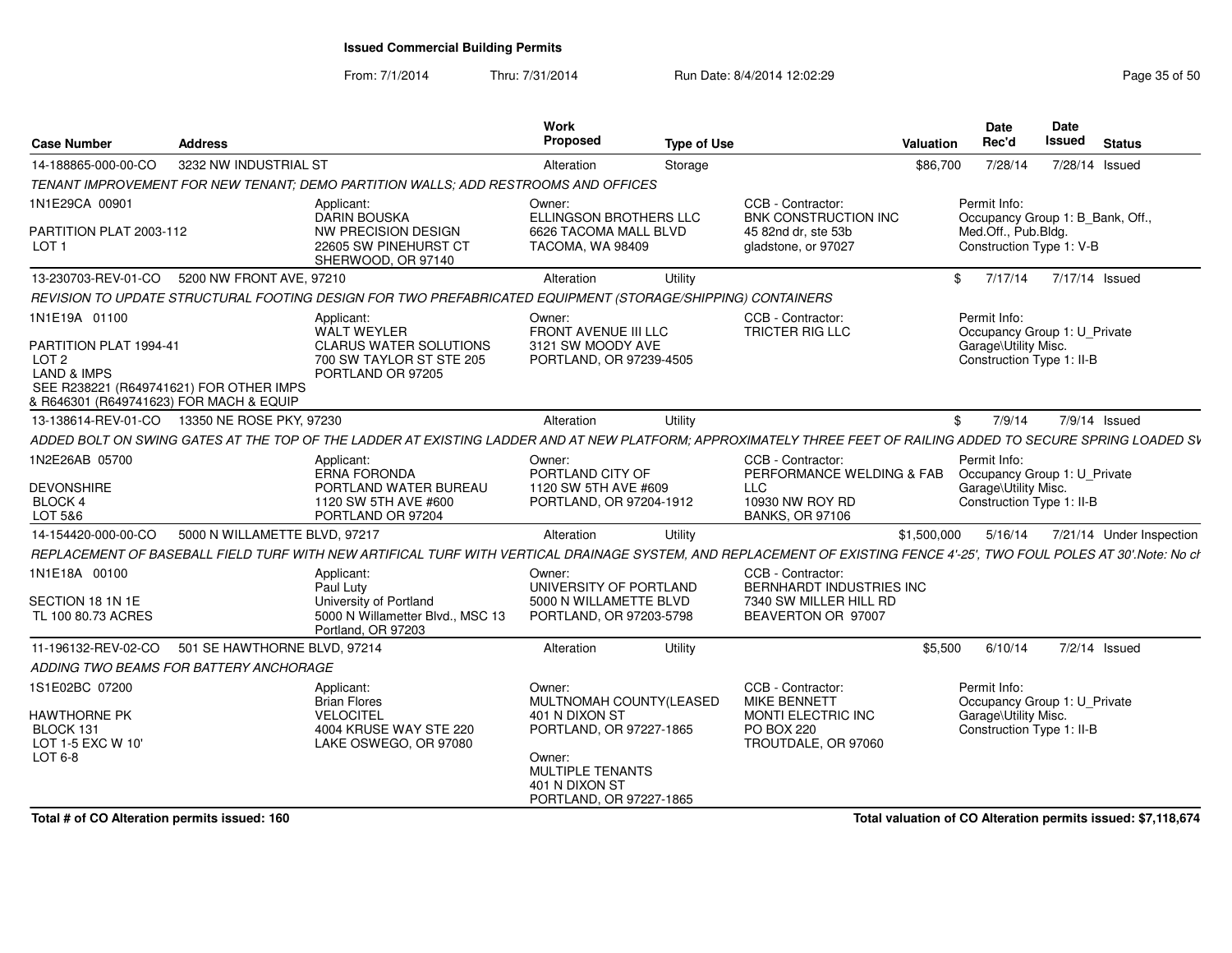From: 7/1/2014

Thru: 7/31/2014 Run Date: 8/4/2014 12:02:29 Research 2010 12:02:29

| <b>Case Number</b>                                                                                                                                               | <b>Address</b>                |                                                                                                                                                                       | <b>Work</b><br>Proposed                                                        | <b>Type of Use</b> |                                                         | Valuation   | Date<br>Rec'd                                                                                     | Date<br><b>Issued</b> | <b>Status</b>            |
|------------------------------------------------------------------------------------------------------------------------------------------------------------------|-------------------------------|-----------------------------------------------------------------------------------------------------------------------------------------------------------------------|--------------------------------------------------------------------------------|--------------------|---------------------------------------------------------|-------------|---------------------------------------------------------------------------------------------------|-----------------------|--------------------------|
| 14-188865-000-00-CO                                                                                                                                              | 3232 NW INDUSTRIAL ST         |                                                                                                                                                                       | Alteration                                                                     | Storage            |                                                         | \$86,700    | 7/28/14                                                                                           | 7/28/14 Issued        |                          |
|                                                                                                                                                                  |                               | TENANT IMPROVEMENT FOR NEW TENANT; DEMO PARTITION WALLS; ADD RESTROOMS AND OFFICES                                                                                    |                                                                                |                    |                                                         |             |                                                                                                   |                       |                          |
| 1N1E29CA 00901                                                                                                                                                   |                               | Applicant:<br><b>DARIN BOUSKA</b>                                                                                                                                     | Owner:<br>ELLINGSON BROTHERS LLC                                               |                    | CCB - Contractor:<br><b>BNK CONSTRUCTION INC</b>        |             | Permit Info:<br>Occupancy Group 1: B Bank, Off.,                                                  |                       |                          |
| PARTITION PLAT 2003-112<br>LOT 1                                                                                                                                 |                               | NW PRECISION DESIGN<br>22605 SW PINEHURST CT<br>SHERWOOD, OR 97140                                                                                                    | 6626 TACOMA MALL BLVD<br>TACOMA, WA 98409                                      |                    | 45 82nd dr. ste 53b<br>gladstone, or 97027              |             | Med.Off., Pub.Bldg.<br>Construction Type 1: V-B                                                   |                       |                          |
| 13-230703-REV-01-CO                                                                                                                                              | 5200 NW FRONT AVE, 97210      |                                                                                                                                                                       | Alteration                                                                     | Utility            |                                                         | \$          | 7/17/14                                                                                           | 7/17/14 Issued        |                          |
|                                                                                                                                                                  |                               | REVISION TO UPDATE STRUCTURAL FOOTING DESIGN FOR TWO PREFABRICATED EQUIPMENT (STORAGE/SHIPPING) CONTAINERS                                                            |                                                                                |                    |                                                         |             |                                                                                                   |                       |                          |
| 1N1E19A 01100<br>PARTITION PLAT 1994-41<br>LOT 2<br><b>LAND &amp; IMPS</b><br>SEE R238221 (R649741621) FOR OTHER IMPS<br>& R646301 (R649741623) FOR MACH & EQUIP |                               | Applicant:<br><b>WALT WEYLER</b><br><b>CLARUS WATER SOLUTIONS</b><br>700 SW TAYLOR ST STE 205<br>PORTLAND OR 97205                                                    | Owner:<br>FRONT AVENUE III LLC<br>3121 SW MOODY AVE<br>PORTLAND, OR 97239-4505 |                    | CCB - Contractor:<br>TRICTER RIG LLC                    |             | Permit Info:<br>Occupancy Group 1: U_Private<br>Garage\Utility Misc.<br>Construction Type 1: II-B |                       |                          |
| 13-138614-REV-01-CO                                                                                                                                              | 13350 NE ROSE PKY, 97230      |                                                                                                                                                                       | Alteration                                                                     | Utility            |                                                         | \$          | 7/9/14                                                                                            |                       | 7/9/14 Issued            |
|                                                                                                                                                                  |                               | ADDED BOLT ON SWING GATES AT THE TOP OF THE LADDER AT EXISTING LADDER AND AT NEW PLATFORM; APPROXIMATELY THREE FEET OF RAILING ADDED TO SECURE SPRING LOADED SV       |                                                                                |                    |                                                         |             |                                                                                                   |                       |                          |
| 1N2E26AB 05700                                                                                                                                                   |                               | Applicant:<br><b>ERNA FORONDA</b>                                                                                                                                     | Owner:<br>PORTLAND CITY OF                                                     |                    | CCB - Contractor:<br>PERFORMANCE WELDING & FAB          |             | Permit Info:<br>Occupancy Group 1: U_Private                                                      |                       |                          |
| <b>DEVONSHIRE</b><br>BLOCK 4<br>LOT 5&6                                                                                                                          |                               | PORTLAND WATER BUREAU<br>1120 SW 5TH AVE #600<br>PORTLAND OR 97204                                                                                                    | 1120 SW 5TH AVE #609<br>PORTLAND, OR 97204-1912                                |                    | LLC<br>10930 NW ROY RD<br><b>BANKS, OR 97106</b>        |             | Garage\Utility Misc.<br>Construction Type 1: II-B                                                 |                       |                          |
| 14-154420-000-00-CO                                                                                                                                              | 5000 N WILLAMETTE BLVD, 97217 |                                                                                                                                                                       | Alteration                                                                     | Utility            |                                                         | \$1,500,000 | 5/16/14                                                                                           |                       | 7/21/14 Under Inspection |
|                                                                                                                                                                  |                               | REPLACEMENT OF BASEBALL FIELD TURF WITH NEW ARTIFICAL TURF WITH VERTICAL DRAINAGE SYSTEM, AND REPLACEMENT OF EXISTING FENCE 4'-25', TWO FOUL POLES AT 30'.Note: No cl |                                                                                |                    |                                                         |             |                                                                                                   |                       |                          |
| 1N1E18A 00100                                                                                                                                                    |                               | Applicant:<br>Paul Luty                                                                                                                                               | Owner:<br>UNIVERSITY OF PORTLAND                                               |                    | CCB - Contractor:<br>BERNHARDT INDUSTRIES INC           |             |                                                                                                   |                       |                          |
| SECTION 18 1N 1E                                                                                                                                                 |                               | University of Portland                                                                                                                                                | 5000 N WILLAMETTE BLVD                                                         |                    | 7340 SW MILLER HILL RD                                  |             |                                                                                                   |                       |                          |
| TL 100 80.73 ACRES                                                                                                                                               |                               | 5000 N Willametter Blvd., MSC 13<br>Portland, OR 97203                                                                                                                | PORTLAND, OR 97203-5798                                                        |                    | BEAVERTON OR 97007                                      |             |                                                                                                   |                       |                          |
| 11-196132-REV-02-CO                                                                                                                                              | 501 SE HAWTHORNE BLVD, 97214  |                                                                                                                                                                       | Alteration                                                                     | Utility            |                                                         | \$5,500     | 6/10/14                                                                                           |                       | 7/2/14 Issued            |
| ADDING TWO BEAMS FOR BATTERY ANCHORAGE                                                                                                                           |                               |                                                                                                                                                                       |                                                                                |                    |                                                         |             |                                                                                                   |                       |                          |
| 1S1E02BC 07200                                                                                                                                                   |                               | Applicant:<br><b>Brian Flores</b>                                                                                                                                     | Owner:<br>MULTNOMAH COUNTY(LEASED                                              |                    | CCB - Contractor:<br><b>MIKE BENNETT</b>                |             | Permit Info:<br>Occupancy Group 1: U Private                                                      |                       |                          |
| <b>HAWTHORNE PK</b><br>BLOCK 131<br>LOT 1-5 EXC W 10'<br>$LOT6-8$                                                                                                |                               | <b>VELOCITEL</b><br>4004 KRUSE WAY STE 220<br>LAKE OSWEGO, OR 97080                                                                                                   | 401 N DIXON ST<br>PORTLAND, OR 97227-1865<br>Owner:<br><b>MULTIPLE TENANTS</b> |                    | MONTI ELECTRIC INC<br>PO BOX 220<br>TROUTDALE, OR 97060 |             | Garage\Utility Misc.<br>Construction Type 1: II-B                                                 |                       |                          |
|                                                                                                                                                                  |                               |                                                                                                                                                                       | 401 N DIXON ST<br>PORTLAND, OR 97227-1865                                      |                    |                                                         |             |                                                                                                   |                       |                          |

**Total # of CO Alteration permits issued: 160**

**Total valuation of CO Alteration permits issued: \$7,118,674**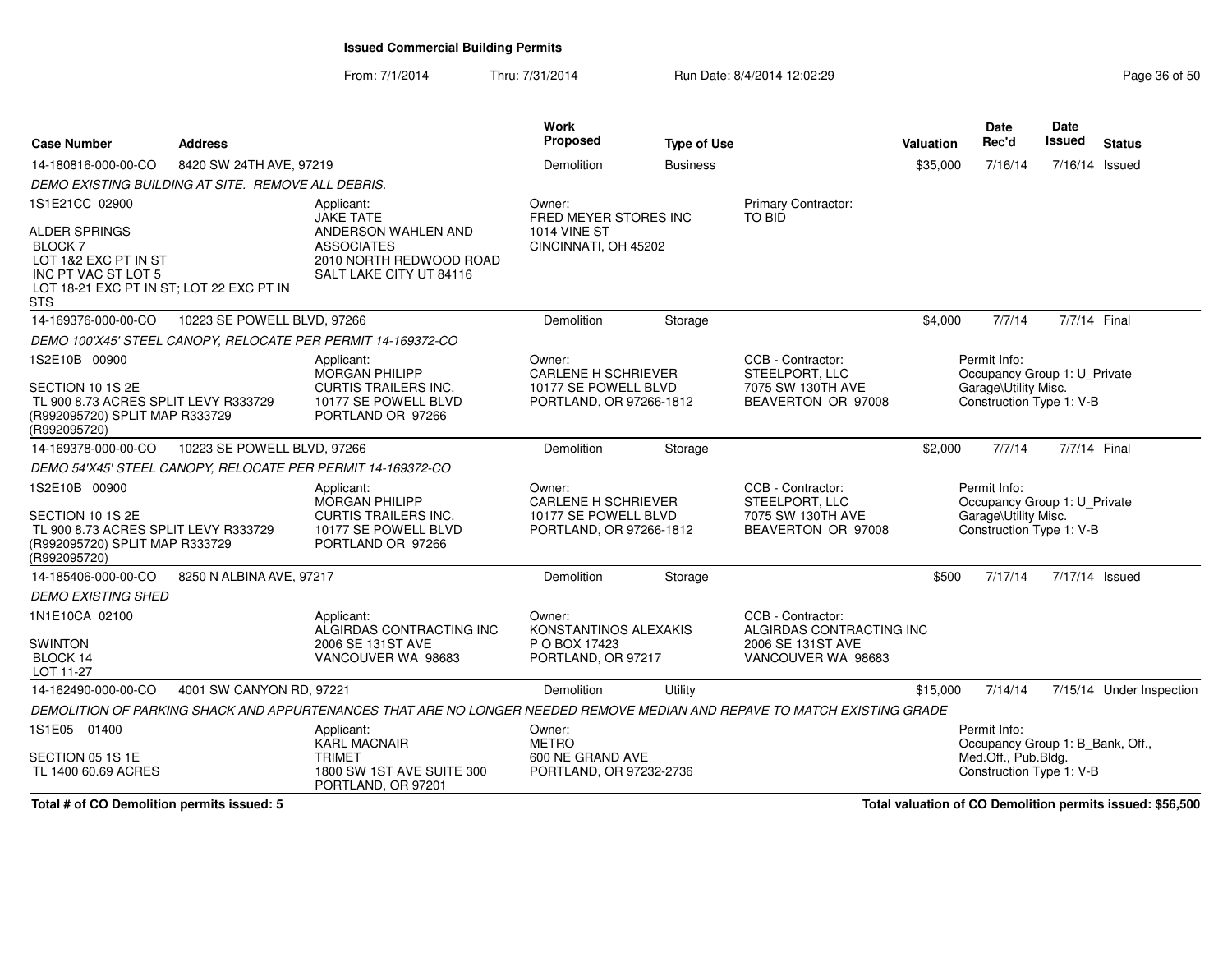From: 7/1/2014Thru: 7/31/2014 Run Date: 8/4/2014 12:02:29 Run Date: 8/4/2014 12:02:29

| <b>Case Number</b>                                                                                                         | <b>Address</b>              |                                                                                                                          | <b>Work</b><br><b>Proposed</b>                                                          | <b>Type of Use</b> |                                                                                | <b>Valuation</b> | Date<br>Rec'd                                                                                    | Date<br><b>Issued</b> | <b>Status</b>            |
|----------------------------------------------------------------------------------------------------------------------------|-----------------------------|--------------------------------------------------------------------------------------------------------------------------|-----------------------------------------------------------------------------------------|--------------------|--------------------------------------------------------------------------------|------------------|--------------------------------------------------------------------------------------------------|-----------------------|--------------------------|
| 14-180816-000-00-CO                                                                                                        | 8420 SW 24TH AVE, 97219     |                                                                                                                          | Demolition                                                                              | <b>Business</b>    |                                                                                | \$35,000         | 7/16/14                                                                                          | 7/16/14 Issued        |                          |
| DEMO EXISTING BUILDING AT SITE. REMOVE ALL DEBRIS.                                                                         |                             |                                                                                                                          |                                                                                         |                    |                                                                                |                  |                                                                                                  |                       |                          |
| 1S1E21CC 02900                                                                                                             |                             | Applicant:<br><b>JAKE TATE</b>                                                                                           | Owner:<br>FRED MEYER STORES INC                                                         |                    | <b>Primary Contractor:</b><br><b>TO BID</b>                                    |                  |                                                                                                  |                       |                          |
| ALDER SPRINGS<br>BLOCK 7<br>LOT 1&2 EXC PT IN ST<br>INC PT VAC ST LOT 5<br>LOT 18-21 EXC PT IN ST; LOT 22 EXC PT IN<br>STS |                             | ANDERSON WAHLEN AND<br><b>ASSOCIATES</b><br>2010 NORTH REDWOOD ROAD<br>SALT LAKE CITY UT 84116                           | <b>1014 VINE ST</b><br>CINCINNATI, OH 45202                                             |                    |                                                                                |                  |                                                                                                  |                       |                          |
| 14-169376-000-00-CO                                                                                                        | 10223 SE POWELL BLVD, 97266 |                                                                                                                          | Demolition                                                                              | Storage            |                                                                                | \$4,000          | 7/7/14                                                                                           | 7/7/14 Final          |                          |
|                                                                                                                            |                             | DEMO 100'X45' STEEL CANOPY, RELOCATE PER PERMIT 14-169372-CO                                                             |                                                                                         |                    |                                                                                |                  |                                                                                                  |                       |                          |
| 1S2E10B 00900                                                                                                              |                             | Applicant:<br><b>MORGAN PHILIPP</b>                                                                                      | Owner:<br><b>CARLENE H SCHRIEVER</b>                                                    |                    | CCB - Contractor:<br>STEELPORT, LLC                                            |                  | Permit Info:<br>Occupancy Group 1: U_Private                                                     |                       |                          |
| SECTION 10 1S 2E<br>TL 900 8.73 ACRES SPLIT LEVY R333729<br>(R992095720) SPLIT MAP R333729<br>(R992095720)                 |                             | <b>CURTIS TRAILERS INC.</b><br>10177 SE POWELL BLVD<br>PORTLAND OR 97266                                                 | 10177 SE POWELL BLVD<br>PORTLAND, OR 97266-1812                                         |                    | 7075 SW 130TH AVE<br>BEAVERTON OR 97008                                        |                  | Garage\Utility Misc.<br>Construction Type 1: V-B                                                 |                       |                          |
| 14-169378-000-00-CO                                                                                                        | 10223 SE POWELL BLVD, 97266 |                                                                                                                          | Demolition                                                                              | Storage            |                                                                                | \$2,000          | 7/7/14                                                                                           | 7/7/14 Final          |                          |
|                                                                                                                            |                             | DEMO 54'X45' STEEL CANOPY, RELOCATE PER PERMIT 14-169372-CO                                                              |                                                                                         |                    |                                                                                |                  |                                                                                                  |                       |                          |
| 1S2E10B 00900<br>SECTION 10 1S 2E<br>TL 900 8.73 ACRES SPLIT LEVY R333729<br>(R992095720) SPLIT MAP R333729                |                             | Applicant:<br><b>MORGAN PHILIPP</b><br><b>CURTIS TRAILERS INC.</b><br>10177 SE POWELL BLVD                               | Owner:<br><b>CARLENE H SCHRIEVER</b><br>10177 SE POWELL BLVD<br>PORTLAND, OR 97266-1812 |                    | CCB - Contractor:<br>STEELPORT, LLC<br>7075 SW 130TH AVE<br>BEAVERTON OR 97008 |                  | Permit Info:<br>Occupancy Group 1: U_Private<br>Garage\Utility Misc.<br>Construction Type 1: V-B |                       |                          |
| (R992095720)                                                                                                               |                             | PORTLAND OR 97266                                                                                                        |                                                                                         |                    |                                                                                |                  |                                                                                                  |                       |                          |
| 14-185406-000-00-CO                                                                                                        | 8250 N ALBINA AVE, 97217    |                                                                                                                          | Demolition                                                                              | Storage            |                                                                                | \$500            | 7/17/14                                                                                          | 7/17/14 Issued        |                          |
| <b>DEMO EXISTING SHED</b>                                                                                                  |                             |                                                                                                                          |                                                                                         |                    |                                                                                |                  |                                                                                                  |                       |                          |
| 1N1E10CA 02100                                                                                                             |                             | Applicant:<br>ALGIRDAS CONTRACTING INC                                                                                   | Owner:<br>KONSTANTINOS ALEXAKIS                                                         |                    | CCB - Contractor:<br>ALGIRDAS CONTRACTING INC                                  |                  |                                                                                                  |                       |                          |
| <b>SWINTON</b><br>BLOCK 14<br>LOT 11-27                                                                                    |                             | 2006 SE 131ST AVE<br>VANCOUVER WA 98683                                                                                  | P O BOX 17423<br>PORTLAND, OR 97217                                                     |                    | 2006 SE 131ST AVE<br>VANCOUVER WA 98683                                        |                  |                                                                                                  |                       |                          |
| 14-162490-000-00-CO                                                                                                        | 4001 SW CANYON RD, 97221    |                                                                                                                          | Demolition                                                                              | Utility            |                                                                                | \$15,000         | 7/14/14                                                                                          |                       | 7/15/14 Under Inspection |
|                                                                                                                            |                             | DEMOLITION OF PARKING SHACK AND APPURTENANCES THAT ARE NO LONGER NEEDED REMOVE MEDIAN AND REPAVE TO MATCH EXISTING GRADE |                                                                                         |                    |                                                                                |                  |                                                                                                  |                       |                          |
| 1S1E05 01400                                                                                                               |                             | Applicant:<br><b>KARL MACNAIR</b>                                                                                        | Owner:<br><b>METRO</b>                                                                  |                    |                                                                                |                  | Permit Info:<br>Occupancy Group 1: B_Bank, Off.,                                                 |                       |                          |
| SECTION 05 1S 1E<br>TL 1400 60.69 ACRES                                                                                    |                             | <b>TRIMET</b><br>1800 SW 1ST AVE SUITE 300<br>PORTLAND, OR 97201                                                         | 600 NE GRAND AVE<br>PORTLAND, OR 97232-2736                                             |                    |                                                                                |                  | Med.Off., Pub.Bldg.<br>Construction Type 1: V-B                                                  |                       |                          |

**Total # of CO Demolition permits issued: 5**

**Total valuation of CO Demolition permits issued: \$56,500**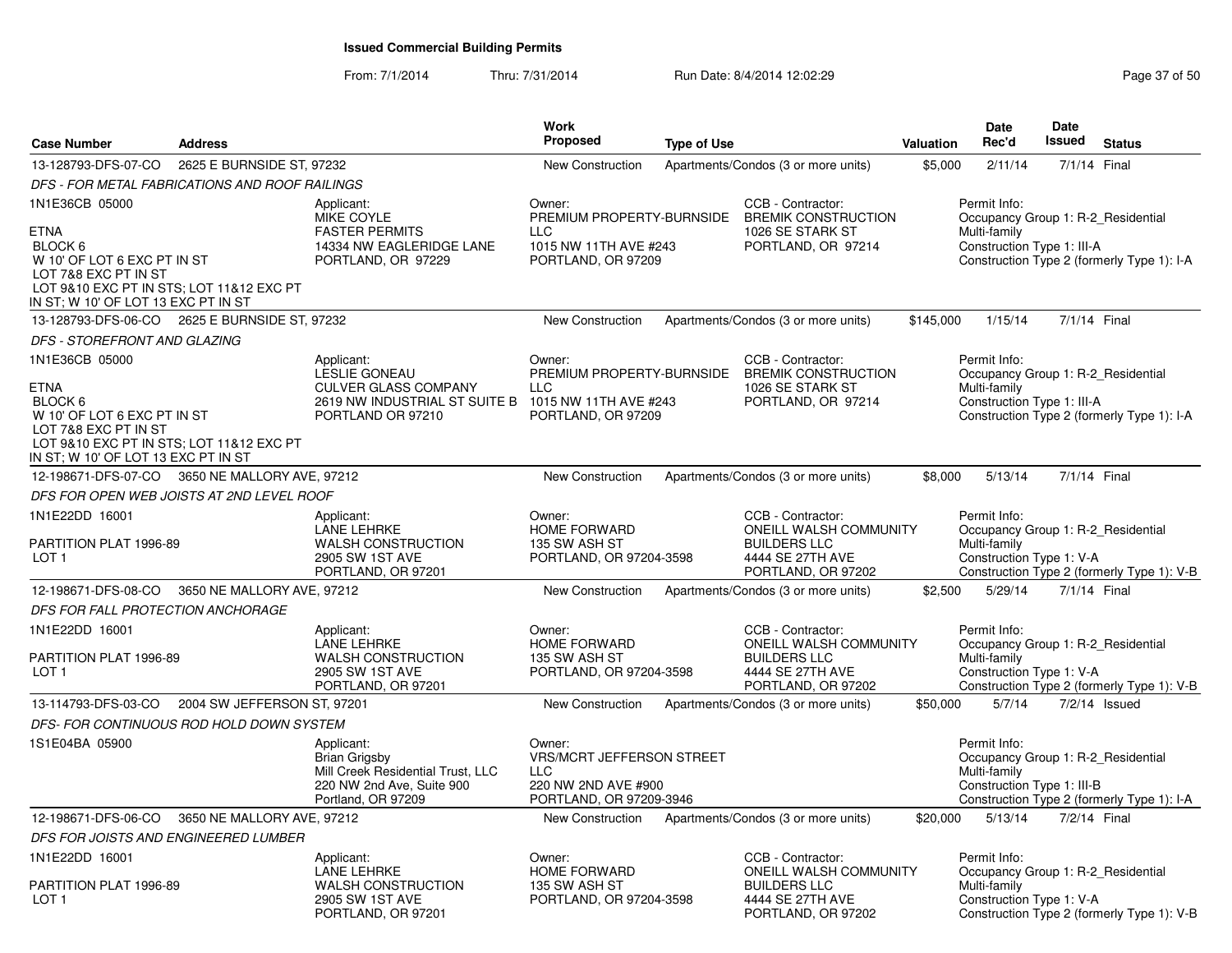| <b>Case Number</b>                                                                                                                                                                 | <b>Address</b>              |                                                                                                                                               | Work<br><b>Proposed</b>                                                                                    | <b>Type of Use</b> |                                                                                                                     | Valuation | Date<br>Rec'd                                                                                    | Date<br>Issued | <b>Status</b>                              |
|------------------------------------------------------------------------------------------------------------------------------------------------------------------------------------|-----------------------------|-----------------------------------------------------------------------------------------------------------------------------------------------|------------------------------------------------------------------------------------------------------------|--------------------|---------------------------------------------------------------------------------------------------------------------|-----------|--------------------------------------------------------------------------------------------------|----------------|--------------------------------------------|
| 13-128793-DFS-07-CO                                                                                                                                                                | 2625 E BURNSIDE ST, 97232   |                                                                                                                                               | <b>New Construction</b>                                                                                    |                    | Apartments/Condos (3 or more units)                                                                                 | \$5,000   | 2/11/14                                                                                          | 7/1/14 Final   |                                            |
| DFS - FOR METAL FABRICATIONS AND ROOF RAILINGS                                                                                                                                     |                             |                                                                                                                                               |                                                                                                            |                    |                                                                                                                     |           |                                                                                                  |                |                                            |
| 1N1E36CB 05000<br><b>ETNA</b>                                                                                                                                                      |                             | Applicant:<br><b>MIKE COYLE</b><br><b>FASTER PERMITS</b>                                                                                      | Owner:<br>PREMIUM PROPERTY-BURNSIDE<br><b>LLC</b>                                                          |                    | CCB - Contractor:<br><b>BREMIK CONSTRUCTION</b><br>1026 SE STARK ST                                                 |           | Permit Info:<br>Occupancy Group 1: R-2_Residential<br>Multi-family                               |                |                                            |
| BLOCK 6<br>W 10' OF LOT 6 EXC PT IN ST<br>LOT 7&8 EXC PT IN ST<br>LOT 9&10 EXC PT IN STS; LOT 11&12 EXC PT<br>IN ST; W 10' OF LOT 13 EXC PT IN ST                                  |                             | 14334 NW EAGLERIDGE LANE<br>PORTLAND, OR 97229                                                                                                | 1015 NW 11TH AVE #243<br>PORTLAND, OR 97209                                                                |                    | PORTLAND, OR 97214                                                                                                  |           | Construction Type 1: III-A                                                                       |                | Construction Type 2 (formerly Type 1): I-A |
| 13-128793-DFS-06-CO 2625 E BURNSIDE ST, 97232                                                                                                                                      |                             |                                                                                                                                               | <b>New Construction</b>                                                                                    |                    | Apartments/Condos (3 or more units)                                                                                 | \$145,000 | 1/15/14                                                                                          | 7/1/14 Final   |                                            |
| DFS - STOREFRONT AND GLAZING                                                                                                                                                       |                             |                                                                                                                                               |                                                                                                            |                    |                                                                                                                     |           |                                                                                                  |                |                                            |
| 1N1E36CB 05000<br><b>ETNA</b><br>BLOCK 6<br>W 10' OF LOT 6 EXC PT IN ST<br>LOT 7&8 EXC PT IN ST<br>LOT 9&10 EXC PT IN STS; LOT 11&12 EXC PT<br>IN ST: W 10' OF LOT 13 EXC PT IN ST |                             | Applicant:<br><b>LESLIE GONEAU</b><br><b>CULVER GLASS COMPANY</b><br>2619 NW INDUSTRIAL ST SUITE B 1015 NW 11TH AVE #243<br>PORTLAND OR 97210 | Owner:<br>PREMIUM PROPERTY-BURNSIDE<br><b>LLC</b><br>PORTLAND, OR 97209                                    |                    | CCB - Contractor:<br><b>BREMIK CONSTRUCTION</b><br>1026 SE STARK ST<br>PORTLAND, OR 97214                           |           | Permit Info:<br>Occupancy Group 1: R-2_Residential<br>Multi-family<br>Construction Type 1: III-A |                | Construction Type 2 (formerly Type 1): I-A |
| 12-198671-DFS-07-CO 3650 NE MALLORY AVE, 97212                                                                                                                                     |                             |                                                                                                                                               | New Construction                                                                                           |                    | Apartments/Condos (3 or more units)                                                                                 | \$8,000   | 5/13/14                                                                                          | 7/1/14 Final   |                                            |
| DFS FOR OPEN WEB JOISTS AT 2ND LEVEL ROOF                                                                                                                                          |                             |                                                                                                                                               |                                                                                                            |                    |                                                                                                                     |           |                                                                                                  |                |                                            |
| 1N1E22DD 16001<br>PARTITION PLAT 1996-89<br>LOT <sub>1</sub>                                                                                                                       |                             | Applicant:<br><b>LANE LEHRKE</b><br><b>WALSH CONSTRUCTION</b><br>2905 SW 1ST AVE<br>PORTLAND, OR 97201                                        | Owner:<br><b>HOME FORWARD</b><br>135 SW ASH ST<br>PORTLAND, OR 97204-3598                                  |                    | CCB - Contractor:<br>ONEILL WALSH COMMUNITY<br><b>BUILDERS LLC</b><br>4444 SE 27TH AVE<br>PORTLAND, OR 97202        |           | Permit Info:<br>Occupancy Group 1: R-2_Residential<br>Multi-family<br>Construction Type 1: V-A   |                | Construction Type 2 (formerly Type 1): V-B |
| 12-198671-DFS-08-CO                                                                                                                                                                | 3650 NE MALLORY AVE, 97212  |                                                                                                                                               | New Construction                                                                                           |                    | Apartments/Condos (3 or more units)                                                                                 | \$2,500   | 5/29/14                                                                                          | 7/1/14 Final   |                                            |
| DFS FOR FALL PROTECTION ANCHORAGE                                                                                                                                                  |                             |                                                                                                                                               |                                                                                                            |                    |                                                                                                                     |           |                                                                                                  |                |                                            |
| 1N1E22DD 16001<br>PARTITION PLAT 1996-89<br>LOT <sub>1</sub>                                                                                                                       |                             | Applicant:<br><b>LANE LEHRKE</b><br><b>WALSH CONSTRUCTION</b><br>2905 SW 1ST AVE<br>PORTLAND, OR 97201                                        | Owner:<br><b>HOME FORWARD</b><br>135 SW ASH ST<br>PORTLAND, OR 97204-3598                                  |                    | CCB - Contractor:<br><b>ONEILL WALSH COMMUNITY</b><br><b>BUILDERS LLC</b><br>4444 SE 27TH AVE<br>PORTLAND, OR 97202 |           | Permit Info:<br>Occupancy Group 1: R-2 Residential<br>Multi-family<br>Construction Type 1: V-A   |                | Construction Type 2 (formerly Type 1): V-B |
| 13-114793-DFS-03-CO                                                                                                                                                                | 2004 SW JEFFERSON ST, 97201 |                                                                                                                                               | New Construction                                                                                           |                    | Apartments/Condos (3 or more units)                                                                                 | \$50,000  | 5/7/14                                                                                           |                | 7/2/14 Issued                              |
| DFS- FOR CONTINUOUS ROD HOLD DOWN SYSTEM                                                                                                                                           |                             |                                                                                                                                               |                                                                                                            |                    |                                                                                                                     |           |                                                                                                  |                |                                            |
| 1S1E04BA 05900                                                                                                                                                                     |                             | Applicant:<br>Brian Grigsby<br>Mill Creek Residential Trust, LLC<br>220 NW 2nd Ave, Suite 900<br>Portland, OR 97209                           | Owner:<br><b>VRS/MCRT JEFFERSON STREET</b><br><b>LLC</b><br>220 NW 2ND AVE #900<br>PORTLAND, OR 97209-3946 |                    |                                                                                                                     |           | Permit Info:<br>Occupancy Group 1: R-2_Residential<br>Multi-family<br>Construction Type 1: III-B |                | Construction Type 2 (formerly Type 1): I-A |
| 12-198671-DFS-06-CO                                                                                                                                                                | 3650 NE MALLORY AVE, 97212  |                                                                                                                                               | New Construction                                                                                           |                    | Apartments/Condos (3 or more units)                                                                                 | \$20,000  | 5/13/14                                                                                          | 7/2/14 Final   |                                            |
| DFS FOR JOISTS AND ENGINEERED LUMBER                                                                                                                                               |                             |                                                                                                                                               |                                                                                                            |                    |                                                                                                                     |           |                                                                                                  |                |                                            |
| 1N1E22DD 16001                                                                                                                                                                     |                             | Applicant:<br>LANE LEHRKE                                                                                                                     | Owner:<br><b>HOME FORWARD</b>                                                                              |                    | CCB - Contractor:<br>ONEILL WALSH COMMUNITY                                                                         |           | Permit Info:<br>Occupancy Group 1: R-2 Residential                                               |                |                                            |
| PARTITION PLAT 1996-89<br>LOT <sub>1</sub>                                                                                                                                         |                             | <b>WALSH CONSTRUCTION</b><br>2905 SW 1ST AVE<br>PORTLAND, OR 97201                                                                            | 135 SW ASH ST<br>PORTLAND, OR 97204-3598                                                                   |                    | <b>BUILDERS LLC</b><br>4444 SE 27TH AVE<br>PORTLAND, OR 97202                                                       |           | Multi-family<br>Construction Type 1: V-A                                                         |                | Construction Type 2 (formerly Type 1): V-B |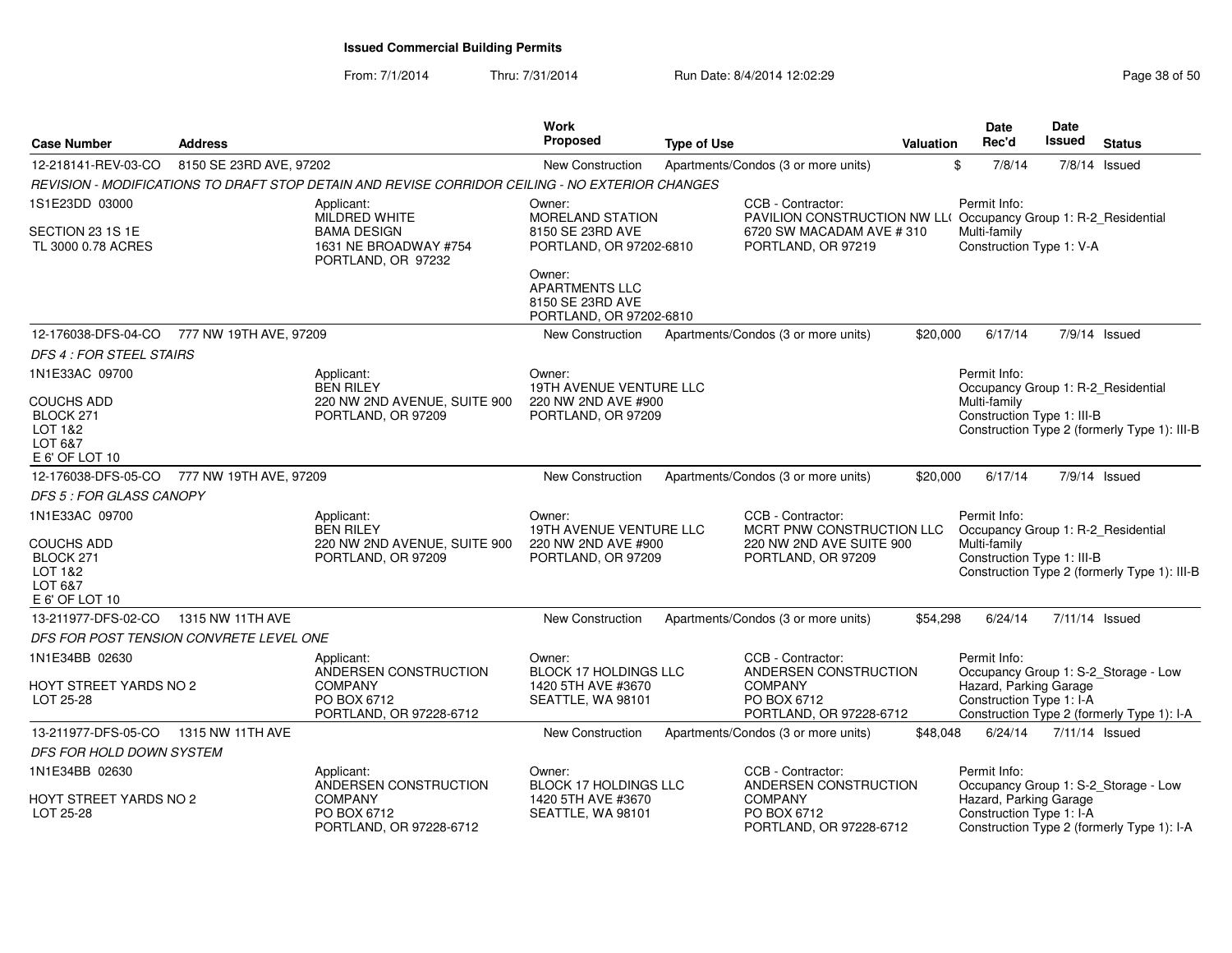| <b>Case Number</b>                                                     | <b>Address</b>          |                                                                                                 | Work<br><b>Proposed</b>                                                        | <b>Type of Use</b>                  |                                                                                     | Valuation | Date<br>Rec'd                                      | Date<br>Issued | <b>Status</b>                                |
|------------------------------------------------------------------------|-------------------------|-------------------------------------------------------------------------------------------------|--------------------------------------------------------------------------------|-------------------------------------|-------------------------------------------------------------------------------------|-----------|----------------------------------------------------|----------------|----------------------------------------------|
| 12-218141-REV-03-CO                                                    | 8150 SE 23RD AVE, 97202 |                                                                                                 | <b>New Construction</b>                                                        | Apartments/Condos (3 or more units) |                                                                                     | \$        | 7/8/14                                             |                | $7/8/14$ Issued                              |
|                                                                        |                         | REVISION - MODIFICATIONS TO DRAFT STOP DETAIN AND REVISE CORRIDOR CEILING - NO EXTERIOR CHANGES |                                                                                |                                     |                                                                                     |           |                                                    |                |                                              |
| 1S1E23DD 03000                                                         |                         | Applicant:<br>MILDRED WHITE                                                                     | Owner:<br>MORELAND STATION                                                     |                                     | CCB - Contractor:<br>PAVILION CONSTRUCTION NW LL(Occupancy Group 1: R-2_Residential |           | Permit Info:                                       |                |                                              |
| SECTION 23 1S 1E<br>TL 3000 0.78 ACRES                                 |                         | <b>BAMA DESIGN</b><br>1631 NE BROADWAY #754<br>PORTLAND, OR 97232                               | 8150 SE 23RD AVE<br>PORTLAND, OR 97202-6810                                    |                                     | 6720 SW MACADAM AVE #310<br>PORTLAND, OR 97219                                      |           | Multi-family<br>Construction Type 1: V-A           |                |                                              |
|                                                                        |                         |                                                                                                 | Owner:<br><b>APARTMENTS LLC</b><br>8150 SE 23RD AVE<br>PORTLAND, OR 97202-6810 |                                     |                                                                                     |           |                                                    |                |                                              |
| 12-176038-DFS-04-CO                                                    | 777 NW 19TH AVE, 97209  |                                                                                                 | New Construction                                                               | Apartments/Condos (3 or more units) |                                                                                     | \$20,000  | 6/17/14                                            |                | 7/9/14 Issued                                |
| DFS 4 : FOR STEEL STAIRS                                               |                         |                                                                                                 |                                                                                |                                     |                                                                                     |           |                                                    |                |                                              |
| 1N1E33AC 09700                                                         |                         | Applicant:<br><b>BEN RILEY</b>                                                                  | Owner:<br><b>19TH AVENUE VENTURE LLC</b>                                       |                                     |                                                                                     |           | Permit Info:<br>Occupancy Group 1: R-2_Residential |                |                                              |
| <b>COUCHS ADD</b><br>BLOCK 271<br>LOT 1&2<br>LOT 6&7<br>E 6' OF LOT 10 |                         | 220 NW 2ND AVENUE, SUITE 900<br>PORTLAND, OR 97209                                              | 220 NW 2ND AVE #900<br>PORTLAND, OR 97209                                      |                                     |                                                                                     |           | Multi-family<br>Construction Type 1: III-B         |                | Construction Type 2 (formerly Type 1): III-B |
| 12-176038-DFS-05-CO                                                    | 777 NW 19TH AVE, 97209  |                                                                                                 | New Construction                                                               | Apartments/Condos (3 or more units) |                                                                                     | \$20,000  | 6/17/14                                            |                | $7/9/14$ Issued                              |
| <b>DFS 5 : FOR GLASS CANOPY</b>                                        |                         |                                                                                                 |                                                                                |                                     |                                                                                     |           |                                                    |                |                                              |
| 1N1E33AC 09700                                                         |                         | Applicant:<br><b>BEN RILEY</b>                                                                  | Owner:<br>19TH AVENUE VENTURE LLC                                              |                                     | CCB - Contractor:<br>MCRT PNW CONSTRUCTION LLC                                      |           | Permit Info:<br>Occupancy Group 1: R-2_Residential |                |                                              |
| <b>COUCHS ADD</b><br>BLOCK 271<br>LOT 1&2<br>LOT 6&7<br>E 6' OF LOT 10 |                         | 220 NW 2ND AVENUE, SUITE 900<br>PORTLAND, OR 97209                                              | 220 NW 2ND AVE #900<br>PORTLAND, OR 97209                                      |                                     | 220 NW 2ND AVE SUITE 900<br>PORTLAND, OR 97209                                      |           | Multi-family<br>Construction Type 1: III-B         |                | Construction Type 2 (formerly Type 1): III-B |
| 13-211977-DFS-02-CO                                                    | 1315 NW 11TH AVE        |                                                                                                 | <b>New Construction</b>                                                        | Apartments/Condos (3 or more units) |                                                                                     | \$54,298  | 6/24/14                                            | 7/11/14 Issued |                                              |
| DFS FOR POST TENSION CONVRETE LEVEL ONE                                |                         |                                                                                                 |                                                                                |                                     |                                                                                     |           |                                                    |                |                                              |
| 1N1E34BB 02630                                                         |                         | Applicant:<br>ANDERSEN CONSTRUCTION                                                             | Owner:<br><b>BLOCK 17 HOLDINGS LLC</b>                                         |                                     | CCB - Contractor:<br>ANDERSEN CONSTRUCTION                                          |           | Permit Info:                                       |                | Occupancy Group 1: S-2_Storage - Low         |
| HOYT STREET YARDS NO 2<br>LOT 25-28                                    |                         | <b>COMPANY</b><br>PO BOX 6712<br>PORTLAND, OR 97228-6712                                        | 1420 5TH AVE #3670<br>SEATTLE, WA 98101                                        | <b>COMPANY</b>                      | PO BOX 6712<br>PORTLAND, OR 97228-6712                                              |           | Hazard, Parking Garage<br>Construction Type 1: I-A |                | Construction Type 2 (formerly Type 1): I-A   |
| 13-211977-DFS-05-CO                                                    | 1315 NW 11TH AVE        |                                                                                                 | <b>New Construction</b>                                                        | Apartments/Condos (3 or more units) |                                                                                     | \$48,048  | 6/24/14                                            | 7/11/14 Issued |                                              |
| DFS FOR HOLD DOWN SYSTEM                                               |                         |                                                                                                 |                                                                                |                                     |                                                                                     |           |                                                    |                |                                              |
| 1N1E34BB 02630                                                         |                         | Applicant:<br>ANDERSEN CONSTRUCTION                                                             | Owner:<br><b>BLOCK 17 HOLDINGS LLC</b>                                         |                                     | CCB - Contractor:<br>ANDERSEN CONSTRUCTION                                          |           | Permit Info:                                       |                | Occupancy Group 1: S-2_Storage - Low         |
| HOYT STREET YARDS NO 2<br>LOT 25-28                                    |                         | <b>COMPANY</b><br>PO BOX 6712<br>PORTLAND, OR 97228-6712                                        | 1420 5TH AVE #3670<br>SEATTLE, WA 98101                                        | <b>COMPANY</b>                      | PO BOX 6712<br>PORTLAND, OR 97228-6712                                              |           | Hazard, Parking Garage<br>Construction Type 1: I-A |                | Construction Type 2 (formerly Type 1): I-A   |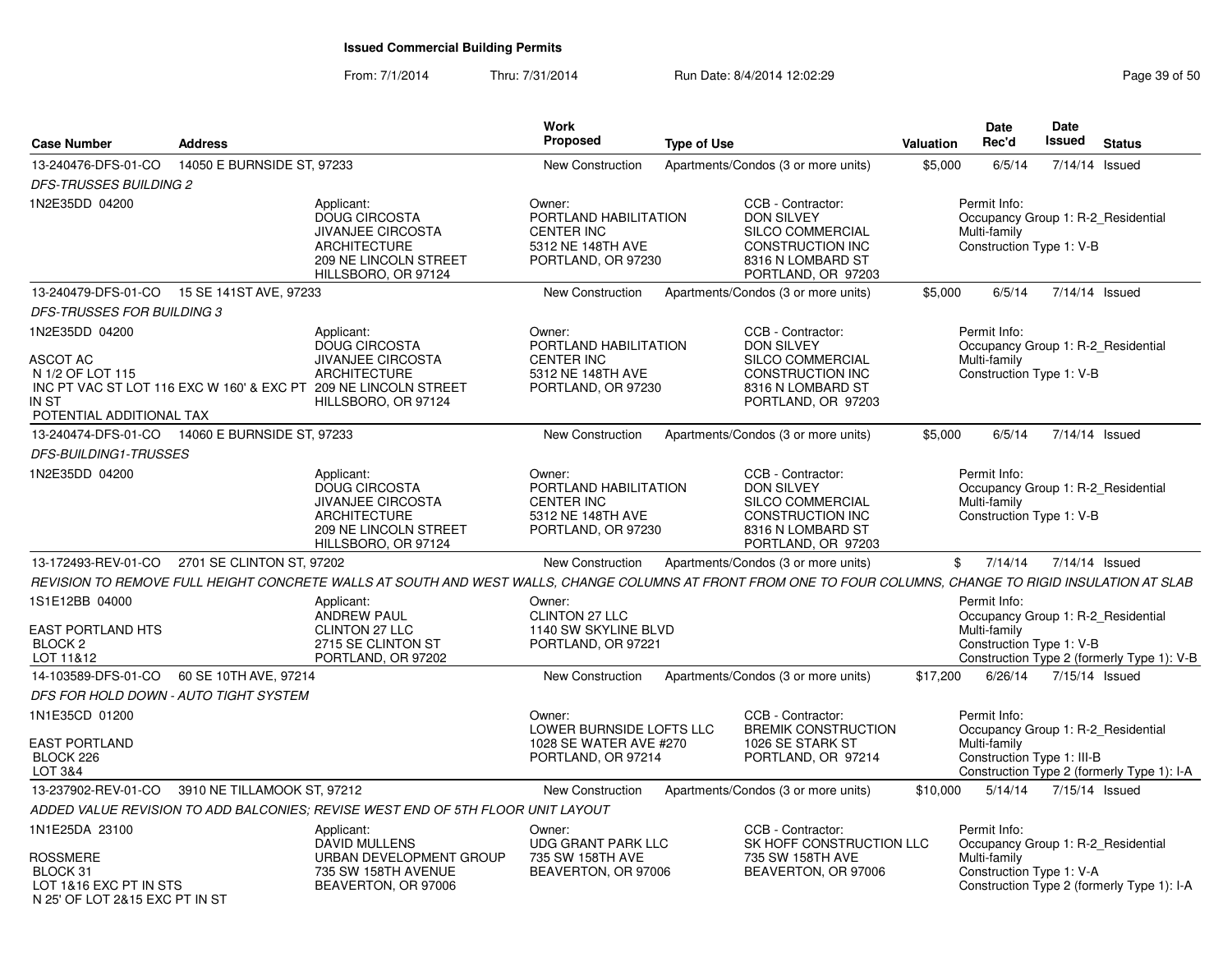| <b>Case Number</b>                                                                                        | <b>Address</b>                        |                                                                                                                                                                                 | Work<br><b>Proposed</b>                                                                         | <b>Type of Use</b> |                                                                                                                                         | Valuation | Date<br>Rec'd                                              | <b>Date</b><br>Issued | <b>Status</b>                                                                    |
|-----------------------------------------------------------------------------------------------------------|---------------------------------------|---------------------------------------------------------------------------------------------------------------------------------------------------------------------------------|-------------------------------------------------------------------------------------------------|--------------------|-----------------------------------------------------------------------------------------------------------------------------------------|-----------|------------------------------------------------------------|-----------------------|----------------------------------------------------------------------------------|
| 13-240476-DFS-01-CO                                                                                       | 14050 E BURNSIDE ST, 97233            |                                                                                                                                                                                 | New Construction                                                                                |                    | Apartments/Condos (3 or more units)                                                                                                     | \$5,000   | 6/5/14                                                     | 7/14/14 Issued        |                                                                                  |
| <b>DFS-TRUSSES BUILDING 2</b>                                                                             |                                       |                                                                                                                                                                                 |                                                                                                 |                    |                                                                                                                                         |           |                                                            |                       |                                                                                  |
| 1N2E35DD 04200                                                                                            |                                       | Applicant:<br>DOUG CIRCOSTA<br><b>JIVANJEE CIRCOSTA</b><br><b>ARCHITECTURE</b><br>209 NE LINCOLN STREET<br>HILLSBORO, OR 97124                                                  | Owner:<br>PORTLAND HABILITATION<br><b>CENTER INC</b><br>5312 NE 148TH AVE<br>PORTLAND, OR 97230 |                    | CCB - Contractor:<br><b>DON SILVEY</b><br><b>SILCO COMMERCIAL</b><br><b>CONSTRUCTION INC</b><br>8316 N LOMBARD ST<br>PORTLAND, OR 97203 |           | Permit Info:<br>Multi-family<br>Construction Type 1: V-B   |                       | Occupancy Group 1: R-2 Residential                                               |
| 13-240479-DFS-01-CO                                                                                       | 15 SE 141ST AVE, 97233                |                                                                                                                                                                                 | <b>New Construction</b>                                                                         |                    | Apartments/Condos (3 or more units)                                                                                                     | \$5,000   | 6/5/14                                                     | 7/14/14 Issued        |                                                                                  |
| DFS-TRUSSES FOR BUILDING 3                                                                                |                                       |                                                                                                                                                                                 |                                                                                                 |                    |                                                                                                                                         |           |                                                            |                       |                                                                                  |
| 1N2E35DD 04200<br><b>ASCOT AC</b><br>N 1/2 OF LOT 115<br>IN ST<br>POTENTIAL ADDITIONAL TAX                |                                       | Applicant:<br><b>DOUG CIRCOSTA</b><br><b>JIVANJEE CIRCOSTA</b><br><b>ARCHITECTURE</b><br>INC PT VAC ST LOT 116 EXC W 160' & EXC PT 209 NE LINCOLN STREET<br>HILLSBORO, OR 97124 | Owner:<br>PORTLAND HABILITATION<br><b>CENTER INC</b><br>5312 NE 148TH AVE<br>PORTLAND, OR 97230 |                    | CCB - Contractor:<br><b>DON SILVEY</b><br><b>SILCO COMMERCIAL</b><br><b>CONSTRUCTION INC</b><br>8316 N LOMBARD ST<br>PORTLAND, OR 97203 |           | Permit Info:<br>Multi-family<br>Construction Type 1: V-B   |                       | Occupancy Group 1: R-2 Residential                                               |
| 13-240474-DFS-01-CO                                                                                       | 14060 E BURNSIDE ST, 97233            |                                                                                                                                                                                 | <b>New Construction</b>                                                                         |                    | Apartments/Condos (3 or more units)                                                                                                     | \$5,000   | 6/5/14                                                     | 7/14/14 Issued        |                                                                                  |
| <b>DFS-BUILDING1-TRUSSES</b>                                                                              |                                       |                                                                                                                                                                                 |                                                                                                 |                    |                                                                                                                                         |           |                                                            |                       |                                                                                  |
| 1N2E35DD 04200                                                                                            |                                       | Applicant:<br><b>DOUG CIRCOSTA</b><br><b>JIVANJEE CIRCOSTA</b><br><b>ARCHITECTURE</b><br>209 NE LINCOLN STREET<br>HILLSBORO, OR 97124                                           | Owner:<br>PORTLAND HABILITATION<br><b>CENTER INC</b><br>5312 NE 148TH AVE<br>PORTLAND, OR 97230 |                    | CCB - Contractor:<br><b>DON SILVEY</b><br>SILCO COMMERCIAL<br><b>CONSTRUCTION INC</b><br>8316 N LOMBARD ST<br>PORTLAND, OR 97203        |           | Permit Info:<br>Multi-family<br>Construction Type 1: V-B   |                       | Occupancy Group 1: R-2 Residential                                               |
| 13-172493-REV-01-CO                                                                                       | 2701 SE CLINTON ST, 97202             |                                                                                                                                                                                 | <b>New Construction</b>                                                                         |                    | Apartments/Condos (3 or more units)                                                                                                     | \$        | 7/14/14                                                    | 7/14/14 Issued        |                                                                                  |
|                                                                                                           |                                       | REVISION TO REMOVE FULL HEIGHT CONCRETE WALLS AT SOUTH AND WEST WALLS, CHANGE COLUMNS AT FRONT FROM ONE TO FOUR COLUMNS, CHANGE TO RIGID INSULATION AT SLAB                     |                                                                                                 |                    |                                                                                                                                         |           |                                                            |                       |                                                                                  |
| 1S1E12BB 04000<br>EAST PORTLAND HTS<br>BLOCK <sub>2</sub><br>LOT 11&12                                    |                                       | Applicant:<br><b>ANDREW PAUL</b><br><b>CLINTON 27 LLC</b><br>2715 SE CLINTON ST<br>PORTLAND, OR 97202                                                                           | Owner:<br>CLINTON 27 LLC<br>1140 SW SKYLINE BLVD<br>PORTLAND, OR 97221                          |                    |                                                                                                                                         |           | Permit Info:<br>Multi-family<br>Construction Type 1: V-B   |                       | Occupancy Group 1: R-2 Residential<br>Construction Type 2 (formerly Type 1): V-B |
| 14-103589-DFS-01-CO                                                                                       | 60 SE 10TH AVE, 97214                 |                                                                                                                                                                                 | <b>New Construction</b>                                                                         |                    | Apartments/Condos (3 or more units)                                                                                                     | \$17,200  | 6/26/14                                                    | 7/15/14 Issued        |                                                                                  |
|                                                                                                           | DFS FOR HOLD DOWN - AUTO TIGHT SYSTEM |                                                                                                                                                                                 |                                                                                                 |                    |                                                                                                                                         |           |                                                            |                       |                                                                                  |
| 1N1E35CD 01200<br><b>EAST PORTLAND</b><br>BLOCK 226<br>LOT 3&4                                            |                                       |                                                                                                                                                                                 | Owner:<br>LOWER BURNSIDE LOFTS LLC<br>1028 SE WATER AVE #270<br>PORTLAND, OR 97214              |                    | CCB - Contractor:<br><b>BREMIK CONSTRUCTION</b><br>1026 SE STARK ST<br>PORTLAND, OR 97214                                               |           | Permit Info:<br>Multi-family<br>Construction Type 1: III-B |                       | Occupancy Group 1: R-2_Residential<br>Construction Type 2 (formerly Type 1): I-A |
| 13-237902-REV-01-CO                                                                                       | 3910 NE TILLAMOOK ST, 97212           |                                                                                                                                                                                 | <b>New Construction</b>                                                                         |                    | Apartments/Condos (3 or more units)                                                                                                     | \$10,000  | 5/14/14                                                    | 7/15/14 Issued        |                                                                                  |
|                                                                                                           |                                       | ADDED VALUE REVISION TO ADD BALCONIES; REVISE WEST END OF 5TH FLOOR UNIT LAYOUT                                                                                                 |                                                                                                 |                    |                                                                                                                                         |           |                                                            |                       |                                                                                  |
| 1N1E25DA 23100<br><b>ROSSMERE</b><br>BLOCK 31<br>LOT 1&16 EXC PT IN STS<br>N 25' OF LOT 2&15 EXC PT IN ST |                                       | Applicant:<br><b>DAVID MULLENS</b><br>URBAN DEVELOPMENT GROUP<br>735 SW 158TH AVENUE<br>BEAVERTON, OR 97006                                                                     | Owner:<br>UDG GRANT PARK LLC<br>735 SW 158TH AVE<br>BEAVERTON, OR 97006                         |                    | CCB - Contractor:<br>SK HOFF CONSTRUCTION LLC<br>735 SW 158TH AVE<br>BEAVERTON, OR 97006                                                |           | Permit Info:<br>Multi-family<br>Construction Type 1: V-A   |                       | Occupancy Group 1: R-2_Residential<br>Construction Type 2 (formerly Type 1): I-A |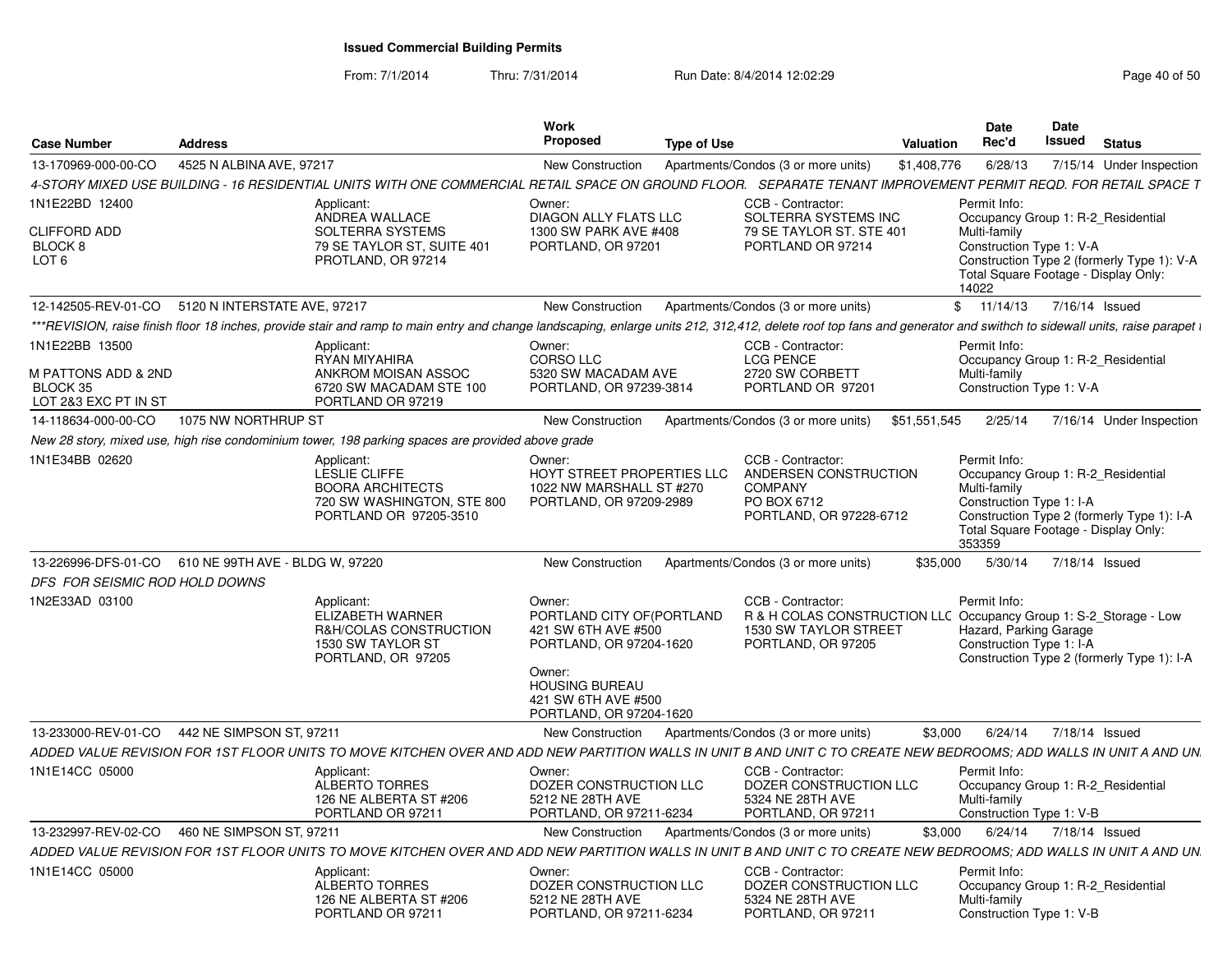| <b>Case Number</b>                                                        | <b>Address</b>               |                                                                                                                                                                                                                     | <b>Work</b><br>Proposed                                                                                                                                                    | <b>Type of Use</b>                                                                                                                    | <b>Valuation</b> | Date<br>Rec'd                                                      | Date<br>Issued | <b>Status</b>                                                                                                            |
|---------------------------------------------------------------------------|------------------------------|---------------------------------------------------------------------------------------------------------------------------------------------------------------------------------------------------------------------|----------------------------------------------------------------------------------------------------------------------------------------------------------------------------|---------------------------------------------------------------------------------------------------------------------------------------|------------------|--------------------------------------------------------------------|----------------|--------------------------------------------------------------------------------------------------------------------------|
| 13-170969-000-00-CO                                                       | 4525 N ALBINA AVE, 97217     |                                                                                                                                                                                                                     | <b>New Construction</b>                                                                                                                                                    | Apartments/Condos (3 or more units)                                                                                                   | \$1,408,776      | 6/28/13                                                            |                | 7/15/14 Under Inspection                                                                                                 |
|                                                                           |                              | 4-STORY MIXED USE BUILDING - 16 RESIDENTIAL UNITS WITH ONE COMMERCIAL RETAIL SPACE ON GROUND FLOOR.   SEPARATE TENANT IMPROVEMENT PERMIT REQD. FOR RETAIL SPACE T                                                   |                                                                                                                                                                            |                                                                                                                                       |                  |                                                                    |                |                                                                                                                          |
| 1N1E22BD 12400<br><b>CLIFFORD ADD</b><br>BLOCK 8<br>LOT <sub>6</sub>      |                              | Applicant:<br>ANDREA WALLACE<br>SOLTERRA SYSTEMS<br>79 SE TAYLOR ST. SUITE 401<br>PROTLAND, OR 97214                                                                                                                | Owner:<br>DIAGON ALLY FLATS LLC<br>1300 SW PARK AVE #408<br>PORTLAND, OR 97201                                                                                             | CCB - Contractor:<br>SOLTERRA SYSTEMS INC<br>79 SE TAYLOR ST. STE 401<br>PORTLAND OR 97214                                            |                  | Permit Info:<br>Multi-family<br>Construction Type 1: V-A<br>14022  |                | Occupancy Group 1: R-2_Residential<br>Construction Type 2 (formerly Type 1): V-A<br>Total Square Footage - Display Only: |
| 12-142505-REV-01-CO                                                       | 5120 N INTERSTATE AVE, 97217 |                                                                                                                                                                                                                     | <b>New Construction</b>                                                                                                                                                    | Apartments/Condos (3 or more units)                                                                                                   |                  | \$ 11/14/13 7/16/14 Issued                                         |                |                                                                                                                          |
|                                                                           |                              | ***REVISION, raise finish floor 18 inches, provide stair and ramp to main entry and change landscaping, enlarge units 212, 312,412, delete roof top fans and generator and swithch to sidewall units, raise parapet |                                                                                                                                                                            |                                                                                                                                       |                  |                                                                    |                |                                                                                                                          |
| 1N1E22BB 13500<br>M PATTONS ADD & 2ND<br>BLOCK 35<br>LOT 2&3 EXC PT IN ST |                              | Applicant:<br>RYAN MIYAHIRA<br>ANKROM MOISAN ASSOC<br>6720 SW MACADAM STE 100<br>PORTLAND OR 97219                                                                                                                  | Owner:<br>CORSO LLC<br>5320 SW MACADAM AVE<br>PORTLAND, OR 97239-3814                                                                                                      | CCB - Contractor:<br><b>LCG PENCE</b><br>2720 SW CORBETT<br>PORTLAND OR 97201                                                         |                  | Permit Info:<br>Multi-family<br>Construction Type 1: V-A           |                | Occupancy Group 1: R-2 Residential                                                                                       |
| 14-118634-000-00-CO                                                       | 1075 NW NORTHRUP ST          |                                                                                                                                                                                                                     | <b>New Construction</b>                                                                                                                                                    | Apartments/Condos (3 or more units)                                                                                                   | \$51,551,545     | 2/25/14                                                            |                | 7/16/14 Under Inspection                                                                                                 |
|                                                                           |                              | New 28 story, mixed use, high rise condominium tower, 198 parking spaces are provided above grade                                                                                                                   |                                                                                                                                                                            |                                                                                                                                       |                  |                                                                    |                |                                                                                                                          |
| 1N1E34BB 02620                                                            |                              | Applicant:<br><b>LESLIE CLIFFE</b><br><b>BOORA ARCHITECTS</b><br>720 SW WASHINGTON, STE 800<br>PORTLAND OR 97205-3510                                                                                               | Owner:<br><b>HOYT STREET PROPERTIES LLC</b><br>1022 NW MARSHALL ST #270<br>PORTLAND, OR 97209-2989                                                                         | CCB - Contractor:<br>ANDERSEN CONSTRUCTION<br><b>COMPANY</b><br>PO BOX 6712<br>PORTLAND, OR 97228-6712                                |                  | Permit Info:<br>Multi-family<br>Construction Type 1: I-A<br>353359 |                | Occupancy Group 1: R-2 Residential<br>Construction Type 2 (formerly Type 1): I-A<br>Total Square Footage - Display Only: |
| 13-226996-DFS-01-CO 610 NE 99TH AVE - BLDG W, 97220                       |                              |                                                                                                                                                                                                                     | <b>New Construction</b>                                                                                                                                                    | Apartments/Condos (3 or more units)                                                                                                   | \$35,000         | 5/30/14 7/18/14 Issued                                             |                |                                                                                                                          |
| DFS FOR SEISMIC ROD HOLD DOWNS                                            |                              |                                                                                                                                                                                                                     |                                                                                                                                                                            |                                                                                                                                       |                  |                                                                    |                |                                                                                                                          |
| 1N2E33AD 03100                                                            |                              | Applicant:<br>ELIZABETH WARNER<br>R&H/COLAS CONSTRUCTION<br>1530 SW TAYLOR ST<br>PORTLAND, OR 97205                                                                                                                 | Owner:<br>PORTLAND CITY OF(PORTLAND<br>421 SW 6TH AVE #500<br>PORTLAND, OR 97204-1620<br>Owner:<br><b>HOUSING BUREAU</b><br>421 SW 6TH AVE #500<br>PORTLAND, OR 97204-1620 | CCB - Contractor:<br>R & H COLAS CONSTRUCTION LLC Occupancy Group 1: S-2_Storage - Low<br>1530 SW TAYLOR STREET<br>PORTLAND, OR 97205 |                  | Permit Info:<br>Hazard, Parking Garage<br>Construction Type 1: I-A |                | Construction Type 2 (formerly Type 1): I-A                                                                               |
| 13-233000-REV-01-CO                                                       | 442 NE SIMPSON ST, 97211     |                                                                                                                                                                                                                     | New Construction                                                                                                                                                           | Apartments/Condos (3 or more units)                                                                                                   | \$3.000          | 6/24/14                                                            |                | 7/18/14 Issued                                                                                                           |
|                                                                           |                              | ADDED VALUE REVISION FOR 1ST FLOOR UNITS TO MOVE KITCHEN OVER AND ADD NEW PARTITION WALLS IN UNIT B AND UNIT C TO CREATE NEW BEDROOMS: ADD WALLS IN UNIT A AND UN                                                   |                                                                                                                                                                            |                                                                                                                                       |                  |                                                                    |                |                                                                                                                          |
| 1N1E14CC 05000                                                            |                              | Applicant:<br><b>ALBERTO TORRES</b><br>126 NE ALBERTA ST #206<br>PORTLAND OR 9721                                                                                                                                   | Owner:<br>DOZER CONSTRUCTION LLC<br>5212 NE 28TH AVE<br>PORTLAND, OR 97211-6234                                                                                            | CCB - Contractor:<br>DOZER CONSTRUCTION LLC<br>5324 NE 28TH AVE<br>PORTLAND, OR 97211                                                 |                  | Permit Info:<br>Multi-family<br>Construction Type 1: V-B           |                | Occupancy Group 1: R-2 Residential                                                                                       |
| 13-232997-REV-02-CO                                                       | 460 NE SIMPSON ST, 97211     |                                                                                                                                                                                                                     | New Construction                                                                                                                                                           | Apartments/Condos (3 or more units)                                                                                                   | \$3.000          | 6/24/14                                                            |                | 7/18/14 Issued                                                                                                           |
|                                                                           |                              | ADDED VALUE REVISION FOR 1ST FLOOR UNITS TO MOVE KITCHEN OVER AND ADD NEW PARTITION WALLS IN UNIT B AND UNIT C TO CREATE NEW BEDROOMS: ADD WALLS IN UNIT A AND UN                                                   |                                                                                                                                                                            |                                                                                                                                       |                  |                                                                    |                |                                                                                                                          |
| 1N1E14CC 05000                                                            |                              | Applicant:<br><b>ALBERTO TORRES</b><br>126 NE ALBERTA ST #206<br>PORTLAND OR 97211                                                                                                                                  | Owner:<br>DOZER CONSTRUCTION LLC<br>5212 NE 28TH AVE<br>PORTLAND, OR 97211-6234                                                                                            | CCB - Contractor:<br>DOZER CONSTRUCTION LLC<br>5324 NE 28TH AVE<br>PORTLAND, OR 97211                                                 |                  | Permit Info:<br>Multi-family<br>Construction Type 1: V-B           |                | Occupancy Group 1: R-2 Residential                                                                                       |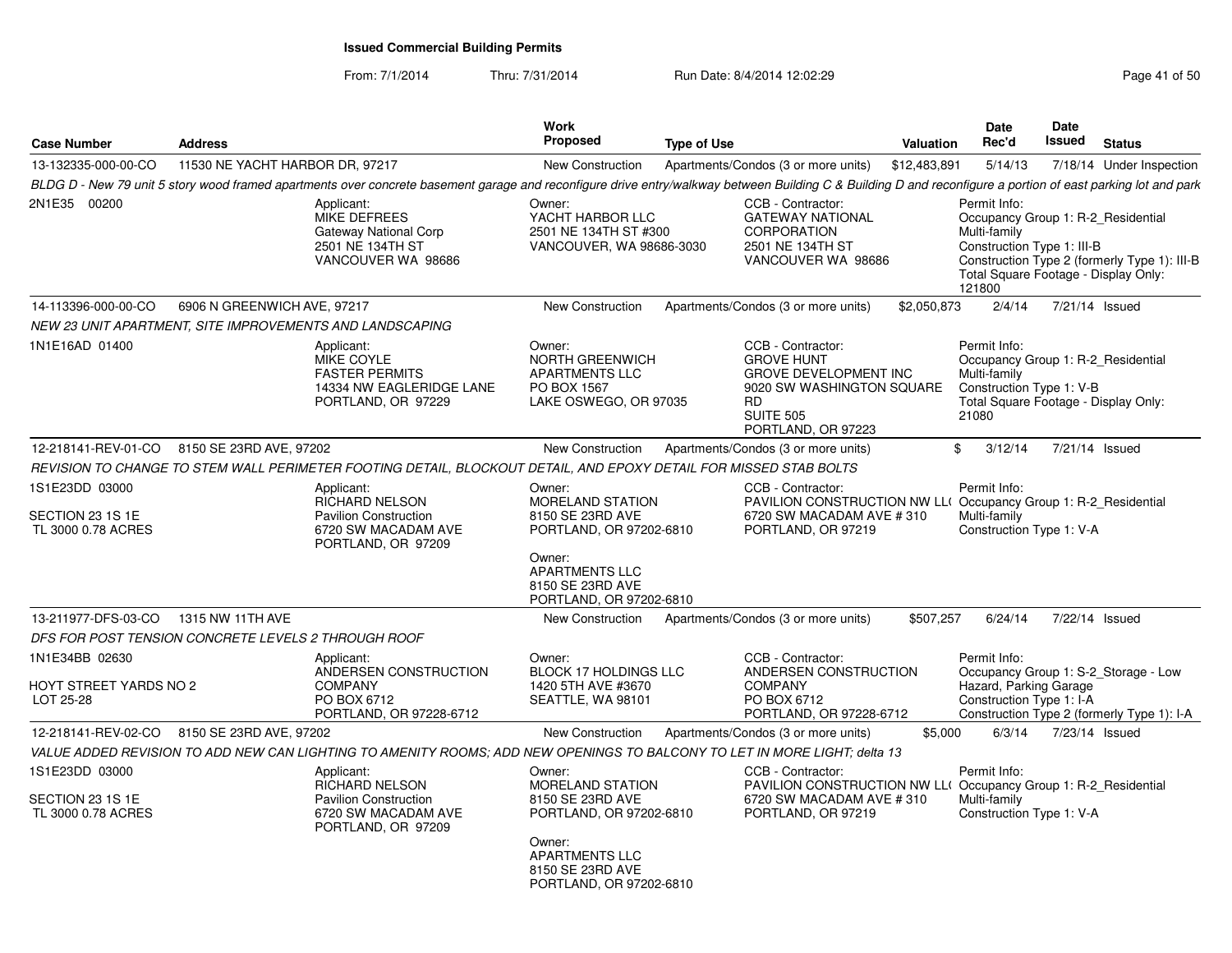| <b>Case Number</b>                                       | <b>Address</b>                  |                                                                                                                                                                                                              | Work<br>Proposed                                                                                                                                            | <b>Type of Use</b> |                                                                                                                                                     | <b>Valuation</b> | Date<br>Rec'd                                                                                                                                      | <b>Date</b><br>Issued | <b>Status</b>                                                                      |
|----------------------------------------------------------|---------------------------------|--------------------------------------------------------------------------------------------------------------------------------------------------------------------------------------------------------------|-------------------------------------------------------------------------------------------------------------------------------------------------------------|--------------------|-----------------------------------------------------------------------------------------------------------------------------------------------------|------------------|----------------------------------------------------------------------------------------------------------------------------------------------------|-----------------------|------------------------------------------------------------------------------------|
| 13-132335-000-00-CO                                      | 11530 NE YACHT HARBOR DR, 97217 |                                                                                                                                                                                                              | <b>New Construction</b>                                                                                                                                     |                    | Apartments/Condos (3 or more units)                                                                                                                 | \$12,483,891     | 5/14/13                                                                                                                                            |                       | 7/18/14 Under Inspection                                                           |
|                                                          |                                 | BLDG D - New 79 unit 5 story wood framed apartments over concrete basement garage and reconfigure drive entry/walkway between Building C & Building D and reconfigure a portion of east parking lot and park |                                                                                                                                                             |                    |                                                                                                                                                     |                  |                                                                                                                                                    |                       |                                                                                    |
| 2N1E35 00200                                             |                                 | Applicant:<br><b>MIKE DEFREES</b><br>Gateway National Corp<br>2501 NE 134TH ST<br>VANCOUVER WA 98686                                                                                                         | Owner:<br>YACHT HARBOR LLC<br>2501 NE 134TH ST #300<br>VANCOUVER, WA 98686-3030                                                                             |                    | CCB - Contractor:<br><b>GATEWAY NATIONAL</b><br><b>CORPORATION</b><br>2501 NE 134TH ST<br>VANCOUVER WA 98686                                        |                  | Permit Info:<br>Occupancy Group 1: R-2_Residential<br>Multi-family<br>Construction Type 1: III-B<br>Total Square Footage - Display Only:<br>121800 |                       | Construction Type 2 (formerly Type 1): III-B                                       |
| 14-113396-000-00-CO                                      | 6906 N GREENWICH AVE, 97217     |                                                                                                                                                                                                              | New Construction                                                                                                                                            |                    | Apartments/Condos (3 or more units)                                                                                                                 | \$2,050,873      | 2/4/14                                                                                                                                             | 7/21/14 Issued        |                                                                                    |
|                                                          |                                 | NEW 23 UNIT APARTMENT, SITE IMPROVEMENTS AND LANDSCAPING                                                                                                                                                     |                                                                                                                                                             |                    |                                                                                                                                                     |                  |                                                                                                                                                    |                       |                                                                                    |
| 1N1E16AD 01400                                           |                                 | Applicant:<br>MIKE COYLE<br><b>FASTER PERMITS</b><br>14334 NW EAGLERIDGE LANE<br>PORTLAND, OR 97229                                                                                                          | Owner:<br><b>NORTH GREENWICH</b><br><b>APARTMENTS LLC</b><br>PO BOX 1567<br>LAKE OSWEGO, OR 97035                                                           |                    | CCB - Contractor:<br><b>GROVE HUNT</b><br>GROVE DEVELOPMENT INC<br>9020 SW WASHINGTON SQUARE<br><b>RD</b><br><b>SUITE 505</b><br>PORTLAND, OR 97223 |                  | Permit Info:<br>Occupancy Group 1: R-2 Residential<br>Multi-family<br>Construction Type 1: V-B<br>Total Square Footage - Display Only:<br>21080    |                       |                                                                                    |
| 12-218141-REV-01-CO                                      | 8150 SE 23RD AVE, 97202         |                                                                                                                                                                                                              | <b>New Construction</b>                                                                                                                                     |                    | Apartments/Condos (3 or more units)                                                                                                                 |                  | \$<br>3/12/14                                                                                                                                      | 7/21/14 Issued        |                                                                                    |
|                                                          |                                 | REVISION TO CHANGE TO STEM WALL PERIMETER FOOTING DETAIL. BLOCKOUT DETAIL. AND EPOXY DETAIL FOR MISSED STAB BOLTS                                                                                            |                                                                                                                                                             |                    |                                                                                                                                                     |                  |                                                                                                                                                    |                       |                                                                                    |
| 1S1E23DD 03000<br>SECTION 23 1S 1E<br>TL 3000 0.78 ACRES |                                 | Applicant:<br><b>RICHARD NELSON</b><br><b>Pavilion Construction</b><br>6720 SW MACADAM AVE<br>PORTLAND, OR 97209                                                                                             | Owner:<br>MORELAND STATION<br>8150 SE 23RD AVE<br>PORTLAND, OR 97202-6810<br>Owner:<br><b>APARTMENTS LLC</b><br>8150 SE 23RD AVE                            |                    | CCB - Contractor:<br>PAVILION CONSTRUCTION NW LLO<br>6720 SW MACADAM AVE #310<br>PORTLAND, OR 97219                                                 |                  | Permit Info:<br>Occupancy Group 1: R-2 Residential<br>Multi-family<br>Construction Type 1: V-A                                                     |                       |                                                                                    |
|                                                          |                                 |                                                                                                                                                                                                              | PORTLAND, OR 97202-6810                                                                                                                                     |                    |                                                                                                                                                     |                  |                                                                                                                                                    |                       |                                                                                    |
| 13-211977-DFS-03-CO                                      | 1315 NW 11TH AVE                |                                                                                                                                                                                                              | New Construction                                                                                                                                            |                    | Apartments/Condos (3 or more units)                                                                                                                 | \$507,257        | 6/24/14                                                                                                                                            |                       | 7/22/14 Issued                                                                     |
| DFS FOR POST TENSION CONCRETE LEVELS 2 THROUGH ROOF      |                                 |                                                                                                                                                                                                              |                                                                                                                                                             |                    |                                                                                                                                                     |                  |                                                                                                                                                    |                       |                                                                                    |
| 1N1E34BB 02630<br>HOYT STREET YARDS NO 2<br>LOT 25-28    |                                 | Applicant:<br>ANDERSEN CONSTRUCTION<br><b>COMPANY</b><br>PO BOX 6712<br>PORTLAND, OR 97228-6712                                                                                                              | Owner:<br>BLOCK 17 HOLDINGS LLC<br>1420 5TH AVE #3670<br>SEATTLE, WA 98101                                                                                  |                    | CCB - Contractor:<br>ANDERSEN CONSTRUCTION<br><b>COMPANY</b><br>PO BOX 6712<br>PORTLAND, OR 97228-6712                                              |                  | Permit Info:<br>Hazard, Parking Garage<br>Construction Type 1: I-A                                                                                 |                       | Occupancy Group 1: S-2_Storage - Low<br>Construction Type 2 (formerly Type 1): I-A |
| 12-218141-REV-02-CO 8150 SE 23RD AVE, 97202              |                                 |                                                                                                                                                                                                              | <b>New Construction</b>                                                                                                                                     |                    | Apartments/Condos (3 or more units)                                                                                                                 | \$5,000          | 6/3/14                                                                                                                                             | 7/23/14 Issued        |                                                                                    |
|                                                          |                                 | VALUE ADDED REVISION TO ADD NEW CAN LIGHTING TO AMENITY ROOMS: ADD NEW OPENINGS TO BALCONY TO LET IN MORE LIGHT: delta 13                                                                                    |                                                                                                                                                             |                    |                                                                                                                                                     |                  |                                                                                                                                                    |                       |                                                                                    |
| 1S1E23DD 03000<br>SECTION 23 1S 1E<br>TL 3000 0.78 ACRES |                                 | Applicant:<br><b>RICHARD NELSON</b><br><b>Pavilion Construction</b><br>6720 SW MACADAM AVE<br>PORTLAND, OR 97209                                                                                             | Owner:<br>MORELAND STATION<br>8150 SE 23RD AVE<br>PORTLAND, OR 97202-6810<br>Owner:<br><b>APARTMENTS LLC</b><br>8150 SE 23RD AVE<br>PORTLAND, OR 97202-6810 |                    | CCB - Contractor:<br>PAVILION CONSTRUCTION NW LL(Occupancy Group 1: R-2 Residential<br>6720 SW MACADAM AVE # 310<br>PORTLAND, OR 97219              |                  | Permit Info:<br>Multi-family<br>Construction Type 1: V-A                                                                                           |                       |                                                                                    |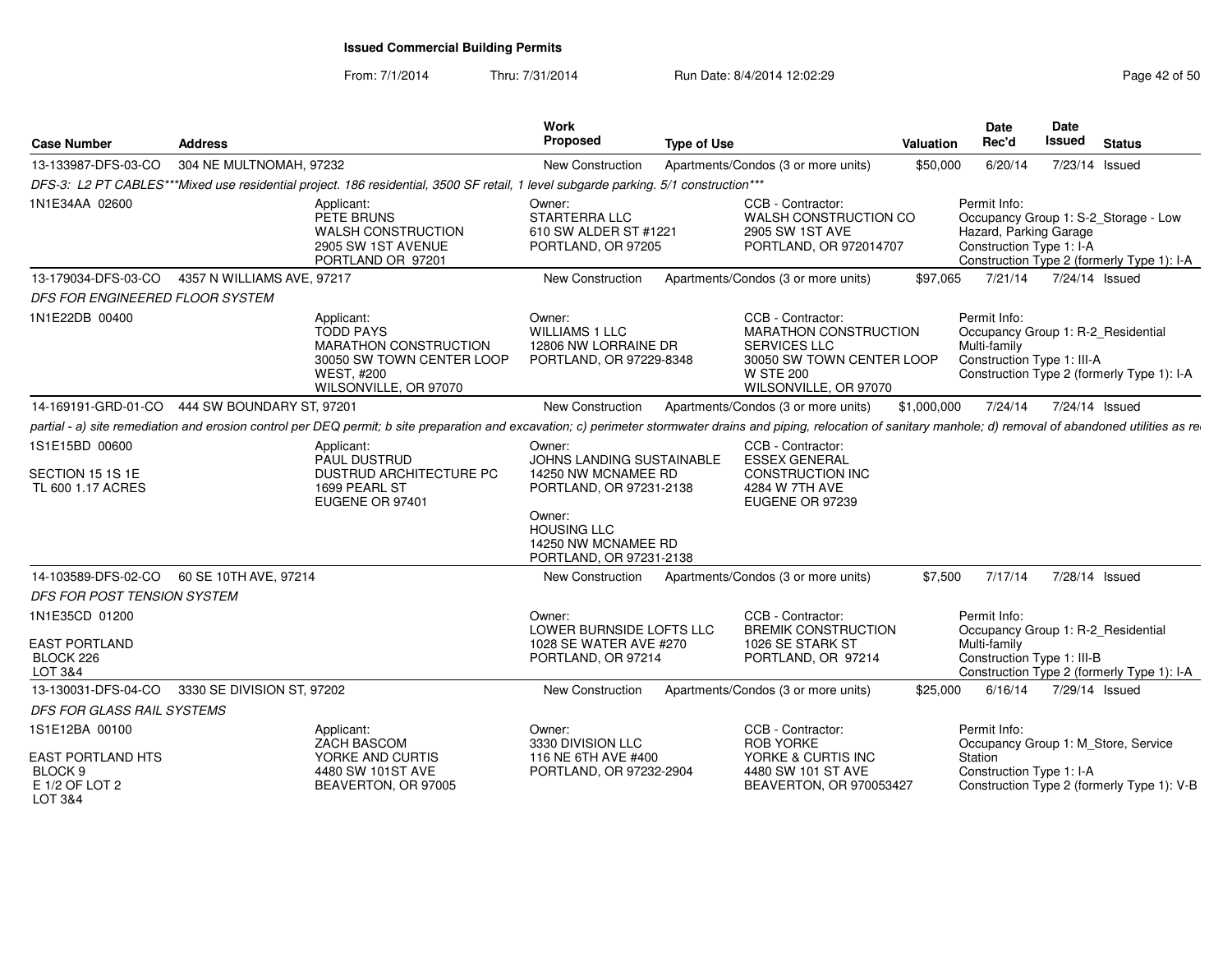| <b>Case Number</b>                                               | Address                 |                                                                                                                                                                                                                          | Work<br><b>Proposed</b>                                                               | <b>Type of Use</b>                                                                                                                                 | Valuation   | <b>Date</b><br>Rec'd                                               | <b>Date</b><br>Issued | Status                                                                             |
|------------------------------------------------------------------|-------------------------|--------------------------------------------------------------------------------------------------------------------------------------------------------------------------------------------------------------------------|---------------------------------------------------------------------------------------|----------------------------------------------------------------------------------------------------------------------------------------------------|-------------|--------------------------------------------------------------------|-----------------------|------------------------------------------------------------------------------------|
| 13-133987-DFS-03-CO                                              | 304 NE MULTNOMAH, 97232 |                                                                                                                                                                                                                          | New Construction                                                                      | Apartments/Condos (3 or more units)                                                                                                                | \$50,000    | 6/20/14                                                            |                       | 7/23/14 Issued                                                                     |
|                                                                  |                         | DFS-3: L2 PT CABLES***Mixed use residential project. 186 residential, 3500 SF retail, 1 level subgarde parking. 5/1 construction***                                                                                      |                                                                                       |                                                                                                                                                    |             |                                                                    |                       |                                                                                    |
| 1N1E34AA 02600                                                   |                         | Applicant:<br>PETE BRUNS<br><b>WALSH CONSTRUCTION</b><br>2905 SW 1ST AVENUE<br>PORTLAND OR 97201                                                                                                                         | Owner:<br>STARTERRA LLC<br>610 SW ALDER ST #1221<br>PORTLAND, OR 97205                | CCB - Contractor:<br>WALSH CONSTRUCTION CO<br>2905 SW 1ST AVE<br>PORTLAND, OR 972014707                                                            |             | Permit Info:<br>Hazard, Parking Garage<br>Construction Type 1: I-A |                       | Occupancy Group 1: S-2 Storage - Low<br>Construction Type 2 (formerly Type 1): I-A |
| 13-179034-DFS-03-CO  4357 N WILLIAMS AVE, 97217                  |                         |                                                                                                                                                                                                                          | <b>New Construction</b>                                                               | Apartments/Condos (3 or more units)                                                                                                                | \$97.065    |                                                                    |                       | 7/21/14 7/24/14 Issued                                                             |
| DFS FOR ENGINEERED FLOOR SYSTEM                                  |                         |                                                                                                                                                                                                                          |                                                                                       |                                                                                                                                                    |             |                                                                    |                       |                                                                                    |
| 1N1E22DB 00400                                                   |                         | Applicant:<br><b>TODD PAYS</b><br>MARATHON CONSTRUCTION<br>30050 SW TOWN CENTER LOOP<br><b>WEST. #200</b><br>WILSONVILLE, OR 97070                                                                                       | Owner:<br><b>WILLIAMS 1 LLC</b><br>12806 NW LORRAINE DR<br>PORTLAND, OR 97229-8348    | CCB - Contractor:<br><b>MARATHON CONSTRUCTION</b><br><b>SERVICES LLC</b><br>30050 SW TOWN CENTER LOOP<br><b>W STE 200</b><br>WILSONVILLE, OR 97070 |             | Permit Info:<br>Multi-family<br>Construction Type 1: III-A         |                       | Occupancy Group 1: R-2 Residential<br>Construction Type 2 (formerly Type 1): I-A   |
| 14-169191-GRD-01-CO 444 SW BOUNDARY ST, 97201                    |                         |                                                                                                                                                                                                                          | New Construction                                                                      | Apartments/Condos (3 or more units)                                                                                                                | \$1,000,000 |                                                                    |                       | 7/24/14 7/24/14 Issued                                                             |
|                                                                  |                         | partial - a) site remediation and erosion control per DEQ permit; b site preparation and excavation; c) perimeter stormwater drains and piping, relocation of sanitary manhole; d) removal of abandoned utilities as re- |                                                                                       |                                                                                                                                                    |             |                                                                    |                       |                                                                                    |
| 1S1E15BD 00600<br>SECTION 15 1S 1E<br>TL 600 1.17 ACRES          |                         | Applicant:<br>PAUL DUSTRUD<br><b>DUSTRUD ARCHITECTURE PC</b><br>1699 PEARL ST<br>EUGENE OR 97401                                                                                                                         | Owner:<br>JOHNS LANDING SUSTAINABLE<br>14250 NW MCNAMEE RD<br>PORTLAND, OR 97231-2138 | CCB - Contractor:<br><b>ESSEX GENERAL</b><br>CONSTRUCTION INC<br>4284 W 7TH AVE<br>EUGENE OR 97239                                                 |             |                                                                    |                       |                                                                                    |
|                                                                  |                         |                                                                                                                                                                                                                          | Owner:<br><b>HOUSING LLC</b><br>14250 NW MCNAMEE RD<br>PORTLAND, OR 97231-2138        |                                                                                                                                                    |             |                                                                    |                       |                                                                                    |
| 14-103589-DFS-02-CO   60 SE 10TH AVE, 97214                      |                         |                                                                                                                                                                                                                          | New Construction                                                                      | Apartments/Condos (3 or more units)                                                                                                                | \$7.500     | 7/17/14                                                            |                       | 7/28/14 Issued                                                                     |
| DFS FOR POST TENSION SYSTEM                                      |                         |                                                                                                                                                                                                                          |                                                                                       |                                                                                                                                                    |             |                                                                    |                       |                                                                                    |
| 1N1E35CD 01200                                                   |                         |                                                                                                                                                                                                                          | Owner:<br>LOWER BURNSIDE LOFTS LLC                                                    | CCB - Contractor:<br><b>BREMIK CONSTRUCTION</b>                                                                                                    |             | Permit Info:                                                       |                       | Occupancy Group 1: R-2_Residential                                                 |
| EAST PORTLAND<br>BLOCK 226<br>LOT 3&4                            |                         |                                                                                                                                                                                                                          | 1028 SE WATER AVE #270<br>PORTLAND, OR 97214                                          | 1026 SE STARK ST<br>PORTLAND, OR 97214                                                                                                             |             | Multi-family<br>Construction Type 1: III-B                         |                       | Construction Type 2 (formerly Type 1): I-A                                         |
| 13-130031-DFS-04-CO 3330 SE DIVISION ST, 97202                   |                         |                                                                                                                                                                                                                          | New Construction                                                                      | Apartments/Condos (3 or more units)                                                                                                                | \$25,000    | 6/16/14                                                            |                       | 7/29/14 Issued                                                                     |
| DFS FOR GLASS RAIL SYSTEMS                                       |                         |                                                                                                                                                                                                                          |                                                                                       |                                                                                                                                                    |             |                                                                    |                       |                                                                                    |
| 1S1E12BA 00100                                                   |                         | Applicant:<br>ZACH BASCOM                                                                                                                                                                                                | Owner:<br>3330 DIVISION LLC                                                           | CCB - Contractor:<br><b>ROB YORKE</b>                                                                                                              |             | Permit Info:                                                       |                       | Occupancy Group 1: M_Store, Service                                                |
| <b>EAST PORTLAND HTS</b><br>BLOCK 9<br>E 1/2 OF LOT 2<br>LOT 3&4 |                         | YORKE AND CURTIS<br>4480 SW 101ST AVE<br>BEAVERTON, OR 97005                                                                                                                                                             | 116 NE 6TH AVE #400<br>PORTLAND, OR 97232-2904                                        | YORKE & CURTIS INC<br>4480 SW 101 ST AVE<br>BEAVERTON, OR 970053427                                                                                |             | Station<br>Construction Type 1: I-A                                |                       | Construction Type 2 (formerly Type 1): V-B                                         |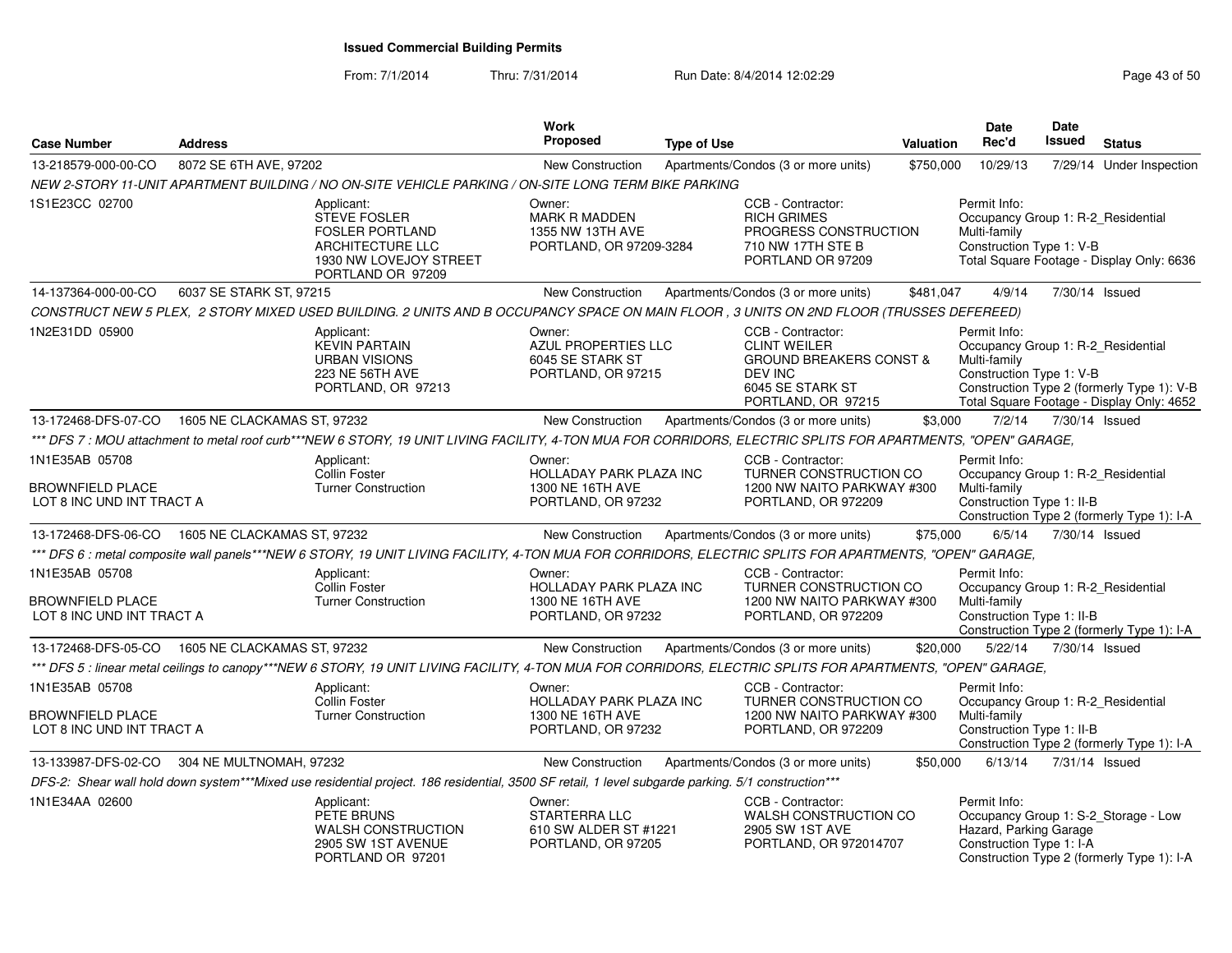| <b>Case Number</b>                                                     | <b>Address</b>              |                                                                                                                                                               | <b>Work</b><br><b>Proposed</b>                                                     | <b>Type of Use</b> |                                                                                                                                     | <b>Valuation</b> | Date<br>Rec'd                                                                                   | <b>Date</b><br><b>Issued</b> | <b>Status</b>                                                                           |
|------------------------------------------------------------------------|-----------------------------|---------------------------------------------------------------------------------------------------------------------------------------------------------------|------------------------------------------------------------------------------------|--------------------|-------------------------------------------------------------------------------------------------------------------------------------|------------------|-------------------------------------------------------------------------------------------------|------------------------------|-----------------------------------------------------------------------------------------|
| 13-218579-000-00-CO                                                    | 8072 SE 6TH AVE, 97202      |                                                                                                                                                               | New Construction                                                                   |                    | Apartments/Condos (3 or more units)                                                                                                 | \$750,000        | 10/29/13                                                                                        |                              | 7/29/14 Under Inspection                                                                |
|                                                                        |                             | NEW 2-STORY 11-UNIT APARTMENT BUILDING / NO ON-SITE VEHICLE PARKING / ON-SITE LONG TERM BIKE PARKING                                                          |                                                                                    |                    |                                                                                                                                     |                  |                                                                                                 |                              |                                                                                         |
| 1S1E23CC 02700                                                         |                             | Applicant:<br><b>STEVE FOSLER</b><br><b>FOSLER PORTLAND</b><br>ARCHITECTURE LLC<br>1930 NW LOVEJOY STREET<br>PORTLAND OR 97209                                | Owner:<br><b>MARK R MADDEN</b><br>1355 NW 13TH AVE<br>PORTLAND, OR 97209-3284      |                    | CCB - Contractor:<br><b>RICH GRIMES</b><br>PROGRESS CONSTRUCTION<br>710 NW 17TH STE B<br>PORTLAND OR 97209                          |                  | Permit Info:<br>Occupancy Group 1: R-2 Residential<br>Multi-family<br>Construction Type 1: V-B  |                              | Total Square Footage - Display Only: 6636                                               |
| 14-137364-000-00-CO                                                    | 6037 SE STARK ST, 97215     |                                                                                                                                                               | <b>New Construction</b>                                                            |                    | Apartments/Condos (3 or more units)                                                                                                 | \$481,047        | 4/9/14                                                                                          | 7/30/14 Issued               |                                                                                         |
|                                                                        |                             | CONSTRUCT NEW 5 PLEX, 2 STORY MIXED USED BUILDING. 2 UNITS AND B OCCUPANCY SPACE ON MAIN FLOOR, 3 UNITS ON 2ND FLOOR (TRUSSES DEFEREED)                       |                                                                                    |                    |                                                                                                                                     |                  |                                                                                                 |                              |                                                                                         |
| 1N2E31DD 05900                                                         |                             | Applicant:<br><b>KEVIN PARTAIN</b><br><b>URBAN VISIONS</b><br>223 NE 56TH AVE<br>PORTLAND, OR 97213                                                           | Owner:<br>AZUL PROPERTIES LLC<br>6045 SE STARK ST<br>PORTLAND, OR 97215            |                    | CCB - Contractor:<br><b>CLINT WEILER</b><br><b>GROUND BREAKERS CONST &amp;</b><br>DEV INC<br>6045 SE STARK ST<br>PORTLAND, OR 97215 |                  | Permit Info:<br>Occupancy Group 1: R-2 Residential<br>Multi-family<br>Construction Type 1: V-B  |                              | Construction Type 2 (formerly Type 1): V-B<br>Total Square Footage - Display Only: 4652 |
| 13-172468-DFS-07-CO                                                    | 1605 NE CLACKAMAS ST, 97232 |                                                                                                                                                               | New Construction                                                                   |                    | Apartments/Condos (3 or more units)                                                                                                 | \$3,000          | 7/2/14                                                                                          | 7/30/14 Issued               |                                                                                         |
|                                                                        |                             | *** DFS 7 : MOU attachment to metal roof curb***NEW 6 STORY, 19 UNIT LIVING FACILITY, 4-TON MUA FOR CORRIDORS, ELECTRIC SPLITS FOR APARTMENTS, "OPEN" GARAGE, |                                                                                    |                    |                                                                                                                                     |                  |                                                                                                 |                              |                                                                                         |
| 1N1E35AB 05708<br><b>BROWNFIELD PLACE</b><br>LOT 8 INC UND INT TRACT A |                             | Applicant:<br>Collin Foster<br><b>Turner Construction</b>                                                                                                     | Owner:<br><b>HOLLADAY PARK PLAZA INC</b><br>1300 NE 16TH AVE<br>PORTLAND, OR 97232 |                    | CCB - Contractor:<br>TURNER CONSTRUCTION CO<br>1200 NW NAITO PARKWAY #300<br>PORTLAND, OR 972209                                    |                  | Permit Info:<br>Occupancy Group 1: R-2_Residential<br>Multi-family<br>Construction Type 1: II-B |                              |                                                                                         |
|                                                                        |                             |                                                                                                                                                               |                                                                                    |                    |                                                                                                                                     |                  |                                                                                                 |                              | Construction Type 2 (formerly Type 1): I-A                                              |
| 13-172468-DFS-06-CO  1605 NE CLACKAMAS ST. 97232                       |                             |                                                                                                                                                               | <b>New Construction</b>                                                            |                    | Apartments/Condos (3 or more units)                                                                                                 | \$75,000         | 6/5/14                                                                                          | 7/30/14 Issued               |                                                                                         |
|                                                                        |                             | *** DFS 6 : metal composite wall panels***NEW 6 STORY, 19 UNIT LIVING FACILITY, 4-TON MUA FOR CORRIDORS, ELECTRIC SPLITS FOR APARTMENTS, "OPEN" GARAGE,       |                                                                                    |                    |                                                                                                                                     |                  |                                                                                                 |                              |                                                                                         |
| 1N1E35AB 05708<br><b>BROWNFIELD PLACE</b><br>LOT 8 INC UND INT TRACT A |                             | Applicant:<br>Collin Foster<br><b>Turner Construction</b>                                                                                                     | Owner:<br>HOLLADAY PARK PLAZA INC<br>1300 NE 16TH AVE<br>PORTLAND, OR 97232        |                    | CCB - Contractor:<br>TURNER CONSTRUCTION CO<br>1200 NW NAITO PARKWAY #300<br>PORTLAND, OR 972209                                    |                  | Permit Info:<br>Occupancy Group 1: R-2 Residential<br>Multi-family<br>Construction Type 1: II-B |                              | Construction Type 2 (formerly Type 1): I-A                                              |
| 13-172468-DFS-05-CO  1605 NE CLACKAMAS ST. 97232                       |                             |                                                                                                                                                               | <b>New Construction</b>                                                            |                    | Apartments/Condos (3 or more units)                                                                                                 | \$20,000         | 5/22/14                                                                                         | 7/30/14 Issued               |                                                                                         |
|                                                                        |                             | *** DFS 5 : linear metal ceilings to canopy***NEW 6 STORY, 19 UNIT LIVING FACILITY, 4-TON MUA FOR CORRIDORS, ELECTRIC SPLITS FOR APARTMENTS, "OPEN" GARAGE,   |                                                                                    |                    |                                                                                                                                     |                  |                                                                                                 |                              |                                                                                         |
| 1N1E35AB 05708<br><b>BROWNFIELD PLACE</b><br>LOT 8 INC UND INT TRACT A |                             | Applicant:<br>Collin Foster<br><b>Turner Construction</b>                                                                                                     | Owner:<br><b>HOLLADAY PARK PLAZA INC</b><br>1300 NE 16TH AVE<br>PORTLAND, OR 97232 |                    | CCB - Contractor:<br>TURNER CONSTRUCTION CO<br>1200 NW NAITO PARKWAY #300<br>PORTLAND, OR 972209                                    |                  | Permit Info:<br>Occupancy Group 1: R-2_Residential<br>Multi-family<br>Construction Type 1: II-B |                              |                                                                                         |
|                                                                        |                             |                                                                                                                                                               |                                                                                    |                    |                                                                                                                                     |                  |                                                                                                 |                              | Construction Type 2 (formerly Type 1): I-A                                              |
| 13-133987-DFS-02-CO                                                    | 304 NE MULTNOMAH, 97232     |                                                                                                                                                               | <b>New Construction</b>                                                            |                    | Apartments/Condos (3 or more units)                                                                                                 | \$50,000         | 6/13/14                                                                                         | 7/31/14 Issued               |                                                                                         |
|                                                                        |                             | DFS-2: Shear wall hold down system***Mixed use residential project. 186 residential, 3500 SF retail, 1 level subgarde parking. 5/1 construction***            |                                                                                    |                    |                                                                                                                                     |                  |                                                                                                 |                              |                                                                                         |
| 1N1E34AA 02600                                                         |                             | Applicant:<br>PETE BRUNS<br><b>WALSH CONSTRUCTION</b><br>2905 SW 1ST AVENUE<br>PORTLAND OR 97201                                                              | Owner:<br><b>STARTERRA LLC</b><br>610 SW ALDER ST #1221<br>PORTLAND, OR 97205      |                    | CCB - Contractor:<br>WALSH CONSTRUCTION CO<br>2905 SW 1ST AVE<br>PORTLAND, OR 972014707                                             |                  | Permit Info:<br>Hazard, Parking Garage<br>Construction Type 1: I-A                              |                              | Occupancy Group 1: S-2_Storage - Low<br>Construction Type 2 (formerly Type 1): I-A      |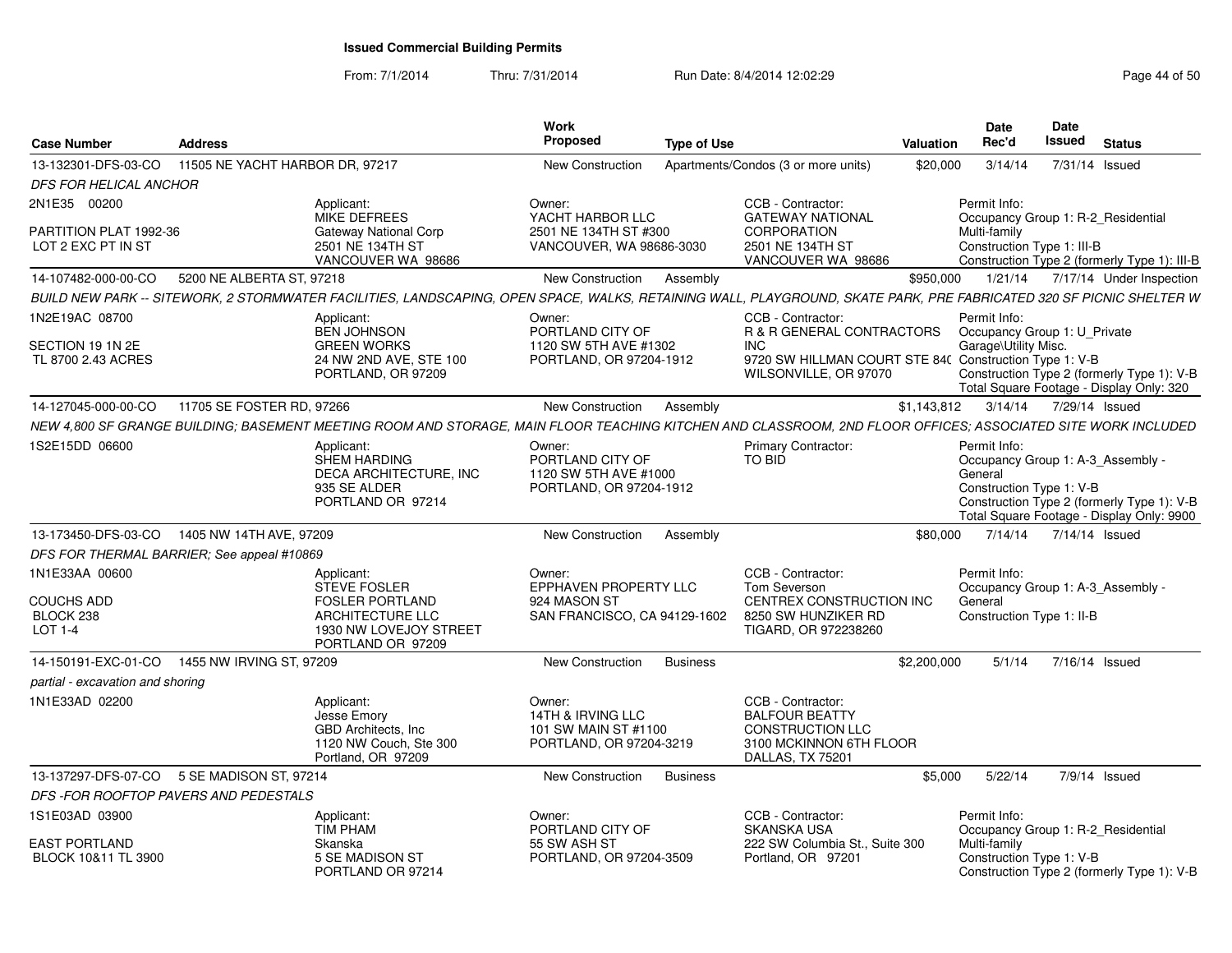From: 7/1/2014Thru: 7/31/2014 Run Date: 8/4/2014 12:02:29 Rage 44 of 50 and 50 and 50 and 50 and 50 and 50 and 50 and 50

| <b>Case Number</b>                           | <b>Address</b>                                                          | Work<br><b>Proposed</b>                                                                                                                                             | <b>Type of Use</b>                                                                                            | Valuation                                              | Date<br>Rec'd                                                                            | Date<br>Issued         | <b>Status</b>                                                                           |
|----------------------------------------------|-------------------------------------------------------------------------|---------------------------------------------------------------------------------------------------------------------------------------------------------------------|---------------------------------------------------------------------------------------------------------------|--------------------------------------------------------|------------------------------------------------------------------------------------------|------------------------|-----------------------------------------------------------------------------------------|
| 13-132301-DFS-03-CO                          | 11505 NE YACHT HARBOR DR. 97217                                         | <b>New Construction</b>                                                                                                                                             | Apartments/Condos (3 or more units)                                                                           | \$20,000                                               | 3/14/14                                                                                  | 7/31/14 Issued         |                                                                                         |
| DFS FOR HELICAL ANCHOR                       |                                                                         |                                                                                                                                                                     |                                                                                                               |                                                        |                                                                                          |                        |                                                                                         |
| 2N1E35 00200                                 | Applicant:<br>MIKE DEFREES                                              | Owner:<br>YACHT HARBOR LLC                                                                                                                                          | CCB - Contractor:<br><b>GATEWAY NATIONAL</b>                                                                  |                                                        | Permit Info:<br>Occupancy Group 1: R-2 Residential                                       |                        |                                                                                         |
| PARTITION PLAT 1992-36<br>LOT 2 EXC PT IN ST | 2501 NE 134TH ST                                                        | 2501 NE 134TH ST #300<br>Gateway National Corp<br>VANCOUVER, WA 98686-3030<br>VANCOUVER WA 98686                                                                    | <b>CORPORATION</b><br>2501 NE 134TH ST<br>VANCOUVER WA 98686                                                  |                                                        | Multi-family<br>Construction Type 1: III-B                                               |                        | Construction Type 2 (formerly Type 1): III-B                                            |
| 14-107482-000-00-CO                          | 5200 NE ALBERTA ST, 97218                                               | New Construction                                                                                                                                                    | Assembly                                                                                                      | \$950,000                                              | 1/21/14                                                                                  |                        | 7/17/14 Under Inspection                                                                |
|                                              |                                                                         | BUILD NEW PARK -- SITEWORK. 2 STORMWATER FACILITIES. LANDSCAPING. OPEN SPACE. WALKS. RETAINING WALL. PLAYGROUND. SKATE PARK. PRE FABRICATED 320 SF PICNIC SHELTER W |                                                                                                               |                                                        |                                                                                          |                        |                                                                                         |
| 1N2E19AC 08700                               | Applicant:<br><b>BEN JOHNSON</b>                                        | Owner:<br>PORTLAND CITY OF                                                                                                                                          | CCB - Contractor:<br><b>R &amp; R GENERAL CONTRACTORS</b>                                                     |                                                        | Permit Info:<br>Occupancy Group 1: U_Private                                             |                        |                                                                                         |
| SECTION 19 1N 2E<br>TL 8700 2.43 ACRES       | <b>GREEN WORKS</b>                                                      | 1120 SW 5TH AVE #1302<br>24 NW 2ND AVE, STE 100<br>PORTLAND, OR 97204-1912<br>PORTLAND, OR 97209                                                                    | <b>INC</b><br>WILSONVILLE, OR 97070                                                                           | 9720 SW HILLMAN COURT STE 84( Construction Type 1: V-B | Garage\Utility Misc.                                                                     |                        | Construction Type 2 (formerly Type 1): V-B<br>Total Square Footage - Display Only: 320  |
| 14-127045-000-00-CO                          | 11705 SE FOSTER RD, 97266                                               | New Construction                                                                                                                                                    | Assembly                                                                                                      | \$1,143,812                                            |                                                                                          | 3/14/14 7/29/14 Issued |                                                                                         |
|                                              |                                                                         | NEW 4,800 SF GRANGE BUILDING; BASEMENT MEETING ROOM AND STORAGE, MAIN FLOOR TEACHING KITCHEN AND CLASSROOM, 2ND FLOOR OFFICES; ASSOCIATED SITE WORK INCLUDED        |                                                                                                               |                                                        |                                                                                          |                        |                                                                                         |
| 1S2E15DD 06600                               | Applicant:<br><b>SHEM HARDING</b><br>935 SE ALDER                       | Owner:<br>PORTLAND CITY OF<br><b>DECA ARCHITECTURE. INC</b><br>1120 SW 5TH AVE #1000<br>PORTLAND, OR 97204-1912<br>PORTLAND OR 97214                                | <b>Primary Contractor:</b><br>TO BID                                                                          |                                                        | Permit Info:<br>Occupancy Group 1: A-3 Assembly -<br>General<br>Construction Type 1: V-B |                        | Construction Type 2 (formerly Type 1): V-B<br>Total Square Footage - Display Only: 9900 |
|                                              | 13-173450-DFS-03-CO 1405 NW 14TH AVE, 97209                             | New Construction                                                                                                                                                    | Assembly                                                                                                      | \$80,000                                               | 7/14/14                                                                                  | 7/14/14 Issued         |                                                                                         |
|                                              | DFS FOR THERMAL BARRIER: See appeal #10869                              |                                                                                                                                                                     |                                                                                                               |                                                        |                                                                                          |                        |                                                                                         |
| 1N1E33AA 00600                               | Applicant:<br><b>STEVE FOSLER</b>                                       | Owner:<br>EPPHAVEN PROPERTY LLC                                                                                                                                     | CCB - Contractor:<br>Tom Severson                                                                             |                                                        | Permit Info:<br>Occupancy Group 1: A-3 Assembly -                                        |                        |                                                                                         |
| <b>COUCHS ADD</b><br>BLOCK 238<br>LOT 1-4    |                                                                         | <b>FOSLER PORTLAND</b><br>924 MASON ST<br>ARCHITECTURE LLC<br>SAN FRANCISCO, CA 94129-1602<br>1930 NW LOVEJOY STREET<br>PORTLAND OR 97209                           | CENTREX CONSTRUCTION INC<br>8250 SW HUNZIKER RD<br>TIGARD, OR 972238260                                       |                                                        | General<br>Construction Type 1: II-B                                                     |                        |                                                                                         |
| 14-150191-EXC-01-CO                          | 1455 NW IRVING ST, 97209                                                | New Construction                                                                                                                                                    | <b>Business</b>                                                                                               | \$2,200,000                                            | 5/1/14                                                                                   | 7/16/14 Issued         |                                                                                         |
| partial - excavation and shoring             |                                                                         |                                                                                                                                                                     |                                                                                                               |                                                        |                                                                                          |                        |                                                                                         |
| 1N1E33AD 02200                               | Applicant:<br>Jesse Emory<br>GBD Architects, Inc.<br>Portland, OR 97209 | Owner:<br>14TH & IRVING LLC<br>101 SW MAIN ST #1100<br>1120 NW Couch, Ste 300<br>PORTLAND, OR 97204-3219                                                            | CCB - Contractor:<br><b>BALFOUR BEATTY</b><br>CONSTRUCTION LLC<br>3100 MCKINNON 6TH FLOOR<br>DALLAS, TX 75201 |                                                        |                                                                                          |                        |                                                                                         |
|                                              | 13-137297-DFS-07-CO 5 SE MADISON ST, 97214                              | New Construction                                                                                                                                                    | <b>Business</b>                                                                                               | \$5.000                                                | 5/22/14                                                                                  | 7/9/14 Issued          |                                                                                         |
|                                              | DFS-FOR ROOFTOP PAVERS AND PEDESTALS                                    |                                                                                                                                                                     |                                                                                                               |                                                        |                                                                                          |                        |                                                                                         |
| 1S1E03AD 03900                               | Applicant:<br><b>TIM PHAM</b>                                           | Owner:<br>PORTLAND CITY OF                                                                                                                                          | CCB - Contractor:<br><b>SKANSKA USA</b>                                                                       |                                                        | Permit Info:<br>Occupancy Group 1: R-2 Residential                                       |                        |                                                                                         |
| <b>EAST PORTLAND</b><br>BLOCK 10&11 TL 3900  | Skanska<br>5 SE MADISON ST                                              | 55 SW ASH ST<br>PORTLAND, OR 97204-3509<br>PORTLAND OR 97214                                                                                                        | 222 SW Columbia St., Suite 300<br>Portland, OR 97201                                                          |                                                        | Multi-family<br>Construction Type 1: V-B                                                 |                        | Construction Type 2 (formerly Type 1): V-B                                              |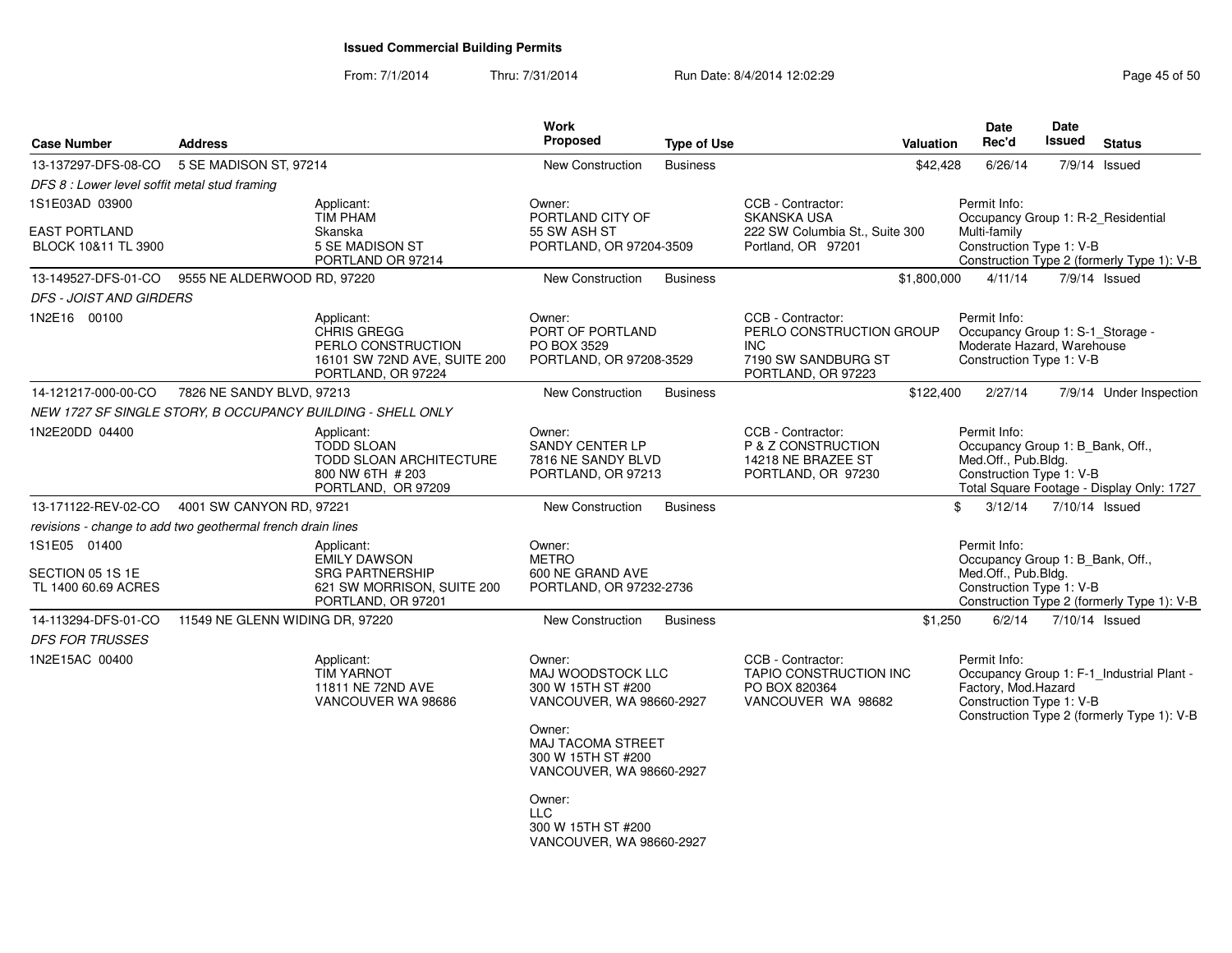| <b>Case Number</b>                                          | <b>Address</b>                  |                                                                                                                 | Work<br>Proposed                                                                                                                                                      | <b>Type of Use</b> |                                                                                                    | Valuation   | <b>Date</b><br>Rec'd                                                                                       | <b>Date</b><br>Issued | <b>Status</b>                                                                           |
|-------------------------------------------------------------|---------------------------------|-----------------------------------------------------------------------------------------------------------------|-----------------------------------------------------------------------------------------------------------------------------------------------------------------------|--------------------|----------------------------------------------------------------------------------------------------|-------------|------------------------------------------------------------------------------------------------------------|-----------------------|-----------------------------------------------------------------------------------------|
| 13-137297-DFS-08-CO                                         | 5 SE MADISON ST, 97214          |                                                                                                                 | <b>New Construction</b>                                                                                                                                               | <b>Business</b>    |                                                                                                    | \$42,428    | 6/26/14                                                                                                    |                       | 7/9/14 Issued                                                                           |
| DFS 8 : Lower level soffit metal stud framing               |                                 |                                                                                                                 |                                                                                                                                                                       |                    |                                                                                                    |             |                                                                                                            |                       |                                                                                         |
| 1S1E03AD 03900                                              |                                 | Applicant:<br><b>TIM PHAM</b>                                                                                   | Owner:<br>PORTLAND CITY OF                                                                                                                                            |                    | CCB - Contractor:<br>SKANSKA USA                                                                   |             | Permit Info:                                                                                               |                       | Occupancy Group 1: R-2_Residential                                                      |
| <b>EAST PORTLAND</b><br>BLOCK 10&11 TL 3900                 |                                 | Skanska<br>5 SE MADISON ST                                                                                      | 55 SW ASH ST<br>PORTLAND, OR 97204-3509                                                                                                                               |                    | 222 SW Columbia St., Suite 300<br>Portland, OR 97201                                               |             | Multi-family<br>Construction Type 1: V-B                                                                   |                       |                                                                                         |
|                                                             |                                 | PORTLAND OR 97214                                                                                               |                                                                                                                                                                       |                    |                                                                                                    |             |                                                                                                            |                       | Construction Type 2 (formerly Type 1): V-B                                              |
| 13-149527-DFS-01-CO                                         | 9555 NE ALDERWOOD RD, 97220     |                                                                                                                 | New Construction                                                                                                                                                      | <b>Business</b>    |                                                                                                    | \$1,800,000 | 4/11/14                                                                                                    |                       | 7/9/14 Issued                                                                           |
| <b>DFS - JOIST AND GIRDERS</b>                              |                                 |                                                                                                                 |                                                                                                                                                                       |                    |                                                                                                    |             |                                                                                                            |                       |                                                                                         |
| 1N2E16 00100                                                |                                 | Applicant:<br>CHRIS GREGG<br>PERLO CONSTRUCTION<br>16101 SW 72ND AVE, SUITE 200<br>PORTLAND, OR 97224           | Owner:<br>PORT OF PORTLAND<br>PO BOX 3529<br>PORTLAND, OR 97208-3529                                                                                                  |                    | CCB - Contractor:<br>PERLO CONSTRUCTION GROUP<br>INC.<br>7190 SW SANDBURG ST<br>PORTLAND, OR 97223 |             | Permit Info:<br>Occupancy Group 1: S-1_Storage -<br>Moderate Hazard, Warehouse<br>Construction Type 1: V-B |                       |                                                                                         |
| 14-121217-000-00-CO                                         | 7826 NE SANDY BLVD, 97213       |                                                                                                                 | <b>New Construction</b>                                                                                                                                               | <b>Business</b>    |                                                                                                    | \$122,400   | 2/27/14                                                                                                    |                       | 7/9/14 Under Inspection                                                                 |
|                                                             |                                 | NEW 1727 SF SINGLE STORY, B OCCUPANCY BUILDING - SHELL ONLY                                                     |                                                                                                                                                                       |                    |                                                                                                    |             |                                                                                                            |                       |                                                                                         |
| 1N2E20DD 04400                                              |                                 | Applicant:<br><b>TODD SLOAN</b><br>TODD SLOAN ARCHITECTURE<br>800 NW 6TH # 203<br>PORTLAND, OR 97209            | Owner:<br><b>SANDY CENTER LP</b><br>7816 NE SANDY BLVD<br>PORTLAND, OR 97213                                                                                          |                    | CCB - Contractor:<br>P & Z CONSTRUCTION<br>14218 NE BRAZEE ST<br>PORTLAND, OR 97230                |             | Permit Info:<br>Occupancy Group 1: B_Bank, Off.,<br>Med.Off., Pub.Bldg.<br>Construction Type 1: V-B        |                       | Total Square Footage - Display Only: 1727                                               |
| 13-171122-REV-02-CO                                         | 4001 SW CANYON RD, 97221        |                                                                                                                 | <b>New Construction</b>                                                                                                                                               | <b>Business</b>    |                                                                                                    | \$          | 3/12/14                                                                                                    |                       | 7/10/14 Issued                                                                          |
| revisions - change to add two geothermal french drain lines |                                 |                                                                                                                 |                                                                                                                                                                       |                    |                                                                                                    |             |                                                                                                            |                       |                                                                                         |
| 1S1E05 01400<br>SECTION 05 1S 1E<br>TL 1400 60.69 ACRES     |                                 | Applicant:<br><b>EMILY DAWSON</b><br><b>SRG PARTNERSHIP</b><br>621 SW MORRISON, SUITE 200<br>PORTLAND, OR 97201 | Owner:<br><b>METRO</b><br>600 NE GRAND AVE<br>PORTLAND, OR 97232-2736                                                                                                 |                    |                                                                                                    |             | Permit Info:<br>Occupancy Group 1: B_Bank, Off.,<br>Med.Off., Pub.Bldg.<br>Construction Type 1: V-B        |                       | Construction Type 2 (formerly Type 1): V-B                                              |
| 14-113294-DFS-01-CO                                         | 11549 NE GLENN WIDING DR, 97220 |                                                                                                                 | <b>New Construction</b>                                                                                                                                               | <b>Business</b>    |                                                                                                    | \$1,250     | 6/2/14                                                                                                     |                       | 7/10/14 Issued                                                                          |
| <b>DFS FOR TRUSSES</b>                                      |                                 |                                                                                                                 |                                                                                                                                                                       |                    |                                                                                                    |             |                                                                                                            |                       |                                                                                         |
| 1N2E15AC 00400                                              |                                 | Applicant:<br><b>TIM YARNOT</b><br>11811 NE 72ND AVE<br>VANCOUVER WA 98686                                      | Owner:<br>MAJ WOODSTOCK LLC<br>300 W 15TH ST #200<br>VANCOUVER, WA 98660-2927<br>Owner:<br><b>MAJ TACOMA STREET</b><br>300 W 15TH ST #200<br>VANCOUVER, WA 98660-2927 |                    | CCB - Contractor:<br>TAPIO CONSTRUCTION INC<br>PO BOX 820364<br>VANCOUVER WA 98682                 |             | Permit Info:<br>Factory, Mod.Hazard<br>Construction Type 1: V-B                                            |                       | Occupancy Group 1: F-1_Industrial Plant -<br>Construction Type 2 (formerly Type 1): V-B |
|                                                             |                                 |                                                                                                                 | Owner:<br><b>LLC</b><br>300 W 15TH ST #200<br>VANCOUVER, WA 98660-2927                                                                                                |                    |                                                                                                    |             |                                                                                                            |                       |                                                                                         |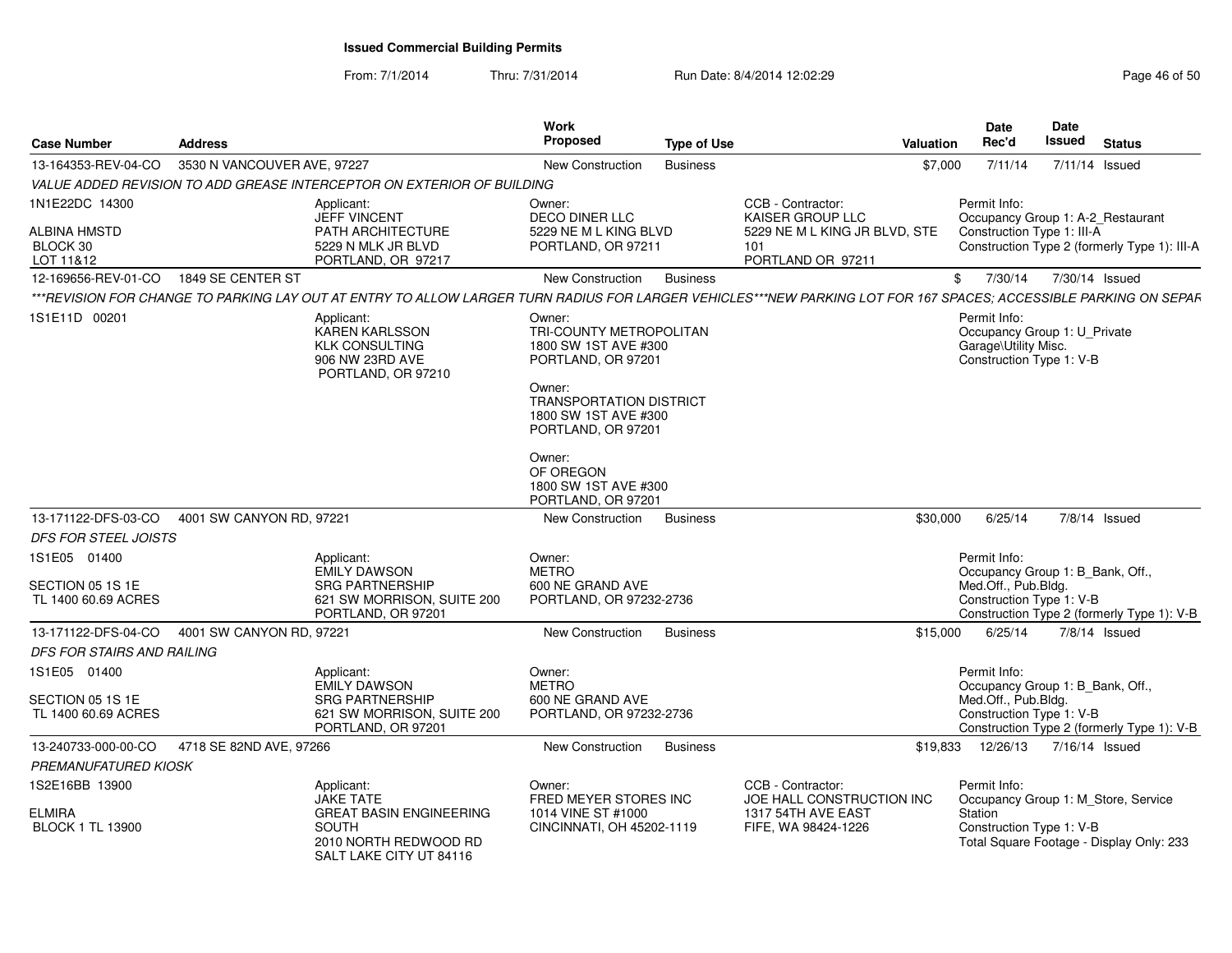| <b>Case Number</b>                                         | <b>Address</b>              |                                                                                                                                                                  | <b>Work</b><br>Proposed                                                                                                                                                   | <b>Type of Use</b> |                                                                                                    | Valuation | Date<br>Rec'd                                                                                       | Date<br><b>Issued</b> | <b>Status</b>                                                                     |
|------------------------------------------------------------|-----------------------------|------------------------------------------------------------------------------------------------------------------------------------------------------------------|---------------------------------------------------------------------------------------------------------------------------------------------------------------------------|--------------------|----------------------------------------------------------------------------------------------------|-----------|-----------------------------------------------------------------------------------------------------|-----------------------|-----------------------------------------------------------------------------------|
| 13-164353-REV-04-CO                                        | 3530 N VANCOUVER AVE, 97227 |                                                                                                                                                                  | New Construction                                                                                                                                                          | <b>Business</b>    |                                                                                                    | \$7,000   | 7/11/14                                                                                             |                       | 7/11/14 Issued                                                                    |
|                                                            |                             | VALUE ADDED REVISION TO ADD GREASE INTERCEPTOR ON EXTERIOR OF BUILDING                                                                                           |                                                                                                                                                                           |                    |                                                                                                    |           |                                                                                                     |                       |                                                                                   |
| 1N1E22DC 14300<br>ALBINA HMSTD<br>BLOCK 30<br>LOT 11&12    |                             | Applicant:<br><b>JEFF VINCENT</b><br>PATH ARCHITECTURE<br>5229 N MLK JR BLVD<br>PORTLAND, OR 97217                                                               | Owner:<br><b>DECO DINER LLC</b><br>5229 NE M L KING BLVD<br>PORTLAND, OR 97211                                                                                            |                    | CCB - Contractor:<br>KAISER GROUP LLC<br>5229 NE M L KING JR BLVD, STE<br>101<br>PORTLAND OR 97211 |           | Permit Info:<br>Construction Type 1: III-A                                                          |                       | Occupancy Group 1: A-2_Restaurant<br>Construction Type 2 (formerly Type 1): III-A |
| 12-169656-REV-01-CO                                        | 1849 SE CENTER ST           |                                                                                                                                                                  | New Construction                                                                                                                                                          | <b>Business</b>    |                                                                                                    |           | 7/30/14<br>\$                                                                                       |                       | 7/30/14 Issued                                                                    |
|                                                            |                             | ***REVISION FOR CHANGE TO PARKING LAY OUT AT ENTRY TO ALLOW LARGER TURN RADIUS FOR LARGER VEHICLES***NEW PARKING LOT FOR 167 SPACES; ACCESSIBLE PARKING ON SEPAF |                                                                                                                                                                           |                    |                                                                                                    |           |                                                                                                     |                       |                                                                                   |
| 1S1E11D 00201                                              |                             | Applicant:<br><b>KAREN KARLSSON</b><br><b>KLK CONSULTING</b><br>906 NW 23RD AVE<br>PORTLAND, OR 97210                                                            | Owner:<br>TRI-COUNTY METROPOLITAN<br>1800 SW 1ST AVE #300<br>PORTLAND, OR 97201<br>Owner:<br><b>TRANSPORTATION DISTRICT</b><br>1800 SW 1ST AVE #300<br>PORTLAND, OR 97201 |                    |                                                                                                    |           | Permit Info:<br>Occupancy Group 1: U_Private<br>Garage\Utility Misc.<br>Construction Type 1: V-B    |                       |                                                                                   |
| 13-171122-DFS-03-CO                                        | 4001 SW CANYON RD, 97221    |                                                                                                                                                                  | Owner:<br>OF OREGON<br>1800 SW 1ST AVE #300<br>PORTLAND, OR 97201<br>New Construction                                                                                     | <b>Business</b>    |                                                                                                    | \$30,000  | 6/25/14                                                                                             |                       | 7/8/14 Issued                                                                     |
| <b>DFS FOR STEEL JOISTS</b>                                |                             |                                                                                                                                                                  |                                                                                                                                                                           |                    |                                                                                                    |           |                                                                                                     |                       |                                                                                   |
| 1S1E05 01400                                               |                             | Applicant:                                                                                                                                                       | Owner:                                                                                                                                                                    |                    |                                                                                                    |           | Permit Info:                                                                                        |                       |                                                                                   |
| SECTION 05 1S 1E<br>TL 1400 60.69 ACRES                    |                             | <b>EMILY DAWSON</b><br><b>SRG PARTNERSHIP</b><br>621 SW MORRISON, SUITE 200<br>PORTLAND, OR 97201                                                                | <b>METRO</b><br>600 NE GRAND AVE<br>PORTLAND, OR 97232-2736                                                                                                               |                    |                                                                                                    |           | Occupancy Group 1: B_Bank, Off.,<br>Med.Off., Pub.Bldg.<br>Construction Type 1: V-B                 |                       | Construction Type 2 (formerly Type 1): V-B                                        |
| 13-171122-DFS-04-CO                                        | 4001 SW CANYON RD, 97221    |                                                                                                                                                                  | New Construction                                                                                                                                                          | <b>Business</b>    |                                                                                                    | \$15,000  | 6/25/14                                                                                             |                       | 7/8/14 Issued                                                                     |
| DFS FOR STAIRS AND RAILING                                 |                             |                                                                                                                                                                  |                                                                                                                                                                           |                    |                                                                                                    |           |                                                                                                     |                       |                                                                                   |
| 1S1E05 01400<br>SECTION 05 1S 1E<br>TL 1400 60.69 ACRES    |                             | Applicant:<br><b>EMILY DAWSON</b><br><b>SRG PARTNERSHIP</b><br>621 SW MORRISON, SUITE 200<br>PORTLAND, OR 97201                                                  | Owner:<br><b>METRO</b><br>600 NE GRAND AVE<br>PORTLAND, OR 97232-2736                                                                                                     |                    |                                                                                                    |           | Permit Info:<br>Occupancy Group 1: B_Bank, Off.,<br>Med.Off., Pub.Bldg.<br>Construction Type 1: V-B |                       | Construction Type 2 (formerly Type 1): V-B                                        |
| 13-240733-000-00-CO                                        | 4718 SE 82ND AVE, 97266     |                                                                                                                                                                  | New Construction                                                                                                                                                          | <b>Business</b>    |                                                                                                    | \$19,833  | 12/26/13                                                                                            |                       | 7/16/14 Issued                                                                    |
| <b>PREMANUFATURED KIOSK</b>                                |                             |                                                                                                                                                                  |                                                                                                                                                                           |                    |                                                                                                    |           |                                                                                                     |                       |                                                                                   |
| 1S2E16BB 13900<br><b>ELMIRA</b><br><b>BLOCK 1 TL 13900</b> |                             | Applicant:<br><b>JAKE TATE</b><br><b>GREAT BASIN ENGINEERING</b><br>SOUTH<br>2010 NORTH REDWOOD RD<br>SALT LAKE CITY UT 84116                                    | Owner:<br>FRED MEYER STORES INC<br>1014 VINE ST #1000<br>CINCINNATI, OH 45202-1119                                                                                        |                    | CCB - Contractor:<br>JOE HALL CONSTRUCTION INC<br>1317 54TH AVE EAST<br>FIFE, WA 98424-1226        |           | Permit Info:<br>Station<br>Construction Type 1: V-B                                                 |                       | Occupancy Group 1: M_Store, Service<br>Total Square Footage - Display Only: 233   |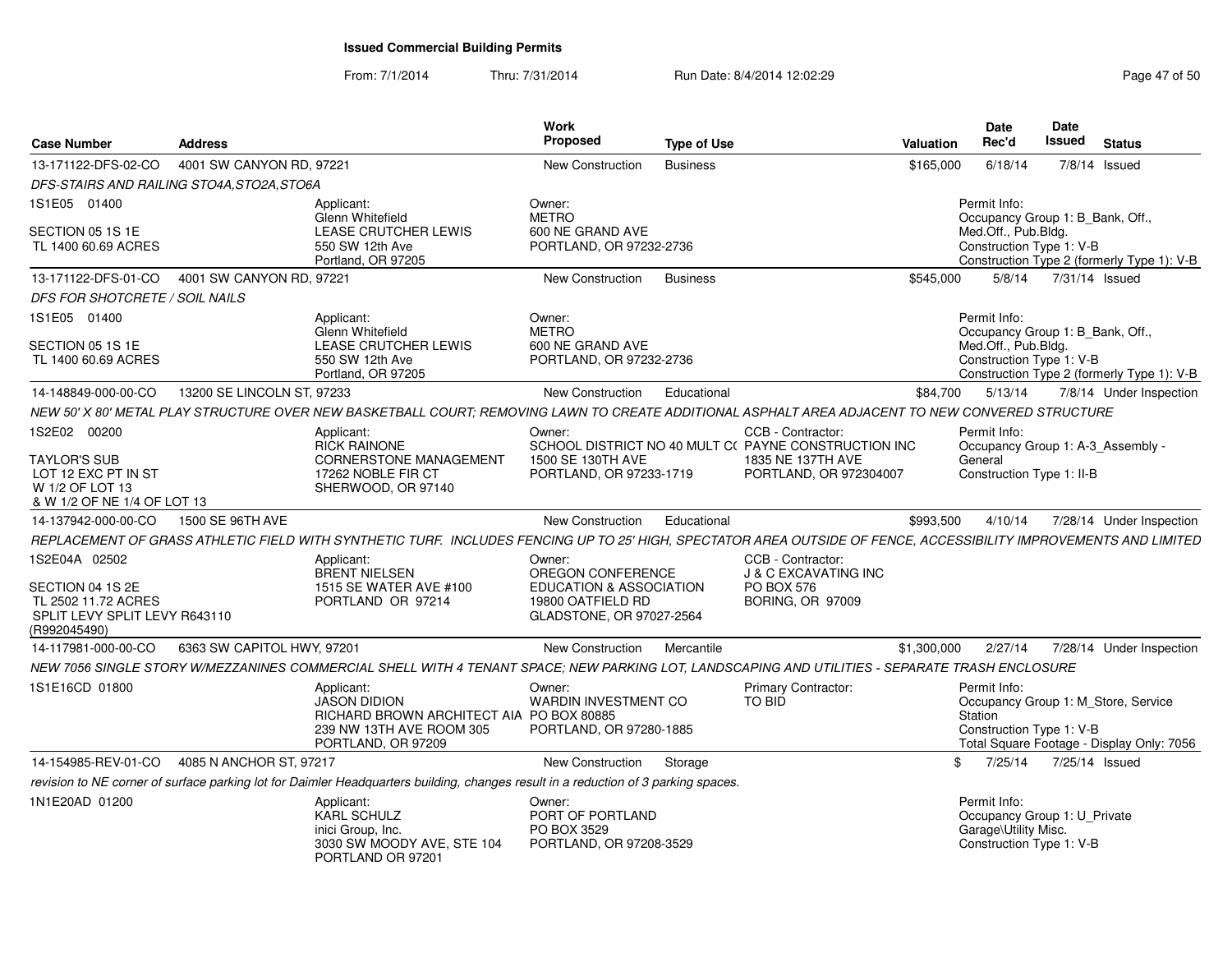| <b>Case Number</b>                                                                           | <b>Address</b>             |                                                                                                                                                                   | Work<br><b>Proposed</b>                                                  | <b>Type of Use</b> |                                                                          | Valuation   | <b>Date</b><br>Rec'd                                                                                                                    | Date<br>Issued | <b>Status</b>  |                          |
|----------------------------------------------------------------------------------------------|----------------------------|-------------------------------------------------------------------------------------------------------------------------------------------------------------------|--------------------------------------------------------------------------|--------------------|--------------------------------------------------------------------------|-------------|-----------------------------------------------------------------------------------------------------------------------------------------|----------------|----------------|--------------------------|
| 13-171122-DFS-02-CO                                                                          | 4001 SW CANYON RD, 97221   |                                                                                                                                                                   | <b>New Construction</b>                                                  | <b>Business</b>    |                                                                          | \$165,000   | 6/18/14                                                                                                                                 |                | 7/8/14 Issued  |                          |
| DFS-STAIRS AND RAILING STO4A,STO2A,STO6A                                                     |                            |                                                                                                                                                                   |                                                                          |                    |                                                                          |             |                                                                                                                                         |                |                |                          |
| 1S1E05 01400                                                                                 |                            | Applicant:<br><b>Glenn Whitefield</b>                                                                                                                             | Owner:<br><b>METRO</b>                                                   |                    |                                                                          |             | Permit Info:<br>Occupancy Group 1: B Bank, Off.,                                                                                        |                |                |                          |
| SECTION 05 1S 1E<br>TL 1400 60.69 ACRES                                                      |                            | LEASE CRUTCHER LEWIS<br>550 SW 12th Ave<br>Portland, OR 97205                                                                                                     | 600 NE GRAND AVE<br>PORTLAND, OR 97232-2736                              |                    |                                                                          |             | Med.Off., Pub.Bldg.<br>Construction Type 1: V-B<br>Construction Type 2 (formerly Type 1): V-B                                           |                |                |                          |
| 13-171122-DFS-01-CO                                                                          | 4001 SW CANYON RD, 97221   |                                                                                                                                                                   | New Construction                                                         | <b>Business</b>    |                                                                          | \$545,000   | 5/8/14                                                                                                                                  |                | 7/31/14 Issued |                          |
| <b>DFS FOR SHOTCRETE / SOIL NAILS</b>                                                        |                            |                                                                                                                                                                   |                                                                          |                    |                                                                          |             |                                                                                                                                         |                |                |                          |
| 1S1E05 01400                                                                                 |                            | Applicant:<br>Glenn Whitefield                                                                                                                                    | Owner:<br><b>METRO</b>                                                   |                    |                                                                          |             | Permit Info:<br>Occupancy Group 1: B_Bank, Off.,                                                                                        |                |                |                          |
| SECTION 05 1S 1E<br>TL 1400 60.69 ACRES                                                      |                            | LEASE CRUTCHER LEWIS<br>550 SW 12th Ave<br>Portland, OR 97205                                                                                                     | 600 NE GRAND AVE<br>PORTLAND, OR 97232-2736                              |                    |                                                                          |             | Med.Off., Pub.Bldg.<br>Construction Type 1: V-B<br>Construction Type 2 (formerly Type 1): V-B                                           |                |                |                          |
| 14-148849-000-00-CO                                                                          | 13200 SE LINCOLN ST, 97233 |                                                                                                                                                                   | New Construction                                                         | Educational        |                                                                          | \$84,700    | 5/13/14                                                                                                                                 |                |                | 7/8/14 Under Inspection  |
|                                                                                              |                            | NEW 50' X 80' METAL PLAY STRUCTURE OVER NEW BASKETBALL COURT; REMOVING LAWN TO CREATE ADDITIONAL ASPHALT AREA ADJACENT TO NEW CONVERED STRUCTURE                  |                                                                          |                    |                                                                          |             |                                                                                                                                         |                |                |                          |
| 1S2E02 00200                                                                                 |                            | Applicant:<br><b>RICK RAINONE</b>                                                                                                                                 | Owner:                                                                   |                    | CCB - Contractor:<br>SCHOOL DISTRICT NO 40 MULT C(PAYNE CONSTRUCTION INC |             | Permit Info:<br>Occupancy Group 1: A-3_Assembly -                                                                                       |                |                |                          |
| <b>TAYLOR'S SUB</b><br>LOT 12 EXC PT IN ST<br>W 1/2 OF LOT 13<br>& W 1/2 OF NE 1/4 OF LOT 13 |                            | <b>CORNERSTONE MANAGEMENT</b><br>17262 NOBLE FIR CT<br>SHERWOOD, OR 97140                                                                                         | 1500 SE 130TH AVE<br>PORTLAND, OR 97233-1719                             |                    | 1835 NE 137TH AVE<br>PORTLAND, OR 972304007                              |             | General<br>Construction Type 1: II-B                                                                                                    |                |                |                          |
| 14-137942-000-00-CO                                                                          | 1500 SE 96TH AVE           |                                                                                                                                                                   | <b>New Construction</b>                                                  | Educational        |                                                                          | \$993,500   | 4/10/14                                                                                                                                 |                |                | 7/28/14 Under Inspection |
|                                                                                              |                            | REPLACEMENT OF GRASS ATHLETIC FIELD WITH SYNTHETIC TURF. INCLUDES FENCING UP TO 25' HIGH, SPECTATOR AREA OUTSIDE OF FENCE, ACCESSIBILITY IMPROVEMENTS AND LIMITED |                                                                          |                    |                                                                          |             |                                                                                                                                         |                |                |                          |
| 1S2E04A 02502                                                                                |                            | Applicant:<br><b>BRENT NIELSEN</b>                                                                                                                                | Owner:<br>OREGON CONFERENCE                                              |                    | CCB - Contractor:<br><b>J &amp; C EXCAVATING INC</b>                     |             |                                                                                                                                         |                |                |                          |
| SECTION 04 1S 2E<br>TL 2502 11.72 ACRES<br>SPLIT LEVY SPLIT LEVY R643110<br>(R992045490)     |                            | 1515 SE WATER AVE #100<br>PORTLAND OR 97214                                                                                                                       | EDUCATION & ASSOCIATION<br>19800 OATFIELD RD<br>GLADSTONE, OR 97027-2564 |                    | <b>PO BOX 576</b><br><b>BORING, OR 97009</b>                             |             |                                                                                                                                         |                |                |                          |
| 14-117981-000-00-CO                                                                          | 6363 SW CAPITOL HWY, 97201 |                                                                                                                                                                   | New Construction                                                         | Mercantile         |                                                                          | \$1,300,000 | 2/27/14                                                                                                                                 |                |                | 7/28/14 Under Inspection |
|                                                                                              |                            | NEW 7056 SINGLE STORY W/MEZZANINES COMMERCIAL SHELL WITH 4 TENANT SPACE; NEW PARKING LOT, LANDSCAPING AND UTILITIES - SEPARATE TRASH ENCLOSURE                    |                                                                          |                    |                                                                          |             |                                                                                                                                         |                |                |                          |
| 1S1E16CD 01800                                                                               |                            | Applicant:<br><b>JASON DIDION</b><br>RICHARD BROWN ARCHITECT AIA PO BOX 80885<br>239 NW 13TH AVE ROOM 305<br>PORTLAND, OR 97209                                   | Owner:<br>WARDIN INVESTMENT CO<br>PORTLAND, OR 97280-1885                |                    | Primary Contractor:<br>TO BID                                            |             | Permit Info:<br>Occupancy Group 1: M_Store, Service<br>Station<br>Construction Type 1: V-B<br>Total Square Footage - Display Only: 7056 |                |                |                          |
| 14-154985-REV-01-CO                                                                          | 4085 N ANCHOR ST, 97217    |                                                                                                                                                                   | <b>New Construction</b>                                                  | Storage            |                                                                          | \$          | 7/25/14                                                                                                                                 |                | 7/25/14 Issued |                          |
|                                                                                              |                            | revision to NE corner of surface parking lot for Daimler Headquarters building, changes result in a reduction of 3 parking spaces.                                |                                                                          |                    |                                                                          |             |                                                                                                                                         |                |                |                          |
| 1N1E20AD 01200                                                                               |                            | Applicant:<br><b>KARL SCHULZ</b><br>inici Group, Inc.<br>3030 SW MOODY AVE, STE 104<br>PORTLAND OR 97201                                                          | Owner:<br>PORT OF PORTLAND<br>PO BOX 3529<br>PORTLAND, OR 97208-3529     |                    |                                                                          |             | Permit Info:<br>Occupancy Group 1: U_Private<br>Garage\Utility Misc.<br>Construction Type 1: V-B                                        |                |                |                          |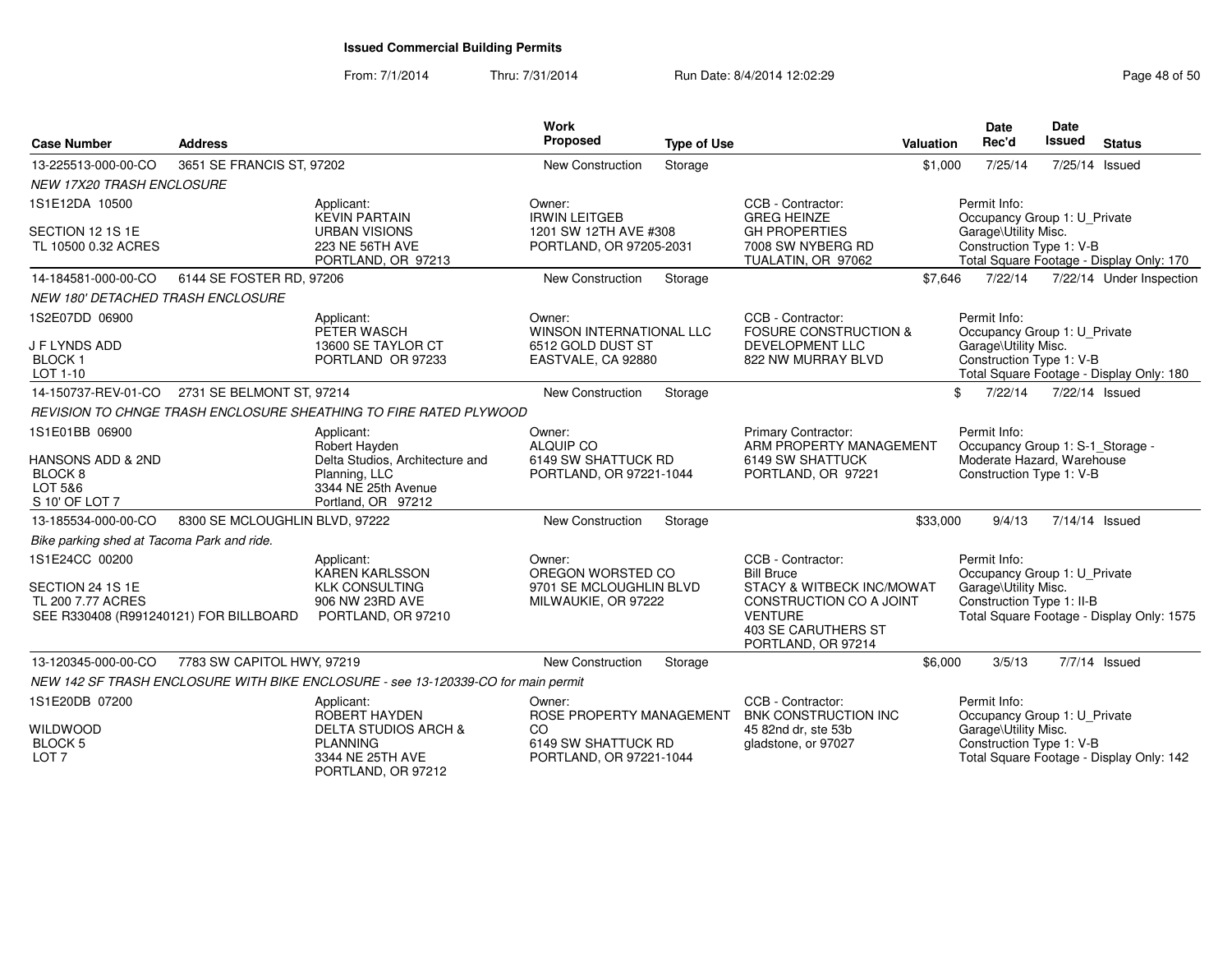PORTLAND, OR 97212

| <b>Case Number</b>                                                                                | <b>Address</b>                 |                                                                                                                              | <b>Work</b><br>Proposed                                                              | <b>Type of Use</b> |                                                                                                                                                                      | <b>Valuation</b> | Date<br>Rec'd                                                                                              | Date<br><b>Issued</b> | <b>Status</b>                             |
|---------------------------------------------------------------------------------------------------|--------------------------------|------------------------------------------------------------------------------------------------------------------------------|--------------------------------------------------------------------------------------|--------------------|----------------------------------------------------------------------------------------------------------------------------------------------------------------------|------------------|------------------------------------------------------------------------------------------------------------|-----------------------|-------------------------------------------|
| 13-225513-000-00-CO                                                                               | 3651 SE FRANCIS ST, 97202      |                                                                                                                              | <b>New Construction</b>                                                              | Storage            |                                                                                                                                                                      | \$1,000          | 7/25/14                                                                                                    |                       | 7/25/14 Issued                            |
| NEW 17X20 TRASH ENCLOSURE                                                                         |                                |                                                                                                                              |                                                                                      |                    |                                                                                                                                                                      |                  |                                                                                                            |                       |                                           |
| 1S1E12DA 10500<br>SECTION 12 1S 1E<br>TL 10500 0.32 ACRES                                         |                                | Applicant:<br><b>KEVIN PARTAIN</b><br><b>URBAN VISIONS</b><br>223 NE 56TH AVE<br>PORTLAND, OR 97213                          | Owner:<br><b>IRWIN LEITGEB</b><br>1201 SW 12TH AVE #308<br>PORTLAND, OR 97205-2031   |                    | CCB - Contractor:<br><b>GREG HEINZE</b><br><b>GH PROPERTIES</b><br>7008 SW NYBERG RD<br>TUALATIN, OR 97062                                                           |                  | Permit Info:<br>Occupancy Group 1: U_Private<br>Garage\Utility Misc.<br>Construction Type 1: V-B           |                       | Total Square Footage - Display Only: 170  |
| 14-184581-000-00-CO                                                                               | 6144 SE FOSTER RD, 97206       |                                                                                                                              | New Construction                                                                     | Storage            |                                                                                                                                                                      | \$7,646          | 7/22/14                                                                                                    |                       | 7/22/14 Under Inspection                  |
| <b>NEW 180' DETACHED TRASH ENCLOSURE</b>                                                          |                                |                                                                                                                              |                                                                                      |                    |                                                                                                                                                                      |                  |                                                                                                            |                       |                                           |
| 1S2E07DD 06900<br><b>J F LYNDS ADD</b><br><b>BLOCK1</b><br>LOT 1-10                               |                                | Applicant:<br>PETER WASCH<br>13600 SE TAYLOR CT<br>PORTLAND OR 97233                                                         | Owner:<br><b>WINSON INTERNATIONAL LLC</b><br>6512 GOLD DUST ST<br>EASTVALE, CA 92880 |                    | CCB - Contractor:<br><b>FOSURE CONSTRUCTION &amp;</b><br><b>DEVELOPMENT LLC</b><br>822 NW MURRAY BLVD                                                                |                  | Permit Info:<br>Occupancy Group 1: U_Private<br>Garage\Utility Misc.<br>Construction Type 1: V-B           |                       | Total Square Footage - Display Only: 180  |
| 14-150737-REV-01-CO                                                                               | 2731 SE BELMONT ST, 97214      |                                                                                                                              | <b>New Construction</b>                                                              | Storage            |                                                                                                                                                                      |                  | \$<br>7/22/14                                                                                              | 7/22/14 Issued        |                                           |
|                                                                                                   |                                | REVISION TO CHNGE TRASH ENCLOSURE SHEATHING TO FIRE RATED PLYWOOD                                                            |                                                                                      |                    |                                                                                                                                                                      |                  |                                                                                                            |                       |                                           |
| 1S1E01BB 06900<br>HANSONS ADD & 2ND<br>BLOCK <sub>8</sub><br>LOT 5&6<br>S 10' OF LOT 7            |                                | Applicant:<br>Robert Hayden<br>Delta Studios, Architecture and<br>Planning, LLC<br>3344 NE 25th Avenue<br>Portland, OR 97212 | Owner:<br>ALQUIP CO<br>6149 SW SHATTUCK RD<br>PORTLAND, OR 97221-1044                |                    | Primary Contractor:<br>ARM PROPERTY MANAGEMENT<br>6149 SW SHATTUCK<br>PORTLAND, OR 97221                                                                             |                  | Permit Info:<br>Occupancy Group 1: S-1_Storage -<br>Moderate Hazard, Warehouse<br>Construction Type 1: V-B |                       |                                           |
| 13-185534-000-00-CO                                                                               | 8300 SE MCLOUGHLIN BLVD, 97222 |                                                                                                                              | New Construction                                                                     | Storage            |                                                                                                                                                                      | \$33,000         | 9/4/13                                                                                                     | 7/14/14 Issued        |                                           |
| Bike parking shed at Tacoma Park and ride.                                                        |                                |                                                                                                                              |                                                                                      |                    |                                                                                                                                                                      |                  |                                                                                                            |                       |                                           |
| 1S1E24CC 00200<br>SECTION 24 1S 1E<br>TL 200 7.77 ACRES<br>SEE R330408 (R991240121) FOR BILLBOARD |                                | Applicant:<br><b>KAREN KARLSSON</b><br><b>KLK CONSULTING</b><br>906 NW 23RD AVE<br>PORTLAND, OR 97210                        | Owner:<br>OREGON WORSTED CO<br>9701 SE MCLOUGHLIN BLVD<br>MILWAUKIE, OR 97222        |                    | CCB - Contractor:<br><b>Bill Bruce</b><br>STACY & WITBECK INC/MOWAT<br>CONSTRUCTION CO A JOINT<br><b>VENTURE</b><br><b>403 SE CARUTHERS ST</b><br>PORTLAND, OR 97214 |                  | Permit Info:<br>Occupancy Group 1: U_Private<br>Garage\Utility Misc.<br>Construction Type 1: II-B          |                       | Total Square Footage - Display Only: 1575 |
| 13-120345-000-00-CO                                                                               | 7783 SW CAPITOL HWY, 97219     |                                                                                                                              | New Construction                                                                     | Storage            |                                                                                                                                                                      | \$6,000          | 3/5/13                                                                                                     |                       | 7/7/14 Issued                             |
|                                                                                                   |                                | NEW 142 SF TRASH ENCLOSURE WITH BIKE ENCLOSURE - see 13-120339-CO for main permit                                            |                                                                                      |                    |                                                                                                                                                                      |                  |                                                                                                            |                       |                                           |
| 1S1E20DB 07200<br><b>WILDWOOD</b><br><b>BLOCK 5</b>                                               |                                | Applicant:<br>ROBERT HAYDEN<br><b>DELTA STUDIOS ARCH &amp;</b><br><b>PLANNING</b>                                            | Owner:<br>ROSE PROPERTY MANAGEMENT<br>CO<br>6149 SW SHATTUCK RD                      |                    | CCB - Contractor:<br><b>BNK CONSTRUCTION INC</b><br>45 82nd dr. ste 53b<br>gladstone, or 97027                                                                       |                  | Permit Info:<br>Occupancy Group 1: U_Private<br>Garage\Utility Misc.<br>Construction Type 1: V-B           |                       |                                           |
| LOT <sub>7</sub>                                                                                  |                                | 3344 NE 25TH AVE                                                                                                             | PORTLAND, OR 97221-1044                                                              |                    |                                                                                                                                                                      |                  |                                                                                                            |                       | Total Square Footage - Display Only: 142  |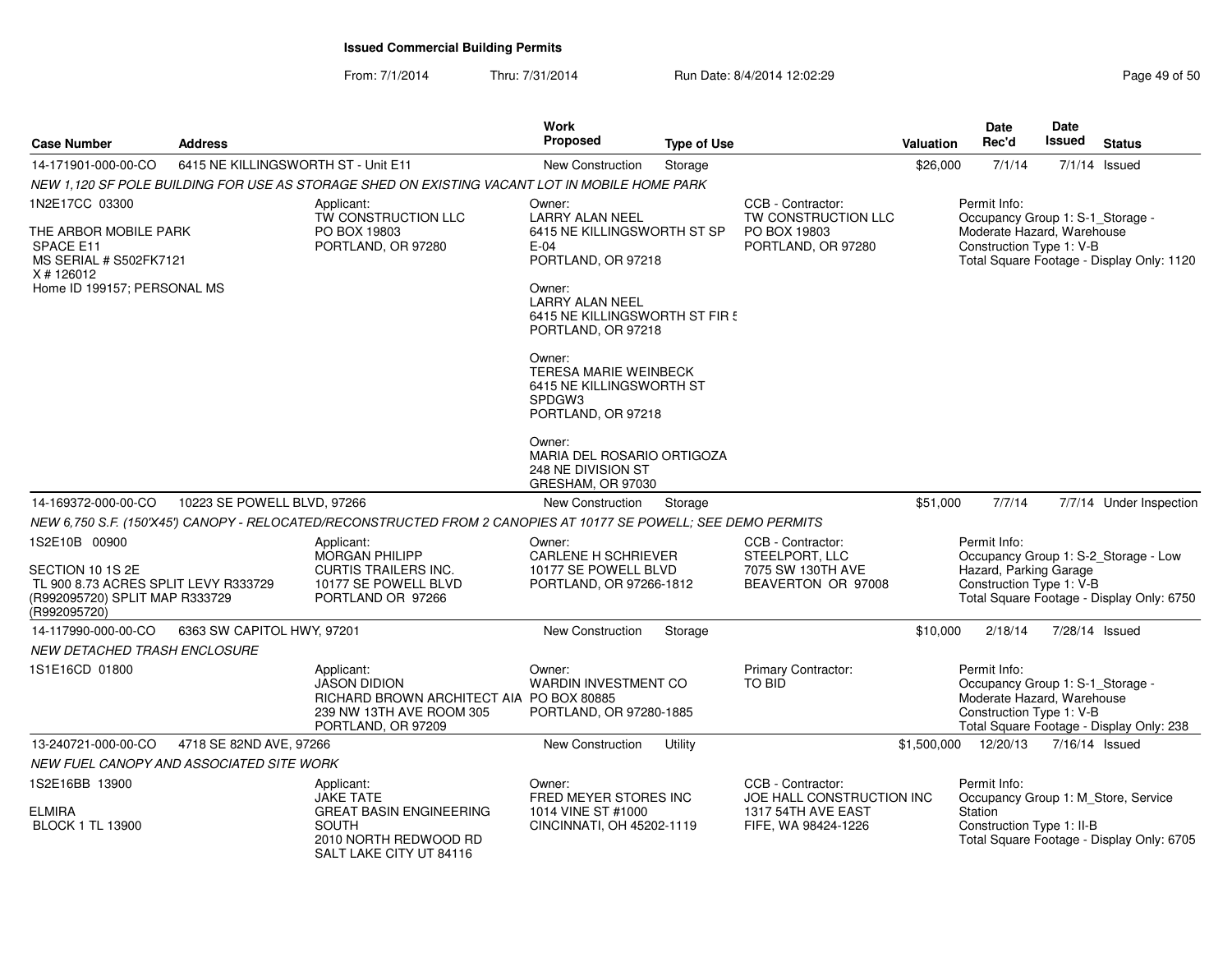| <b>Case Number</b>                                                                                                          | <b>Address</b>                           |                                                                                                                                 | Work<br><b>Proposed</b>                                                                                                                                                                                               | <b>Type of Use</b> |                                                                                | <b>Valuation</b> | <b>Date</b><br>Rec'd                                                                                       | <b>Date</b><br><b>Issued</b>                                                                                | <b>Status</b>                                                                     |
|-----------------------------------------------------------------------------------------------------------------------------|------------------------------------------|---------------------------------------------------------------------------------------------------------------------------------|-----------------------------------------------------------------------------------------------------------------------------------------------------------------------------------------------------------------------|--------------------|--------------------------------------------------------------------------------|------------------|------------------------------------------------------------------------------------------------------------|-------------------------------------------------------------------------------------------------------------|-----------------------------------------------------------------------------------|
| 14-171901-000-00-CO                                                                                                         | 6415 NE KILLINGSWORTH ST - Unit E11      |                                                                                                                                 | New Construction                                                                                                                                                                                                      | Storage            |                                                                                | \$26,000         | 7/1/14                                                                                                     |                                                                                                             | $7/1/14$ Issued                                                                   |
|                                                                                                                             |                                          | NEW 1,120 SF POLE BUILDING FOR USE AS STORAGE SHED ON EXISTING VACANT LOT IN MOBILE HOME PARK                                   |                                                                                                                                                                                                                       |                    |                                                                                |                  |                                                                                                            |                                                                                                             |                                                                                   |
| 1N2E17CC 03300<br>THE ARBOR MOBILE PARK<br>SPACE E11<br>MS SERIAL # S502FK7121<br>X #126012<br>Home ID 199157; PERSONAL MS  |                                          | Applicant:<br>TW CONSTRUCTION LLC<br>PO BOX 19803<br>PORTLAND, OR 97280                                                         | CCB - Contractor:<br>Owner:<br>TW CONSTRUCTION LLC<br><b>LARRY ALAN NEEL</b><br>6415 NE KILLINGSWORTH ST SP<br>PO BOX 19803<br>$E-04$<br>PORTLAND, OR 97280<br>PORTLAND, OR 97218<br>Owner:<br><b>LARRY ALAN NEEL</b> |                    |                                                                                |                  | Permit Info:<br>Construction Type 1: V-B                                                                   | Occupancy Group 1: S-1_Storage -<br>Moderate Hazard, Warehouse<br>Total Square Footage - Display Only: 1120 |                                                                                   |
|                                                                                                                             |                                          |                                                                                                                                 | 6415 NE KILLINGSWORTH ST FIR!<br>PORTLAND, OR 97218                                                                                                                                                                   |                    |                                                                                |                  |                                                                                                            |                                                                                                             |                                                                                   |
|                                                                                                                             |                                          |                                                                                                                                 | Owner:<br><b>TERESA MARIE WEINBECK</b><br>6415 NE KILLINGSWORTH ST<br>SPDGW3<br>PORTLAND, OR 97218                                                                                                                    |                    |                                                                                |                  |                                                                                                            |                                                                                                             |                                                                                   |
|                                                                                                                             |                                          |                                                                                                                                 | Owner:<br>MARIA DEL ROSARIO ORTIGOZA<br>248 NE DIVISION ST<br>GRESHAM, OR 97030                                                                                                                                       |                    |                                                                                |                  |                                                                                                            |                                                                                                             |                                                                                   |
| 14-169372-000-00-CO                                                                                                         | 10223 SE POWELL BLVD, 97266              |                                                                                                                                 | New Construction                                                                                                                                                                                                      | Storage            |                                                                                | \$51,000         | 7/7/14                                                                                                     |                                                                                                             | 7/7/14 Under Inspection                                                           |
|                                                                                                                             |                                          | NEW 6,750 S.F. (150'X45') CANOPY - RELOCATED/RECONSTRUCTED FROM 2 CANOPIES AT 10177 SE POWELL; SEE DEMO PERMITS                 |                                                                                                                                                                                                                       |                    |                                                                                |                  |                                                                                                            |                                                                                                             |                                                                                   |
| 1S2E10B 00900<br>SECTION 10 1S 2E<br>TL 900 8.73 ACRES SPLIT LEVY R333729<br>(R992095720) SPLIT MAP R333729<br>(R992095720) |                                          | Applicant:<br>MORGAN PHILIPP<br><b>CURTIS TRAILERS INC.</b><br>10177 SE POWELL BLVD<br>PORTLAND OR 97266                        | Owner:<br><b>CARLENE H SCHRIEVER</b><br>10177 SE POWELL BLVD<br>PORTLAND, OR 97266-1812                                                                                                                               |                    | CCB - Contractor:<br>STEELPORT, LLC<br>7075 SW 130TH AVE<br>BEAVERTON OR 97008 |                  | Permit Info:<br>Hazard, Parking Garage<br>Construction Type 1: V-B                                         |                                                                                                             | Occupancy Group 1: S-2_Storage - Low<br>Total Square Footage - Display Only: 6750 |
| 14-117990-000-00-CO                                                                                                         | 6363 SW CAPITOL HWY, 97201               |                                                                                                                                 | <b>New Construction</b>                                                                                                                                                                                               | Storage            |                                                                                | \$10,000         | 2/18/14                                                                                                    |                                                                                                             | 7/28/14 Issued                                                                    |
| <b>NEW DETACHED TRASH ENCLOSURE</b>                                                                                         |                                          |                                                                                                                                 |                                                                                                                                                                                                                       |                    |                                                                                |                  |                                                                                                            |                                                                                                             |                                                                                   |
| 1S1E16CD 01800                                                                                                              |                                          | Applicant:<br><b>JASON DIDION</b><br>RICHARD BROWN ARCHITECT AIA PO BOX 80885<br>239 NW 13TH AVE ROOM 305<br>PORTLAND, OR 97209 | Owner:<br><b>WARDIN INVESTMENT CO</b><br>PORTLAND, OR 97280-1885                                                                                                                                                      |                    | <b>Primary Contractor:</b><br><b>TO BID</b>                                    |                  | Permit Info:<br>Occupancy Group 1: S-1_Storage -<br>Moderate Hazard, Warehouse<br>Construction Type 1: V-B |                                                                                                             | Total Square Footage - Display Only: 238                                          |
| 13-240721-000-00-CO                                                                                                         | 4718 SE 82ND AVE, 97266                  |                                                                                                                                 | <b>New Construction</b>                                                                                                                                                                                               | Utility            |                                                                                | \$1,500,000      | 12/20/13                                                                                                   |                                                                                                             | 7/16/14 Issued                                                                    |
|                                                                                                                             | NEW FUEL CANOPY AND ASSOCIATED SITE WORK |                                                                                                                                 |                                                                                                                                                                                                                       |                    |                                                                                |                  |                                                                                                            |                                                                                                             |                                                                                   |
| 1S2E16BB 13900                                                                                                              |                                          | Applicant:                                                                                                                      | Owner:                                                                                                                                                                                                                |                    | CCB - Contractor:                                                              |                  | Permit Info:                                                                                               |                                                                                                             |                                                                                   |
| <b>ELMIRA</b><br><b>BLOCK 1 TL 13900</b>                                                                                    |                                          | <b>JAKE TATE</b><br><b>GREAT BASIN ENGINEERING</b><br><b>SOUTH</b><br>2010 NORTH REDWOOD RD<br>SALT LAKE CITY UT 84116          | FRED MEYER STORES INC<br>1014 VINE ST #1000<br>CINCINNATI, OH 45202-1119                                                                                                                                              |                    | JOE HALL CONSTRUCTION INC<br>1317 54TH AVE EAST<br>FIFE, WA 98424-1226         |                  | <b>Station</b><br>Construction Type 1: II-B                                                                |                                                                                                             | Occupancy Group 1: M Store, Service<br>Total Square Footage - Display Only: 6705  |